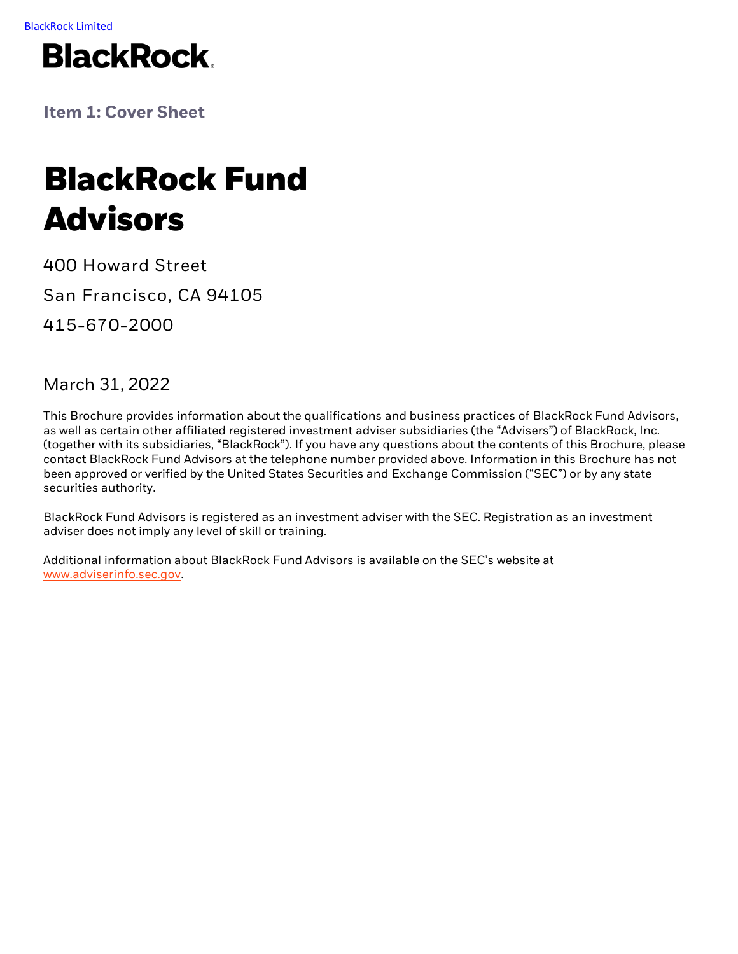

<span id="page-0-0"></span>**Item 1: Cover Sheet**

# **BlackRock Fund Advisors**

400 Howard Street San Francisco, CA 94105 415-670-2000

March 31, 2022

This Brochure provides information about the qualifications and business practices of BlackRock Fund Advisors, as well as certain other affiliated registered investment adviser subsidiaries (the "Advisers") of BlackRock, Inc. (together with its subsidiaries, "BlackRock"). If you have any questions about the contents of this Brochure, please contact BlackRock Fund Advisors at the telephone number provided above. Information in this Brochure has not been approved or verified by the United States Securities and Exchange Commission ("SEC") or by any state securities authority.

BlackRock Fund Advisors is registered as an investment adviser with the SEC. Registration as an investment adviser does not imply any level of skill or training.

Additional information about BlackRock Fund Advisors is available on the SEC's website at [www.adviserinfo.sec.gov.](http://www.adviserinfo.sec.gov/)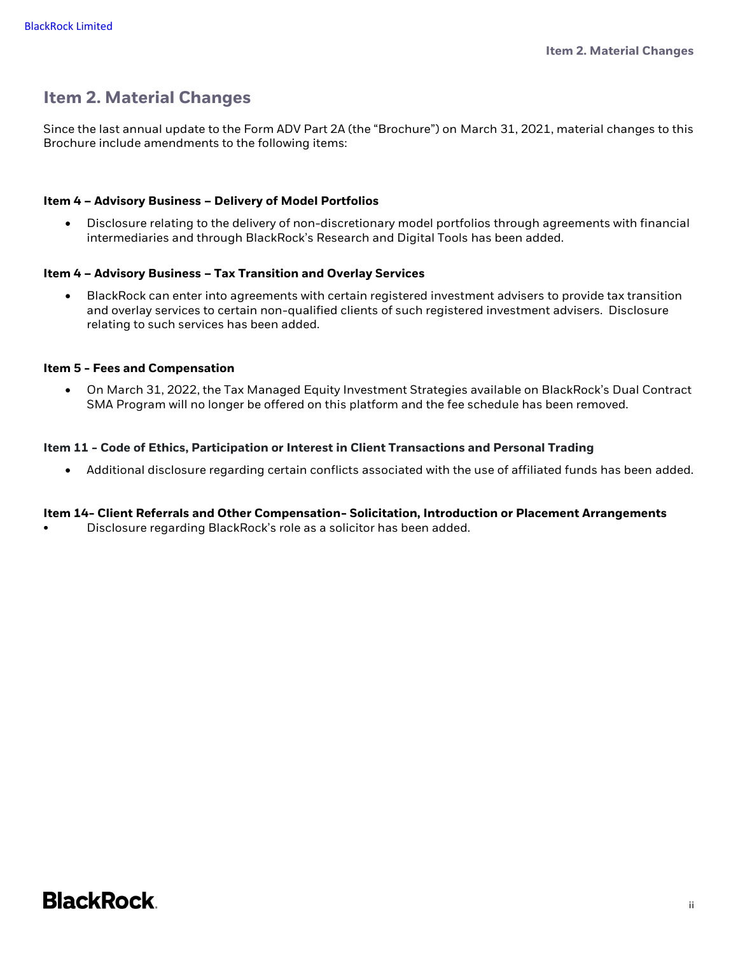### <span id="page-1-0"></span>**Item 2. Material Changes**

Since the last annual update to the Form ADV Part 2A (the "Brochure") on March 31, 2021, material changes to this Brochure include amendments to the following items:

#### **Item 4 – Advisory Business – Delivery of Model Portfolios**

• Disclosure relating to the delivery of non-discretionary model portfolios through agreements with financial intermediaries and through BlackRock's Research and Digital Tools has been added.

#### **Item 4 – Advisory Business – Tax Transition and Overlay Services**

• BlackRock can enter into agreements with certain registered investment advisers to provide tax transition and overlay services to certain non-qualified clients of such registered investment advisers. Disclosure relating to such services has been added.

#### **Item 5 - Fees and Compensation**

• On March 31, 2022, the Tax Managed Equity Investment Strategies available on BlackRock's Dual Contract SMA Program will no longer be offered on this platform and the fee schedule has been removed.

#### **Item 11 - Code of Ethics, Participation or Interest in Client Transactions and Personal Trading**

• Additional disclosure regarding certain conflicts associated with the use of affiliated funds has been added.

#### **Item 14- Client Referrals and Other Compensation- Solicitation, Introduction or Placement Arrangements**

• Disclosure regarding BlackRock's role as a solicitor has been added.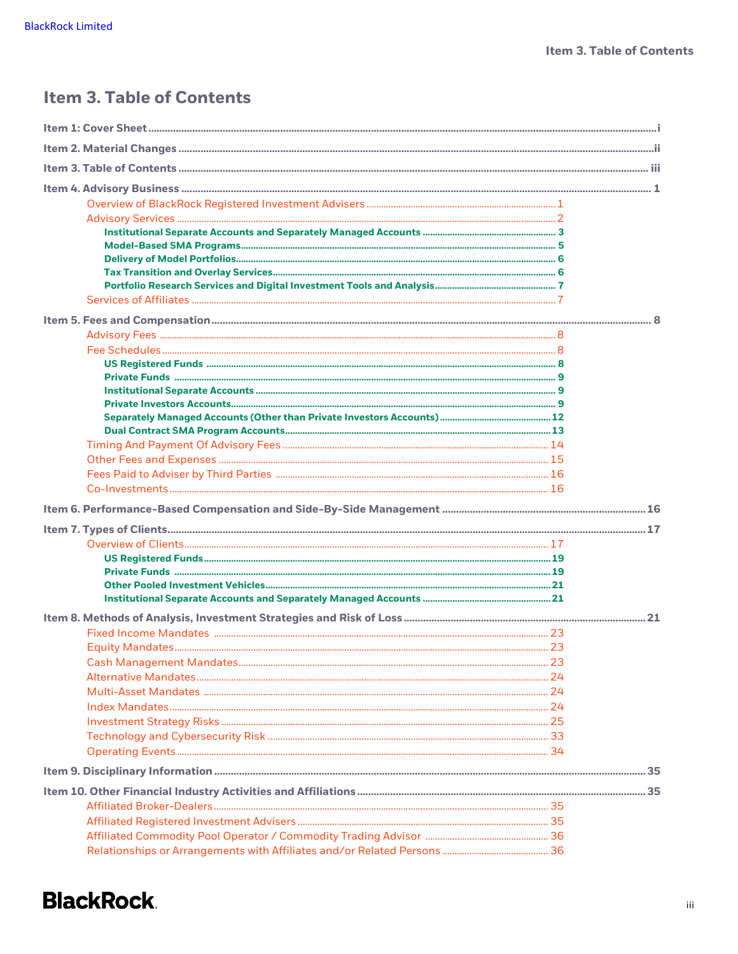### <span id="page-2-0"></span>**Item 3. Table of Contents**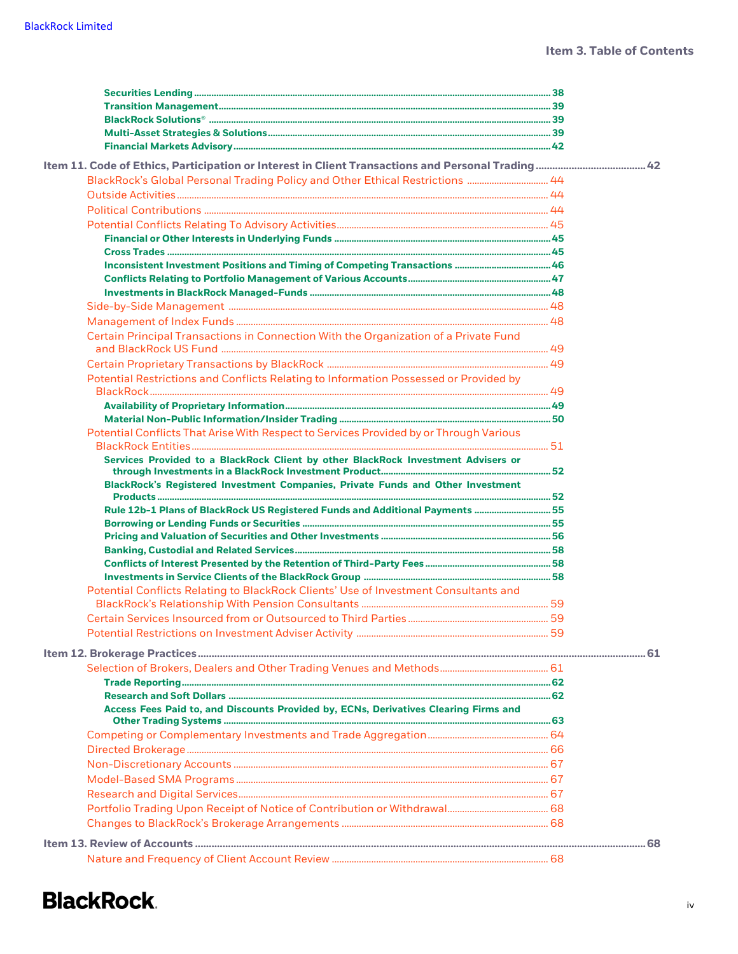| BlackRock's Global Personal Trading Policy and Other Ethical Restrictions  44          |  |
|----------------------------------------------------------------------------------------|--|
|                                                                                        |  |
|                                                                                        |  |
|                                                                                        |  |
|                                                                                        |  |
|                                                                                        |  |
|                                                                                        |  |
|                                                                                        |  |
|                                                                                        |  |
|                                                                                        |  |
|                                                                                        |  |
| Certain Principal Transactions in Connection With the Organization of a Private Fund   |  |
|                                                                                        |  |
|                                                                                        |  |
| Potential Restrictions and Conflicts Relating to Information Possessed or Provided by  |  |
|                                                                                        |  |
|                                                                                        |  |
|                                                                                        |  |
| Potential Conflicts That Arise With Respect to Services Provided by or Through Various |  |
| Services Provided to a BlackRock Client by other BlackRock Investment Advisers or      |  |
|                                                                                        |  |
| BlackRock's Registered Investment Companies, Private Funds and Other Investment        |  |
| Rule 12b-1 Plans of BlackRock US Registered Funds and Additional Payments  55          |  |
|                                                                                        |  |
|                                                                                        |  |
|                                                                                        |  |
|                                                                                        |  |
|                                                                                        |  |
| Potential Conflicts Relating to BlackRock Clients' Use of Investment Consultants and   |  |
|                                                                                        |  |
|                                                                                        |  |
|                                                                                        |  |
|                                                                                        |  |
|                                                                                        |  |
|                                                                                        |  |
|                                                                                        |  |
| Access Fees Paid to, and Discounts Provided by, ECNs, Derivatives Clearing Firms and   |  |
|                                                                                        |  |
|                                                                                        |  |
|                                                                                        |  |
|                                                                                        |  |
|                                                                                        |  |
|                                                                                        |  |
|                                                                                        |  |
|                                                                                        |  |
|                                                                                        |  |
|                                                                                        |  |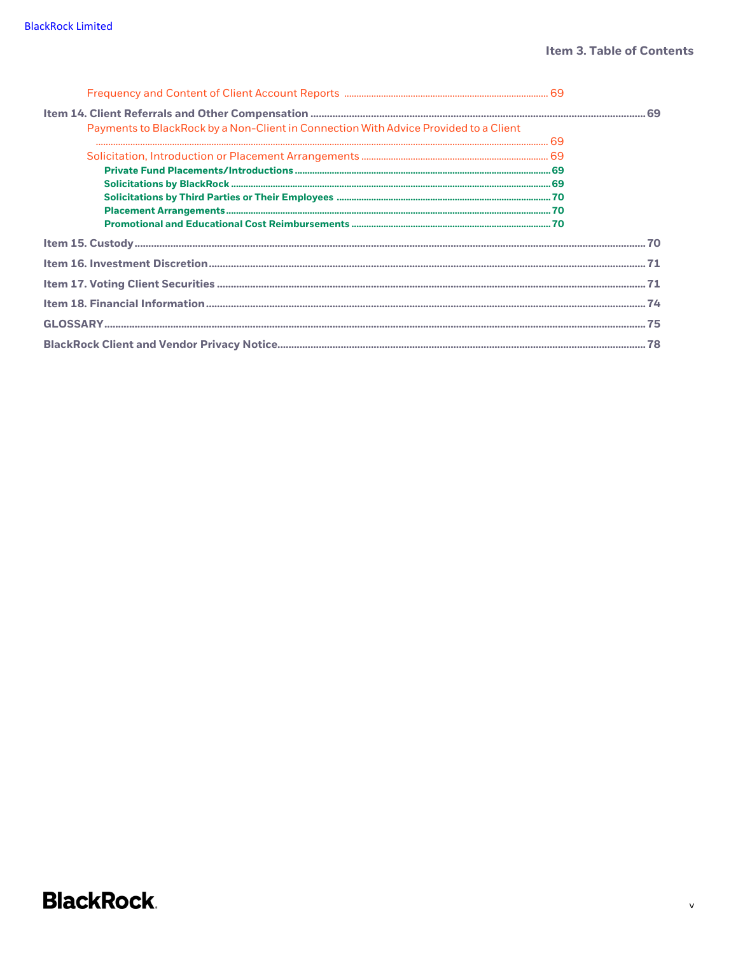| Payments to BlackRock by a Non-Client in Connection With Advice Provided to a Client |  |
|--------------------------------------------------------------------------------------|--|
|                                                                                      |  |
|                                                                                      |  |
|                                                                                      |  |
|                                                                                      |  |
|                                                                                      |  |
|                                                                                      |  |
|                                                                                      |  |
|                                                                                      |  |
|                                                                                      |  |
|                                                                                      |  |
|                                                                                      |  |
|                                                                                      |  |
|                                                                                      |  |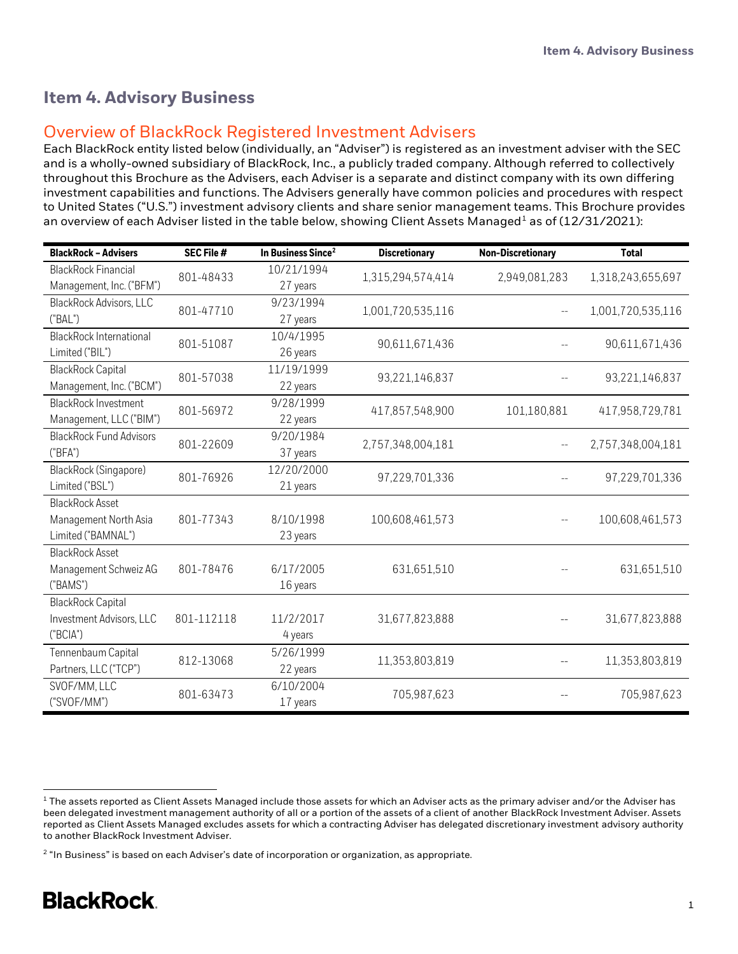### <span id="page-5-0"></span>**Item 4. Advisory Business**

### <span id="page-5-1"></span>Overview of BlackRock Registered Investment Advisers

Each BlackRock entity listed below (individually, an "Adviser") is registered as an investment adviser with the SEC and is a wholly-owned subsidiary of BlackRock, Inc., a publicly traded company. Although referred to collectively throughout this Brochure as the Advisers, each Adviser is a separate and distinct company with its own differing investment capabilities and functions. The Advisers generally have common policies and procedures with respect to United States ("U.S.") investment advisory clients and share senior management teams. This Brochure provides an overview of each Adviser listed in the table below, showing Client Assets Managed<sup>1</sup> as of  $(12/31/2021)$ :

| <b>BlackRock - Advisers</b>                                           | <b>SEC File #</b> | In Business Since <sup>2</sup> | <b>Discretionary</b> | <b>Non-Discretionary</b> | <b>Total</b>      |
|-----------------------------------------------------------------------|-------------------|--------------------------------|----------------------|--------------------------|-------------------|
| <b>BlackRock Financial</b><br>Management, Inc. ("BFM")                | 801-48433         | 10/21/1994<br>27 years         | 1,315,294,574,414    | 2,949,081,283            | 1,318,243,655,697 |
| <b>BlackRock Advisors, LLC</b><br>("BAL")                             | 801-47710         | 9/23/1994<br>27 years          | 1,001,720,535,116    |                          | 1,001,720,535,116 |
| <b>BlackRock International</b><br>Limited ("BIL")                     | 801-51087         | 10/4/1995<br>26 years          | 90,611,671,436       |                          | 90,611,671,436    |
| <b>BlackRock Capital</b><br>Management, Inc. ("BCM")                  | 801-57038         | 11/19/1999<br>22 years         | 93,221,146,837       |                          | 93,221,146,837    |
| <b>BlackRock Investment</b><br>Management, LLC ("BIM")                | 801-56972         | 9/28/1999<br>22 years          | 417,857,548,900      | 101,180,881              | 417,958,729,781   |
| <b>BlackRock Fund Advisors</b><br>("BFA")                             | 801-22609         | 9/20/1984<br>37 years          | 2,757,348,004,181    | $-\,-$                   | 2,757,348,004,181 |
| BlackRock (Singapore)<br>Limited ("BSL")                              | 801-76926         | 12/20/2000<br>21 years         | 97,229,701,336       |                          | 97,229,701,336    |
| <b>BlackRock Asset</b><br>Management North Asia<br>Limited ("BAMNAL") | 801-77343         | 8/10/1998<br>23 years          | 100,608,461,573      | $-\,-$                   | 100,608,461,573   |
| <b>BlackRock Asset</b><br>Management Schweiz AG<br>("BAMS")           | 801-78476         | 6/17/2005<br>16 years          | 631,651,510          |                          | 631,651,510       |
| <b>BlackRock Capital</b><br>Investment Advisors, LLC<br>("BCIA")      | 801-112118        | 11/2/2017<br>4 years           | 31,677,823,888       |                          | 31,677,823,888    |
| Tennenbaum Capital<br>Partners, LLC ("TCP")                           | 812-13068         | 5/26/1999<br>22 years          | 11,353,803,819       | $\qquad \qquad -$        | 11,353,803,819    |
| SVOF/MM, LLC<br>("SVOF/MM")                                           | 801-63473         | 6/10/2004<br>17 years          | 705,987,623          |                          | 705,987,623       |

 $1$  The assets reported as Client Assets Managed include those assets for which an Adviser acts as the primary adviser and/or the Adviser has been delegated investment management authority of all or a portion of the assets of a client of another BlackRock Investment Adviser. Assets reported as Client Assets Managed excludes assets for which a contracting Adviser has delegated discretionary investment advisory authority to another BlackRock Investment Adviser.

 $^2$  "In Business" is based on each Adviser's date of incorporation or organization, as appropriate.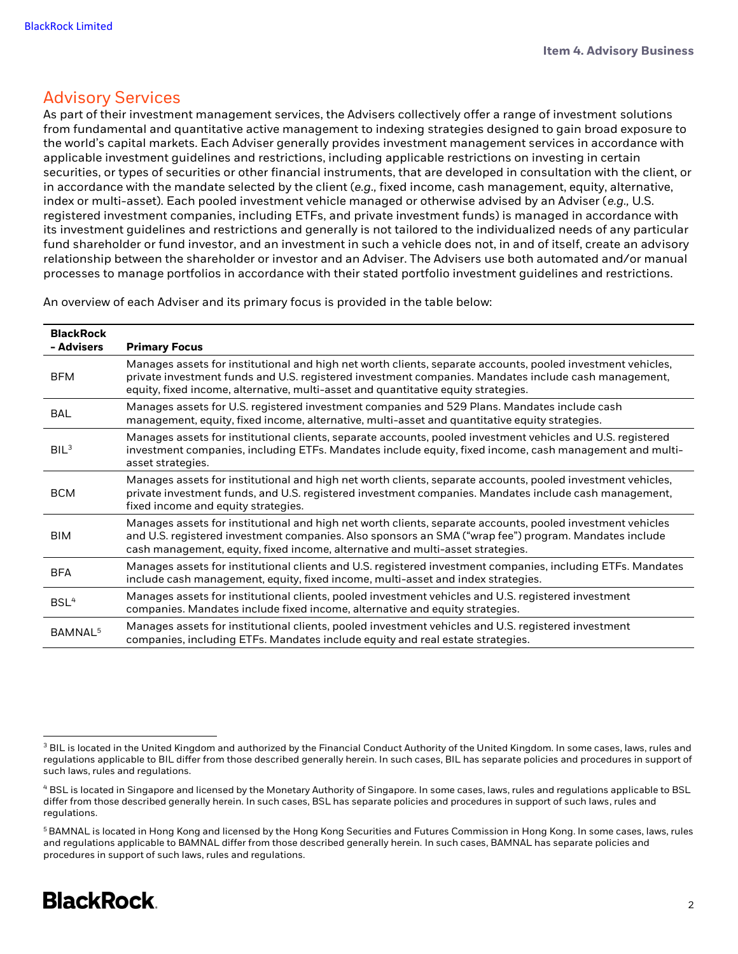### <span id="page-6-0"></span>Advisory Services

As part of their investment management services, the Advisers collectively offer a range of investment solutions from fundamental and quantitative active management to indexing strategies designed to gain broad exposure to the world's capital markets. Each Adviser generally provides investment management services in accordance with applicable investment guidelines and restrictions, including applicable restrictions on investing in certain securities, or types of securities or other financial instruments, that are developed in consultation with the client, or in accordance with the mandate selected by the client (*e.g.,* fixed income, cash management, equity, alternative, index or multi-asset). Each pooled investment vehicle managed or otherwise advised by an Adviser (*e.g.,* U.S. registered investment companies, including ETFs, and private investment funds) is managed in accordance with its investment guidelines and restrictions and generally is not tailored to the individualized needs of any particular fund shareholder or fund investor, and an investment in such a vehicle does not, in and of itself, create an advisory relationship between the shareholder or investor and an Adviser. The Advisers use both automated and/or manual processes to manage portfolios in accordance with their stated portfolio investment guidelines and restrictions.

An overview of each Adviser and its primary focus is provided in the table below:

| <b>BlackRock</b><br>- Advisers | <b>Primary Focus</b>                                                                                                                                                                                                                                                                                      |
|--------------------------------|-----------------------------------------------------------------------------------------------------------------------------------------------------------------------------------------------------------------------------------------------------------------------------------------------------------|
| <b>BFM</b>                     | Manages assets for institutional and high net worth clients, separate accounts, pooled investment vehicles,<br>private investment funds and U.S. registered investment companies. Mandates include cash management,<br>equity, fixed income, alternative, multi-asset and quantitative equity strategies. |
| <b>BAL</b>                     | Manages assets for U.S. registered investment companies and 529 Plans. Mandates include cash<br>management, equity, fixed income, alternative, multi-asset and quantitative equity strategies.                                                                                                            |
| BIL <sup>3</sup>               | Manages assets for institutional clients, separate accounts, pooled investment vehicles and U.S. registered<br>investment companies, including ETFs. Mandates include equity, fixed income, cash management and multi-<br>asset strategies.                                                               |
| <b>BCM</b>                     | Manages assets for institutional and high net worth clients, separate accounts, pooled investment vehicles,<br>private investment funds, and U.S. registered investment companies. Mandates include cash management,<br>fixed income and equity strategies.                                               |
| <b>BIM</b>                     | Manages assets for institutional and high net worth clients, separate accounts, pooled investment vehicles<br>and U.S. registered investment companies. Also sponsors an SMA ("wrap fee") program. Mandates include<br>cash management, equity, fixed income, alternative and multi-asset strategies.     |
| <b>BFA</b>                     | Manages assets for institutional clients and U.S. registered investment companies, including ETFs. Mandates<br>include cash management, equity, fixed income, multi-asset and index strategies.                                                                                                           |
| BSL <sup>4</sup>               | Manages assets for institutional clients, pooled investment vehicles and U.S. registered investment<br>companies. Mandates include fixed income, alternative and equity strategies.                                                                                                                       |
| BAMNAI <sup>5</sup>            | Manages assets for institutional clients, pooled investment vehicles and U.S. registered investment<br>companies, including ETFs. Mandates include equity and real estate strategies.                                                                                                                     |

<sup>&</sup>lt;sup>5</sup> BAMNAL is located in Hong Kong and licensed by the Hong Kong Securities and Futures Commission in Hong Kong. In some cases, laws, rules and regulations applicable to BAMNAL differ from those described generally herein. In such cases, BAMNAL has separate policies and procedures in support of such laws, rules and regulations.



<sup>&</sup>lt;sup>3</sup> BIL is located in the United Kingdom and authorized by the Financial Conduct Authority of the United Kingdom. In some cases, laws, rules and regulations applicable to BIL differ from those described generally herein. In such cases, BIL has separate policies and procedures in support of such laws, rules and regulations.

<sup>&</sup>lt;sup>4</sup> BSL is located in Singapore and licensed by the Monetary Authority of Singapore. In some cases, laws, rules and regulations applicable to BSL differ from those described generally herein. In such cases, BSL has separate policies and procedures in support of such laws, rules and regulations.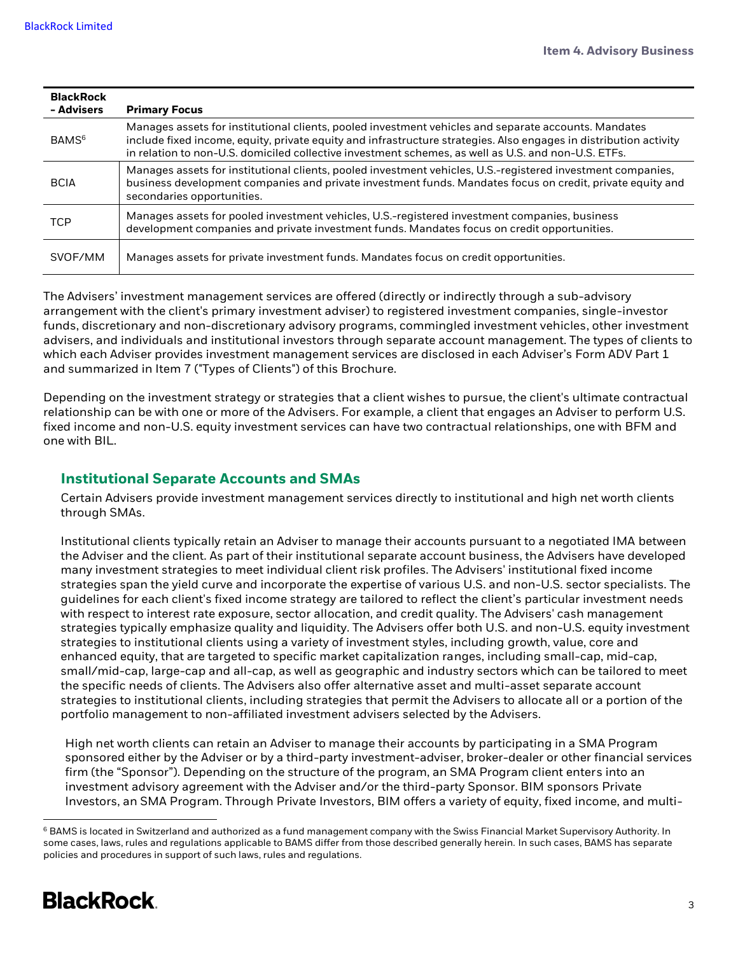| <b>BlackRock</b><br>- Advisers | <b>Primary Focus</b>                                                                                                                                                                                                                                                                                                             |
|--------------------------------|----------------------------------------------------------------------------------------------------------------------------------------------------------------------------------------------------------------------------------------------------------------------------------------------------------------------------------|
| BAMS <sup>6</sup>              | Manages assets for institutional clients, pooled investment vehicles and separate accounts. Mandates<br>include fixed income, equity, private equity and infrastructure strategies. Also engages in distribution activity<br>in relation to non-U.S. domiciled collective investment schemes, as well as U.S. and non-U.S. ETFs. |
| <b>BCIA</b>                    | Manages assets for institutional clients, pooled investment vehicles, U.S.-registered investment companies,<br>business development companies and private investment funds. Mandates focus on credit, private equity and<br>secondaries opportunities.                                                                           |
| <b>TCP</b>                     | Manages assets for pooled investment vehicles, U.S.-registered investment companies, business<br>development companies and private investment funds. Mandates focus on credit opportunities.                                                                                                                                     |
| SVOF/MM                        | Manages assets for private investment funds. Mandates focus on credit opportunities.                                                                                                                                                                                                                                             |

The Advisers' investment management services are offered (directly or indirectly through a sub-advisory arrangement with the client's primary investment adviser) to registered investment companies, single-investor funds, discretionary and non-discretionary advisory programs, commingled investment vehicles, other investment advisers, and individuals and institutional investors through separate account management. The types of clients to which each Adviser provides investment management services are disclosed in each Adviser's Form ADV Part 1 and summarized in Item 7 ("Types of Clients") of this Brochure.

Depending on the investment strategy or strategies that a client wishes to pursue, the client's ultimate contractual relationship can be with one or more of the Advisers. For example, a client that engages an Adviser to perform U.S. fixed income and non-U.S. equity investment services can have two contractual relationships, one with BFM and one with BIL.

#### <span id="page-7-0"></span>**Institutional Separate Accounts and SMAs**

Certain Advisers provide investment management services directly to institutional and high net worth clients through SMAs.

Institutional clients typically retain an Adviser to manage their accounts pursuant to a negotiated IMA between the Adviser and the client. As part of their institutional separate account business, the Advisers have developed many investment strategies to meet individual client risk profiles. The Advisers' institutional fixed income strategies span the yield curve and incorporate the expertise of various U.S. and non-U.S. sector specialists. The guidelines for each client's fixed income strategy are tailored to reflect the client's particular investment needs with respect to interest rate exposure, sector allocation, and credit quality. The Advisers' cash management strategies typically emphasize quality and liquidity. The Advisers offer both U.S. and non-U.S. equity investment strategies to institutional clients using a variety of investment styles, including growth, value, core and enhanced equity, that are targeted to specific market capitalization ranges, including small-cap, mid-cap, small/mid-cap, large-cap and all-cap, as well as geographic and industry sectors which can be tailored to meet the specific needs of clients. The Advisers also offer alternative asset and multi-asset separate account strategies to institutional clients, including strategies that permit the Advisers to allocate all or a portion of the portfolio management to non-affiliated investment advisers selected by the Advisers.

High net worth clients can retain an Adviser to manage their accounts by participating in a SMA Program sponsored either by the Adviser or by a third-party investment-adviser, broker-dealer or other financial services firm (the "Sponsor"). Depending on the structure of the program, an SMA Program client enters into an investment advisory agreement with the Adviser and/or the third-party Sponsor. BIM sponsors Private Investors, an SMA Program. Through Private Investors, BIM offers a variety of equity, fixed income, and multi-

<sup>&</sup>lt;sup>6</sup> BAMS is located in Switzerland and authorized as a fund management company with the Swiss Financial Market Supervisory Authority. In some cases, laws, rules and regulations applicable to BAMS differ from those described generally herein. In such cases, BAMS has separate policies and procedures in support of such laws, rules and regulations.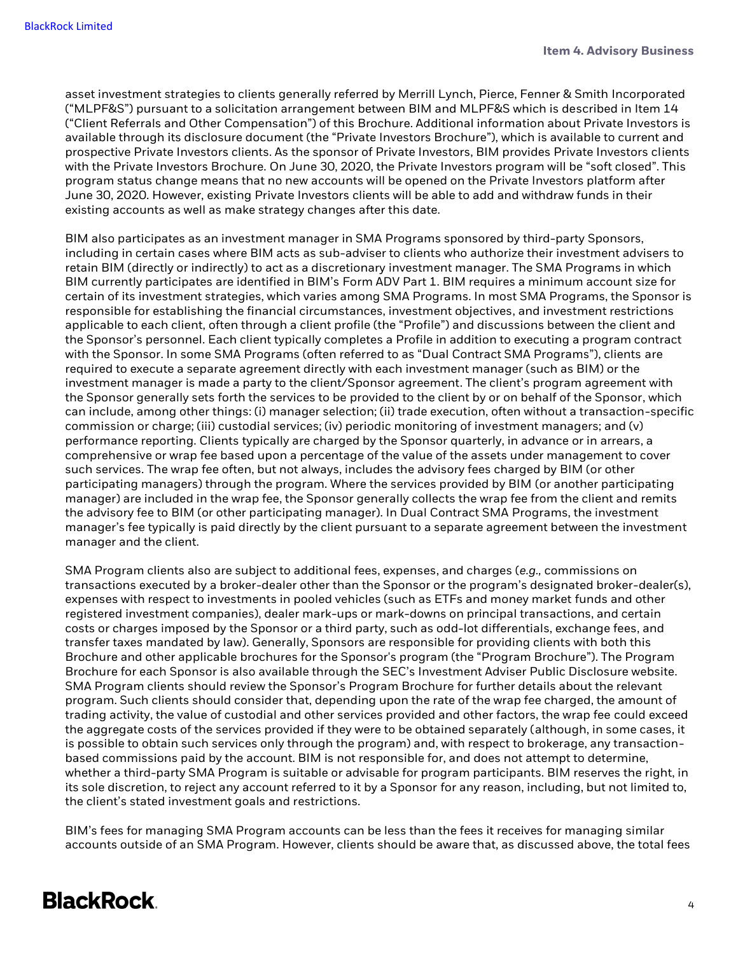asset investment strategies to clients generally referred by Merrill Lynch, Pierce, Fenner & Smith Incorporated ("MLPF&S") pursuant to a solicitation arrangement between BIM and MLPF&S which is described in Item 14 ("Client Referrals and Other Compensation") of this Brochure. Additional information about Private Investors is available through its disclosure document (the "Private Investors Brochure"), which is available to current and prospective Private Investors clients. As the sponsor of Private Investors, BIM provides Private Investors clients with the Private Investors Brochure. On June 30, 2020, the Private Investors program will be "soft closed". This program status change means that no new accounts will be opened on the Private Investors platform after June 30, 2020. However, existing Private Investors clients will be able to add and withdraw funds in their existing accounts as well as make strategy changes after this date.

BIM also participates as an investment manager in SMA Programs sponsored by third-party Sponsors, including in certain cases where BIM acts as sub-adviser to clients who authorize their investment advisers to retain BIM (directly or indirectly) to act as a discretionary investment manager. The SMA Programs in which BIM currently participates are identified in BIM's Form ADV Part 1. BIM requires a minimum account size for certain of its investment strategies, which varies among SMA Programs. In most SMA Programs, the Sponsor is responsible for establishing the financial circumstances, investment objectives, and investment restrictions applicable to each client, often through a client profile (the "Profile") and discussions between the client and the Sponsor's personnel. Each client typically completes a Profile in addition to executing a program contract with the Sponsor. In some SMA Programs (often referred to as "Dual Contract SMA Programs"), clients are required to execute a separate agreement directly with each investment manager (such as BIM) or the investment manager is made a party to the client/Sponsor agreement. The client's program agreement with the Sponsor generally sets forth the services to be provided to the client by or on behalf of the Sponsor, which can include, among other things: (i) manager selection; (ii) trade execution, often without a transaction-specific commission or charge; (iii) custodial services; (iv) periodic monitoring of investment managers; and (v) performance reporting. Clients typically are charged by the Sponsor quarterly, in advance or in arrears, a comprehensive or wrap fee based upon a percentage of the value of the assets under management to cover such services. The wrap fee often, but not always, includes the advisory fees charged by BIM (or other participating managers) through the program. Where the services provided by BIM (or another participating manager) are included in the wrap fee, the Sponsor generally collects the wrap fee from the client and remits the advisory fee to BIM (or other participating manager). In Dual Contract SMA Programs, the investment manager's fee typically is paid directly by the client pursuant to a separate agreement between the investment manager and the client.

SMA Program clients also are subject to additional fees, expenses, and charges (*e.g.,* commissions on transactions executed by a broker-dealer other than the Sponsor or the program's designated broker-dealer(s), expenses with respect to investments in pooled vehicles (such as ETFs and money market funds and other registered investment companies), dealer mark-ups or mark-downs on principal transactions, and certain costs or charges imposed by the Sponsor or a third party, such as odd-lot differentials, exchange fees, and transfer taxes mandated by law). Generally, Sponsors are responsible for providing clients with both this Brochure and other applicable brochures for the Sponsor's program (the "Program Brochure"). The Program Brochure for each Sponsor is also available through the SEC's Investment Adviser Public Disclosure website. SMA Program clients should review the Sponsor's Program Brochure for further details about the relevant program. Such clients should consider that, depending upon the rate of the wrap fee charged, the amount of trading activity, the value of custodial and other services provided and other factors, the wrap fee could exceed the aggregate costs of the services provided if they were to be obtained separately (although, in some cases, it is possible to obtain such services only through the program) and, with respect to brokerage, any transactionbased commissions paid by the account. BIM is not responsible for, and does not attempt to determine, whether a third-party SMA Program is suitable or advisable for program participants. BIM reserves the right, in its sole discretion, to reject any account referred to it by a Sponsor for any reason, including, but not limited to, the client's stated investment goals and restrictions.

BIM's fees for managing SMA Program accounts can be less than the fees it receives for managing similar accounts outside of an SMA Program. However, clients should be aware that, as discussed above, the total fees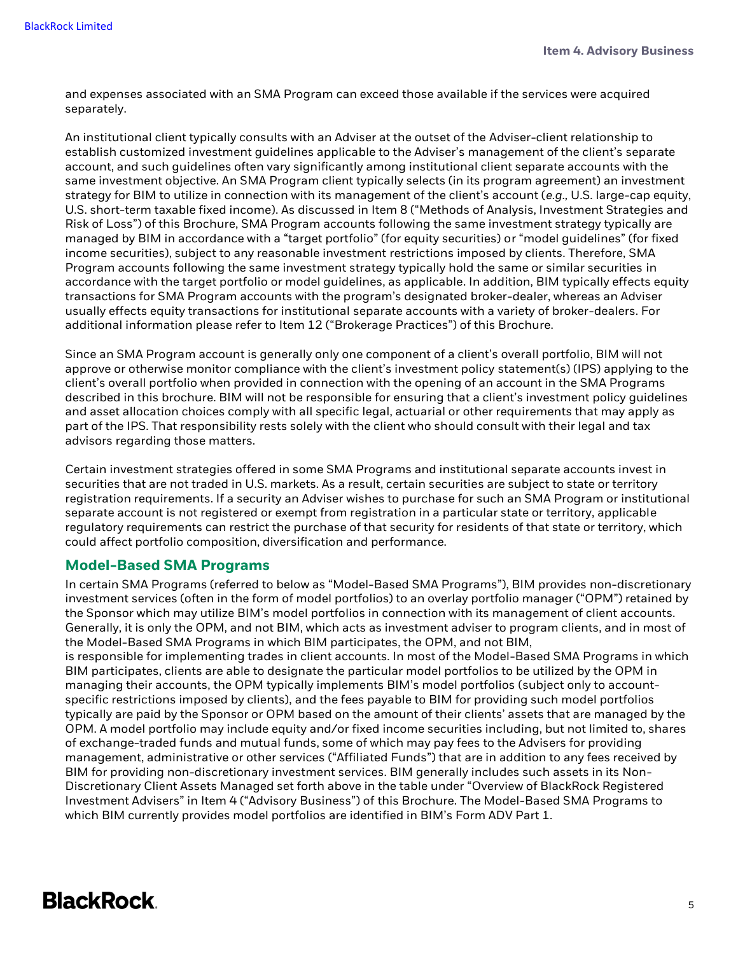and expenses associated with an SMA Program can exceed those available if the services were acquired separately.

An institutional client typically consults with an Adviser at the outset of the Adviser-client relationship to establish customized investment guidelines applicable to the Adviser's management of the client's separate account, and such guidelines often vary significantly among institutional client separate accounts with the same investment objective. An SMA Program client typically selects (in its program agreement) an investment strategy for BIM to utilize in connection with its management of the client's account (*e.g.,* U.S. large-cap equity, U.S. short-term taxable fixed income). As discussed in Item 8 ("Methods of Analysis, Investment Strategies and Risk of Loss") of this Brochure, SMA Program accounts following the same investment strategy typically are managed by BIM in accordance with a "target portfolio" (for equity securities) or "model guidelines" (for fixed income securities), subject to any reasonable investment restrictions imposed by clients. Therefore, SMA Program accounts following the same investment strategy typically hold the same or similar securities in accordance with the target portfolio or model guidelines, as applicable. In addition, BIM typically effects equity transactions for SMA Program accounts with the program's designated broker-dealer, whereas an Adviser usually effects equity transactions for institutional separate accounts with a variety of broker-dealers. For additional information please refer to Item 12 ("Brokerage Practices") of this Brochure.

Since an SMA Program account is generally only one component of a client's overall portfolio, BIM will not approve or otherwise monitor compliance with the client's investment policy statement(s) (IPS) applying to the client's overall portfolio when provided in connection with the opening of an account in the SMA Programs described in this brochure. BIM will not be responsible for ensuring that a client's investment policy guidelines and asset allocation choices comply with all specific legal, actuarial or other requirements that may apply as part of the IPS. That responsibility rests solely with the client who should consult with their legal and tax advisors regarding those matters.

Certain investment strategies offered in some SMA Programs and institutional separate accounts invest in securities that are not traded in U.S. markets. As a result, certain securities are subject to state or territory registration requirements. If a security an Adviser wishes to purchase for such an SMA Program or institutional separate account is not registered or exempt from registration in a particular state or territory, applicable regulatory requirements can restrict the purchase of that security for residents of that state or territory, which could affect portfolio composition, diversification and performance.

#### <span id="page-9-0"></span>**Model-Based SMA Programs**

In certain SMA Programs (referred to below as "Model-Based SMA Programs"), BIM provides non-discretionary investment services (often in the form of model portfolios) to an overlay portfolio manager ("OPM") retained by the Sponsor which may utilize BIM's model portfolios in connection with its management of client accounts. Generally, it is only the OPM, and not BIM, which acts as investment adviser to program clients, and in most of the Model-Based SMA Programs in which BIM participates, the OPM, and not BIM,

is responsible for implementing trades in client accounts. In most of the Model-Based SMA Programs in which BIM participates, clients are able to designate the particular model portfolios to be utilized by the OPM in managing their accounts, the OPM typically implements BIM's model portfolios (subject only to accountspecific restrictions imposed by clients), and the fees payable to BIM for providing such model portfolios typically are paid by the Sponsor or OPM based on the amount of their clients' assets that are managed by the OPM. A model portfolio may include equity and/or fixed income securities including, but not limited to, shares of exchange-traded funds and mutual funds, some of which may pay fees to the Advisers for providing management, administrative or other services ("Affiliated Funds") that are in addition to any fees received by BIM for providing non-discretionary investment services. BIM generally includes such assets in its Non-Discretionary Client Assets Managed set forth above in the table under "Overview of BlackRock Registered Investment Advisers" in Item 4 ("Advisory Business") of this Brochure. The Model-Based SMA Programs to which BIM currently provides model portfolios are identified in BIM's Form ADV Part 1.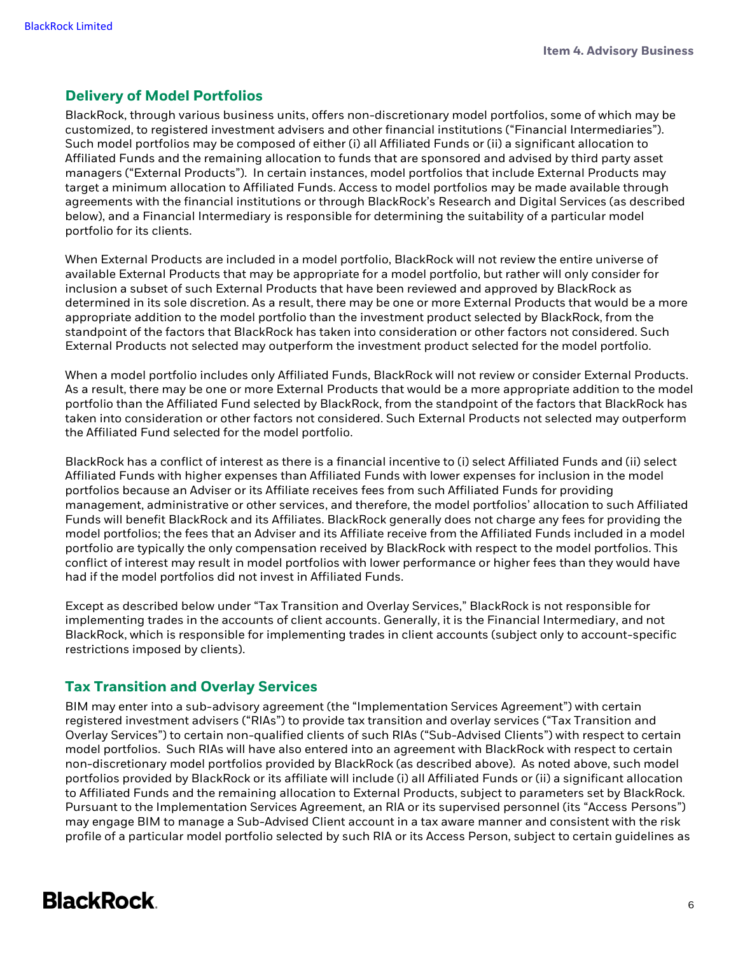### <span id="page-10-0"></span>**Delivery of Model Portfolios**

BlackRock, through various business units, offers non-discretionary model portfolios, some of which may be customized, to registered investment advisers and other financial institutions ("Financial Intermediaries"). Such model portfolios may be composed of either (i) all Affiliated Funds or (ii) a significant allocation to Affiliated Funds and the remaining allocation to funds that are sponsored and advised by third party asset managers ("External Products"). In certain instances, model portfolios that include External Products may target a minimum allocation to Affiliated Funds. Access to model portfolios may be made available through agreements with the financial institutions or through BlackRock's Research and Digital Services (as described below), and a Financial Intermediary is responsible for determining the suitability of a particular model portfolio for its clients.

When External Products are included in a model portfolio, BlackRock will not review the entire universe of available External Products that may be appropriate for a model portfolio, but rather will only consider for inclusion a subset of such External Products that have been reviewed and approved by BlackRock as determined in its sole discretion. As a result, there may be one or more External Products that would be a more appropriate addition to the model portfolio than the investment product selected by BlackRock, from the standpoint of the factors that BlackRock has taken into consideration or other factors not considered. Such External Products not selected may outperform the investment product selected for the model portfolio.

When a model portfolio includes only Affiliated Funds, BlackRock will not review or consider External Products. As a result, there may be one or more External Products that would be a more appropriate addition to the model portfolio than the Affiliated Fund selected by BlackRock, from the standpoint of the factors that BlackRock has taken into consideration or other factors not considered. Such External Products not selected may outperform the Affiliated Fund selected for the model portfolio.

BlackRock has a conflict of interest as there is a financial incentive to (i) select Affiliated Funds and (ii) select Affiliated Funds with higher expenses than Affiliated Funds with lower expenses for inclusion in the model portfolios because an Adviser or its Affiliate receives fees from such Affiliated Funds for providing management, administrative or other services, and therefore, the model portfolios' allocation to such Affiliated Funds will benefit BlackRock and its Affiliates. BlackRock generally does not charge any fees for providing the model portfolios; the fees that an Adviser and its Affiliate receive from the Affiliated Funds included in a model portfolio are typically the only compensation received by BlackRock with respect to the model portfolios. This conflict of interest may result in model portfolios with lower performance or higher fees than they would have had if the model portfolios did not invest in Affiliated Funds.

Except as described below under "Tax Transition and Overlay Services," BlackRock is not responsible for implementing trades in the accounts of client accounts. Generally, it is the Financial Intermediary, and not BlackRock, which is responsible for implementing trades in client accounts (subject only to account-specific restrictions imposed by clients).

#### <span id="page-10-1"></span>**Tax Transition and Overlay Services**

BIM may enter into a sub-advisory agreement (the "Implementation Services Agreement") with certain registered investment advisers ("RIAs") to provide tax transition and overlay services ("Tax Transition and Overlay Services") to certain non-qualified clients of such RIAs ("Sub-Advised Clients") with respect to certain model portfolios. Such RIAs will have also entered into an agreement with BlackRock with respect to certain non-discretionary model portfolios provided by BlackRock (as described above). As noted above, such model portfolios provided by BlackRock or its affiliate will include (i) all Affiliated Funds or (ii) a significant allocation to Affiliated Funds and the remaining allocation to External Products, subject to parameters set by BlackRock. Pursuant to the Implementation Services Agreement, an RIA or its supervised personnel (its "Access Persons") may engage BIM to manage a Sub-Advised Client account in a tax aware manner and consistent with the risk profile of a particular model portfolio selected by such RIA or its Access Person, subject to certain guidelines as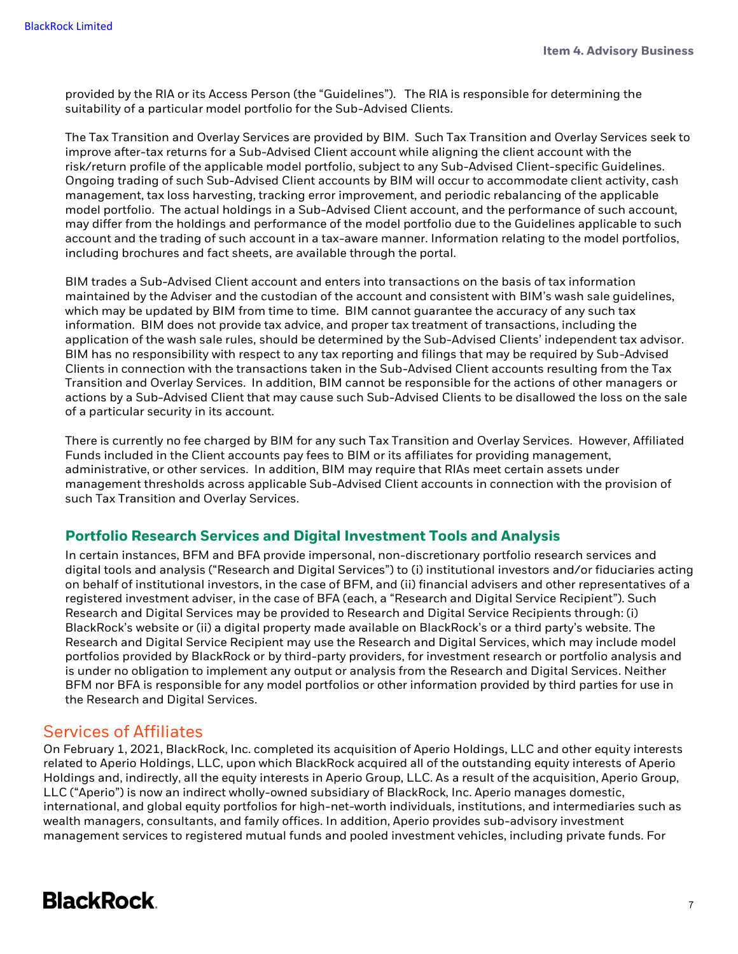provided by the RIA or its Access Person (the "Guidelines"). The RIA is responsible for determining the suitability of a particular model portfolio for the Sub-Advised Clients.

The Tax Transition and Overlay Services are provided by BIM. Such Tax Transition and Overlay Services seek to improve after-tax returns for a Sub-Advised Client account while aligning the client account with the risk/return profile of the applicable model portfolio, subject to any Sub-Advised Client-specific Guidelines. Ongoing trading of such Sub-Advised Client accounts by BIM will occur to accommodate client activity, cash management, tax loss harvesting, tracking error improvement, and periodic rebalancing of the applicable model portfolio. The actual holdings in a Sub-Advised Client account, and the performance of such account, may differ from the holdings and performance of the model portfolio due to the Guidelines applicable to such account and the trading of such account in a tax-aware manner. Information relating to the model portfolios, including brochures and fact sheets, are available through the portal.

BIM trades a Sub-Advised Client account and enters into transactions on the basis of tax information maintained by the Adviser and the custodian of the account and consistent with BIM's wash sale guidelines, which may be updated by BIM from time to time. BIM cannot guarantee the accuracy of any such tax information. BIM does not provide tax advice, and proper tax treatment of transactions, including the application of the wash sale rules, should be determined by the Sub-Advised Clients' independent tax advisor. BIM has no responsibility with respect to any tax reporting and filings that may be required by Sub-Advised Clients in connection with the transactions taken in the Sub-Advised Client accounts resulting from the Tax Transition and Overlay Services. In addition, BIM cannot be responsible for the actions of other managers or actions by a Sub-Advised Client that may cause such Sub-Advised Clients to be disallowed the loss on the sale of a particular security in its account.

There is currently no fee charged by BIM for any such Tax Transition and Overlay Services. However, Affiliated Funds included in the Client accounts pay fees to BIM or its affiliates for providing management, administrative, or other services. In addition, BIM may require that RIAs meet certain assets under management thresholds across applicable Sub-Advised Client accounts in connection with the provision of such Tax Transition and Overlay Services.

#### <span id="page-11-0"></span>**Portfolio Research Services and Digital Investment Tools and Analysis**

In certain instances, BFM and BFA provide impersonal, non-discretionary portfolio research services and digital tools and analysis ("Research and Digital Services") to (i) institutional investors and/or fiduciaries acting on behalf of institutional investors, in the case of BFM, and (ii) financial advisers and other representatives of a registered investment adviser, in the case of BFA (each, a "Research and Digital Service Recipient"). Such Research and Digital Services may be provided to Research and Digital Service Recipients through: (i) BlackRock's website or (ii) a digital property made available on BlackRock's or a third party's website. The Research and Digital Service Recipient may use the Research and Digital Services, which may include model portfolios provided by BlackRock or by third-party providers, for investment research or portfolio analysis and is under no obligation to implement any output or analysis from the Research and Digital Services. Neither BFM nor BFA is responsible for any model portfolios or other information provided by third parties for use in the Research and Digital Services.

### <span id="page-11-1"></span>Services of Affiliates

On February 1, 2021, BlackRock, Inc. completed its acquisition of Aperio Holdings, LLC and other equity interests related to Aperio Holdings, LLC, upon which BlackRock acquired all of the outstanding equity interests of Aperio Holdings and, indirectly, all the equity interests in Aperio Group, LLC. As a result of the acquisition, Aperio Group, LLC ("Aperio") is now an indirect wholly-owned subsidiary of BlackRock, Inc. Aperio manages domestic, international, and global equity portfolios for high-net-worth individuals, institutions, and intermediaries such as wealth managers, consultants, and family offices. In addition, Aperio provides sub-advisory investment management services to registered mutual funds and pooled investment vehicles, including private funds. For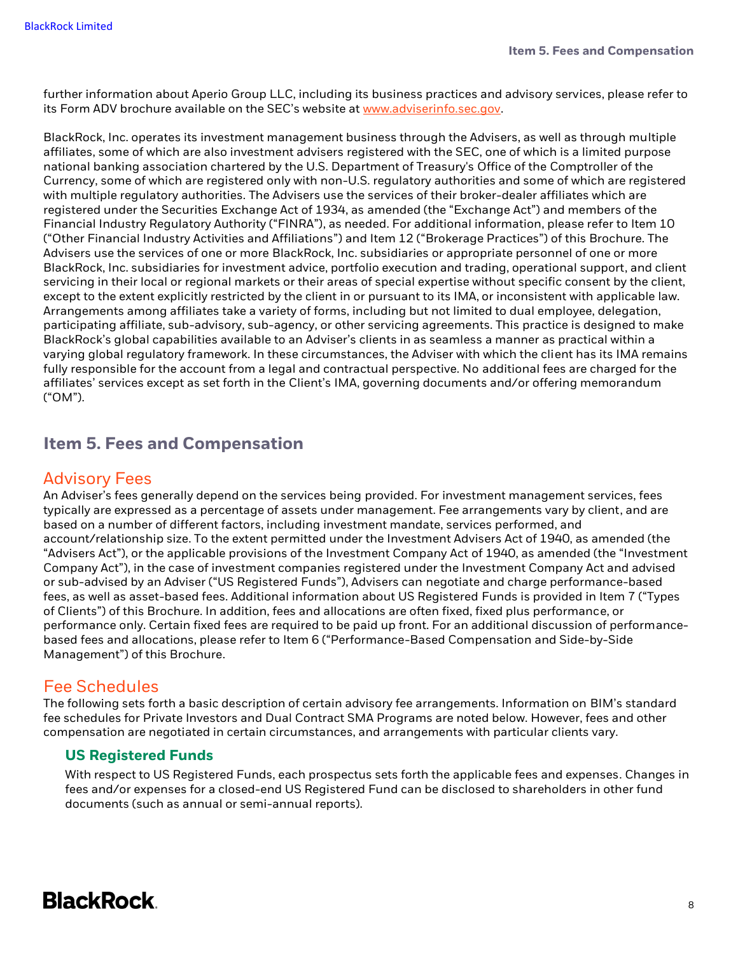further information about Aperio Group LLC, including its business practices and advisory services, please refer to its Form ADV brochure available on the SEC's website at [www.adviserinfo.sec.gov.](http://www.adviserinfo.sec.gov/) 

BlackRock, Inc. operates its investment management business through the Advisers, as well as through multiple affiliates, some of which are also investment advisers registered with the SEC, one of which is a limited purpose national banking association chartered by the U.S. Department of Treasury's Office of the Comptroller of the Currency, some of which are registered only with non-U.S. regulatory authorities and some of which are registered with multiple regulatory authorities. The Advisers use the services of their broker-dealer affiliates which are registered under the Securities Exchange Act of 1934, as amended (the "Exchange Act") and members of the Financial Industry Regulatory Authority ("FINRA"), as needed. For additional information, please refer to Item 10 ("Other Financial Industry Activities and Affiliations") and Item 12 ("Brokerage Practices") of this Brochure. The Advisers use the services of one or more BlackRock, Inc. subsidiaries or appropriate personnel of one or more BlackRock, Inc. subsidiaries for investment advice, portfolio execution and trading, operational support, and client servicing in their local or regional markets or their areas of special expertise without specific consent by the client, except to the extent explicitly restricted by the client in or pursuant to its IMA, or inconsistent with applicable law. Arrangements among affiliates take a variety of forms, including but not limited to dual employee, delegation, participating affiliate, sub-advisory, sub-agency, or other servicing agreements. This practice is designed to make BlackRock's global capabilities available to an Adviser's clients in as seamless a manner as practical within a varying global regulatory framework. In these circumstances, the Adviser with which the client has its IMA remains fully responsible for the account from a legal and contractual perspective. No additional fees are charged for the affiliates' services except as set forth in the Client's IMA, governing documents and/or offering memorandum ("OM").

### <span id="page-12-0"></span>**Item 5. Fees and Compensation**

### <span id="page-12-1"></span>Advisory Fees

An Adviser's fees generally depend on the services being provided. For investment management services, fees typically are expressed as a percentage of assets under management. Fee arrangements vary by client, and are based on a number of different factors, including investment mandate, services performed, and account/relationship size. To the extent permitted under the Investment Advisers Act of 1940, as amended (the "Advisers Act"), or the applicable provisions of the Investment Company Act of 1940, as amended (the "Investment Company Act"), in the case of investment companies registered under the Investment Company Act and advised or sub-advised by an Adviser ("US Registered Funds"), Advisers can negotiate and charge performance-based fees, as well as asset-based fees. Additional information about US Registered Funds is provided in Item 7 ("Types of Clients") of this Brochure. In addition, fees and allocations are often fixed, fixed plus performance, or performance only. Certain fixed fees are required to be paid up front. For an additional discussion of performancebased fees and allocations, please refer to Item 6 ("Performance-Based Compensation and Side-by-Side Management") of this Brochure.

### <span id="page-12-2"></span>Fee Schedules

The following sets forth a basic description of certain advisory fee arrangements. Information on BIM's standard fee schedules for Private Investors and Dual Contract SMA Programs are noted below. However, fees and other compensation are negotiated in certain circumstances, and arrangements with particular clients vary.

#### <span id="page-12-3"></span>**US Registered Funds**

With respect to US Registered Funds, each prospectus sets forth the applicable fees and expenses. Changes in fees and/or expenses for a closed-end US Registered Fund can be disclosed to shareholders in other fund documents (such as annual or semi-annual reports).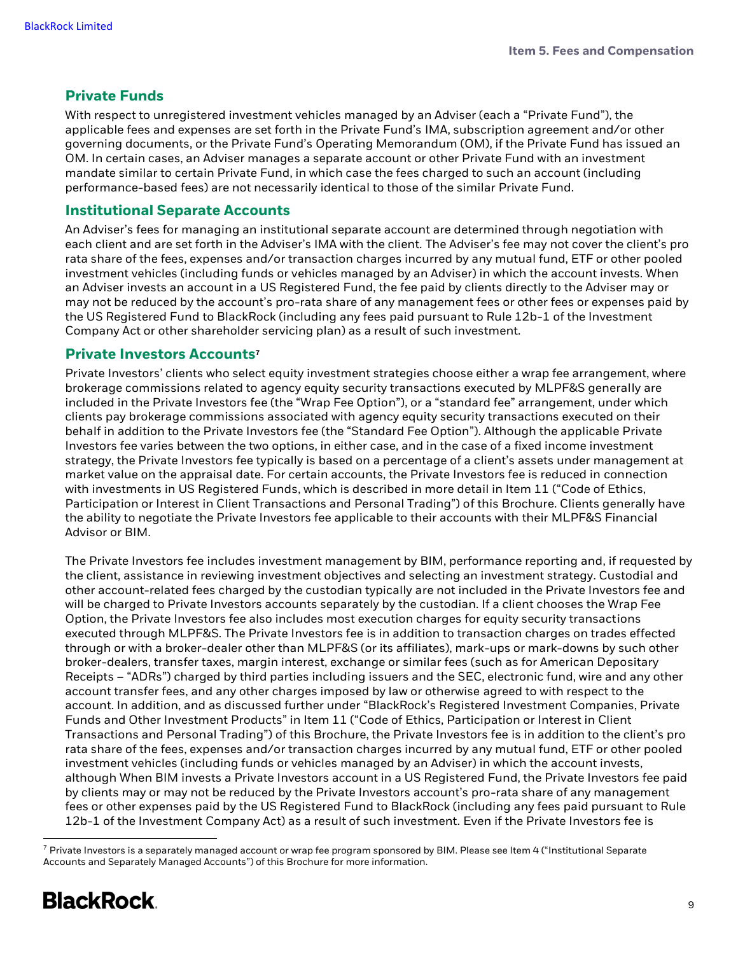#### <span id="page-13-0"></span>**Private Funds**

With respect to unregistered investment vehicles managed by an Adviser (each a "Private Fund"), the applicable fees and expenses are set forth in the Private Fund's IMA, subscription agreement and/or other governing documents, or the Private Fund's Operating Memorandum (OM), if the Private Fund has issued an OM. In certain cases, an Adviser manages a separate account or other Private Fund with an investment mandate similar to certain Private Fund, in which case the fees charged to such an account (including performance-based fees) are not necessarily identical to those of the similar Private Fund.

#### <span id="page-13-1"></span>**Institutional Separate Accounts**

An Adviser's fees for managing an institutional separate account are determined through negotiation with each client and are set forth in the Adviser's IMA with the client. The Adviser's fee may not cover the client's pro rata share of the fees, expenses and/or transaction charges incurred by any mutual fund, ETF or other pooled investment vehicles (including funds or vehicles managed by an Adviser) in which the account invests. When an Adviser invests an account in a US Registered Fund, the fee paid by clients directly to the Adviser may or may not be reduced by the account's pro-rata share of any management fees or other fees or expenses paid by the US Registered Fund to BlackRock (including any fees paid pursuant to Rule 12b-1 of the Investment Company Act or other shareholder servicing plan) as a result of such investment.

#### <span id="page-13-2"></span>**Private Investors Accounts<sup>7</sup>**

Private Investors' clients who select equity investment strategies choose either a wrap fee arrangement, where brokerage commissions related to agency equity security transactions executed by MLPF&S generally are included in the Private Investors fee (the "Wrap Fee Option"), or a "standard fee" arrangement, under which clients pay brokerage commissions associated with agency equity security transactions executed on their behalf in addition to the Private Investors fee (the "Standard Fee Option"). Although the applicable Private Investors fee varies between the two options, in either case, and in the case of a fixed income investment strategy, the Private Investors fee typically is based on a percentage of a client's assets under management at market value on the appraisal date. For certain accounts, the Private Investors fee is reduced in connection with investments in US Registered Funds, which is described in more detail in Item 11 ("Code of Ethics, Participation or Interest in Client Transactions and Personal Trading") of this Brochure. Clients generally have the ability to negotiate the Private Investors fee applicable to their accounts with their MLPF&S Financial Advisor or BIM.

The Private Investors fee includes investment management by BIM, performance reporting and, if requested by the client, assistance in reviewing investment objectives and selecting an investment strategy. Custodial and other account-related fees charged by the custodian typically are not included in the Private Investors fee and will be charged to Private Investors accounts separately by the custodian. If a client chooses the Wrap Fee Option, the Private Investors fee also includes most execution charges for equity security transactions executed through MLPF&S. The Private Investors fee is in addition to transaction charges on trades effected through or with a broker-dealer other than MLPF&S (or its affiliates), mark-ups or mark-downs by such other broker-dealers, transfer taxes, margin interest, exchange or similar fees (such as for American Depositary Receipts – "ADRs") charged by third parties including issuers and the SEC, electronic fund, wire and any other account transfer fees, and any other charges imposed by law or otherwise agreed to with respect to the account. In addition, and as discussed further under "BlackRock's Registered Investment Companies, Private Funds and Other Investment Products" in Item 11 ("Code of Ethics, Participation or Interest in Client Transactions and Personal Trading") of this Brochure, the Private Investors fee is in addition to the client's pro rata share of the fees, expenses and/or transaction charges incurred by any mutual fund, ETF or other pooled investment vehicles (including funds or vehicles managed by an Adviser) in which the account invests, although When BIM invests a Private Investors account in a US Registered Fund, the Private Investors fee paid by clients may or may not be reduced by the Private Investors account's pro-rata share of any management fees or other expenses paid by the US Registered Fund to BlackRock (including any fees paid pursuant to Rule 12b-1 of the Investment Company Act) as a result of such investment. Even if the Private Investors fee is

 $^7$  Private Investors is a separately managed account or wrap fee program sponsored by BIM. Please see Item 4 ("Institutional Separate Accounts and Separately Managed Accounts") of this Brochure for more information.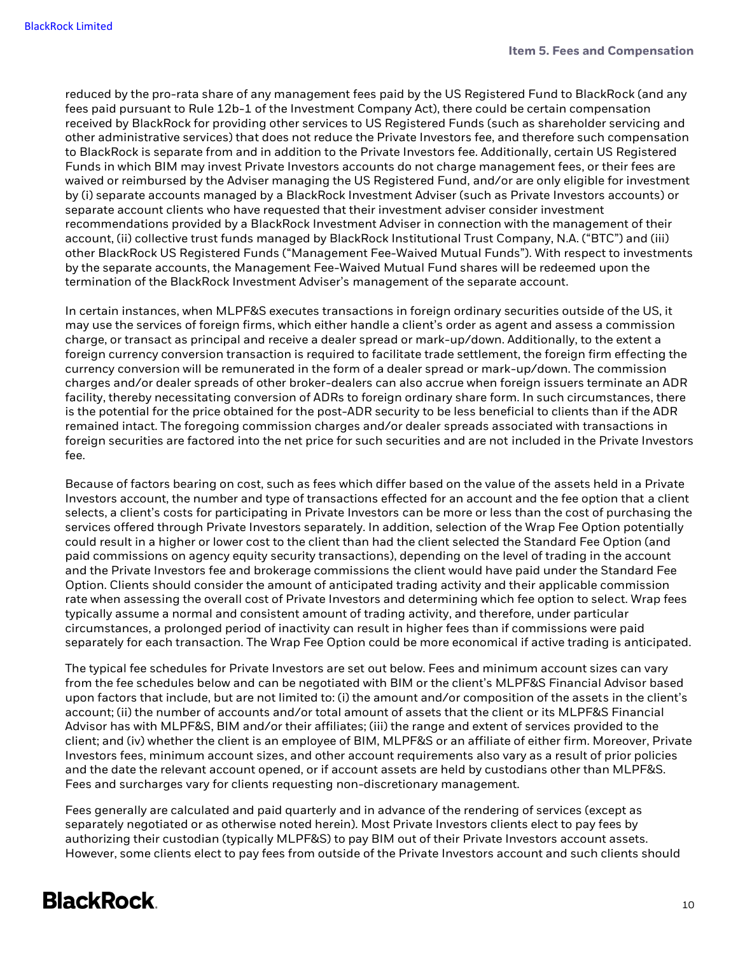reduced by the pro-rata share of any management fees paid by the US Registered Fund to BlackRock (and any fees paid pursuant to Rule 12b-1 of the Investment Company Act), there could be certain compensation received by BlackRock for providing other services to US Registered Funds (such as shareholder servicing and other administrative services) that does not reduce the Private Investors fee, and therefore such compensation to BlackRock is separate from and in addition to the Private Investors fee. Additionally, certain US Registered Funds in which BIM may invest Private Investors accounts do not charge management fees, or their fees are waived or reimbursed by the Adviser managing the US Registered Fund, and/or are only eligible for investment by (i) separate accounts managed by a BlackRock Investment Adviser (such as Private Investors accounts) or separate account clients who have requested that their investment adviser consider investment recommendations provided by a BlackRock Investment Adviser in connection with the management of their account, (ii) collective trust funds managed by BlackRock Institutional Trust Company, N.A. ("BTC") and (iii) other BlackRock US Registered Funds ("Management Fee-Waived Mutual Funds"). With respect to investments by the separate accounts, the Management Fee-Waived Mutual Fund shares will be redeemed upon the termination of the BlackRock Investment Adviser's management of the separate account.

In certain instances, when MLPF&S executes transactions in foreign ordinary securities outside of the US, it may use the services of foreign firms, which either handle a client's order as agent and assess a commission charge, or transact as principal and receive a dealer spread or mark-up/down. Additionally, to the extent a foreign currency conversion transaction is required to facilitate trade settlement, the foreign firm effecting the currency conversion will be remunerated in the form of a dealer spread or mark-up/down. The commission charges and/or dealer spreads of other broker-dealers can also accrue when foreign issuers terminate an ADR facility, thereby necessitating conversion of ADRs to foreign ordinary share form. In such circumstances, there is the potential for the price obtained for the post-ADR security to be less beneficial to clients than if the ADR remained intact. The foregoing commission charges and/or dealer spreads associated with transactions in foreign securities are factored into the net price for such securities and are not included in the Private Investors fee.

Because of factors bearing on cost, such as fees which differ based on the value of the assets held in a Private Investors account, the number and type of transactions effected for an account and the fee option that a client selects, a client's costs for participating in Private Investors can be more or less than the cost of purchasing the services offered through Private Investors separately. In addition, selection of the Wrap Fee Option potentially could result in a higher or lower cost to the client than had the client selected the Standard Fee Option (and paid commissions on agency equity security transactions), depending on the level of trading in the account and the Private Investors fee and brokerage commissions the client would have paid under the Standard Fee Option. Clients should consider the amount of anticipated trading activity and their applicable commission rate when assessing the overall cost of Private Investors and determining which fee option to select. Wrap fees typically assume a normal and consistent amount of trading activity, and therefore, under particular circumstances, a prolonged period of inactivity can result in higher fees than if commissions were paid separately for each transaction. The Wrap Fee Option could be more economical if active trading is anticipated.

The typical fee schedules for Private Investors are set out below. Fees and minimum account sizes can vary from the fee schedules below and can be negotiated with BIM or the client's MLPF&S Financial Advisor based upon factors that include, but are not limited to: (i) the amount and/or composition of the assets in the client's account; (ii) the number of accounts and/or total amount of assets that the client or its MLPF&S Financial Advisor has with MLPF&S, BIM and/or their affiliates; (iii) the range and extent of services provided to the client; and (iv) whether the client is an employee of BIM, MLPF&S or an affiliate of either firm. Moreover, Private Investors fees, minimum account sizes, and other account requirements also vary as a result of prior policies and the date the relevant account opened, or if account assets are held by custodians other than MLPF&S. Fees and surcharges vary for clients requesting non-discretionary management.

Fees generally are calculated and paid quarterly and in advance of the rendering of services (except as separately negotiated or as otherwise noted herein). Most Private Investors clients elect to pay fees by authorizing their custodian (typically MLPF&S) to pay BIM out of their Private Investors account assets. However, some clients elect to pay fees from outside of the Private Investors account and such clients should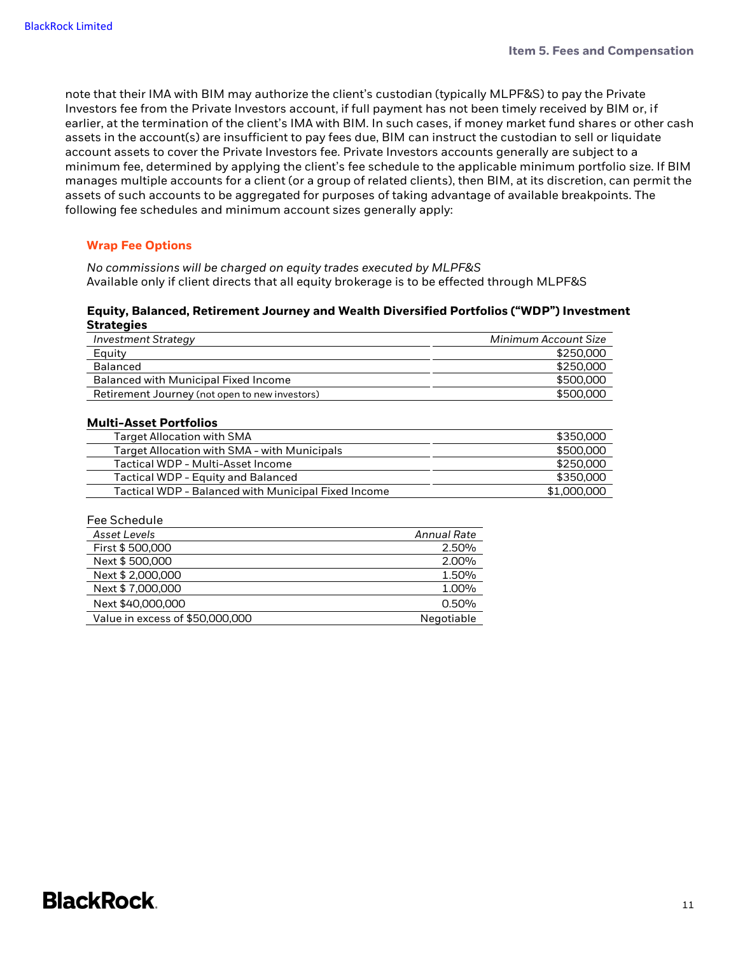note that their IMA with BIM may authorize the client's custodian (typically MLPF&S) to pay the Private Investors fee from the Private Investors account, if full payment has not been timely received by BIM or, if earlier, at the termination of the client's IMA with BIM. In such cases, if money market fund shares or other cash assets in the account(s) are insufficient to pay fees due, BIM can instruct the custodian to sell or liquidate account assets to cover the Private Investors fee. Private Investors accounts generally are subject to a minimum fee, determined by applying the client's fee schedule to the applicable minimum portfolio size. If BIM manages multiple accounts for a client (or a group of related clients), then BIM, at its discretion, can permit the assets of such accounts to be aggregated for purposes of taking advantage of available breakpoints. The following fee schedules and minimum account sizes generally apply:

#### **Wrap Fee Options**

*No commissions will be charged on equity trades executed by MLPF&S*  Available only if client directs that all equity brokerage is to be effected through MLPF&S

#### **Equity, Balanced, Retirement Journey and Wealth Diversified Portfolios ("WDP") Investment Strategies**

| <b>Investment Strategy</b>                     | Minimum Account Size |
|------------------------------------------------|----------------------|
| Equity                                         | \$250,000            |
| <b>Balanced</b>                                | \$250,000            |
| Balanced with Municipal Fixed Income           | \$500,000            |
| Retirement Journey (not open to new investors) | \$500,000            |

#### **Multi-Asset Portfolios**

| <b>Target Allocation with SMA</b>                   | \$350,000   |
|-----------------------------------------------------|-------------|
| Target Allocation with SMA - with Municipals        | \$500,000   |
| Tactical WDP - Multi-Asset Income                   | \$250,000   |
| Tactical WDP - Equity and Balanced                  | \$350,000   |
| Tactical WDP - Balanced with Municipal Fixed Income | \$1,000,000 |

Fee Schedule

| Asset Levels                    | <b>Annual Rate</b> |
|---------------------------------|--------------------|
| First \$500,000                 | 2.50%              |
| Next \$500,000                  | 2.00%              |
| Next \$ 2,000,000               | 1.50%              |
| Next \$7,000,000                | 1.00%              |
| Next \$40,000,000               | 0.50%              |
| Value in excess of \$50,000,000 | Negotiable         |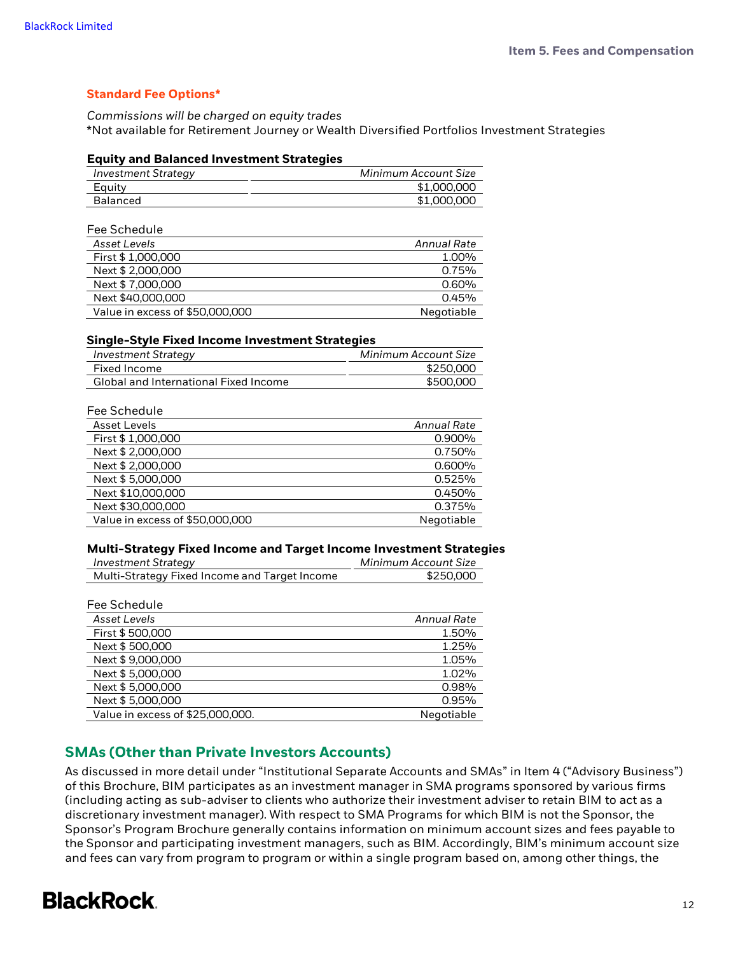#### **Standard Fee Options\***

*Commissions will be charged on equity trades* 

\*Not available for Retirement Journey or Wealth Diversified Portfolios Investment Strategies

#### **Equity and Balanced Investment Strategies**

| <b>Investment Strategy</b> | Minimum Account Size |
|----------------------------|----------------------|
| Equity                     | \$1,000,000          |
| <b>Balanced</b>            | \$1,000,000          |

| Fee Schedule                    |             |
|---------------------------------|-------------|
| Asset Levels                    | Annual Rate |
| First \$1,000,000               | 1.00%       |
| Next \$ 2,000,000               | 0.75%       |
| Next \$7,000,000                | 0.60%       |
| Next \$40,000,000               | 0.45%       |
| Value in excess of \$50,000,000 | Negotiable  |
|                                 |             |

#### **Single-Style Fixed Income Investment Strategies**

| <b>Investment Strategy</b>                   | Minimum Account Size |
|----------------------------------------------|----------------------|
| Fixed Income                                 | \$250,000            |
| <b>Global and International Fixed Income</b> | \$500,000            |

|  |  | Fee Schedule |  |
|--|--|--------------|--|
|--|--|--------------|--|

| <b>Asset Levels</b>             | <b>Annual Rate</b> |
|---------------------------------|--------------------|
| First \$1,000,000               | $0.900\%$          |
| Next \$ 2,000,000               | 0.750%             |
| Next \$ 2,000,000               | 0.600%             |
| Next \$5,000,000                | 0.525%             |
| Next \$10,000,000               | 0.450%             |
| Next \$30,000,000               | 0.375%             |
| Value in excess of \$50,000,000 | Negotiable         |
|                                 |                    |

#### **Multi-Strategy Fixed Income and Target Income Investment Strategies**

| <b>Investment Strategy</b>                    | Minimum Account Size |
|-----------------------------------------------|----------------------|
| Multi-Strategy Fixed Income and Target Income | \$250,000            |

| Fee Schedule                     |                    |
|----------------------------------|--------------------|
| Asset Levels                     | <b>Annual Rate</b> |
| First \$500,000                  | 1.50%              |
| Next \$500,000                   | 1.25%              |
| Next \$9,000,000                 | 1.05%              |
| Next \$5,000,000                 | 1.02%              |
| Next \$5,000,000                 | 0.98%              |
| Next \$5,000,000                 | 0.95%              |
| Value in excess of \$25,000,000. | Negotiable         |

#### <span id="page-16-0"></span>**SMAs (Other than Private Investors Accounts)**

As discussed in more detail under "Institutional Separate Accounts and SMAs" in Item 4 ("Advisory Business") of this Brochure, BIM participates as an investment manager in SMA programs sponsored by various firms (including acting as sub-adviser to clients who authorize their investment adviser to retain BIM to act as a discretionary investment manager). With respect to SMA Programs for which BIM is not the Sponsor, the Sponsor's Program Brochure generally contains information on minimum account sizes and fees payable to the Sponsor and participating investment managers, such as BIM. Accordingly, BIM's minimum account size and fees can vary from program to program or within a single program based on, among other things, the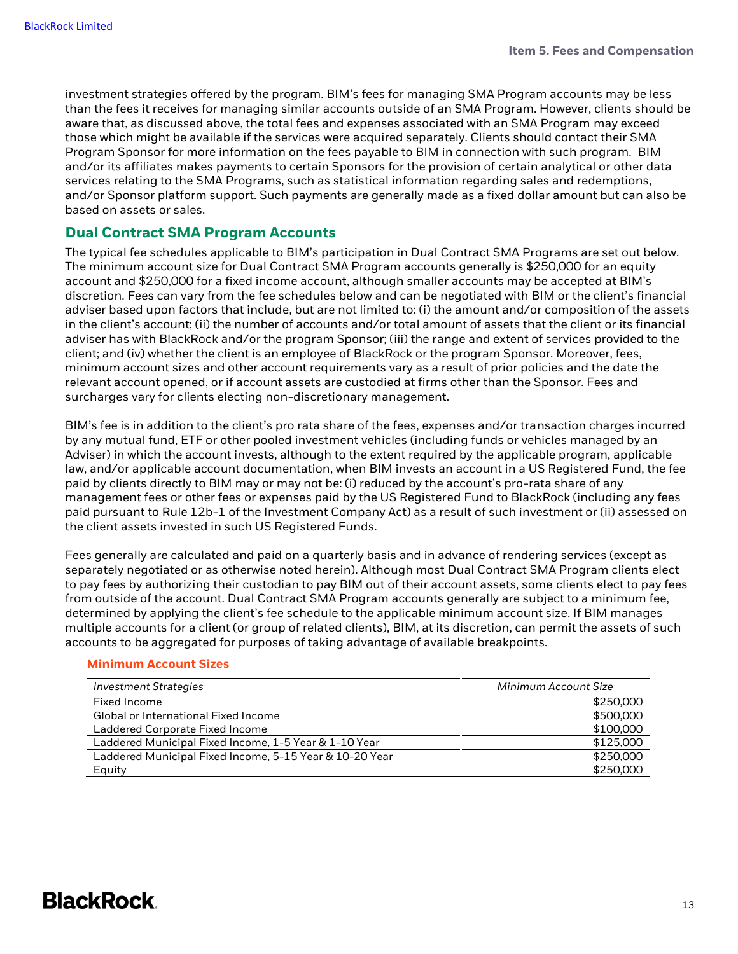investment strategies offered by the program. BIM's fees for managing SMA Program accounts may be less than the fees it receives for managing similar accounts outside of an SMA Program. However, clients should be aware that, as discussed above, the total fees and expenses associated with an SMA Program may exceed those which might be available if the services were acquired separately. Clients should contact their SMA Program Sponsor for more information on the fees payable to BIM in connection with such program. BIM and/or its affiliates makes payments to certain Sponsors for the provision of certain analytical or other data services relating to the SMA Programs, such as statistical information regarding sales and redemptions, and/or Sponsor platform support. Such payments are generally made as a fixed dollar amount but can also be based on assets or sales.

#### <span id="page-17-0"></span>**Dual Contract SMA Program Accounts**

The typical fee schedules applicable to BIM's participation in Dual Contract SMA Programs are set out below. The minimum account size for Dual Contract SMA Program accounts generally is \$250,000 for an equity account and \$250,000 for a fixed income account, although smaller accounts may be accepted at BIM's discretion. Fees can vary from the fee schedules below and can be negotiated with BIM or the client's financial adviser based upon factors that include, but are not limited to: (i) the amount and/or composition of the assets in the client's account; (ii) the number of accounts and/or total amount of assets that the client or its financial adviser has with BlackRock and/or the program Sponsor; (iii) the range and extent of services provided to the client; and (iv) whether the client is an employee of BlackRock or the program Sponsor. Moreover, fees, minimum account sizes and other account requirements vary as a result of prior policies and the date the relevant account opened, or if account assets are custodied at firms other than the Sponsor. Fees and surcharges vary for clients electing non-discretionary management.

BIM's fee is in addition to the client's pro rata share of the fees, expenses and/or transaction charges incurred by any mutual fund, ETF or other pooled investment vehicles (including funds or vehicles managed by an Adviser) in which the account invests, although to the extent required by the applicable program, applicable law, and/or applicable account documentation, when BIM invests an account in a US Registered Fund, the fee paid by clients directly to BIM may or may not be: (i) reduced by the account's pro-rata share of any management fees or other fees or expenses paid by the US Registered Fund to BlackRock (including any fees paid pursuant to Rule 12b-1 of the Investment Company Act) as a result of such investment or (ii) assessed on the client assets invested in such US Registered Funds.

Fees generally are calculated and paid on a quarterly basis and in advance of rendering services (except as separately negotiated or as otherwise noted herein). Although most Dual Contract SMA Program clients elect to pay fees by authorizing their custodian to pay BIM out of their account assets, some clients elect to pay fees from outside of the account. Dual Contract SMA Program accounts generally are subject to a minimum fee, determined by applying the client's fee schedule to the applicable minimum account size. If BIM manages multiple accounts for a client (or group of related clients), BIM, at its discretion, can permit the assets of such accounts to be aggregated for purposes of taking advantage of available breakpoints.

#### **Minimum Account Sizes**

| <b>Investment Strategies</b>                            | Minimum Account Size |  |  |  |
|---------------------------------------------------------|----------------------|--|--|--|
| Fixed Income                                            | \$250,000            |  |  |  |
| <b>Global or International Fixed Income</b>             | \$500,000            |  |  |  |
| Laddered Corporate Fixed Income                         | \$100,000            |  |  |  |
| Laddered Municipal Fixed Income, 1-5 Year & 1-10 Year   | \$125,000            |  |  |  |
| Laddered Municipal Fixed Income, 5-15 Year & 10-20 Year | \$250,000            |  |  |  |
| Equity                                                  | \$250,000            |  |  |  |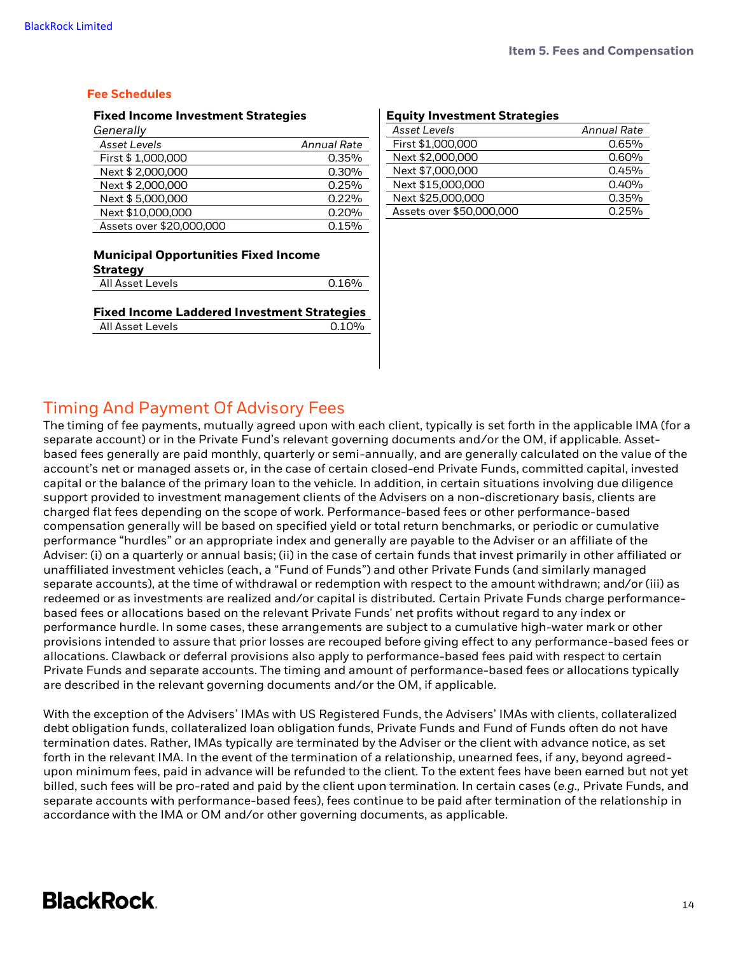#### **Fee Schedules**

#### **Fixed Income Investment Strategies**

| Generally                |                    |
|--------------------------|--------------------|
| Asset Levels             | <b>Annual Rate</b> |
| First \$1,000,000        | 0.35%              |
| Next \$ 2,000,000        | 0.30%              |
| Next \$ 2,000,000        | 0.25%              |
| Next \$5,000,000         | 0.22%              |
| Next \$10,000,000        | 0.20%              |
| Assets over \$20,000,000 | 0.15%              |

#### **Municipal Opportunities Fixed Income Strategy**

| <u>saacsay</u>   |                |
|------------------|----------------|
| All Asset Levels | <b>O</b> 1 GOL |
|                  |                |

#### **Fixed Income Laddered Investment Strategies** All Asset Levels 0.10%

#### **Equity Investment Strategies**

| Asset Levels             | Annual Rate |
|--------------------------|-------------|
| First \$1,000,000        | 0.65%       |
| Next \$2,000,000         | 0.60%       |
| Next \$7,000,000         | 0.45%       |
| Next \$15,000,000        | 0.40%       |
| Next \$25,000,000        | 0.35%       |
| Assets over \$50,000,000 | 0.25%       |

### <span id="page-18-0"></span>Timing And Payment Of Advisory Fees

The timing of fee payments, mutually agreed upon with each client, typically is set forth in the applicable IMA (for a separate account) or in the Private Fund's relevant governing documents and/or the OM, if applicable. Assetbased fees generally are paid monthly, quarterly or semi-annually, and are generally calculated on the value of the account's net or managed assets or, in the case of certain closed-end Private Funds, committed capital, invested capital or the balance of the primary loan to the vehicle. In addition, in certain situations involving due diligence support provided to investment management clients of the Advisers on a non-discretionary basis, clients are charged flat fees depending on the scope of work. Performance-based fees or other performance-based compensation generally will be based on specified yield or total return benchmarks, or periodic or cumulative performance "hurdles" or an appropriate index and generally are payable to the Adviser or an affiliate of the Adviser: (i) on a quarterly or annual basis; (ii) in the case of certain funds that invest primarily in other affiliated or unaffiliated investment vehicles (each, a "Fund of Funds") and other Private Funds (and similarly managed separate accounts), at the time of withdrawal or redemption with respect to the amount withdrawn; and/or (iii) as redeemed or as investments are realized and/or capital is distributed. Certain Private Funds charge performancebased fees or allocations based on the relevant Private Funds' net profits without regard to any index or performance hurdle. In some cases, these arrangements are subject to a cumulative high-water mark or other provisions intended to assure that prior losses are recouped before giving effect to any performance-based fees or allocations. Clawback or deferral provisions also apply to performance-based fees paid with respect to certain Private Funds and separate accounts. The timing and amount of performance-based fees or allocations typically are described in the relevant governing documents and/or the OM, if applicable.

With the exception of the Advisers' IMAs with US Registered Funds, the Advisers' IMAs with clients, collateralized debt obligation funds, collateralized loan obligation funds, Private Funds and Fund of Funds often do not have termination dates. Rather, IMAs typically are terminated by the Adviser or the client with advance notice, as set forth in the relevant IMA. In the event of the termination of a relationship, unearned fees, if any, beyond agreedupon minimum fees, paid in advance will be refunded to the client. To the extent fees have been earned but not yet billed, such fees will be pro-rated and paid by the client upon termination. In certain cases (*e.g.,* Private Funds, and separate accounts with performance-based fees), fees continue to be paid after termination of the relationship in accordance with the IMA or OM and/or other governing documents, as applicable.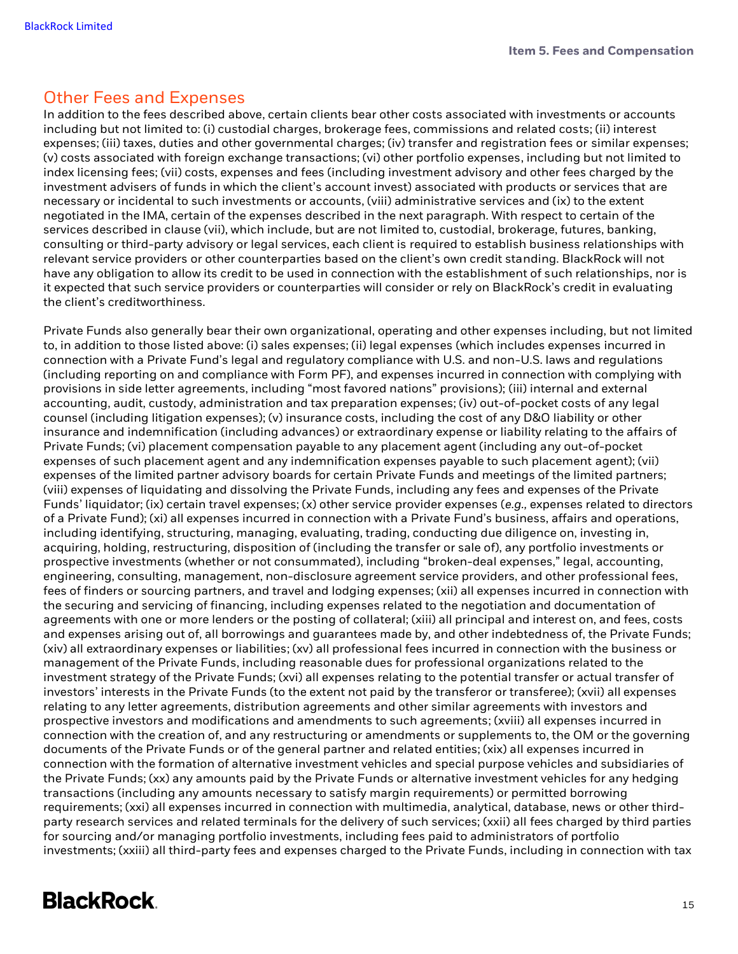### <span id="page-19-0"></span>Other Fees and Expenses

In addition to the fees described above, certain clients bear other costs associated with investments or accounts including but not limited to: (i) custodial charges, brokerage fees, commissions and related costs; (ii) interest expenses; (iii) taxes, duties and other governmental charges; (iv) transfer and registration fees or similar expenses; (v) costs associated with foreign exchange transactions; (vi) other portfolio expenses, including but not limited to index licensing fees; (vii) costs, expenses and fees (including investment advisory and other fees charged by the investment advisers of funds in which the client's account invest) associated with products or services that are necessary or incidental to such investments or accounts, (viii) administrative services and (ix) to the extent negotiated in the IMA, certain of the expenses described in the next paragraph. With respect to certain of the services described in clause (vii), which include, but are not limited to, custodial, brokerage, futures, banking, consulting or third-party advisory or legal services, each client is required to establish business relationships with relevant service providers or other counterparties based on the client's own credit standing. BlackRock will not have any obligation to allow its credit to be used in connection with the establishment of such relationships, nor is it expected that such service providers or counterparties will consider or rely on BlackRock's credit in evaluating the client's creditworthiness.

Private Funds also generally bear their own organizational, operating and other expenses including, but not limited to, in addition to those listed above: (i) sales expenses; (ii) legal expenses (which includes expenses incurred in connection with a Private Fund's legal and regulatory compliance with U.S. and non-U.S. laws and regulations (including reporting on and compliance with Form PF), and expenses incurred in connection with complying with provisions in side letter agreements, including "most favored nations" provisions); (iii) internal and external accounting, audit, custody, administration and tax preparation expenses; (iv) out-of-pocket costs of any legal counsel (including litigation expenses); (v) insurance costs, including the cost of any D&O liability or other insurance and indemnification (including advances) or extraordinary expense or liability relating to the affairs of Private Funds; (vi) placement compensation payable to any placement agent (including any out-of-pocket expenses of such placement agent and any indemnification expenses payable to such placement agent); (vii) expenses of the limited partner advisory boards for certain Private Funds and meetings of the limited partners; (viii) expenses of liquidating and dissolving the Private Funds, including any fees and expenses of the Private Funds' liquidator; (ix) certain travel expenses; (x) other service provider expenses (*e.g.,* expenses related to directors of a Private Fund); (xi) all expenses incurred in connection with a Private Fund's business, affairs and operations, including identifying, structuring, managing, evaluating, trading, conducting due diligence on, investing in, acquiring, holding, restructuring, disposition of (including the transfer or sale of), any portfolio investments or prospective investments (whether or not consummated), including "broken-deal expenses," legal, accounting, engineering, consulting, management, non-disclosure agreement service providers, and other professional fees, fees of finders or sourcing partners, and travel and lodging expenses; (xii) all expenses incurred in connection with the securing and servicing of financing, including expenses related to the negotiation and documentation of agreements with one or more lenders or the posting of collateral; (xiii) all principal and interest on, and fees, costs and expenses arising out of, all borrowings and guarantees made by, and other indebtedness of, the Private Funds; (xiv) all extraordinary expenses or liabilities; (xv) all professional fees incurred in connection with the business or management of the Private Funds, including reasonable dues for professional organizations related to the investment strategy of the Private Funds; (xvi) all expenses relating to the potential transfer or actual transfer of investors' interests in the Private Funds (to the extent not paid by the transferor or transferee); (xvii) all expenses relating to any letter agreements, distribution agreements and other similar agreements with investors and prospective investors and modifications and amendments to such agreements; (xviii) all expenses incurred in connection with the creation of, and any restructuring or amendments or supplements to, the OM or the governing documents of the Private Funds or of the general partner and related entities; (xix) all expenses incurred in connection with the formation of alternative investment vehicles and special purpose vehicles and subsidiaries of the Private Funds; (xx) any amounts paid by the Private Funds or alternative investment vehicles for any hedging transactions (including any amounts necessary to satisfy margin requirements) or permitted borrowing requirements; (xxi) all expenses incurred in connection with multimedia, analytical, database, news or other thirdparty research services and related terminals for the delivery of such services; (xxii) all fees charged by third parties for sourcing and/or managing portfolio investments, including fees paid to administrators of portfolio investments; (xxiii) all third-party fees and expenses charged to the Private Funds, including in connection with tax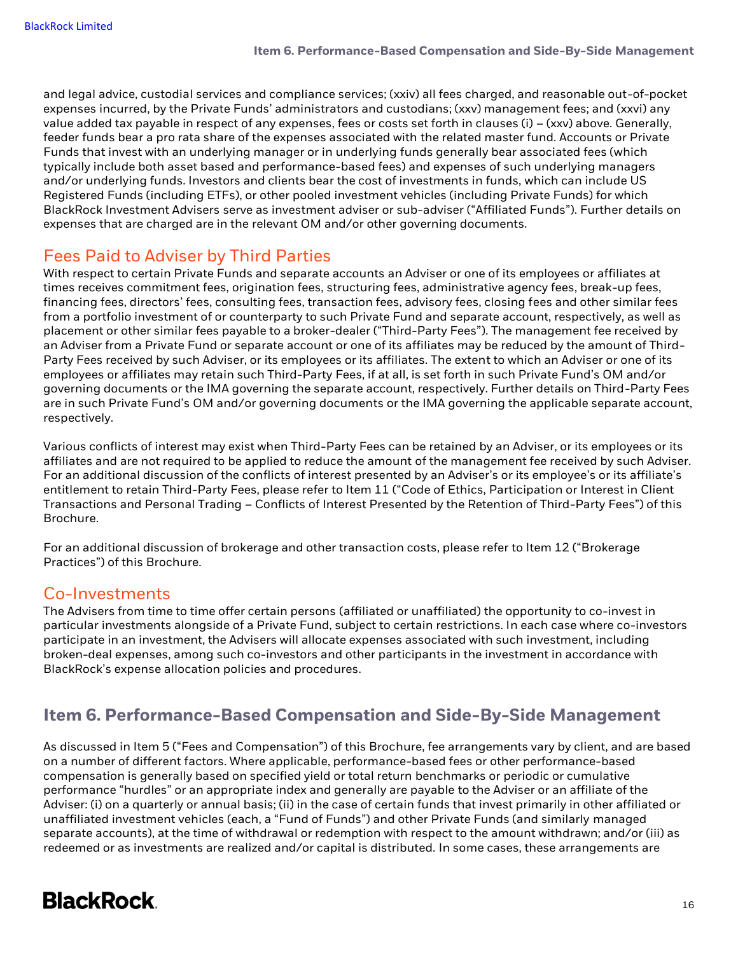and legal advice, custodial services and compliance services; (xxiv) all fees charged, and reasonable out-of-pocket expenses incurred, by the Private Funds' administrators and custodians; (xxv) management fees; and (xxvi) any value added tax payable in respect of any expenses, fees or costs set forth in clauses (i) – (xxv) above. Generally, feeder funds bear a pro rata share of the expenses associated with the related master fund. Accounts or Private Funds that invest with an underlying manager or in underlying funds generally bear associated fees (which typically include both asset based and performance-based fees) and expenses of such underlying managers and/or underlying funds. Investors and clients bear the cost of investments in funds, which can include US Registered Funds (including ETFs), or other pooled investment vehicles (including Private Funds) for which BlackRock Investment Advisers serve as investment adviser or sub-adviser ("Affiliated Funds"). Further details on expenses that are charged are in the relevant OM and/or other governing documents.

### <span id="page-20-0"></span>Fees Paid to Adviser by Third Parties

With respect to certain Private Funds and separate accounts an Adviser or one of its employees or affiliates at times receives commitment fees, origination fees, structuring fees, administrative agency fees, break-up fees, financing fees, directors' fees, consulting fees, transaction fees, advisory fees, closing fees and other similar fees from a portfolio investment of or counterparty to such Private Fund and separate account, respectively, as well as placement or other similar fees payable to a broker-dealer ("Third-Party Fees"). The management fee received by an Adviser from a Private Fund or separate account or one of its affiliates may be reduced by the amount of Third-Party Fees received by such Adviser, or its employees or its affiliates. The extent to which an Adviser or one of its employees or affiliates may retain such Third-Party Fees, if at all, is set forth in such Private Fund's OM and/or governing documents or the IMA governing the separate account, respectively. Further details on Third-Party Fees are in such Private Fund's OM and/or governing documents or the IMA governing the applicable separate account, respectively.

Various conflicts of interest may exist when Third-Party Fees can be retained by an Adviser, or its employees or its affiliates and are not required to be applied to reduce the amount of the management fee received by such Adviser. For an additional discussion of the conflicts of interest presented by an Adviser's or its employee's or its affiliate's entitlement to retain Third-Party Fees, please refer to Item 11 ("Code of Ethics, Participation or Interest in Client Transactions and Personal Trading – Conflicts of Interest Presented by the Retention of Third-Party Fees") of this Brochure.

For an additional discussion of brokerage and other transaction costs, please refer to Item 12 ("Brokerage Practices") of this Brochure.

### <span id="page-20-1"></span>Co-Investments

The Advisers from time to time offer certain persons (affiliated or unaffiliated) the opportunity to co-invest in particular investments alongside of a Private Fund, subject to certain restrictions. In each case where co-investors participate in an investment, the Advisers will allocate expenses associated with such investment, including broken-deal expenses, among such co-investors and other participants in the investment in accordance with BlackRock's expense allocation policies and procedures.

### <span id="page-20-2"></span>**Item 6. Performance-Based Compensation and Side-By-Side Management**

As discussed in Item 5 ("Fees and Compensation") of this Brochure, fee arrangements vary by client, and are based on a number of different factors. Where applicable, performance-based fees or other performance-based compensation is generally based on specified yield or total return benchmarks or periodic or cumulative performance "hurdles" or an appropriate index and generally are payable to the Adviser or an affiliate of the Adviser: (i) on a quarterly or annual basis; (ii) in the case of certain funds that invest primarily in other affiliated or unaffiliated investment vehicles (each, a "Fund of Funds") and other Private Funds (and similarly managed separate accounts), at the time of withdrawal or redemption with respect to the amount withdrawn; and/or (iii) as redeemed or as investments are realized and/or capital is distributed. In some cases, these arrangements are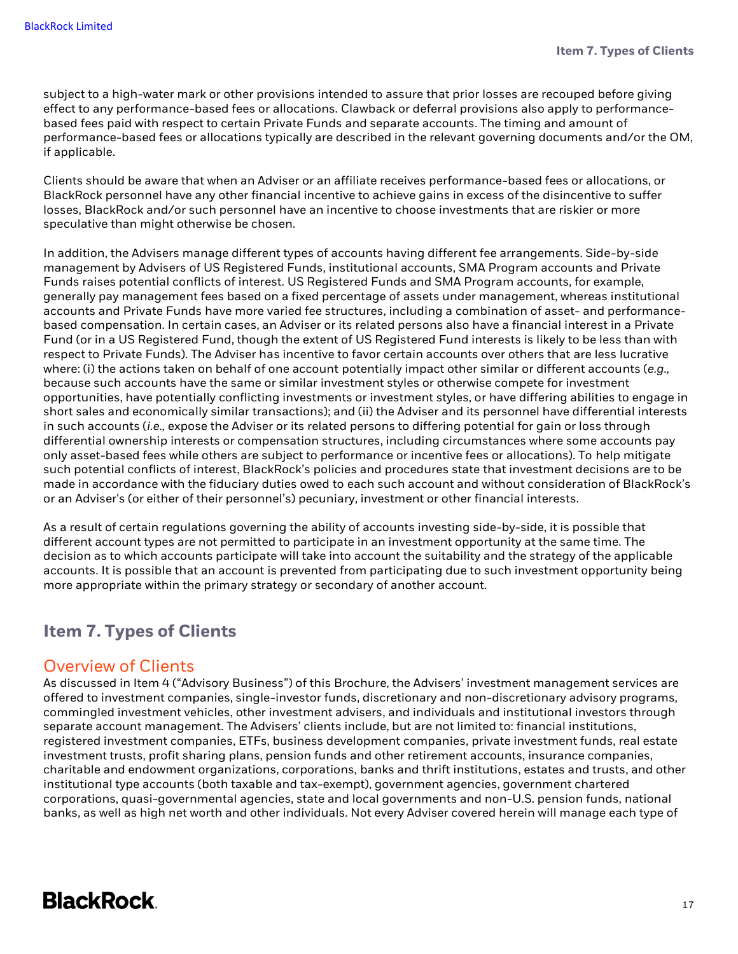subject to a high-water mark or other provisions intended to assure that prior losses are recouped before giving effect to any performance-based fees or allocations. Clawback or deferral provisions also apply to performancebased fees paid with respect to certain Private Funds and separate accounts. The timing and amount of performance-based fees or allocations typically are described in the relevant governing documents and/or the OM, if applicable.

Clients should be aware that when an Adviser or an affiliate receives performance-based fees or allocations, or BlackRock personnel have any other financial incentive to achieve gains in excess of the disincentive to suffer losses, BlackRock and/or such personnel have an incentive to choose investments that are riskier or more speculative than might otherwise be chosen.

In addition, the Advisers manage different types of accounts having different fee arrangements. Side-by-side management by Advisers of US Registered Funds, institutional accounts, SMA Program accounts and Private Funds raises potential conflicts of interest. US Registered Funds and SMA Program accounts, for example, generally pay management fees based on a fixed percentage of assets under management, whereas institutional accounts and Private Funds have more varied fee structures, including a combination of asset- and performancebased compensation. In certain cases, an Adviser or its related persons also have a financial interest in a Private Fund (or in a US Registered Fund, though the extent of US Registered Fund interests is likely to be less than with respect to Private Funds). The Adviser has incentive to favor certain accounts over others that are less lucrative where: (i) the actions taken on behalf of one account potentially impact other similar or different accounts (*e.g.,* because such accounts have the same or similar investment styles or otherwise compete for investment opportunities, have potentially conflicting investments or investment styles, or have differing abilities to engage in short sales and economically similar transactions); and (ii) the Adviser and its personnel have differential interests in such accounts (*i.e.,* expose the Adviser or its related persons to differing potential for gain or loss through differential ownership interests or compensation structures, including circumstances where some accounts pay only asset-based fees while others are subject to performance or incentive fees or allocations). To help mitigate such potential conflicts of interest, BlackRock's policies and procedures state that investment decisions are to be made in accordance with the fiduciary duties owed to each such account and without consideration of BlackRock's or an Adviser's (or either of their personnel's) pecuniary, investment or other financial interests.

As a result of certain regulations governing the ability of accounts investing side-by-side, it is possible that different account types are not permitted to participate in an investment opportunity at the same time. The decision as to which accounts participate will take into account the suitability and the strategy of the applicable accounts. It is possible that an account is prevented from participating due to such investment opportunity being more appropriate within the primary strategy or secondary of another account.

### <span id="page-21-0"></span>**Item 7. Types of Clients**

### <span id="page-21-1"></span>Overview of Clients

As discussed in Item 4 ("Advisory Business") of this Brochure, the Advisers' investment management services are offered to investment companies, single-investor funds, discretionary and non-discretionary advisory programs, commingled investment vehicles, other investment advisers, and individuals and institutional investors through separate account management. The Advisers' clients include, but are not limited to: financial institutions, registered investment companies, ETFs, business development companies, private investment funds, real estate investment trusts, profit sharing plans, pension funds and other retirement accounts, insurance companies, charitable and endowment organizations, corporations, banks and thrift institutions, estates and trusts, and other institutional type accounts (both taxable and tax-exempt), government agencies, government chartered corporations, quasi-governmental agencies, state and local governments and non-U.S. pension funds, national banks, as well as high net worth and other individuals. Not every Adviser covered herein will manage each type of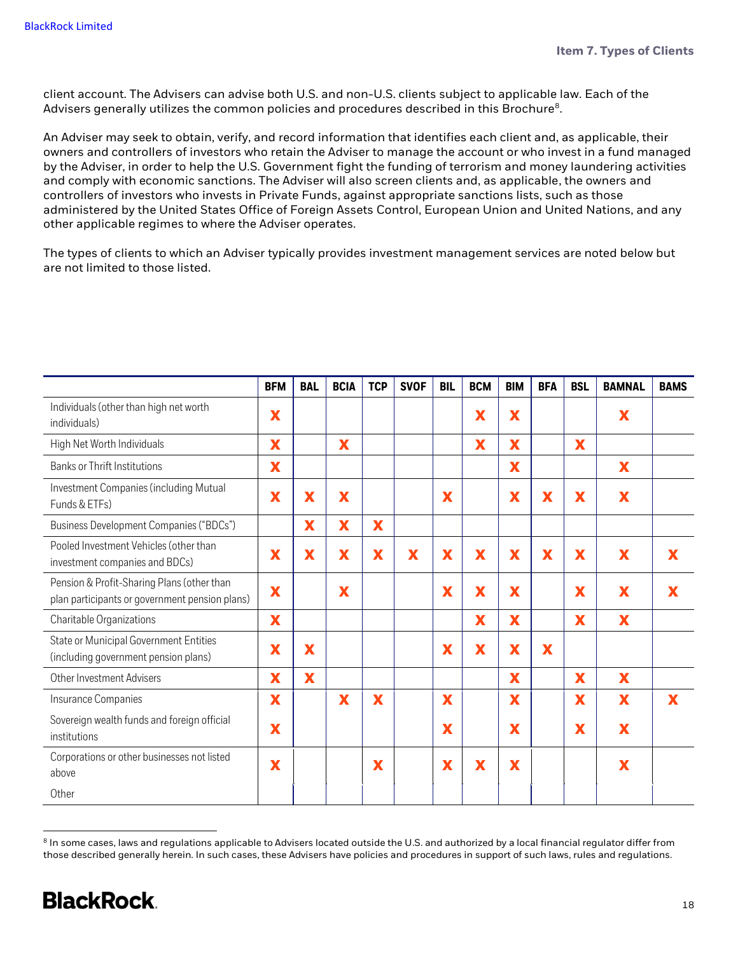client account. The Advisers can advise both U.S. and non-U.S. clients subject to applicable law. Each of the Advisers generally utilizes the common policies and procedures described in this Brochure $^{\rm 8}$ .

An Adviser may seek to obtain, verify, and record information that identifies each client and, as applicable, their owners and controllers of investors who retain the Adviser to manage the account or who invest in a fund managed by the Adviser, in order to help the U.S. Government fight the funding of terrorism and money laundering activities and comply with economic sanctions. The Adviser will also screen clients and, as applicable, the owners and controllers of investors who invests in Private Funds, against appropriate sanctions lists, such as those administered by the United States Office of Foreign Assets Control, European Union and United Nations, and any other applicable regimes to where the Adviser operates.

The types of clients to which an Adviser typically provides investment management services are noted below but are not limited to those listed.

|                                                                                              | <b>BFM</b>              | <b>BAL</b>              | <b>BCIA</b>             | <b>TCP</b>              | <b>SVOF</b>             | <b>BIL</b>              | <b>BCM</b>              | <b>BIM</b>              | <b>BFA</b>              | <b>BSL</b>              | <b>BAMNAL</b>           | <b>BAMS</b> |
|----------------------------------------------------------------------------------------------|-------------------------|-------------------------|-------------------------|-------------------------|-------------------------|-------------------------|-------------------------|-------------------------|-------------------------|-------------------------|-------------------------|-------------|
| Individuals (other than high net worth<br>individuals)                                       | $\overline{\mathbf{x}}$ |                         |                         |                         |                         |                         | $\overline{\mathbf{X}}$ | X                       |                         |                         | X                       |             |
| High Net Worth Individuals                                                                   | X                       |                         | $\overline{\mathbf{x}}$ |                         |                         |                         | X                       | $\overline{\mathbf{x}}$ |                         | $\overline{\mathbf{x}}$ |                         |             |
| <b>Banks or Thrift Institutions</b>                                                          | X                       |                         |                         |                         |                         |                         |                         | X                       |                         |                         | X                       |             |
| Investment Companies (including Mutual<br>Funds & ETFs)                                      | X                       | $\overline{\mathbf{x}}$ | $\overline{\mathbf{x}}$ |                         |                         | X                       |                         | X                       | $\overline{\mathbf{x}}$ | $\overline{\mathbf{x}}$ | $\overline{\mathbf{x}}$ |             |
| Business Development Companies ("BDCs")                                                      |                         | X                       | X                       | X                       |                         |                         |                         |                         |                         |                         |                         |             |
| Pooled Investment Vehicles (other than<br>investment companies and BDCs)                     | X                       | $\overline{\mathbf{x}}$ | X                       | X                       | $\overline{\mathbf{x}}$ | X                       | $\overline{\mathbf{X}}$ | $\overline{\mathbf{x}}$ | $\overline{\mathbf{x}}$ | X                       | X                       | X           |
| Pension & Profit-Sharing Plans (other than<br>plan participants or government pension plans) | $\overline{\mathbf{x}}$ |                         | X                       |                         |                         | X                       | $\overline{\mathbf{X}}$ | X                       |                         | X                       | X                       | X           |
| Charitable Organizations                                                                     | X                       |                         |                         |                         |                         |                         | X                       | X                       |                         | X                       | X                       |             |
| State or Municipal Government Entities<br>(including government pension plans)               | X                       | $\overline{\mathbf{x}}$ |                         |                         |                         | X                       | $\overline{\mathbf{X}}$ | $\overline{\mathbf{X}}$ | $\overline{\mathbf{x}}$ |                         |                         |             |
| Other Investment Advisers                                                                    | X                       | $\overline{\mathbf{x}}$ |                         |                         |                         |                         |                         | X                       |                         | $\overline{\mathbf{x}}$ | X                       |             |
| Insurance Companies                                                                          | X                       |                         | X                       | $\overline{\mathbf{x}}$ |                         | $\overline{\mathbf{x}}$ |                         | X                       |                         | X                       | X                       | X           |
| Sovereign wealth funds and foreign official<br>institutions                                  | $\overline{\mathbf{x}}$ |                         |                         |                         |                         | X                       |                         | X                       |                         | X                       | X                       |             |
| Corporations or other businesses not listed<br>above                                         | X                       |                         |                         | X                       |                         | X                       | X                       | X                       |                         |                         | X                       |             |
| Other                                                                                        |                         |                         |                         |                         |                         |                         |                         |                         |                         |                         |                         |             |

 $8$  In some cases, laws and regulations applicable to Advisers located outside the U.S. and authorized by a local financial regulator differ from those described generally herein. In such cases, these Advisers have policies and procedures in support of such laws, rules and regulations.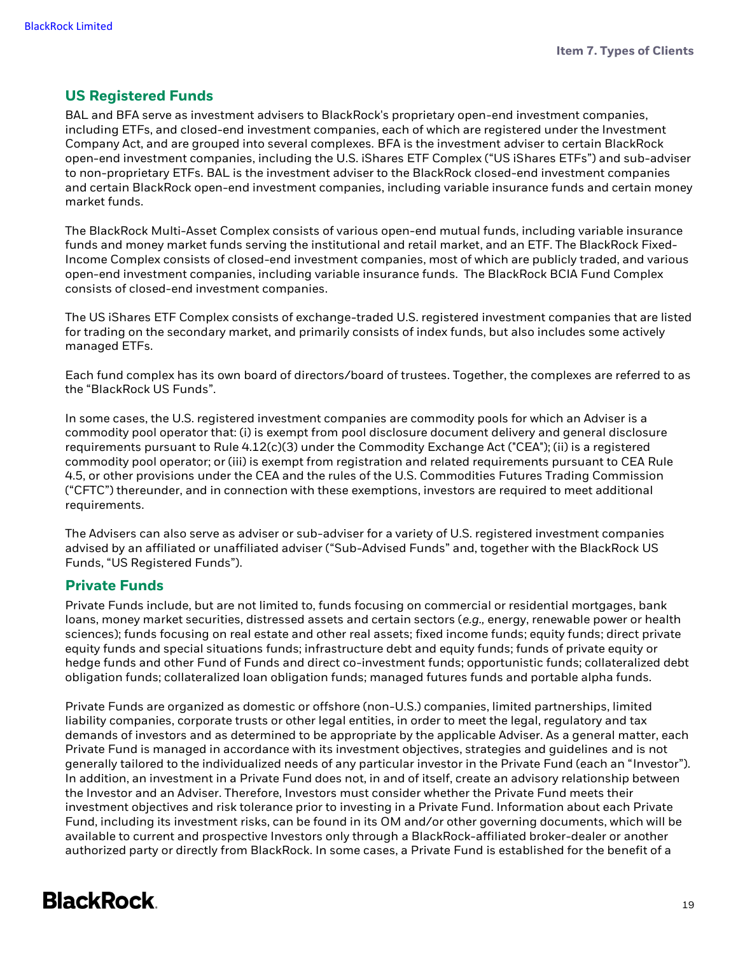#### <span id="page-23-0"></span>**US Registered Funds**

BAL and BFA serve as investment advisers to BlackRock's proprietary open-end investment companies, including ETFs, and closed-end investment companies, each of which are registered under the Investment Company Act, and are grouped into several complexes. BFA is the investment adviser to certain BlackRock open-end investment companies, including the U.S. iShares ETF Complex ("US iShares ETFs") and sub-adviser to non-proprietary ETFs. BAL is the investment adviser to the BlackRock closed-end investment companies and certain BlackRock open-end investment companies, including variable insurance funds and certain money market funds.

The BlackRock Multi-Asset Complex consists of various open-end mutual funds, including variable insurance funds and money market funds serving the institutional and retail market, and an ETF. The BlackRock Fixed-Income Complex consists of closed-end investment companies, most of which are publicly traded, and various open-end investment companies, including variable insurance funds. The BlackRock BCIA Fund Complex consists of closed-end investment companies.

The US iShares ETF Complex consists of exchange-traded U.S. registered investment companies that are listed for trading on the secondary market, and primarily consists of index funds, but also includes some actively managed ETFs.

Each fund complex has its own board of directors/board of trustees. Together, the complexes are referred to as the "BlackRock US Funds".

In some cases, the U.S. registered investment companies are commodity pools for which an Adviser is a commodity pool operator that: (i) is exempt from pool disclosure document delivery and general disclosure requirements pursuant to Rule 4.12(c)(3) under the Commodity Exchange Act ("CEA"); (ii) is a registered commodity pool operator; or (iii) is exempt from registration and related requirements pursuant to CEA Rule 4.5, or other provisions under the CEA and the rules of the U.S. Commodities Futures Trading Commission ("CFTC") thereunder, and in connection with these exemptions, investors are required to meet additional requirements.

The Advisers can also serve as adviser or sub-adviser for a variety of U.S. registered investment companies advised by an affiliated or unaffiliated adviser ("Sub-Advised Funds" and, together with the BlackRock US Funds, "US Registered Funds").

#### <span id="page-23-1"></span>**Private Funds**

Private Funds include, but are not limited to, funds focusing on commercial or residential mortgages, bank loans, money market securities, distressed assets and certain sectors (*e.g.,* energy, renewable power or health sciences); funds focusing on real estate and other real assets; fixed income funds; equity funds; direct private equity funds and special situations funds; infrastructure debt and equity funds; funds of private equity or hedge funds and other Fund of Funds and direct co-investment funds; opportunistic funds; collateralized debt obligation funds; collateralized loan obligation funds; managed futures funds and portable alpha funds.

Private Funds are organized as domestic or offshore (non-U.S.) companies, limited partnerships, limited liability companies, corporate trusts or other legal entities, in order to meet the legal, regulatory and tax demands of investors and as determined to be appropriate by the applicable Adviser. As a general matter, each Private Fund is managed in accordance with its investment objectives, strategies and guidelines and is not generally tailored to the individualized needs of any particular investor in the Private Fund (each an "Investor"). In addition, an investment in a Private Fund does not, in and of itself, create an advisory relationship between the Investor and an Adviser. Therefore, Investors must consider whether the Private Fund meets their investment objectives and risk tolerance prior to investing in a Private Fund. Information about each Private Fund, including its investment risks, can be found in its OM and/or other governing documents, which will be available to current and prospective Investors only through a BlackRock-affiliated broker-dealer or another authorized party or directly from BlackRock. In some cases, a Private Fund is established for the benefit of a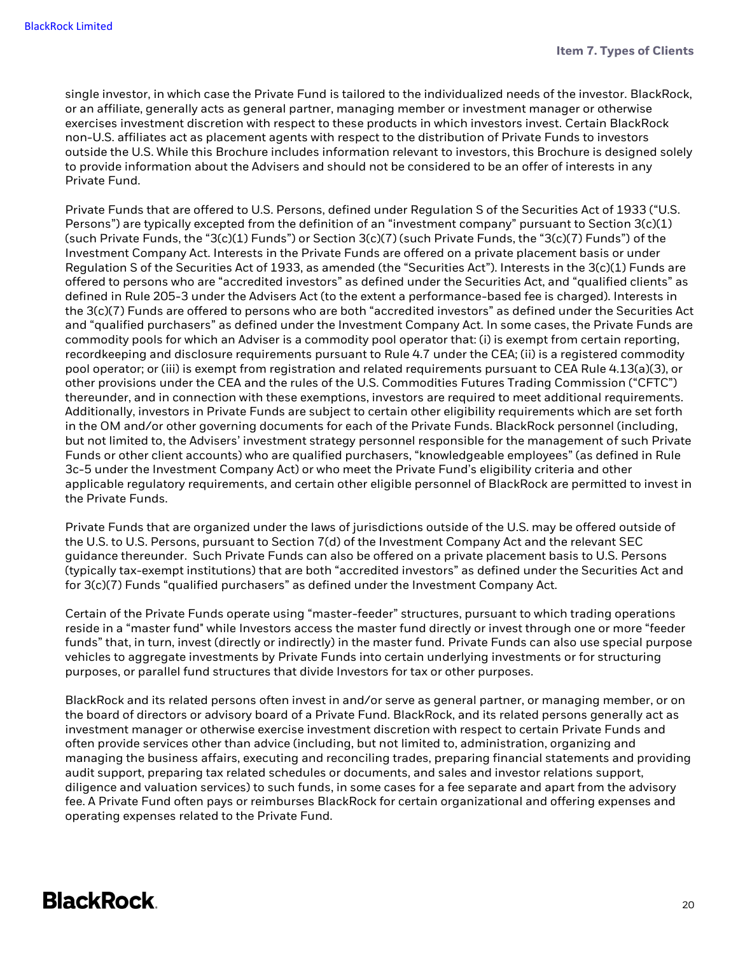single investor, in which case the Private Fund is tailored to the individualized needs of the investor. BlackRock, or an affiliate, generally acts as general partner, managing member or investment manager or otherwise exercises investment discretion with respect to these products in which investors invest. Certain BlackRock non-U.S. affiliates act as placement agents with respect to the distribution of Private Funds to investors outside the U.S. While this Brochure includes information relevant to investors, this Brochure is designed solely to provide information about the Advisers and should not be considered to be an offer of interests in any Private Fund.

Private Funds that are offered to U.S. Persons, defined under Regulation S of the Securities Act of 1933 ("U.S. Persons") are typically excepted from the definition of an "investment company" pursuant to Section 3(c)(1) (such Private Funds, the "3(c)(1) Funds") or Section 3(c)(7) (such Private Funds, the "3(c)(7) Funds") of the Investment Company Act. Interests in the Private Funds are offered on a private placement basis or under Regulation S of the Securities Act of 1933, as amended (the "Securities Act"). Interests in the 3(c)(1) Funds are offered to persons who are "accredited investors" as defined under the Securities Act, and "qualified clients" as defined in Rule 205-3 under the Advisers Act (to the extent a performance-based fee is charged). Interests in the 3(c)(7) Funds are offered to persons who are both "accredited investors" as defined under the Securities Act and "qualified purchasers" as defined under the Investment Company Act. In some cases, the Private Funds are commodity pools for which an Adviser is a commodity pool operator that: (i) is exempt from certain reporting, recordkeeping and disclosure requirements pursuant to Rule 4.7 under the CEA; (ii) is a registered commodity pool operator; or (iii) is exempt from registration and related requirements pursuant to CEA Rule 4.13(a)(3), or other provisions under the CEA and the rules of the U.S. Commodities Futures Trading Commission ("CFTC") thereunder, and in connection with these exemptions, investors are required to meet additional requirements. Additionally, investors in Private Funds are subject to certain other eligibility requirements which are set forth in the OM and/or other governing documents for each of the Private Funds. BlackRock personnel (including, but not limited to, the Advisers' investment strategy personnel responsible for the management of such Private Funds or other client accounts) who are qualified purchasers, "knowledgeable employees" (as defined in Rule 3c-5 under the Investment Company Act) or who meet the Private Fund's eligibility criteria and other applicable regulatory requirements, and certain other eligible personnel of BlackRock are permitted to invest in the Private Funds.

Private Funds that are organized under the laws of jurisdictions outside of the U.S. may be offered outside of the U.S. to U.S. Persons, pursuant to Section 7(d) of the Investment Company Act and the relevant SEC guidance thereunder. Such Private Funds can also be offered on a private placement basis to U.S. Persons (typically tax-exempt institutions) that are both "accredited investors" as defined under the Securities Act and for 3(c)(7) Funds "qualified purchasers" as defined under the Investment Company Act.

Certain of the Private Funds operate using "master-feeder" structures, pursuant to which trading operations reside in a "master fund" while Investors access the master fund directly or invest through one or more "feeder funds" that, in turn, invest (directly or indirectly) in the master fund. Private Funds can also use special purpose vehicles to aggregate investments by Private Funds into certain underlying investments or for structuring purposes, or parallel fund structures that divide Investors for tax or other purposes.

BlackRock and its related persons often invest in and/or serve as general partner, or managing member, or on the board of directors or advisory board of a Private Fund. BlackRock, and its related persons generally act as investment manager or otherwise exercise investment discretion with respect to certain Private Funds and often provide services other than advice (including, but not limited to, administration, organizing and managing the business affairs, executing and reconciling trades, preparing financial statements and providing audit support, preparing tax related schedules or documents, and sales and investor relations support, diligence and valuation services) to such funds, in some cases for a fee separate and apart from the advisory fee. A Private Fund often pays or reimburses BlackRock for certain organizational and offering expenses and operating expenses related to the Private Fund.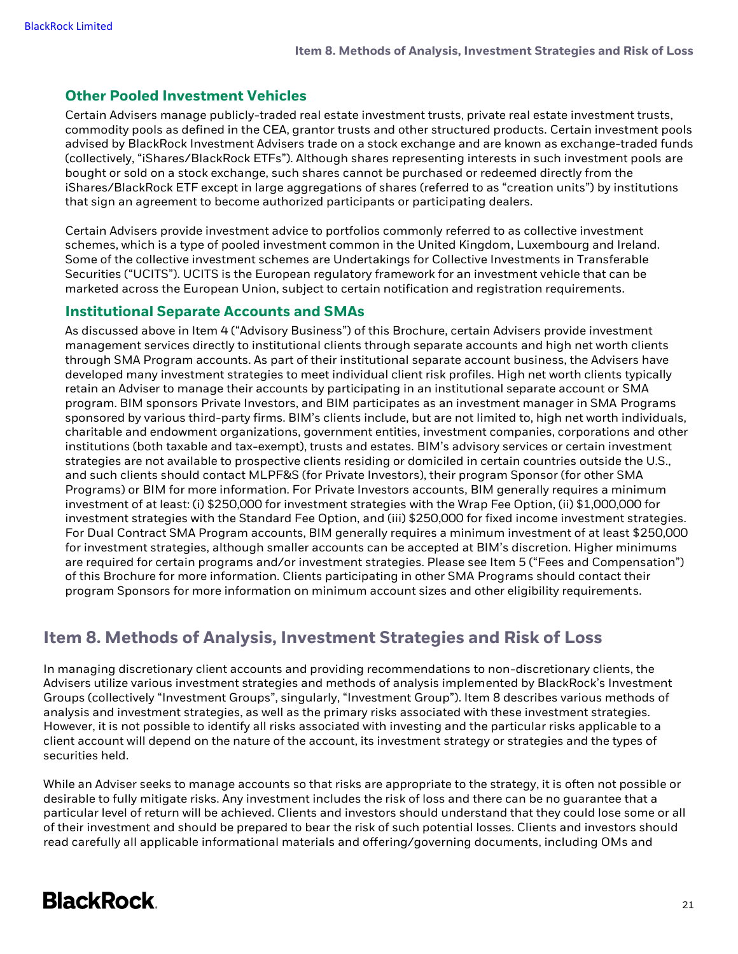#### <span id="page-25-0"></span>**Other Pooled Investment Vehicles**

Certain Advisers manage publicly-traded real estate investment trusts, private real estate investment trusts, commodity pools as defined in the CEA, grantor trusts and other structured products. Certain investment pools advised by BlackRock Investment Advisers trade on a stock exchange and are known as exchange-traded funds (collectively, "iShares/BlackRock ETFs"). Although shares representing interests in such investment pools are bought or sold on a stock exchange, such shares cannot be purchased or redeemed directly from the iShares/BlackRock ETF except in large aggregations of shares (referred to as "creation units") by institutions that sign an agreement to become authorized participants or participating dealers.

Certain Advisers provide investment advice to portfolios commonly referred to as collective investment schemes, which is a type of pooled investment common in the United Kingdom, Luxembourg and Ireland. Some of the collective investment schemes are Undertakings for Collective Investments in Transferable Securities ("UCITS"). UCITS is the European regulatory framework for an investment vehicle that can be marketed across the European Union, subject to certain notification and registration requirements.

#### <span id="page-25-1"></span>**Institutional Separate Accounts and SMAs**

As discussed above in Item 4 ("Advisory Business") of this Brochure, certain Advisers provide investment management services directly to institutional clients through separate accounts and high net worth clients through SMA Program accounts. As part of their institutional separate account business, the Advisers have developed many investment strategies to meet individual client risk profiles. High net worth clients typically retain an Adviser to manage their accounts by participating in an institutional separate account or SMA program. BIM sponsors Private Investors, and BIM participates as an investment manager in SMA Programs sponsored by various third-party firms. BIM's clients include, but are not limited to, high net worth individuals, charitable and endowment organizations, government entities, investment companies, corporations and other institutions (both taxable and tax-exempt), trusts and estates. BIM's advisory services or certain investment strategies are not available to prospective clients residing or domiciled in certain countries outside the U.S., and such clients should contact MLPF&S (for Private Investors), their program Sponsor (for other SMA Programs) or BIM for more information. For Private Investors accounts, BIM generally requires a minimum investment of at least: (i) \$250,000 for investment strategies with the Wrap Fee Option, (ii) \$1,000,000 for investment strategies with the Standard Fee Option, and (iii) \$250,000 for fixed income investment strategies. For Dual Contract SMA Program accounts, BIM generally requires a minimum investment of at least \$250,000 for investment strategies, although smaller accounts can be accepted at BIM's discretion. Higher minimums are required for certain programs and/or investment strategies. Please see Item 5 ("Fees and Compensation") of this Brochure for more information. Clients participating in other SMA Programs should contact their program Sponsors for more information on minimum account sizes and other eligibility requirements.

### <span id="page-25-2"></span>**Item 8. Methods of Analysis, Investment Strategies and Risk of Loss**

In managing discretionary client accounts and providing recommendations to non-discretionary clients, the Advisers utilize various investment strategies and methods of analysis implemented by BlackRock's Investment Groups (collectively "Investment Groups", singularly, "Investment Group"). Item 8 describes various methods of analysis and investment strategies, as well as the primary risks associated with these investment strategies. However, it is not possible to identify all risks associated with investing and the particular risks applicable to a client account will depend on the nature of the account, its investment strategy or strategies and the types of securities held.

While an Adviser seeks to manage accounts so that risks are appropriate to the strategy, it is often not possible or desirable to fully mitigate risks. Any investment includes the risk of loss and there can be no guarantee that a particular level of return will be achieved. Clients and investors should understand that they could lose some or all of their investment and should be prepared to bear the risk of such potential losses. Clients and investors should read carefully all applicable informational materials and offering/governing documents, including OMs and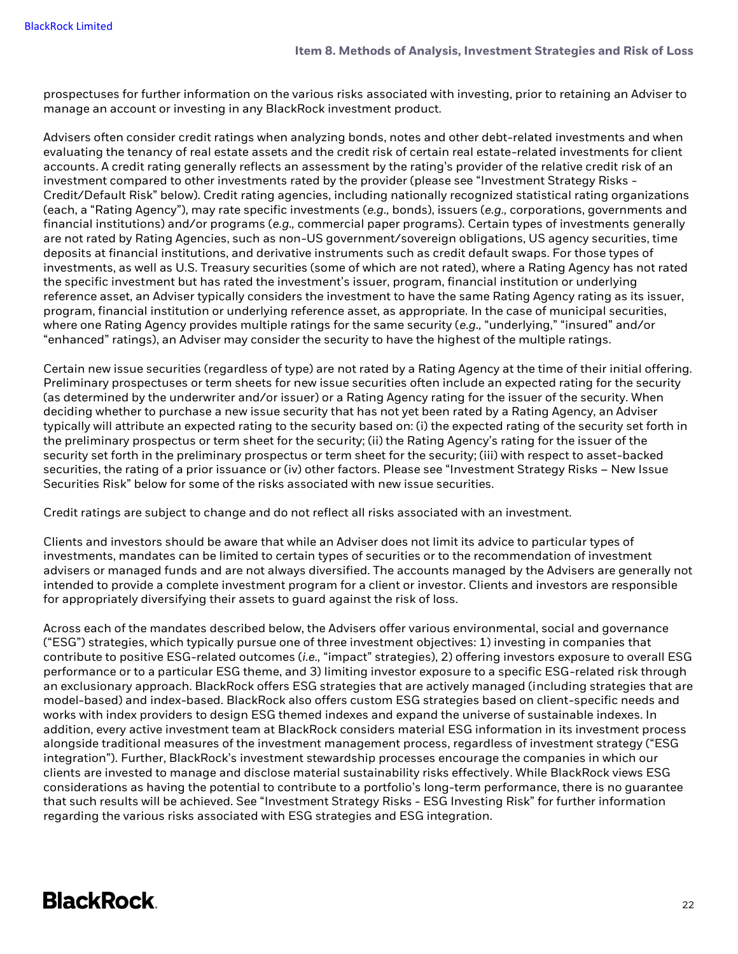prospectuses for further information on the various risks associated with investing, prior to retaining an Adviser to manage an account or investing in any BlackRock investment product.

Advisers often consider credit ratings when analyzing bonds, notes and other debt-related investments and when evaluating the tenancy of real estate assets and the credit risk of certain real estate-related investments for client accounts. A credit rating generally reflects an assessment by the rating's provider of the relative credit risk of an investment compared to other investments rated by the provider (please see "Investment Strategy Risks - Credit/Default Risk" below). Credit rating agencies, including nationally recognized statistical rating organizations (each, a "Rating Agency"), may rate specific investments (*e.g.,* bonds), issuers (*e.g.,* corporations, governments and financial institutions) and/or programs (*e.g.,* commercial paper programs). Certain types of investments generally are not rated by Rating Agencies, such as non-US government/sovereign obligations, US agency securities, time deposits at financial institutions, and derivative instruments such as credit default swaps. For those types of investments, as well as U.S. Treasury securities (some of which are not rated), where a Rating Agency has not rated the specific investment but has rated the investment's issuer, program, financial institution or underlying reference asset, an Adviser typically considers the investment to have the same Rating Agency rating as its issuer, program, financial institution or underlying reference asset, as appropriate. In the case of municipal securities, where one Rating Agency provides multiple ratings for the same security (*e.g.,* "underlying," "insured" and/or "enhanced" ratings), an Adviser may consider the security to have the highest of the multiple ratings.

Certain new issue securities (regardless of type) are not rated by a Rating Agency at the time of their initial offering. Preliminary prospectuses or term sheets for new issue securities often include an expected rating for the security (as determined by the underwriter and/or issuer) or a Rating Agency rating for the issuer of the security. When deciding whether to purchase a new issue security that has not yet been rated by a Rating Agency, an Adviser typically will attribute an expected rating to the security based on: (i) the expected rating of the security set forth in the preliminary prospectus or term sheet for the security; (ii) the Rating Agency's rating for the issuer of the security set forth in the preliminary prospectus or term sheet for the security; (iii) with respect to asset-backed securities, the rating of a prior issuance or (iv) other factors. Please see "Investment Strategy Risks – New Issue Securities Risk" below for some of the risks associated with new issue securities.

Credit ratings are subject to change and do not reflect all risks associated with an investment.

Clients and investors should be aware that while an Adviser does not limit its advice to particular types of investments, mandates can be limited to certain types of securities or to the recommendation of investment advisers or managed funds and are not always diversified. The accounts managed by the Advisers are generally not intended to provide a complete investment program for a client or investor. Clients and investors are responsible for appropriately diversifying their assets to guard against the risk of loss.

Across each of the mandates described below, the Advisers offer various environmental, social and governance ("ESG") strategies, which typically pursue one of three investment objectives: 1) investing in companies that contribute to positive ESG-related outcomes (*i.e.,* "impact" strategies), 2) offering investors exposure to overall ESG performance or to a particular ESG theme, and 3) limiting investor exposure to a specific ESG-related risk through an exclusionary approach. BlackRock offers ESG strategies that are actively managed (including strategies that are model-based) and index-based. BlackRock also offers custom ESG strategies based on client-specific needs and works with index providers to design ESG themed indexes and expand the universe of sustainable indexes. In addition, every active investment team at BlackRock considers material ESG information in its investment process alongside traditional measures of the investment management process, regardless of investment strategy ("ESG integration"). Further, BlackRock's investment stewardship processes encourage the companies in which our clients are invested to manage and disclose material sustainability risks effectively. While BlackRock views ESG considerations as having the potential to contribute to a portfolio's long-term performance, there is no guarantee that such results will be achieved. See "Investment Strategy Risks - ESG Investing Risk" for further information regarding the various risks associated with ESG strategies and ESG integration.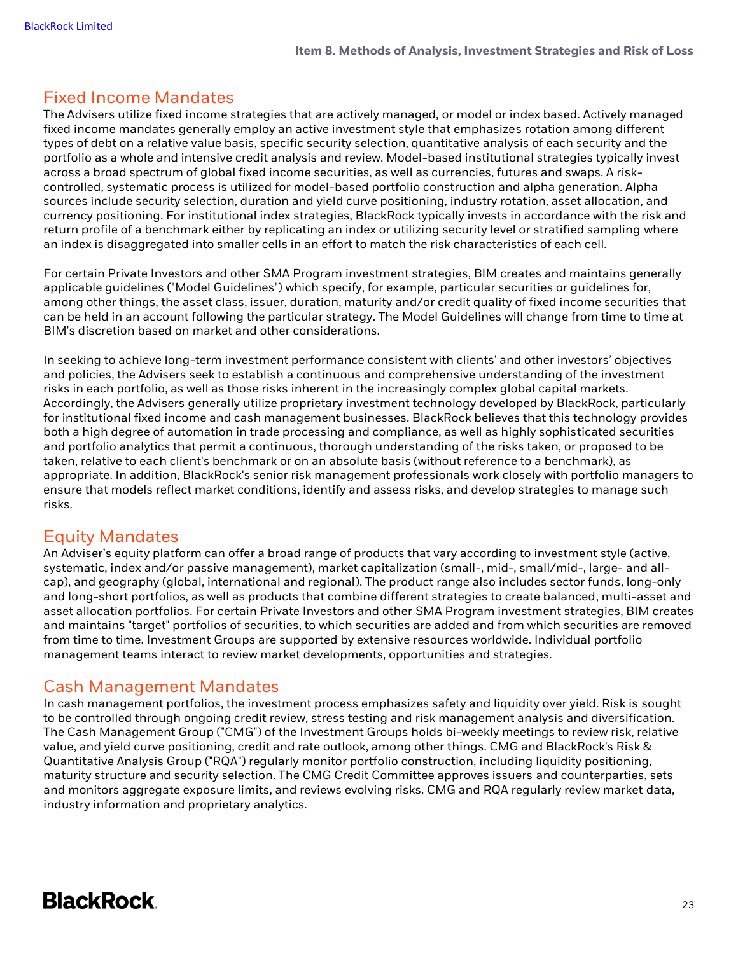### <span id="page-27-0"></span>Fixed Income Mandates

The Advisers utilize fixed income strategies that are actively managed, or model or index based. Actively managed fixed income mandates generally employ an active investment style that emphasizes rotation among different types of debt on a relative value basis, specific security selection, quantitative analysis of each security and the portfolio as a whole and intensive credit analysis and review. Model-based institutional strategies typically invest across a broad spectrum of global fixed income securities, as well as currencies, futures and swaps. A riskcontrolled, systematic process is utilized for model-based portfolio construction and alpha generation. Alpha sources include security selection, duration and yield curve positioning, industry rotation, asset allocation, and currency positioning. For institutional index strategies, BlackRock typically invests in accordance with the risk and return profile of a benchmark either by replicating an index or utilizing security level or stratified sampling where an index is disaggregated into smaller cells in an effort to match the risk characteristics of each cell.

For certain Private Investors and other SMA Program investment strategies, BIM creates and maintains generally applicable guidelines ("Model Guidelines") which specify, for example, particular securities or guidelines for, among other things, the asset class, issuer, duration, maturity and/or credit quality of fixed income securities that can be held in an account following the particular strategy. The Model Guidelines will change from time to time at BIM's discretion based on market and other considerations.

In seeking to achieve long-term investment performance consistent with clients' and other investors' objectives and policies, the Advisers seek to establish a continuous and comprehensive understanding of the investment risks in each portfolio, as well as those risks inherent in the increasingly complex global capital markets. Accordingly, the Advisers generally utilize proprietary investment technology developed by BlackRock, particularly for institutional fixed income and cash management businesses. BlackRock believes that this technology provides both a high degree of automation in trade processing and compliance, as well as highly sophisticated securities and portfolio analytics that permit a continuous, thorough understanding of the risks taken, or proposed to be taken, relative to each client's benchmark or on an absolute basis (without reference to a benchmark), as appropriate. In addition, BlackRock's senior risk management professionals work closely with portfolio managers to ensure that models reflect market conditions, identify and assess risks, and develop strategies to manage such risks.

### <span id="page-27-1"></span>Equity Mandates

An Adviser's equity platform can offer a broad range of products that vary according to investment style (active, systematic, index and/or passive management), market capitalization (small-, mid-, small/mid-, large- and allcap), and geography (global, international and regional). The product range also includes sector funds, long-only and long-short portfolios, as well as products that combine different strategies to create balanced, multi-asset and asset allocation portfolios. For certain Private Investors and other SMA Program investment strategies, BIM creates and maintains "target" portfolios of securities, to which securities are added and from which securities are removed from time to time. Investment Groups are supported by extensive resources worldwide. Individual portfolio management teams interact to review market developments, opportunities and strategies.

### <span id="page-27-2"></span>Cash Management Mandates

In cash management portfolios, the investment process emphasizes safety and liquidity over yield. Risk is sought to be controlled through ongoing credit review, stress testing and risk management analysis and diversification. The Cash Management Group ("CMG") of the Investment Groups holds bi-weekly meetings to review risk, relative value, and yield curve positioning, credit and rate outlook, among other things. CMG and BlackRock's Risk & Quantitative Analysis Group ("RQA") regularly monitor portfolio construction, including liquidity positioning, maturity structure and security selection. The CMG Credit Committee approves issuers and counterparties, sets and monitors aggregate exposure limits, and reviews evolving risks. CMG and RQA regularly review market data, industry information and proprietary analytics.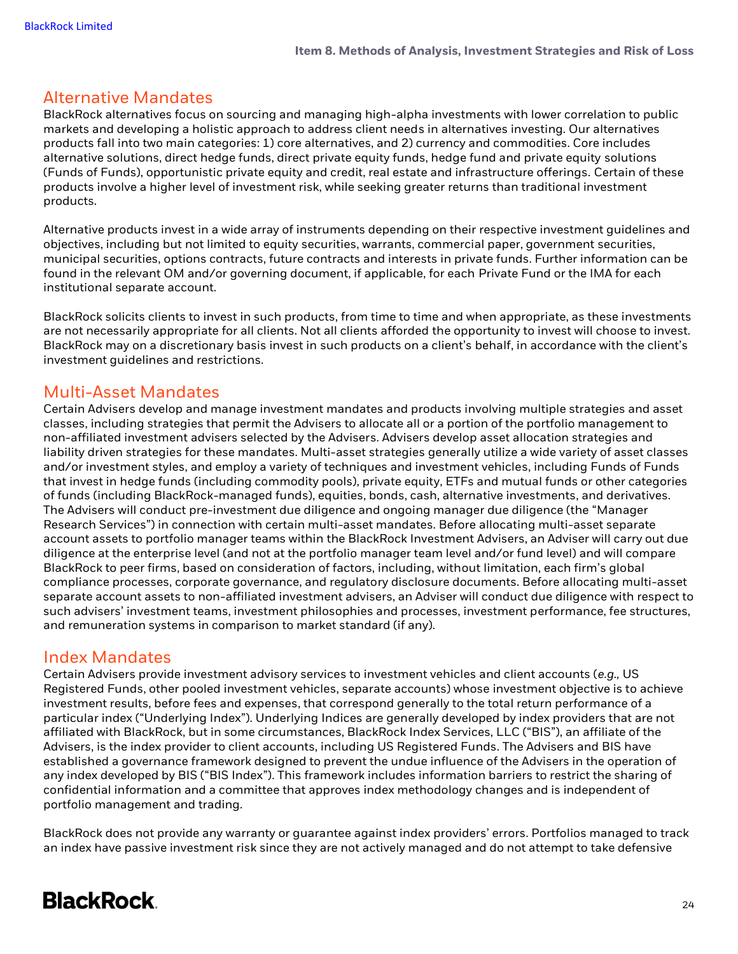### <span id="page-28-0"></span>Alternative Mandates

BlackRock alternatives focus on sourcing and managing high-alpha investments with lower correlation to public markets and developing a holistic approach to address client needs in alternatives investing. Our alternatives products fall into two main categories: 1) core alternatives, and 2) currency and commodities. Core includes alternative solutions, direct hedge funds, direct private equity funds, hedge fund and private equity solutions (Funds of Funds), opportunistic private equity and credit, real estate and infrastructure offerings. Certain of these products involve a higher level of investment risk, while seeking greater returns than traditional investment products.

Alternative products invest in a wide array of instruments depending on their respective investment guidelines and objectives, including but not limited to equity securities, warrants, commercial paper, government securities, municipal securities, options contracts, future contracts and interests in private funds. Further information can be found in the relevant OM and/or governing document, if applicable, for each Private Fund or the IMA for each institutional separate account.

BlackRock solicits clients to invest in such products, from time to time and when appropriate, as these investments are not necessarily appropriate for all clients. Not all clients afforded the opportunity to invest will choose to invest. BlackRock may on a discretionary basis invest in such products on a client's behalf, in accordance with the client's investment guidelines and restrictions.

### <span id="page-28-1"></span>Multi-Asset Mandates

Certain Advisers develop and manage investment mandates and products involving multiple strategies and asset classes, including strategies that permit the Advisers to allocate all or a portion of the portfolio management to non-affiliated investment advisers selected by the Advisers. Advisers develop asset allocation strategies and liability driven strategies for these mandates. Multi-asset strategies generally utilize a wide variety of asset classes and/or investment styles, and employ a variety of techniques and investment vehicles, including Funds of Funds that invest in hedge funds (including commodity pools), private equity, ETFs and mutual funds or other categories of funds (including BlackRock-managed funds), equities, bonds, cash, alternative investments, and derivatives. The Advisers will conduct pre-investment due diligence and ongoing manager due diligence (the "Manager Research Services") in connection with certain multi-asset mandates. Before allocating multi-asset separate account assets to portfolio manager teams within the BlackRock Investment Advisers, an Adviser will carry out due diligence at the enterprise level (and not at the portfolio manager team level and/or fund level) and will compare BlackRock to peer firms, based on consideration of factors, including, without limitation, each firm's global compliance processes, corporate governance, and regulatory disclosure documents. Before allocating multi-asset separate account assets to non-affiliated investment advisers, an Adviser will conduct due diligence with respect to such advisers' investment teams, investment philosophies and processes, investment performance, fee structures, and remuneration systems in comparison to market standard (if any).

### <span id="page-28-2"></span>Index Mandates

Certain Advisers provide investment advisory services to investment vehicles and client accounts (*e.g.,* US Registered Funds, other pooled investment vehicles, separate accounts) whose investment objective is to achieve investment results, before fees and expenses, that correspond generally to the total return performance of a particular index ("Underlying Index"). Underlying Indices are generally developed by index providers that are not affiliated with BlackRock, but in some circumstances, BlackRock Index Services, LLC ("BIS"), an affiliate of the Advisers, is the index provider to client accounts, including US Registered Funds. The Advisers and BIS have established a governance framework designed to prevent the undue influence of the Advisers in the operation of any index developed by BIS ("BIS Index"). This framework includes information barriers to restrict the sharing of confidential information and a committee that approves index methodology changes and is independent of portfolio management and trading.

BlackRock does not provide any warranty or guarantee against index providers' errors. Portfolios managed to track an index have passive investment risk since they are not actively managed and do not attempt to take defensive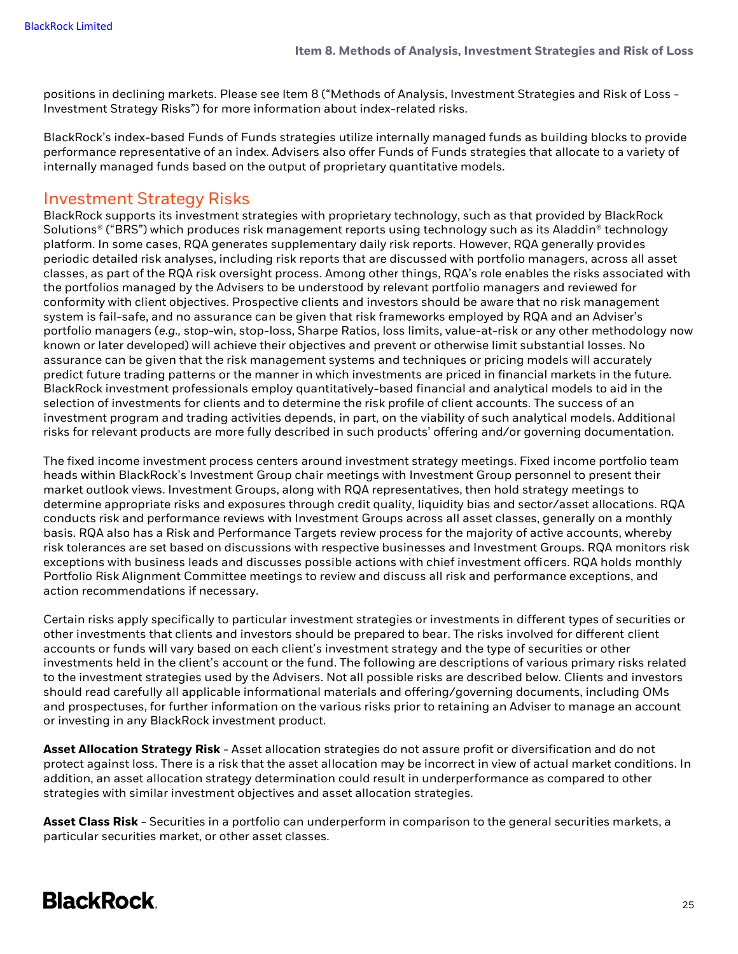positions in declining markets. Please see Item 8 ("Methods of Analysis, Investment Strategies and Risk of Loss - Investment Strategy Risks") for more information about index-related risks.

BlackRock's index-based Funds of Funds strategies utilize internally managed funds as building blocks to provide performance representative of an index. Advisers also offer Funds of Funds strategies that allocate to a variety of internally managed funds based on the output of proprietary quantitative models.

### <span id="page-29-0"></span>Investment Strategy Risks

BlackRock supports its investment strategies with proprietary technology, such as that provided by BlackRock Solutions® ("BRS") which produces risk management reports using technology such as its Aladdin® technology platform. In some cases, RQA generates supplementary daily risk reports. However, RQA generally provides periodic detailed risk analyses, including risk reports that are discussed with portfolio managers, across all asset classes, as part of the RQA risk oversight process. Among other things, RQA's role enables the risks associated with the portfolios managed by the Advisers to be understood by relevant portfolio managers and reviewed for conformity with client objectives. Prospective clients and investors should be aware that no risk management system is fail-safe, and no assurance can be given that risk frameworks employed by RQA and an Adviser's portfolio managers (*e.g.,* stop-win, stop-loss, Sharpe Ratios, loss limits, value-at-risk or any other methodology now known or later developed) will achieve their objectives and prevent or otherwise limit substantial losses. No assurance can be given that the risk management systems and techniques or pricing models will accurately predict future trading patterns or the manner in which investments are priced in financial markets in the future. BlackRock investment professionals employ quantitatively-based financial and analytical models to aid in the selection of investments for clients and to determine the risk profile of client accounts. The success of an investment program and trading activities depends, in part, on the viability of such analytical models. Additional risks for relevant products are more fully described in such products' offering and/or governing documentation.

The fixed income investment process centers around investment strategy meetings. Fixed income portfolio team heads within BlackRock's Investment Group chair meetings with Investment Group personnel to present their market outlook views. Investment Groups, along with RQA representatives, then hold strategy meetings to determine appropriate risks and exposures through credit quality, liquidity bias and sector/asset allocations. RQA conducts risk and performance reviews with Investment Groups across all asset classes, generally on a monthly basis. RQA also has a Risk and Performance Targets review process for the majority of active accounts, whereby risk tolerances are set based on discussions with respective businesses and Investment Groups. RQA monitors risk exceptions with business leads and discusses possible actions with chief investment officers. RQA holds monthly Portfolio Risk Alignment Committee meetings to review and discuss all risk and performance exceptions, and action recommendations if necessary.

Certain risks apply specifically to particular investment strategies or investments in different types of securities or other investments that clients and investors should be prepared to bear. The risks involved for different client accounts or funds will vary based on each client's investment strategy and the type of securities or other investments held in the client's account or the fund. The following are descriptions of various primary risks related to the investment strategies used by the Advisers. Not all possible risks are described below. Clients and investors should read carefully all applicable informational materials and offering/governing documents, including OMs and prospectuses, for further information on the various risks prior to retaining an Adviser to manage an account or investing in any BlackRock investment product.

**Asset Allocation Strategy Risk** - Asset allocation strategies do not assure profit or diversification and do not protect against loss. There is a risk that the asset allocation may be incorrect in view of actual market conditions. In addition, an asset allocation strategy determination could result in underperformance as compared to other strategies with similar investment objectives and asset allocation strategies.

**Asset Class Risk** - Securities in a portfolio can underperform in comparison to the general securities markets, a particular securities market, or other asset classes.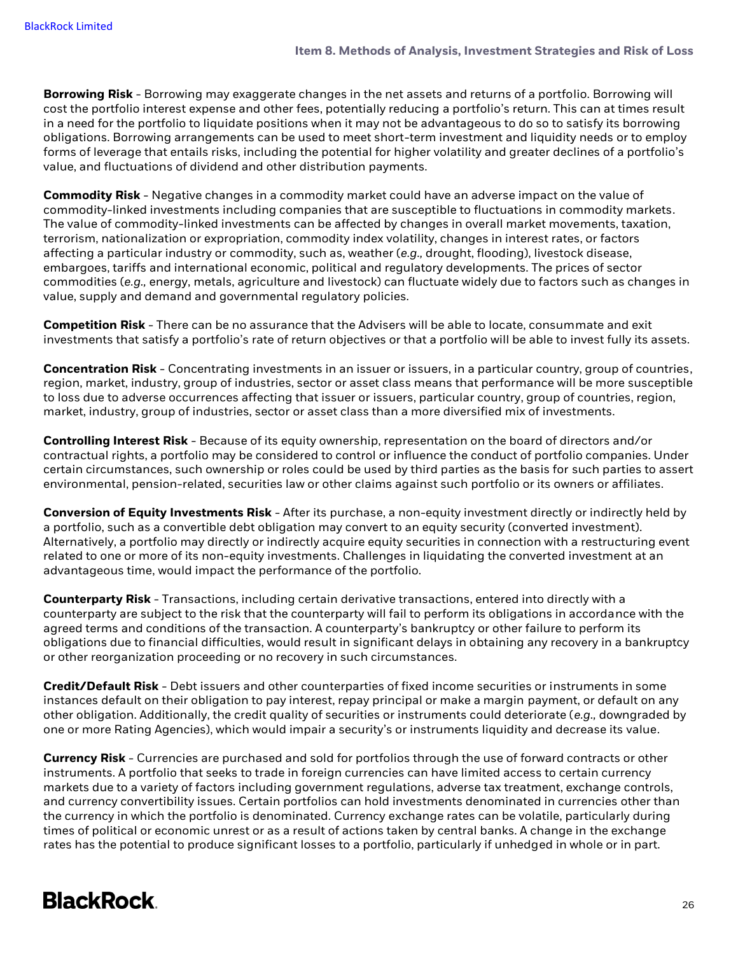**Borrowing Risk** - Borrowing may exaggerate changes in the net assets and returns of a portfolio. Borrowing will cost the portfolio interest expense and other fees, potentially reducing a portfolio's return. This can at times result in a need for the portfolio to liquidate positions when it may not be advantageous to do so to satisfy its borrowing obligations. Borrowing arrangements can be used to meet short-term investment and liquidity needs or to employ forms of leverage that entails risks, including the potential for higher volatility and greater declines of a portfolio's value, and fluctuations of dividend and other distribution payments.

**Commodity Risk** - Negative changes in a commodity market could have an adverse impact on the value of commodity-linked investments including companies that are susceptible to fluctuations in commodity markets. The value of commodity-linked investments can be affected by changes in overall market movements, taxation, terrorism, nationalization or expropriation, commodity index volatility, changes in interest rates, or factors affecting a particular industry or commodity, such as, weather (*e.g.,* drought, flooding), livestock disease, embargoes, tariffs and international economic, political and regulatory developments. The prices of sector commodities (*e.g.,* energy, metals, agriculture and livestock) can fluctuate widely due to factors such as changes in value, supply and demand and governmental regulatory policies.

**Competition Risk** - There can be no assurance that the Advisers will be able to locate, consummate and exit investments that satisfy a portfolio's rate of return objectives or that a portfolio will be able to invest fully its assets.

**Concentration Risk** - Concentrating investments in an issuer or issuers, in a particular country, group of countries, region, market, industry, group of industries, sector or asset class means that performance will be more susceptible to loss due to adverse occurrences affecting that issuer or issuers, particular country, group of countries, region, market, industry, group of industries, sector or asset class than a more diversified mix of investments.

**Controlling Interest Risk** - Because of its equity ownership, representation on the board of directors and/or contractual rights, a portfolio may be considered to control or influence the conduct of portfolio companies. Under certain circumstances, such ownership or roles could be used by third parties as the basis for such parties to assert environmental, pension-related, securities law or other claims against such portfolio or its owners or affiliates.

**Conversion of Equity Investments Risk** - After its purchase, a non-equity investment directly or indirectly held by a portfolio, such as a convertible debt obligation may convert to an equity security (converted investment). Alternatively, a portfolio may directly or indirectly acquire equity securities in connection with a restructuring event related to one or more of its non-equity investments. Challenges in liquidating the converted investment at an advantageous time, would impact the performance of the portfolio.

**Counterparty Risk** - Transactions, including certain derivative transactions, entered into directly with a counterparty are subject to the risk that the counterparty will fail to perform its obligations in accordance with the agreed terms and conditions of the transaction. A counterparty's bankruptcy or other failure to perform its obligations due to financial difficulties, would result in significant delays in obtaining any recovery in a bankruptcy or other reorganization proceeding or no recovery in such circumstances.

**Credit/Default Risk** - Debt issuers and other counterparties of fixed income securities or instruments in some instances default on their obligation to pay interest, repay principal or make a margin payment, or default on any other obligation. Additionally, the credit quality of securities or instruments could deteriorate (*e.g.,* downgraded by one or more Rating Agencies), which would impair a security's or instruments liquidity and decrease its value.

**Currency Risk** - Currencies are purchased and sold for portfolios through the use of forward contracts or other instruments. A portfolio that seeks to trade in foreign currencies can have limited access to certain currency markets due to a variety of factors including government regulations, adverse tax treatment, exchange controls, and currency convertibility issues. Certain portfolios can hold investments denominated in currencies other than the currency in which the portfolio is denominated. Currency exchange rates can be volatile, particularly during times of political or economic unrest or as a result of actions taken by central banks. A change in the exchange rates has the potential to produce significant losses to a portfolio, particularly if unhedged in whole or in part.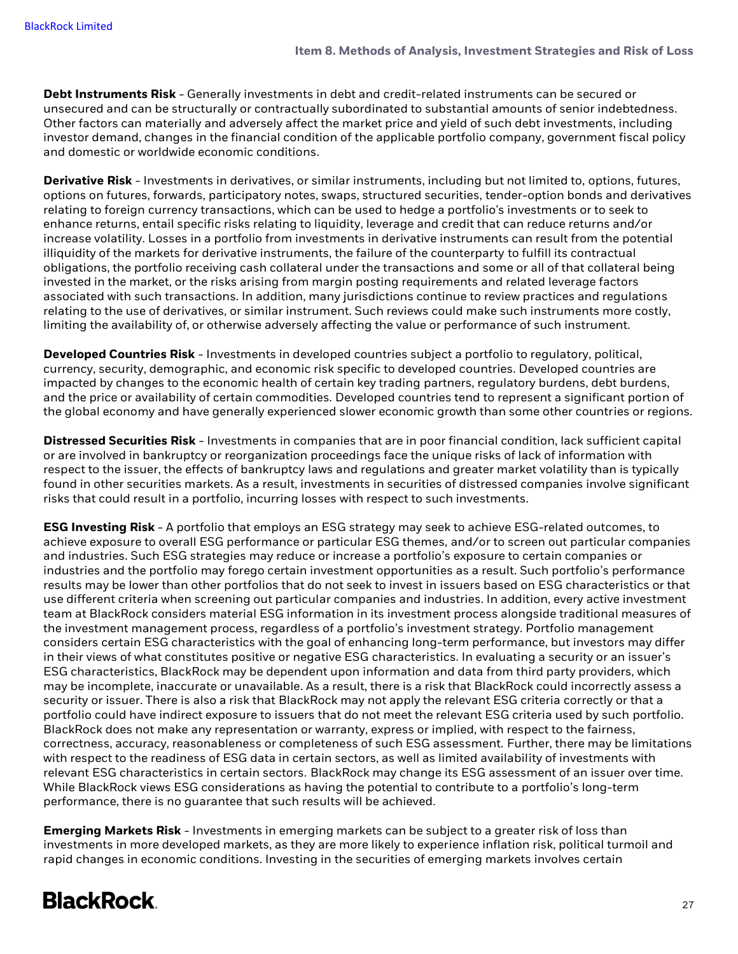**Debt Instruments Risk** - Generally investments in debt and credit-related instruments can be secured or unsecured and can be structurally or contractually subordinated to substantial amounts of senior indebtedness. Other factors can materially and adversely affect the market price and yield of such debt investments, including investor demand, changes in the financial condition of the applicable portfolio company, government fiscal policy and domestic or worldwide economic conditions.

**Derivative Risk** - Investments in derivatives, or similar instruments, including but not limited to, options, futures, options on futures, forwards, participatory notes, swaps, structured securities, tender-option bonds and derivatives relating to foreign currency transactions, which can be used to hedge a portfolio's investments or to seek to enhance returns, entail specific risks relating to liquidity, leverage and credit that can reduce returns and/or increase volatility. Losses in a portfolio from investments in derivative instruments can result from the potential illiquidity of the markets for derivative instruments, the failure of the counterparty to fulfill its contractual obligations, the portfolio receiving cash collateral under the transactions and some or all of that collateral being invested in the market, or the risks arising from margin posting requirements and related leverage factors associated with such transactions. In addition, many jurisdictions continue to review practices and regulations relating to the use of derivatives, or similar instrument. Such reviews could make such instruments more costly, limiting the availability of, or otherwise adversely affecting the value or performance of such instrument.

**Developed Countries Risk** - Investments in developed countries subject a portfolio to regulatory, political, currency, security, demographic, and economic risk specific to developed countries. Developed countries are impacted by changes to the economic health of certain key trading partners, regulatory burdens, debt burdens, and the price or availability of certain commodities. Developed countries tend to represent a significant portion of the global economy and have generally experienced slower economic growth than some other countries or regions.

**Distressed Securities Risk** - Investments in companies that are in poor financial condition, lack sufficient capital or are involved in bankruptcy or reorganization proceedings face the unique risks of lack of information with respect to the issuer, the effects of bankruptcy laws and regulations and greater market volatility than is typically found in other securities markets. As a result, investments in securities of distressed companies involve significant risks that could result in a portfolio, incurring losses with respect to such investments.

**ESG Investing Risk** - A portfolio that employs an ESG strategy may seek to achieve ESG-related outcomes, to achieve exposure to overall ESG performance or particular ESG themes, and/or to screen out particular companies and industries. Such ESG strategies may reduce or increase a portfolio's exposure to certain companies or industries and the portfolio may forego certain investment opportunities as a result. Such portfolio's performance results may be lower than other portfolios that do not seek to invest in issuers based on ESG characteristics or that use different criteria when screening out particular companies and industries. In addition, every active investment team at BlackRock considers material ESG information in its investment process alongside traditional measures of the investment management process, regardless of a portfolio's investment strategy. Portfolio management considers certain ESG characteristics with the goal of enhancing long-term performance, but investors may differ in their views of what constitutes positive or negative ESG characteristics. In evaluating a security or an issuer's ESG characteristics, BlackRock may be dependent upon information and data from third party providers, which may be incomplete, inaccurate or unavailable. As a result, there is a risk that BlackRock could incorrectly assess a security or issuer. There is also a risk that BlackRock may not apply the relevant ESG criteria correctly or that a portfolio could have indirect exposure to issuers that do not meet the relevant ESG criteria used by such portfolio. BlackRock does not make any representation or warranty, express or implied, with respect to the fairness, correctness, accuracy, reasonableness or completeness of such ESG assessment. Further, there may be limitations with respect to the readiness of ESG data in certain sectors, as well as limited availability of investments with relevant ESG characteristics in certain sectors. BlackRock may change its ESG assessment of an issuer over time. While BlackRock views ESG considerations as having the potential to contribute to a portfolio's long-term performance, there is no guarantee that such results will be achieved.

**Emerging Markets Risk** - Investments in emerging markets can be subject to a greater risk of loss than investments in more developed markets, as they are more likely to experience inflation risk, political turmoil and rapid changes in economic conditions. Investing in the securities of emerging markets involves certain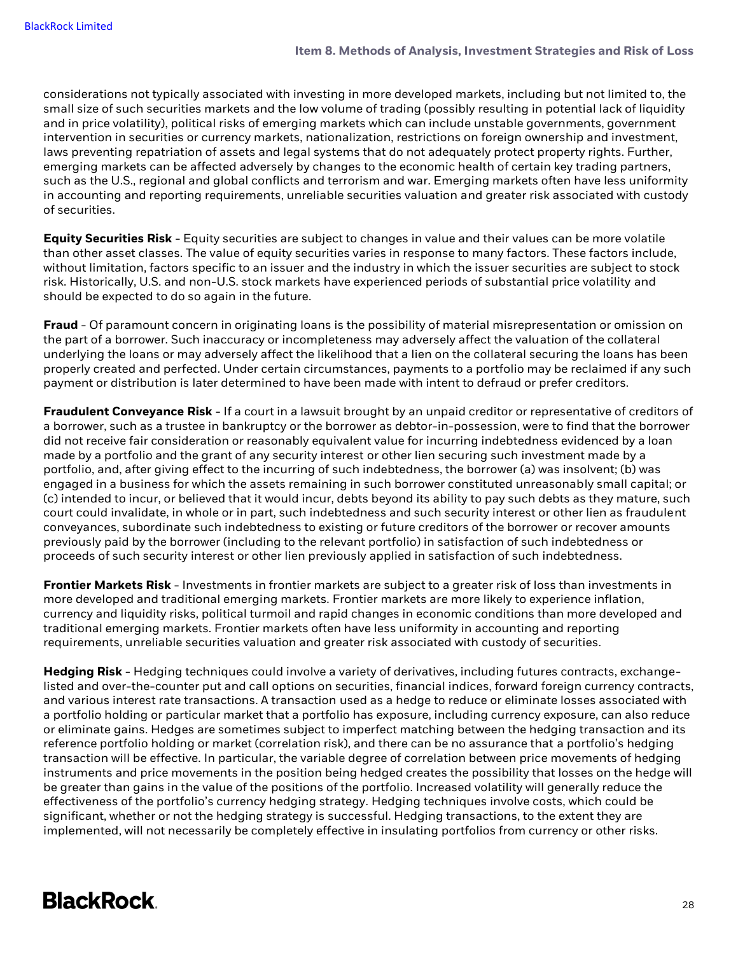considerations not typically associated with investing in more developed markets, including but not limited to, the small size of such securities markets and the low volume of trading (possibly resulting in potential lack of liquidity and in price volatility), political risks of emerging markets which can include unstable governments, government intervention in securities or currency markets, nationalization, restrictions on foreign ownership and investment, laws preventing repatriation of assets and legal systems that do not adequately protect property rights. Further, emerging markets can be affected adversely by changes to the economic health of certain key trading partners, such as the U.S., regional and global conflicts and terrorism and war. Emerging markets often have less uniformity in accounting and reporting requirements, unreliable securities valuation and greater risk associated with custody of securities.

**Equity Securities Risk** - Equity securities are subject to changes in value and their values can be more volatile than other asset classes. The value of equity securities varies in response to many factors. These factors include, without limitation, factors specific to an issuer and the industry in which the issuer securities are subject to stock risk. Historically, U.S. and non-U.S. stock markets have experienced periods of substantial price volatility and should be expected to do so again in the future.

**Fraud** - Of paramount concern in originating loans is the possibility of material misrepresentation or omission on the part of a borrower. Such inaccuracy or incompleteness may adversely affect the valuation of the collateral underlying the loans or may adversely affect the likelihood that a lien on the collateral securing the loans has been properly created and perfected. Under certain circumstances, payments to a portfolio may be reclaimed if any such payment or distribution is later determined to have been made with intent to defraud or prefer creditors.

**Fraudulent Conveyance Risk** - If a court in a lawsuit brought by an unpaid creditor or representative of creditors of a borrower, such as a trustee in bankruptcy or the borrower as debtor-in-possession, were to find that the borrower did not receive fair consideration or reasonably equivalent value for incurring indebtedness evidenced by a loan made by a portfolio and the grant of any security interest or other lien securing such investment made by a portfolio, and, after giving effect to the incurring of such indebtedness, the borrower (a) was insolvent; (b) was engaged in a business for which the assets remaining in such borrower constituted unreasonably small capital; or (c) intended to incur, or believed that it would incur, debts beyond its ability to pay such debts as they mature, such court could invalidate, in whole or in part, such indebtedness and such security interest or other lien as fraudulent conveyances, subordinate such indebtedness to existing or future creditors of the borrower or recover amounts previously paid by the borrower (including to the relevant portfolio) in satisfaction of such indebtedness or proceeds of such security interest or other lien previously applied in satisfaction of such indebtedness.

**Frontier Markets Risk** - Investments in frontier markets are subject to a greater risk of loss than investments in more developed and traditional emerging markets. Frontier markets are more likely to experience inflation, currency and liquidity risks, political turmoil and rapid changes in economic conditions than more developed and traditional emerging markets. Frontier markets often have less uniformity in accounting and reporting requirements, unreliable securities valuation and greater risk associated with custody of securities.

**Hedging Risk** - Hedging techniques could involve a variety of derivatives, including futures contracts, exchangelisted and over-the-counter put and call options on securities, financial indices, forward foreign currency contracts, and various interest rate transactions. A transaction used as a hedge to reduce or eliminate losses associated with a portfolio holding or particular market that a portfolio has exposure, including currency exposure, can also reduce or eliminate gains. Hedges are sometimes subject to imperfect matching between the hedging transaction and its reference portfolio holding or market (correlation risk), and there can be no assurance that a portfolio's hedging transaction will be effective. In particular, the variable degree of correlation between price movements of hedging instruments and price movements in the position being hedged creates the possibility that losses on the hedge will be greater than gains in the value of the positions of the portfolio. Increased volatility will generally reduce the effectiveness of the portfolio's currency hedging strategy. Hedging techniques involve costs, which could be significant, whether or not the hedging strategy is successful. Hedging transactions, to the extent they are implemented, will not necessarily be completely effective in insulating portfolios from currency or other risks.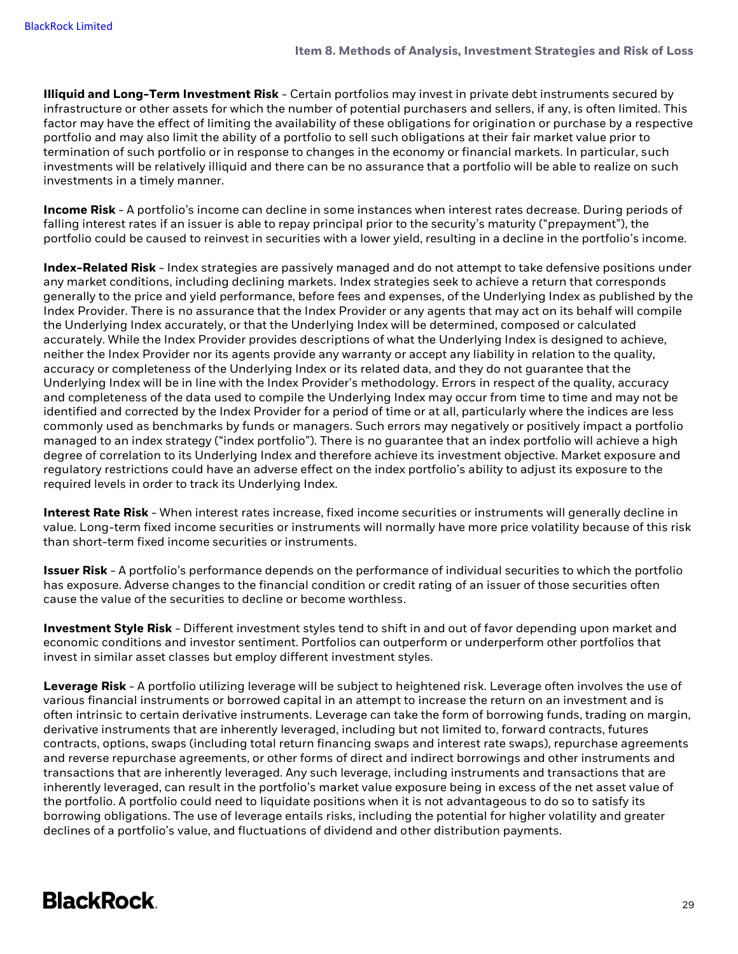**Illiquid and Long-Term Investment Risk** - Certain portfolios may invest in private debt instruments secured by infrastructure or other assets for which the number of potential purchasers and sellers, if any, is often limited. This factor may have the effect of limiting the availability of these obligations for origination or purchase by a respective portfolio and may also limit the ability of a portfolio to sell such obligations at their fair market value prior to termination of such portfolio or in response to changes in the economy or financial markets. In particular, such investments will be relatively illiquid and there can be no assurance that a portfolio will be able to realize on such investments in a timely manner.

**Income Risk** - A portfolio's income can decline in some instances when interest rates decrease. During periods of falling interest rates if an issuer is able to repay principal prior to the security's maturity ("prepayment"), the portfolio could be caused to reinvest in securities with a lower yield, resulting in a decline in the portfolio's income.

**Index-Related Risk** - Index strategies are passively managed and do not attempt to take defensive positions under any market conditions, including declining markets. Index strategies seek to achieve a return that corresponds generally to the price and yield performance, before fees and expenses, of the Underlying Index as published by the Index Provider. There is no assurance that the Index Provider or any agents that may act on its behalf will compile the Underlying Index accurately, or that the Underlying Index will be determined, composed or calculated accurately. While the Index Provider provides descriptions of what the Underlying Index is designed to achieve, neither the Index Provider nor its agents provide any warranty or accept any liability in relation to the quality, accuracy or completeness of the Underlying Index or its related data, and they do not guarantee that the Underlying Index will be in line with the Index Provider's methodology. Errors in respect of the quality, accuracy and completeness of the data used to compile the Underlying Index may occur from time to time and may not be identified and corrected by the Index Provider for a period of time or at all, particularly where the indices are less commonly used as benchmarks by funds or managers. Such errors may negatively or positively impact a portfolio managed to an index strategy ("index portfolio"). There is no guarantee that an index portfolio will achieve a high degree of correlation to its Underlying Index and therefore achieve its investment objective. Market exposure and regulatory restrictions could have an adverse effect on the index portfolio's ability to adjust its exposure to the required levels in order to track its Underlying Index.

**Interest Rate Risk** - When interest rates increase, fixed income securities or instruments will generally decline in value. Long-term fixed income securities or instruments will normally have more price volatility because of this risk than short-term fixed income securities or instruments.

**Issuer Risk** - A portfolio's performance depends on the performance of individual securities to which the portfolio has exposure. Adverse changes to the financial condition or credit rating of an issuer of those securities often cause the value of the securities to decline or become worthless.

**Investment Style Risk** - Different investment styles tend to shift in and out of favor depending upon market and economic conditions and investor sentiment. Portfolios can outperform or underperform other portfolios that invest in similar asset classes but employ different investment styles.

**Leverage Risk** - A portfolio utilizing leverage will be subject to heightened risk. Leverage often involves the use of various financial instruments or borrowed capital in an attempt to increase the return on an investment and is often intrinsic to certain derivative instruments. Leverage can take the form of borrowing funds, trading on margin, derivative instruments that are inherently leveraged, including but not limited to, forward contracts, futures contracts, options, swaps (including total return financing swaps and interest rate swaps), repurchase agreements and reverse repurchase agreements, or other forms of direct and indirect borrowings and other instruments and transactions that are inherently leveraged. Any such leverage, including instruments and transactions that are inherently leveraged, can result in the portfolio's market value exposure being in excess of the net asset value of the portfolio. A portfolio could need to liquidate positions when it is not advantageous to do so to satisfy its borrowing obligations. The use of leverage entails risks, including the potential for higher volatility and greater declines of a portfolio's value, and fluctuations of dividend and other distribution payments.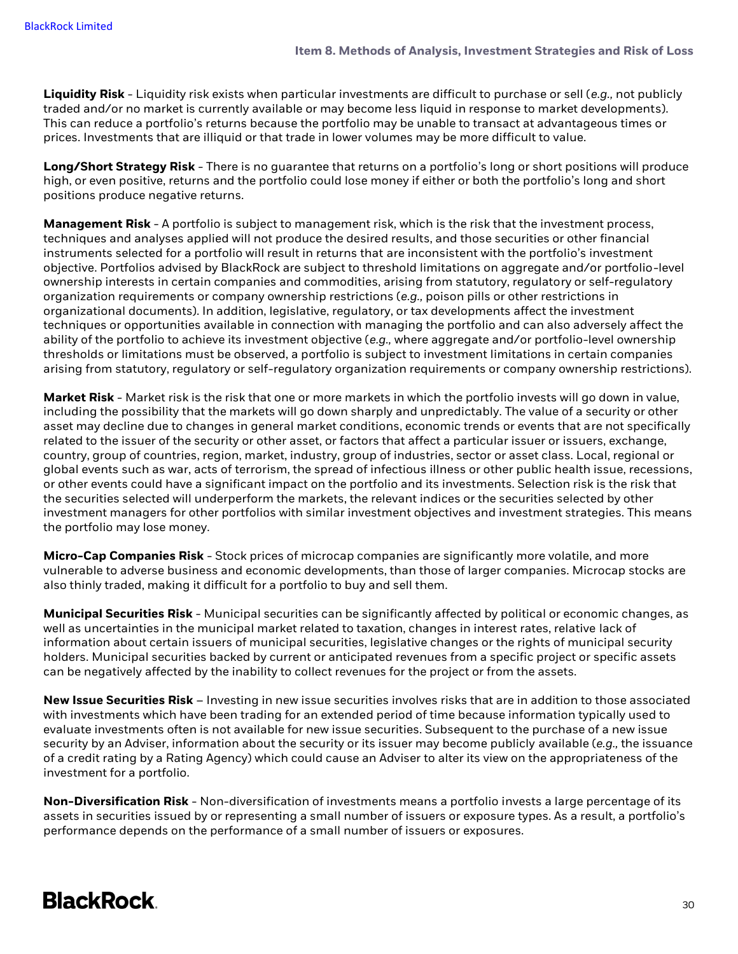**Liquidity Risk** - Liquidity risk exists when particular investments are difficult to purchase or sell (*e.g.,* not publicly traded and/or no market is currently available or may become less liquid in response to market developments). This can reduce a portfolio's returns because the portfolio may be unable to transact at advantageous times or prices. Investments that are illiquid or that trade in lower volumes may be more difficult to value.

**Long/Short Strategy Risk** - There is no guarantee that returns on a portfolio's long or short positions will produce high, or even positive, returns and the portfolio could lose money if either or both the portfolio's long and short positions produce negative returns.

**Management Risk** - A portfolio is subject to management risk, which is the risk that the investment process, techniques and analyses applied will not produce the desired results, and those securities or other financial instruments selected for a portfolio will result in returns that are inconsistent with the portfolio's investment objective. Portfolios advised by BlackRock are subject to threshold limitations on aggregate and/or portfolio-level ownership interests in certain companies and commodities, arising from statutory, regulatory or self-regulatory organization requirements or company ownership restrictions (*e.g.,* poison pills or other restrictions in organizational documents). In addition, legislative, regulatory, or tax developments affect the investment techniques or opportunities available in connection with managing the portfolio and can also adversely affect the ability of the portfolio to achieve its investment objective (*e.g.,* where aggregate and/or portfolio-level ownership thresholds or limitations must be observed, a portfolio is subject to investment limitations in certain companies arising from statutory, regulatory or self-regulatory organization requirements or company ownership restrictions).

**Market Risk** - Market risk is the risk that one or more markets in which the portfolio invests will go down in value, including the possibility that the markets will go down sharply and unpredictably. The value of a security or other asset may decline due to changes in general market conditions, economic trends or events that are not specifically related to the issuer of the security or other asset, or factors that affect a particular issuer or issuers, exchange, country, group of countries, region, market, industry, group of industries, sector or asset class. Local, regional or global events such as war, acts of terrorism, the spread of infectious illness or other public health issue, recessions, or other events could have a significant impact on the portfolio and its investments. Selection risk is the risk that the securities selected will underperform the markets, the relevant indices or the securities selected by other investment managers for other portfolios with similar investment objectives and investment strategies. This means the portfolio may lose money.

**Micro-Cap Companies Risk** - Stock prices of microcap companies are significantly more volatile, and more vulnerable to adverse business and economic developments, than those of larger companies. Microcap stocks are also thinly traded, making it difficult for a portfolio to buy and sell them.

**Municipal Securities Risk** - Municipal securities can be significantly affected by political or economic changes, as well as uncertainties in the municipal market related to taxation, changes in interest rates, relative lack of information about certain issuers of municipal securities, legislative changes or the rights of municipal security holders. Municipal securities backed by current or anticipated revenues from a specific project or specific assets can be negatively affected by the inability to collect revenues for the project or from the assets.

**New Issue Securities Risk** – Investing in new issue securities involves risks that are in addition to those associated with investments which have been trading for an extended period of time because information typically used to evaluate investments often is not available for new issue securities. Subsequent to the purchase of a new issue security by an Adviser, information about the security or its issuer may become publicly available (*e.g.,* the issuance of a credit rating by a Rating Agency) which could cause an Adviser to alter its view on the appropriateness of the investment for a portfolio.

**Non-Diversification Risk** - Non-diversification of investments means a portfolio invests a large percentage of its assets in securities issued by or representing a small number of issuers or exposure types. As a result, a portfolio's performance depends on the performance of a small number of issuers or exposures.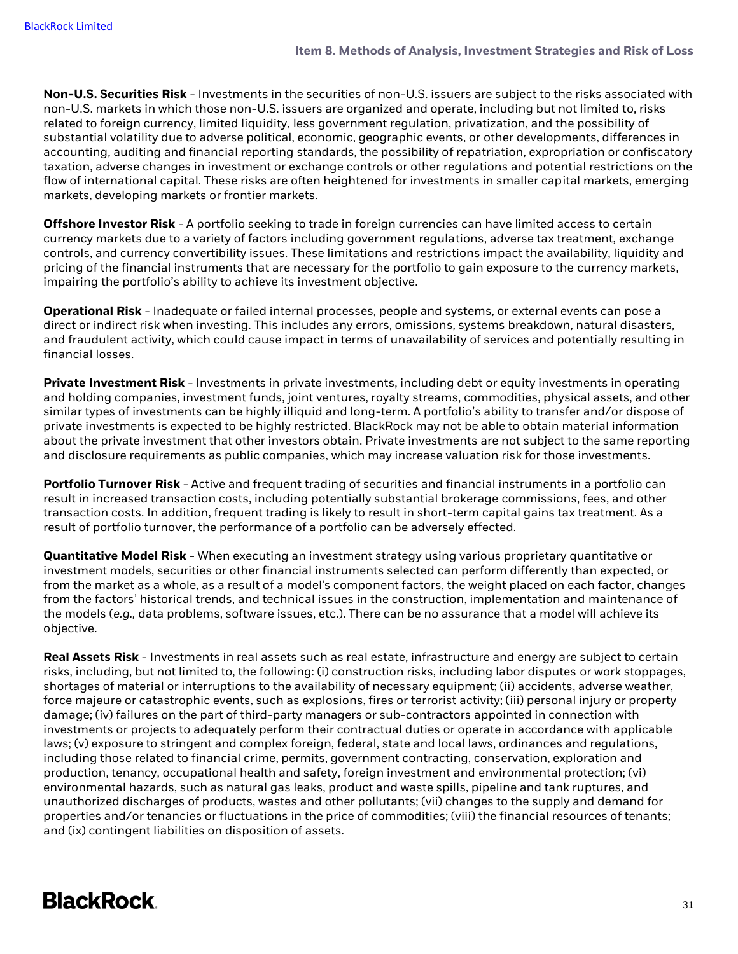**Non-U.S. Securities Risk** - Investments in the securities of non-U.S. issuers are subject to the risks associated with non-U.S. markets in which those non-U.S. issuers are organized and operate, including but not limited to, risks related to foreign currency, limited liquidity, less government regulation, privatization, and the possibility of substantial volatility due to adverse political, economic, geographic events, or other developments, differences in accounting, auditing and financial reporting standards, the possibility of repatriation, expropriation or confiscatory taxation, adverse changes in investment or exchange controls or other regulations and potential restrictions on the flow of international capital. These risks are often heightened for investments in smaller capital markets, emerging markets, developing markets or frontier markets.

**Offshore Investor Risk** - A portfolio seeking to trade in foreign currencies can have limited access to certain currency markets due to a variety of factors including government regulations, adverse tax treatment, exchange controls, and currency convertibility issues. These limitations and restrictions impact the availability, liquidity and pricing of the financial instruments that are necessary for the portfolio to gain exposure to the currency markets, impairing the portfolio's ability to achieve its investment objective.

**Operational Risk** - Inadequate or failed internal processes, people and systems, or external events can pose a direct or indirect risk when investing. This includes any errors, omissions, systems breakdown, natural disasters, and fraudulent activity, which could cause impact in terms of unavailability of services and potentially resulting in financial losses.

**Private Investment Risk** - Investments in private investments, including debt or equity investments in operating and holding companies, investment funds, joint ventures, royalty streams, commodities, physical assets, and other similar types of investments can be highly illiquid and long-term. A portfolio's ability to transfer and/or dispose of private investments is expected to be highly restricted. BlackRock may not be able to obtain material information about the private investment that other investors obtain. Private investments are not subject to the same reporting and disclosure requirements as public companies, which may increase valuation risk for those investments.

**Portfolio Turnover Risk** - Active and frequent trading of securities and financial instruments in a portfolio can result in increased transaction costs, including potentially substantial brokerage commissions, fees, and other transaction costs. In addition, frequent trading is likely to result in short-term capital gains tax treatment. As a result of portfolio turnover, the performance of a portfolio can be adversely effected.

**Quantitative Model Risk** - When executing an investment strategy using various proprietary quantitative or investment models, securities or other financial instruments selected can perform differently than expected, or from the market as a whole, as a result of a model's component factors, the weight placed on each factor, changes from the factors' historical trends, and technical issues in the construction, implementation and maintenance of the models (*e.g.,* data problems, software issues, etc.). There can be no assurance that a model will achieve its objective.

**Real Assets Risk** - Investments in real assets such as real estate, infrastructure and energy are subject to certain risks, including, but not limited to, the following: (i) construction risks, including labor disputes or work stoppages, shortages of material or interruptions to the availability of necessary equipment; (ii) accidents, adverse weather, force majeure or catastrophic events, such as explosions, fires or terrorist activity; (iii) personal injury or property damage; (iv) failures on the part of third-party managers or sub-contractors appointed in connection with investments or projects to adequately perform their contractual duties or operate in accordance with applicable laws; (v) exposure to stringent and complex foreign, federal, state and local laws, ordinances and regulations, including those related to financial crime, permits, government contracting, conservation, exploration and production, tenancy, occupational health and safety, foreign investment and environmental protection; (vi) environmental hazards, such as natural gas leaks, product and waste spills, pipeline and tank ruptures, and unauthorized discharges of products, wastes and other pollutants; (vii) changes to the supply and demand for properties and/or tenancies or fluctuations in the price of commodities; (viii) the financial resources of tenants; and (ix) contingent liabilities on disposition of assets.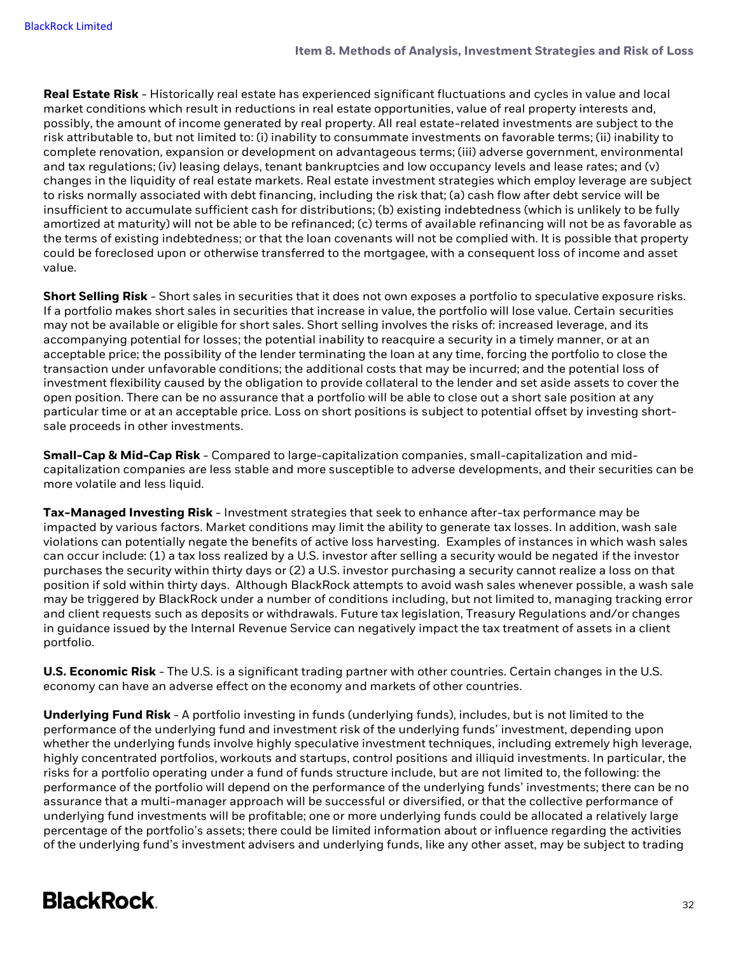**Real Estate Risk** - Historically real estate has experienced significant fluctuations and cycles in value and local market conditions which result in reductions in real estate opportunities, value of real property interests and, possibly, the amount of income generated by real property. All real estate-related investments are subject to the risk attributable to, but not limited to: (i) inability to consummate investments on favorable terms; (ii) inability to complete renovation, expansion or development on advantageous terms; (iii) adverse government, environmental and tax regulations; (iv) leasing delays, tenant bankruptcies and low occupancy levels and lease rates; and (v) changes in the liquidity of real estate markets. Real estate investment strategies which employ leverage are subject to risks normally associated with debt financing, including the risk that; (a) cash flow after debt service will be insufficient to accumulate sufficient cash for distributions; (b) existing indebtedness (which is unlikely to be fully amortized at maturity) will not be able to be refinanced; (c) terms of available refinancing will not be as favorable as the terms of existing indebtedness; or that the loan covenants will not be complied with. It is possible that property could be foreclosed upon or otherwise transferred to the mortgagee, with a consequent loss of income and asset value.

**Short Selling Risk** - Short sales in securities that it does not own exposes a portfolio to speculative exposure risks. If a portfolio makes short sales in securities that increase in value, the portfolio will lose value. Certain securities may not be available or eligible for short sales. Short selling involves the risks of: increased leverage, and its accompanying potential for losses; the potential inability to reacquire a security in a timely manner, or at an acceptable price; the possibility of the lender terminating the loan at any time, forcing the portfolio to close the transaction under unfavorable conditions; the additional costs that may be incurred; and the potential loss of investment flexibility caused by the obligation to provide collateral to the lender and set aside assets to cover the open position. There can be no assurance that a portfolio will be able to close out a short sale position at any particular time or at an acceptable price. Loss on short positions is subject to potential offset by investing shortsale proceeds in other investments.

**Small-Cap & Mid-Cap Risk** - Compared to large-capitalization companies, small-capitalization and midcapitalization companies are less stable and more susceptible to adverse developments, and their securities can be more volatile and less liquid.

**Tax-Managed Investing Risk** - Investment strategies that seek to enhance after-tax performance may be impacted by various factors. Market conditions may limit the ability to generate tax losses. In addition, wash sale violations can potentially negate the benefits of active loss harvesting. Examples of instances in which wash sales can occur include: (1) a tax loss realized by a U.S. investor after selling a security would be negated if the investor purchases the security within thirty days or (2) a U.S. investor purchasing a security cannot realize a loss on that position if sold within thirty days. Although BlackRock attempts to avoid wash sales whenever possible, a wash sale may be triggered by BlackRock under a number of conditions including, but not limited to, managing tracking error and client requests such as deposits or withdrawals. Future tax legislation, Treasury Regulations and/or changes in guidance issued by the Internal Revenue Service can negatively impact the tax treatment of assets in a client portfolio.

**U.S. Economic Risk** - The U.S. is a significant trading partner with other countries. Certain changes in the U.S. economy can have an adverse effect on the economy and markets of other countries.

**Underlying Fund Risk** - A portfolio investing in funds (underlying funds), includes, but is not limited to the performance of the underlying fund and investment risk of the underlying funds' investment, depending upon whether the underlying funds involve highly speculative investment techniques, including extremely high leverage, highly concentrated portfolios, workouts and startups, control positions and illiquid investments. In particular, the risks for a portfolio operating under a fund of funds structure include, but are not limited to, the following: the performance of the portfolio will depend on the performance of the underlying funds' investments; there can be no assurance that a multi-manager approach will be successful or diversified, or that the collective performance of underlying fund investments will be profitable; one or more underlying funds could be allocated a relatively large percentage of the portfolio's assets; there could be limited information about or influence regarding the activities of the underlying fund's investment advisers and underlying funds, like any other asset, may be subject to trading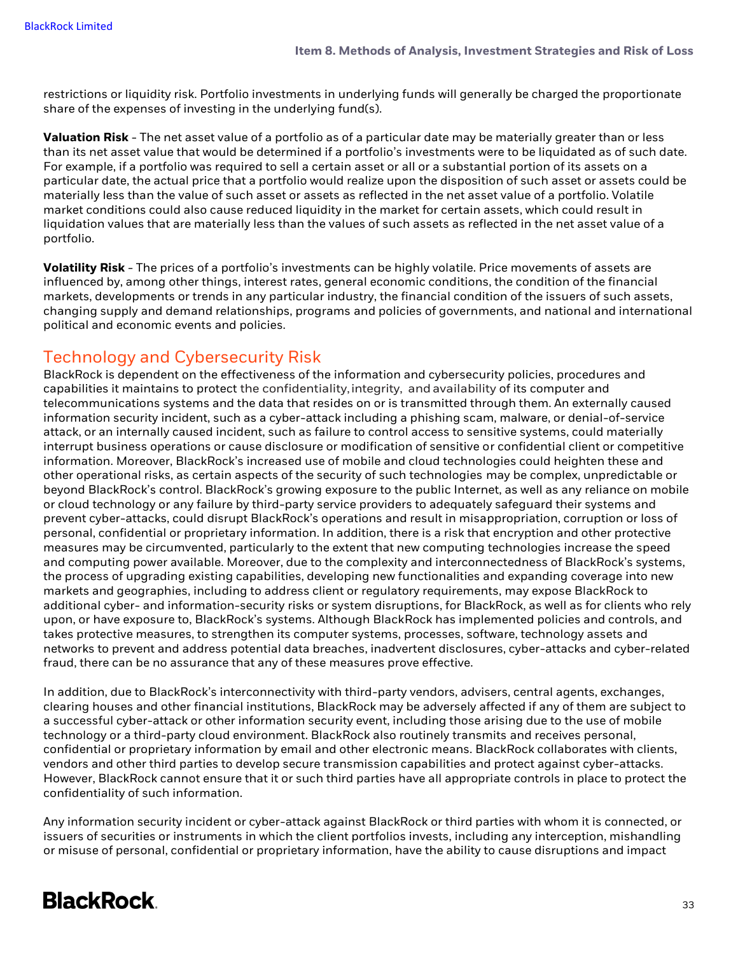restrictions or liquidity risk. Portfolio investments in underlying funds will generally be charged the proportionate share of the expenses of investing in the underlying fund(s).

**Valuation Risk** - The net asset value of a portfolio as of a particular date may be materially greater than or less than its net asset value that would be determined if a portfolio's investments were to be liquidated as of such date. For example, if a portfolio was required to sell a certain asset or all or a substantial portion of its assets on a particular date, the actual price that a portfolio would realize upon the disposition of such asset or assets could be materially less than the value of such asset or assets as reflected in the net asset value of a portfolio. Volatile market conditions could also cause reduced liquidity in the market for certain assets, which could result in liquidation values that are materially less than the values of such assets as reflected in the net asset value of a portfolio.

**Volatility Risk** - The prices of a portfolio's investments can be highly volatile. Price movements of assets are influenced by, among other things, interest rates, general economic conditions, the condition of the financial markets, developments or trends in any particular industry, the financial condition of the issuers of such assets, changing supply and demand relationships, programs and policies of governments, and national and international political and economic events and policies.

### Technology and Cybersecurity Risk

BlackRock is dependent on the effectiveness of the information and cybersecurity policies, procedures and capabilities it maintains to protect the confidentiality,integrity, andavailability of its computer and telecommunications systems and the data that resides on or is transmitted through them. An externally caused information security incident, such as a cyber-attack including a phishing scam, malware, or denial-of-service attack, or an internally caused incident, such as failure to control access to sensitive systems, could materially interrupt business operations or cause disclosure or modification of sensitive or confidential client or competitive information. Moreover, BlackRock's increased use of mobile and cloud technologies could heighten these and other operational risks, as certain aspects of the security of such technologies may be complex, unpredictable or beyond BlackRock's control. BlackRock's growing exposure to the public Internet, as well as any reliance on mobile or cloud technology or any failure by third-party service providers to adequately safeguard their systems and prevent cyber-attacks, could disrupt BlackRock's operations and result in misappropriation, corruption or loss of personal, confidential or proprietary information. In addition, there is a risk that encryption and other protective measures may be circumvented, particularly to the extent that new computing technologies increase the speed and computing power available. Moreover, due to the complexity and interconnectedness of BlackRock's systems, the process of upgrading existing capabilities, developing new functionalities and expanding coverage into new markets and geographies, including to address client or regulatory requirements, may expose BlackRock to additional cyber- and information-security risks or system disruptions, for BlackRock, as well as for clients who rely upon, or have exposure to, BlackRock's systems. Although BlackRock has implemented policies and controls, and takes protective measures, to strengthen its computer systems, processes, software, technology assets and networks to prevent and address potential data breaches, inadvertent disclosures, cyber-attacks and cyber-related fraud, there can be no assurance that any of these measures prove effective.

In addition, due to BlackRock's interconnectivity with third-party vendors, advisers, central agents, exchanges, clearing houses and other financial institutions, BlackRock may be adversely affected if any of them are subject to a successful cyber-attack or other information security event, including those arising due to the use of mobile technology or a third-party cloud environment. BlackRock also routinely transmits and receives personal, confidential or proprietary information by email and other electronic means. BlackRock collaborates with clients, vendors and other third parties to develop secure transmission capabilities and protect against cyber-attacks. However, BlackRock cannot ensure that it or such third parties have all appropriate controls in place to protect the confidentiality of such information.

Any information security incident or cyber-attack against BlackRock or third parties with whom it is connected, or issuers of securities or instruments in which the client portfolios invests, including any interception, mishandling or misuse of personal, confidential or proprietary information, have the ability to cause disruptions and impact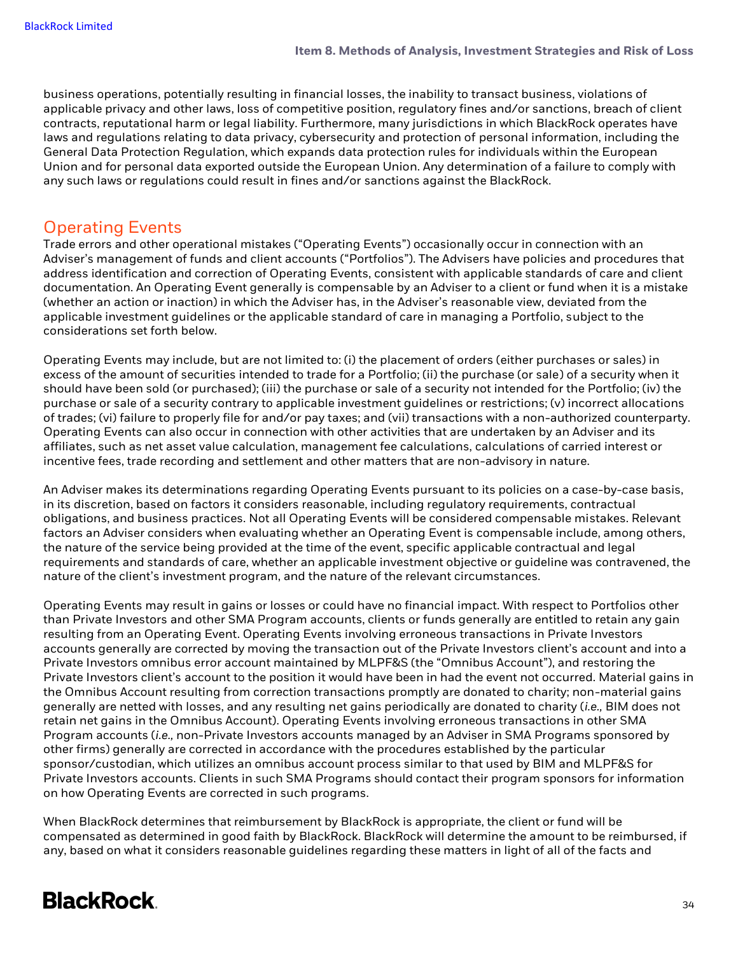business operations, potentially resulting in financial losses, the inability to transact business, violations of applicable privacy and other laws, loss of competitive position, regulatory fines and/or sanctions, breach of client contracts, reputational harm or legal liability. Furthermore, many jurisdictions in which BlackRock operates have laws and regulations relating to data privacy, cybersecurity and protection of personal information, including the General Data Protection Regulation, which expands data protection rules for individuals within the European Union and for personal data exported outside the European Union. Any determination of a failure to comply with any such laws or regulations could result in fines and/or sanctions against the BlackRock.

## Operating Events

Trade errors and other operational mistakes ("Operating Events") occasionally occur in connection with an Adviser's management of funds and client accounts ("Portfolios"). The Advisers have policies and procedures that address identification and correction of Operating Events, consistent with applicable standards of care and client documentation. An Operating Event generally is compensable by an Adviser to a client or fund when it is a mistake (whether an action or inaction) in which the Adviser has, in the Adviser's reasonable view, deviated from the applicable investment guidelines or the applicable standard of care in managing a Portfolio, subject to the considerations set forth below.

Operating Events may include, but are not limited to: (i) the placement of orders (either purchases or sales) in excess of the amount of securities intended to trade for a Portfolio; (ii) the purchase (or sale) of a security when it should have been sold (or purchased); (iii) the purchase or sale of a security not intended for the Portfolio; (iv) the purchase or sale of a security contrary to applicable investment guidelines or restrictions; (v) incorrect allocations of trades; (vi) failure to properly file for and/or pay taxes; and (vii) transactions with a non-authorized counterparty. Operating Events can also occur in connection with other activities that are undertaken by an Adviser and its affiliates, such as net asset value calculation, management fee calculations, calculations of carried interest or incentive fees, trade recording and settlement and other matters that are non-advisory in nature.

An Adviser makes its determinations regarding Operating Events pursuant to its policies on a case-by-case basis, in its discretion, based on factors it considers reasonable, including regulatory requirements, contractual obligations, and business practices. Not all Operating Events will be considered compensable mistakes. Relevant factors an Adviser considers when evaluating whether an Operating Event is compensable include, among others, the nature of the service being provided at the time of the event, specific applicable contractual and legal requirements and standards of care, whether an applicable investment objective or guideline was contravened, the nature of the client's investment program, and the nature of the relevant circumstances.

Operating Events may result in gains or losses or could have no financial impact. With respect to Portfolios other than Private Investors and other SMA Program accounts, clients or funds generally are entitled to retain any gain resulting from an Operating Event. Operating Events involving erroneous transactions in Private Investors accounts generally are corrected by moving the transaction out of the Private Investors client's account and into a Private Investors omnibus error account maintained by MLPF&S (the "Omnibus Account"), and restoring the Private Investors client's account to the position it would have been in had the event not occurred. Material gains in the Omnibus Account resulting from correction transactions promptly are donated to charity; non-material gains generally are netted with losses, and any resulting net gains periodically are donated to charity (*i.e.,* BIM does not retain net gains in the Omnibus Account). Operating Events involving erroneous transactions in other SMA Program accounts (*i.e.,* non-Private Investors accounts managed by an Adviser in SMA Programs sponsored by other firms) generally are corrected in accordance with the procedures established by the particular sponsor/custodian, which utilizes an omnibus account process similar to that used by BIM and MLPF&S for Private Investors accounts. Clients in such SMA Programs should contact their program sponsors for information on how Operating Events are corrected in such programs.

When BlackRock determines that reimbursement by BlackRock is appropriate, the client or fund will be compensated as determined in good faith by BlackRock. BlackRock will determine the amount to be reimbursed, if any, based on what it considers reasonable guidelines regarding these matters in light of all of the facts and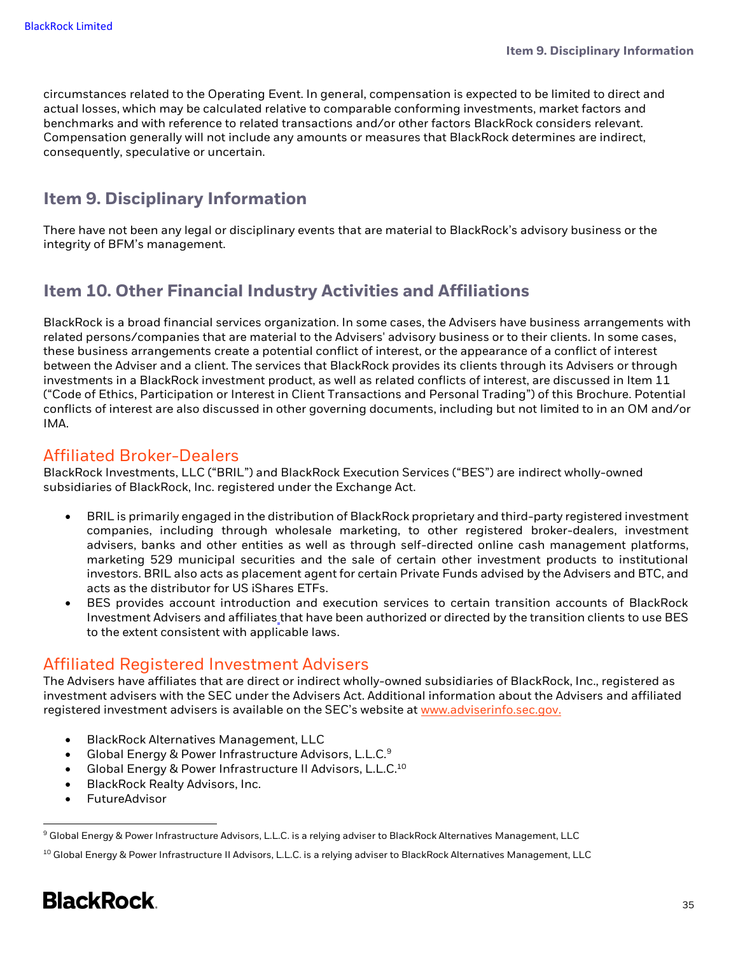circumstances related to the Operating Event. In general, compensation is expected to be limited to direct and actual losses, which may be calculated relative to comparable conforming investments, market factors and benchmarks and with reference to related transactions and/or other factors BlackRock considers relevant. Compensation generally will not include any amounts or measures that BlackRock determines are indirect, consequently, speculative or uncertain.

## **Item 9. Disciplinary Information**

There have not been any legal or disciplinary events that are material to BlackRock's advisory business or the integrity of BFM's management.

## **Item 10. Other Financial Industry Activities and Affiliations**

BlackRock is a broad financial services organization. In some cases, the Advisers have business arrangements with related persons/companies that are material to the Advisers' advisory business or to their clients. In some cases, these business arrangements create a potential conflict of interest, or the appearance of a conflict of interest between the Adviser and a client. The services that BlackRock provides its clients through its Advisers or through investments in a BlackRock investment product, as well as related conflicts of interest, are discussed in Item 11 ("Code of Ethics, Participation or Interest in Client Transactions and Personal Trading") of this Brochure. Potential conflicts of interest are also discussed in other governing documents, including but not limited to in an OM and/or IMA.

### Affiliated Broker-Dealers

BlackRock Investments, LLC ("BRIL") and BlackRock Execution Services ("BES") are indirect wholly-owned subsidiaries of BlackRock, Inc. registered under the Exchange Act.

- BRIL is primarily engaged in the distribution of BlackRock proprietary and third-party registered investment companies, including through wholesale marketing, to other registered broker-dealers, investment advisers, banks and other entities as well as through self-directed online cash management platforms, marketing 529 municipal securities and the sale of certain other investment products to institutional investors. BRIL also acts as placement agent for certain Private Funds advised by the Advisers and BTC, and acts as the distributor for US iShares ETFs.
- BES provides account introduction and execution services to certain transition accounts of BlackRock Investment Advisers and affiliates that have been authorized or directed by the transition clients to use BES to the extent consistent with applicable laws.

## Affiliated Registered Investment Advisers

The Advisers have affiliates that are direct or indirect wholly-owned subsidiaries of BlackRock, Inc., registered as investment advisers with the SEC under the Advisers Act. Additional information about the Advisers and affiliated registered investment advisers is available on the SEC's website at [www.adviserinfo.sec.gov.](http://www.adviserinfo.sec.gov/)

- BlackRock Alternatives Management, LLC
- Global Energy & Power Infrastructure Advisors, L.L.C.<sup>9</sup>
- Global Energy & Power Infrastructure II Advisors, L.L.C.<sup>10</sup>
- BlackRock Realty Advisors, Inc.
- FutureAdvisor

<sup>&</sup>lt;sup>9</sup> Global Energy & Power Infrastructure Advisors, L.L.C. is a relying adviser to BlackRock Alternatives Management, LLC

<sup>&</sup>lt;sup>10</sup> Global Energy & Power Infrastructure II Advisors, L.L.C. is a relying adviser to BlackRock Alternatives Management, LLC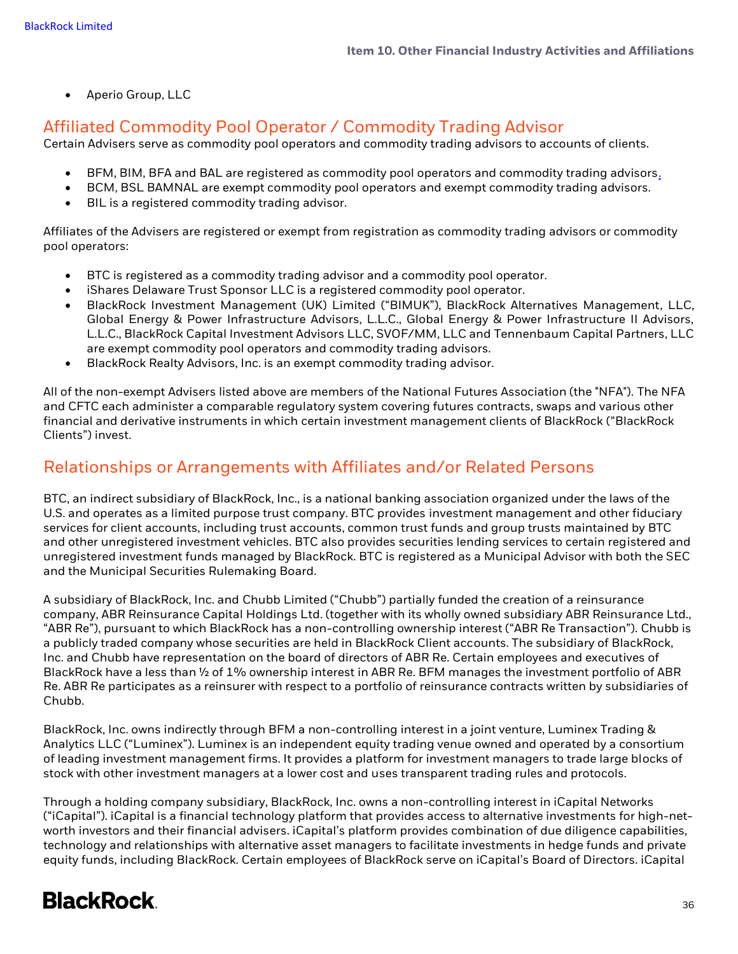• Aperio Group, LLC

## Affiliated Commodity Pool Operator / Commodity Trading Advisor

Certain Advisers serve as commodity pool operators and commodity trading advisors to accounts of clients.

- BFM, BIM, BFA and BAL are registered as commodity pool operators and commodity trading advisors.
- BCM, BSL BAMNAL are exempt commodity pool operators and exempt commodity trading advisors.
- BIL is a registered commodity trading advisor.

Affiliates of the Advisers are registered or exempt from registration as commodity trading advisors or commodity pool operators:

- BTC is registered as a commodity trading advisor and a commodity pool operator.
- iShares Delaware Trust Sponsor LLC is a registered commodity pool operator.
- BlackRock Investment Management (UK) Limited ("BIMUK"), BlackRock Alternatives Management, LLC, Global Energy & Power Infrastructure Advisors, L.L.C., Global Energy & Power Infrastructure II Advisors, L.L.C., BlackRock Capital Investment Advisors LLC, SVOF/MM, LLC and Tennenbaum Capital Partners, LLC are exempt commodity pool operators and commodity trading advisors.
- BlackRock Realty Advisors, Inc. is an exempt commodity trading advisor.

All of the non-exempt Advisers listed above are members of the National Futures Association (the "NFA"). The NFA and CFTC each administer a comparable regulatory system covering futures contracts, swaps and various other financial and derivative instruments in which certain investment management clients of BlackRock ("BlackRock Clients") invest.

## Relationships or Arrangements with Affiliates and/or Related Persons

BTC, an indirect subsidiary of BlackRock, Inc., is a national banking association organized under the laws of the U.S. and operates as a limited purpose trust company. BTC provides investment management and other fiduciary services for client accounts, including trust accounts, common trust funds and group trusts maintained by BTC and other unregistered investment vehicles. BTC also provides securities lending services to certain registered and unregistered investment funds managed by BlackRock. BTC is registered as a Municipal Advisor with both the SEC and the Municipal Securities Rulemaking Board.

A subsidiary of BlackRock, Inc. and Chubb Limited ("Chubb") partially funded the creation of a reinsurance company, ABR Reinsurance Capital Holdings Ltd. (together with its wholly owned subsidiary ABR Reinsurance Ltd., "ABR Re"), pursuant to which BlackRock has a non-controlling ownership interest ("ABR Re Transaction"). Chubb is a publicly traded company whose securities are held in BlackRock Client accounts. The subsidiary of BlackRock, Inc. and Chubb have representation on the board of directors of ABR Re. Certain employees and executives of BlackRock have a less than ½ of 1% ownership interest in ABR Re. BFM manages the investment portfolio of ABR Re. ABR Re participates as a reinsurer with respect to a portfolio of reinsurance contracts written by subsidiaries of Chubb.

BlackRock, Inc. owns indirectly through BFM a non-controlling interest in a joint venture, Luminex Trading & Analytics LLC ("Luminex"). Luminex is an independent equity trading venue owned and operated by a consortium of leading investment management firms. It provides a platform for investment managers to trade large blocks of stock with other investment managers at a lower cost and uses transparent trading rules and protocols.

Through a holding company subsidiary, BlackRock, Inc. owns a non-controlling interest in iCapital Networks ("iCapital"). iCapital is a financial technology platform that provides access to alternative investments for high-networth investors and their financial advisers. iCapital's platform provides combination of due diligence capabilities, technology and relationships with alternative asset managers to facilitate investments in hedge funds and private equity funds, including BlackRock. Certain employees of BlackRock serve on iCapital's Board of Directors. iCapital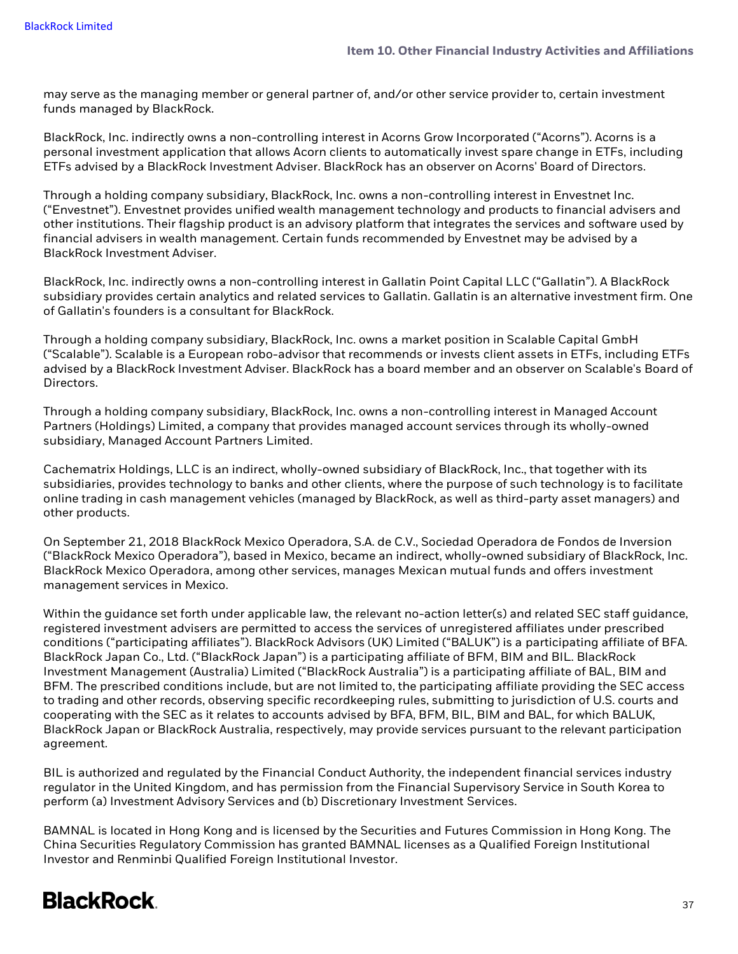may serve as the managing member or general partner of, and/or other service provider to, certain investment funds managed by BlackRock.

BlackRock, Inc. indirectly owns a non-controlling interest in Acorns Grow Incorporated ("Acorns"). Acorns is a personal investment application that allows Acorn clients to automatically invest spare change in ETFs, including ETFs advised by a BlackRock Investment Adviser. BlackRock has an observer on Acorns' Board of Directors.

Through a holding company subsidiary, BlackRock, Inc. owns a non-controlling interest in Envestnet Inc. ("Envestnet"). Envestnet provides unified wealth management technology and products to financial advisers and other institutions. Their flagship product is an advisory platform that integrates the services and software used by financial advisers in wealth management. Certain funds recommended by Envestnet may be advised by a BlackRock Investment Adviser.

BlackRock, Inc. indirectly owns a non-controlling interest in Gallatin Point Capital LLC ("Gallatin"). A BlackRock subsidiary provides certain analytics and related services to Gallatin. Gallatin is an alternative investment firm. One of Gallatin's founders is a consultant for BlackRock.

Through a holding company subsidiary, BlackRock, Inc. owns a market position in Scalable Capital GmbH ("Scalable"). Scalable is a European robo-advisor that recommends or invests client assets in ETFs, including ETFs advised by a BlackRock Investment Adviser. BlackRock has a board member and an observer on Scalable's Board of **Directors** 

Through a holding company subsidiary, BlackRock, Inc. owns a non-controlling interest in Managed Account Partners (Holdings) Limited, a company that provides managed account services through its wholly-owned subsidiary, Managed Account Partners Limited.

Cachematrix Holdings, LLC is an indirect, wholly-owned subsidiary of BlackRock, Inc., that together with its subsidiaries, provides technology to banks and other clients, where the purpose of such technology is to facilitate online trading in cash management vehicles (managed by BlackRock, as well as third-party asset managers) and other products.

On September 21, 2018 BlackRock Mexico Operadora, S.A. de C.V., Sociedad Operadora de Fondos de Inversion ("BlackRock Mexico Operadora"), based in Mexico, became an indirect, wholly-owned subsidiary of BlackRock, Inc. BlackRock Mexico Operadora, among other services, manages Mexican mutual funds and offers investment management services in Mexico.

Within the guidance set forth under applicable law, the relevant no-action letter(s) and related SEC staff guidance, registered investment advisers are permitted to access the services of unregistered affiliates under prescribed conditions ("participating affiliates"). BlackRock Advisors (UK) Limited ("BALUK") is a participating affiliate of BFA. BlackRock Japan Co., Ltd. ("BlackRock Japan") is a participating affiliate of BFM, BIM and BIL. BlackRock Investment Management (Australia) Limited ("BlackRock Australia") is a participating affiliate of BAL, BIM and BFM. The prescribed conditions include, but are not limited to, the participating affiliate providing the SEC access to trading and other records, observing specific recordkeeping rules, submitting to jurisdiction of U.S. courts and cooperating with the SEC as it relates to accounts advised by BFA, BFM, BIL, BIM and BAL, for which BALUK, BlackRock Japan or BlackRock Australia, respectively, may provide services pursuant to the relevant participation agreement.

BIL is authorized and regulated by the Financial Conduct Authority, the independent financial services industry regulator in the United Kingdom, and has permission from the Financial Supervisory Service in South Korea to perform (a) Investment Advisory Services and (b) Discretionary Investment Services.

BAMNAL is located in Hong Kong and is licensed by the Securities and Futures Commission in Hong Kong. The China Securities Regulatory Commission has granted BAMNAL licenses as a Qualified Foreign Institutional Investor and Renminbi Qualified Foreign Institutional Investor.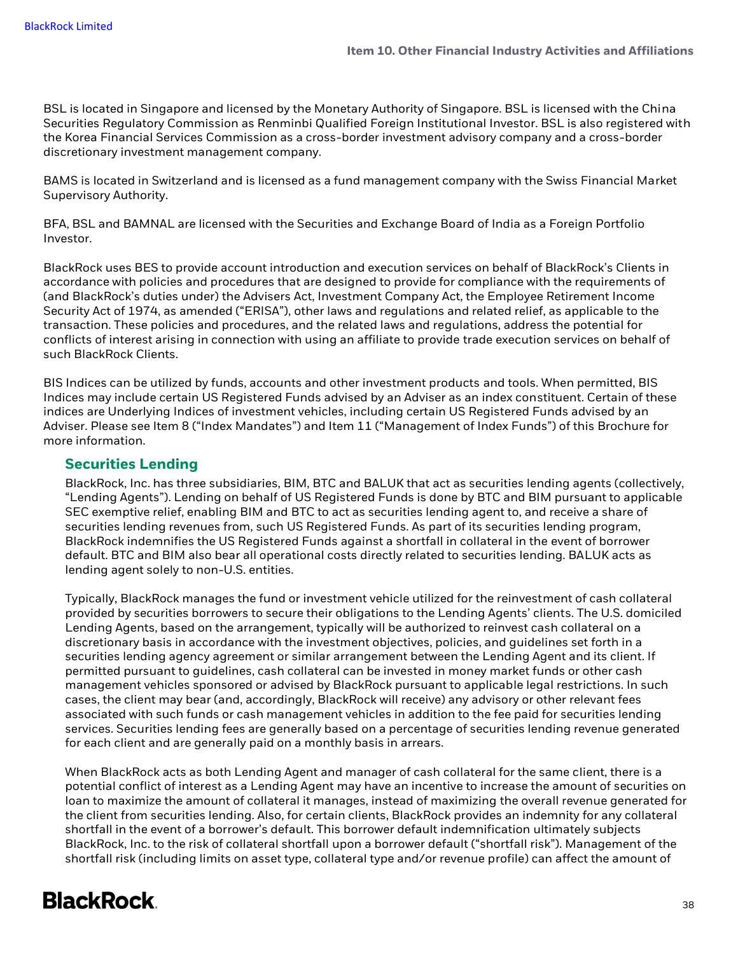BSL is located in Singapore and licensed by the Monetary Authority of Singapore. BSL is licensed with the China Securities Regulatory Commission as Renminbi Qualified Foreign Institutional Investor. BSL is also registered with the Korea Financial Services Commission as a cross-border investment advisory company and a cross-border discretionary investment management company.

BAMS is located in Switzerland and is licensed as a fund management company with the Swiss Financial Market Supervisory Authority.

BFA, BSL and BAMNAL are licensed with the Securities and Exchange Board of India as a Foreign Portfolio Investor.

BlackRock uses BES to provide account introduction and execution services on behalf of BlackRock's Clients in accordance with policies and procedures that are designed to provide for compliance with the requirements of (and BlackRock's duties under) the Advisers Act, Investment Company Act, the Employee Retirement Income Security Act of 1974, as amended ("ERISA"), other laws and regulations and related relief, as applicable to the transaction. These policies and procedures, and the related laws and regulations, address the potential for conflicts of interest arising in connection with using an affiliate to provide trade execution services on behalf of such BlackRock Clients.

BIS Indices can be utilized by funds, accounts and other investment products and tools. When permitted, BIS Indices may include certain US Registered Funds advised by an Adviser as an index constituent. Certain of these indices are Underlying Indices of investment vehicles, including certain US Registered Funds advised by an Adviser. Please see Item 8 ("Index Mandates") and Item 11 ("Management of Index Funds") of this Brochure for more information.

### **Securities Lending**

BlackRock, Inc. has three subsidiaries, BIM, BTC and BALUK that act as securities lending agents (collectively, "Lending Agents"). Lending on behalf of US Registered Funds is done by BTC and BIM pursuant to applicable SEC exemptive relief, enabling BIM and BTC to act as securities lending agent to, and receive a share of securities lending revenues from, such US Registered Funds. As part of its securities lending program, BlackRock indemnifies the US Registered Funds against a shortfall in collateral in the event of borrower default. BTC and BIM also bear all operational costs directly related to securities lending. BALUK acts as lending agent solely to non-U.S. entities.

Typically, BlackRock manages the fund or investment vehicle utilized for the reinvestment of cash collateral provided by securities borrowers to secure their obligations to the Lending Agents' clients. The U.S. domiciled Lending Agents, based on the arrangement, typically will be authorized to reinvest cash collateral on a discretionary basis in accordance with the investment objectives, policies, and guidelines set forth in a securities lending agency agreement or similar arrangement between the Lending Agent and its client. If permitted pursuant to guidelines, cash collateral can be invested in money market funds or other cash management vehicles sponsored or advised by BlackRock pursuant to applicable legal restrictions. In such cases, the client may bear (and, accordingly, BlackRock will receive) any advisory or other relevant fees associated with such funds or cash management vehicles in addition to the fee paid for securities lending services. Securities lending fees are generally based on a percentage of securities lending revenue generated for each client and are generally paid on a monthly basis in arrears.

When BlackRock acts as both Lending Agent and manager of cash collateral for the same client, there is a potential conflict of interest as a Lending Agent may have an incentive to increase the amount of securities on loan to maximize the amount of collateral it manages, instead of maximizing the overall revenue generated for the client from securities lending. Also, for certain clients, BlackRock provides an indemnity for any collateral shortfall in the event of a borrower's default. This borrower default indemnification ultimately subjects BlackRock, Inc. to the risk of collateral shortfall upon a borrower default ("shortfall risk"). Management of the shortfall risk (including limits on asset type, collateral type and/or revenue profile) can affect the amount of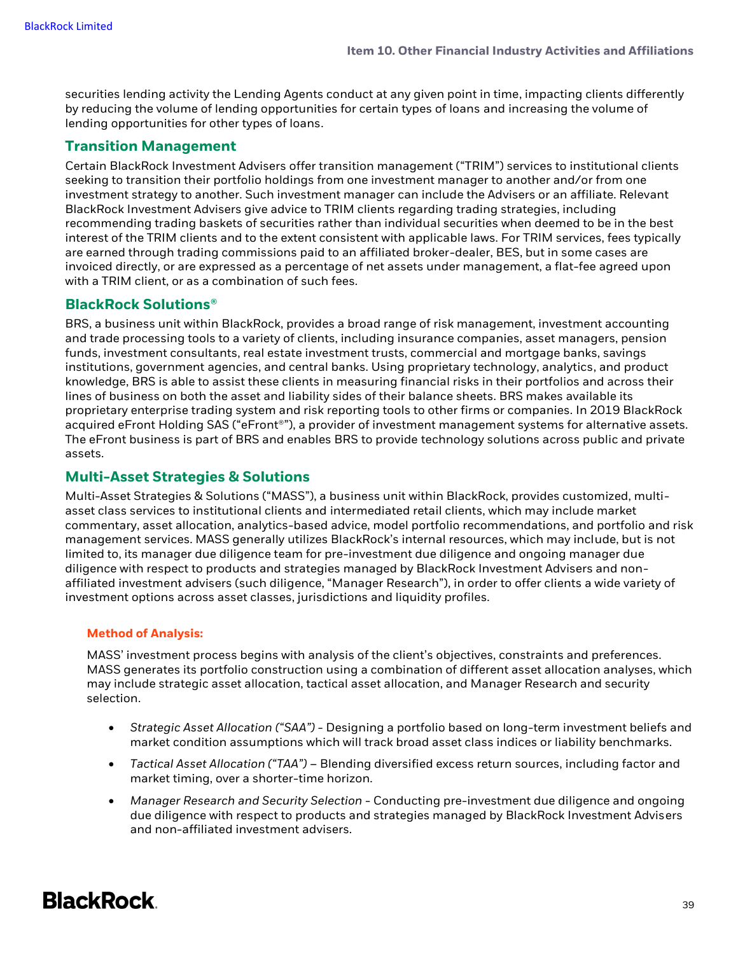securities lending activity the Lending Agents conduct at any given point in time, impacting clients differently by reducing the volume of lending opportunities for certain types of loans and increasing the volume of lending opportunities for other types of loans.

### **Transition Management**

Certain BlackRock Investment Advisers offer transition management ("TRIM") services to institutional clients seeking to transition their portfolio holdings from one investment manager to another and/or from one investment strategy to another. Such investment manager can include the Advisers or an affiliate. Relevant BlackRock Investment Advisers give advice to TRIM clients regarding trading strategies, including recommending trading baskets of securities rather than individual securities when deemed to be in the best interest of the TRIM clients and to the extent consistent with applicable laws. For TRIM services, fees typically are earned through trading commissions paid to an affiliated broker-dealer, BES, but in some cases are invoiced directly, or are expressed as a percentage of net assets under management, a flat-fee agreed upon with a TRIM client, or as a combination of such fees.

### **BlackRock Solutions®**

BRS, a business unit within BlackRock, provides a broad range of risk management, investment accounting and trade processing tools to a variety of clients, including insurance companies, asset managers, pension funds, investment consultants, real estate investment trusts, commercial and mortgage banks, savings institutions, government agencies, and central banks. Using proprietary technology, analytics, and product knowledge, BRS is able to assist these clients in measuring financial risks in their portfolios and across their lines of business on both the asset and liability sides of their balance sheets. BRS makes available its proprietary enterprise trading system and risk reporting tools to other firms or companies. In 2019 BlackRock acquired eFront Holding SAS ("eFront®"), a provider of investment management systems for alternative assets. The eFront business is part of BRS and enables BRS to provide technology solutions across public and private assets.

### **Multi-Asset Strategies & Solutions**

Multi-Asset Strategies & Solutions ("MASS"), a business unit within BlackRock, provides customized, multiasset class services to institutional clients and intermediated retail clients, which may include market commentary, asset allocation, analytics-based advice, model portfolio recommendations, and portfolio and risk management services. MASS generally utilizes BlackRock's internal resources, which may include, but is not limited to, its manager due diligence team for pre-investment due diligence and ongoing manager due diligence with respect to products and strategies managed by BlackRock Investment Advisers and nonaffiliated investment advisers (such diligence, "Manager Research"), in order to offer clients a wide variety of investment options across asset classes, jurisdictions and liquidity profiles.

#### **Method of Analysis:**

MASS' investment process begins with analysis of the client's objectives, constraints and preferences. MASS generates its portfolio construction using a combination of different asset allocation analyses, which may include strategic asset allocation, tactical asset allocation, and Manager Research and security selection.

- *Strategic Asset Allocation ("SAA")*  Designing a portfolio based on long-term investment beliefs and market condition assumptions which will track broad asset class indices or liability benchmarks.
- *Tactical Asset Allocation ("TAA") –* Blending diversified excess return sources, including factor and market timing, over a shorter-time horizon.
- *Manager Research and Security Selection*  Conducting pre-investment due diligence and ongoing due diligence with respect to products and strategies managed by BlackRock Investment Advisers and non-affiliated investment advisers.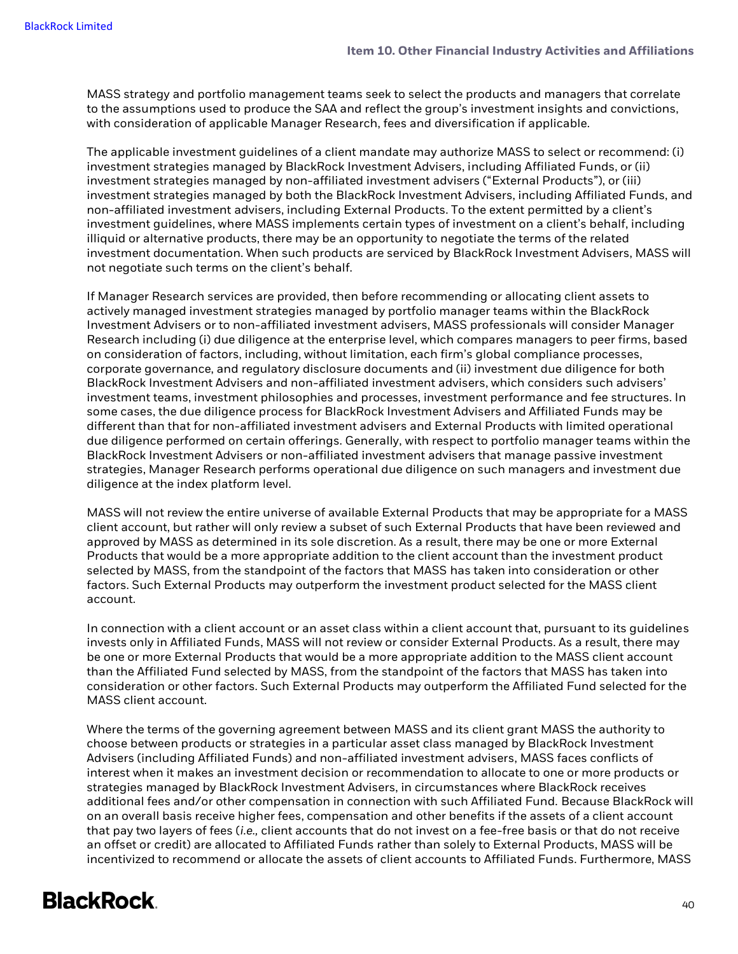MASS strategy and portfolio management teams seek to select the products and managers that correlate to the assumptions used to produce the SAA and reflect the group's investment insights and convictions, with consideration of applicable Manager Research, fees and diversification if applicable.

The applicable investment guidelines of a client mandate may authorize MASS to select or recommend: (i) investment strategies managed by BlackRock Investment Advisers, including Affiliated Funds, or (ii) investment strategies managed by non-affiliated investment advisers ("External Products"), or (iii) investment strategies managed by both the BlackRock Investment Advisers, including Affiliated Funds, and non-affiliated investment advisers, including External Products. To the extent permitted by a client's investment guidelines, where MASS implements certain types of investment on a client's behalf, including illiquid or alternative products, there may be an opportunity to negotiate the terms of the related investment documentation. When such products are serviced by BlackRock Investment Advisers, MASS will not negotiate such terms on the client's behalf.

If Manager Research services are provided, then before recommending or allocating client assets to actively managed investment strategies managed by portfolio manager teams within the BlackRock Investment Advisers or to non-affiliated investment advisers, MASS professionals will consider Manager Research including (i) due diligence at the enterprise level, which compares managers to peer firms, based on consideration of factors, including, without limitation, each firm's global compliance processes, corporate governance, and regulatory disclosure documents and (ii) investment due diligence for both BlackRock Investment Advisers and non-affiliated investment advisers, which considers such advisers' investment teams, investment philosophies and processes, investment performance and fee structures. In some cases, the due diligence process for BlackRock Investment Advisers and Affiliated Funds may be different than that for non-affiliated investment advisers and External Products with limited operational due diligence performed on certain offerings. Generally, with respect to portfolio manager teams within the BlackRock Investment Advisers or non-affiliated investment advisers that manage passive investment strategies, Manager Research performs operational due diligence on such managers and investment due diligence at the index platform level.

MASS will not review the entire universe of available External Products that may be appropriate for a MASS client account, but rather will only review a subset of such External Products that have been reviewed and approved by MASS as determined in its sole discretion. As a result, there may be one or more External Products that would be a more appropriate addition to the client account than the investment product selected by MASS, from the standpoint of the factors that MASS has taken into consideration or other factors. Such External Products may outperform the investment product selected for the MASS client account.

In connection with a client account or an asset class within a client account that, pursuant to its guidelines invests only in Affiliated Funds, MASS will not review or consider External Products. As a result, there may be one or more External Products that would be a more appropriate addition to the MASS client account than the Affiliated Fund selected by MASS, from the standpoint of the factors that MASS has taken into consideration or other factors. Such External Products may outperform the Affiliated Fund selected for the MASS client account.

Where the terms of the governing agreement between MASS and its client grant MASS the authority to choose between products or strategies in a particular asset class managed by BlackRock Investment Advisers (including Affiliated Funds) and non-affiliated investment advisers, MASS faces conflicts of interest when it makes an investment decision or recommendation to allocate to one or more products or strategies managed by BlackRock Investment Advisers, in circumstances where BlackRock receives additional fees and/or other compensation in connection with such Affiliated Fund. Because BlackRock will on an overall basis receive higher fees, compensation and other benefits if the assets of a client account that pay two layers of fees (*i.e.,* client accounts that do not invest on a fee-free basis or that do not receive an offset or credit) are allocated to Affiliated Funds rather than solely to External Products, MASS will be incentivized to recommend or allocate the assets of client accounts to Affiliated Funds. Furthermore, MASS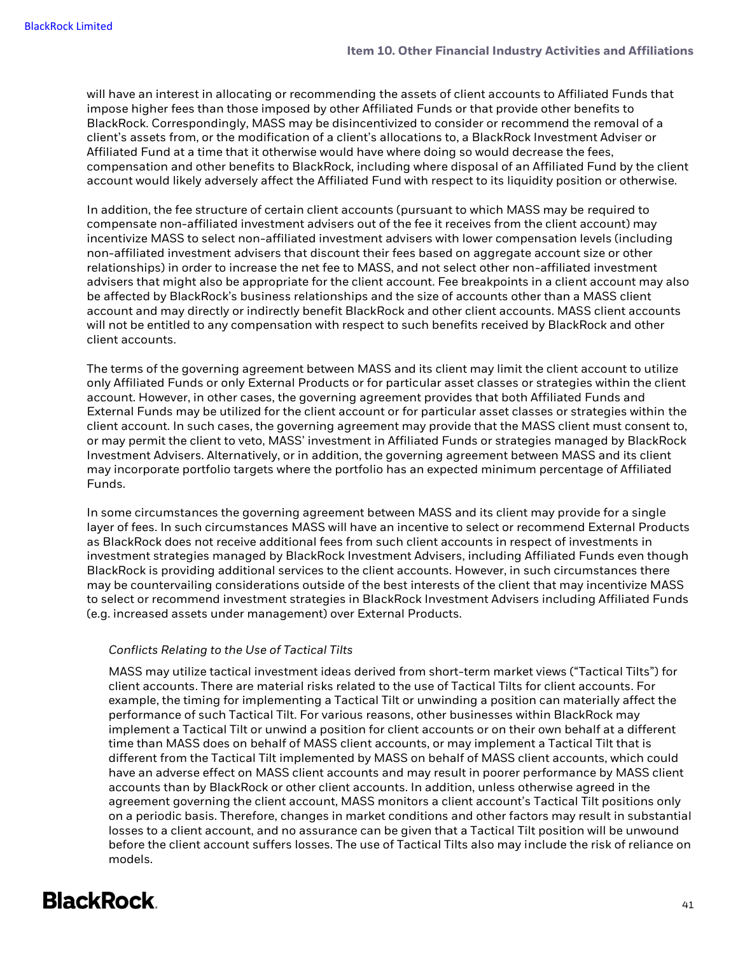will have an interest in allocating or recommending the assets of client accounts to Affiliated Funds that impose higher fees than those imposed by other Affiliated Funds or that provide other benefits to BlackRock. Correspondingly, MASS may be disincentivized to consider or recommend the removal of a client's assets from, or the modification of a client's allocations to, a BlackRock Investment Adviser or Affiliated Fund at a time that it otherwise would have where doing so would decrease the fees, compensation and other benefits to BlackRock, including where disposal of an Affiliated Fund by the client account would likely adversely affect the Affiliated Fund with respect to its liquidity position or otherwise.

In addition, the fee structure of certain client accounts (pursuant to which MASS may be required to compensate non-affiliated investment advisers out of the fee it receives from the client account) may incentivize MASS to select non-affiliated investment advisers with lower compensation levels (including non-affiliated investment advisers that discount their fees based on aggregate account size or other relationships) in order to increase the net fee to MASS, and not select other non-affiliated investment advisers that might also be appropriate for the client account. Fee breakpoints in a client account may also be affected by BlackRock's business relationships and the size of accounts other than a MASS client account and may directly or indirectly benefit BlackRock and other client accounts. MASS client accounts will not be entitled to any compensation with respect to such benefits received by BlackRock and other client accounts.

The terms of the governing agreement between MASS and its client may limit the client account to utilize only Affiliated Funds or only External Products or for particular asset classes or strategies within the client account. However, in other cases, the governing agreement provides that both Affiliated Funds and External Funds may be utilized for the client account or for particular asset classes or strategies within the client account. In such cases, the governing agreement may provide that the MASS client must consent to, or may permit the client to veto, MASS' investment in Affiliated Funds or strategies managed by BlackRock Investment Advisers. Alternatively, or in addition, the governing agreement between MASS and its client may incorporate portfolio targets where the portfolio has an expected minimum percentage of Affiliated Funds.

In some circumstances the governing agreement between MASS and its client may provide for a single layer of fees. In such circumstances MASS will have an incentive to select or recommend External Products as BlackRock does not receive additional fees from such client accounts in respect of investments in investment strategies managed by BlackRock Investment Advisers, including Affiliated Funds even though BlackRock is providing additional services to the client accounts. However, in such circumstances there may be countervailing considerations outside of the best interests of the client that may incentivize MASS to select or recommend investment strategies in BlackRock Investment Advisers including Affiliated Funds (e.g. increased assets under management) over External Products.

#### *Conflicts Relating to the Use of Tactical Tilts*

MASS may utilize tactical investment ideas derived from short-term market views ("Tactical Tilts") for client accounts. There are material risks related to the use of Tactical Tilts for client accounts. For example, the timing for implementing a Tactical Tilt or unwinding a position can materially affect the performance of such Tactical Tilt. For various reasons, other businesses within BlackRock may implement a Tactical Tilt or unwind a position for client accounts or on their own behalf at a different time than MASS does on behalf of MASS client accounts, or may implement a Tactical Tilt that is different from the Tactical Tilt implemented by MASS on behalf of MASS client accounts, which could have an adverse effect on MASS client accounts and may result in poorer performance by MASS client accounts than by BlackRock or other client accounts. In addition, unless otherwise agreed in the agreement governing the client account, MASS monitors a client account's Tactical Tilt positions only on a periodic basis. Therefore, changes in market conditions and other factors may result in substantial losses to a client account, and no assurance can be given that a Tactical Tilt position will be unwound before the client account suffers losses. The use of Tactical Tilts also may include the risk of reliance on models.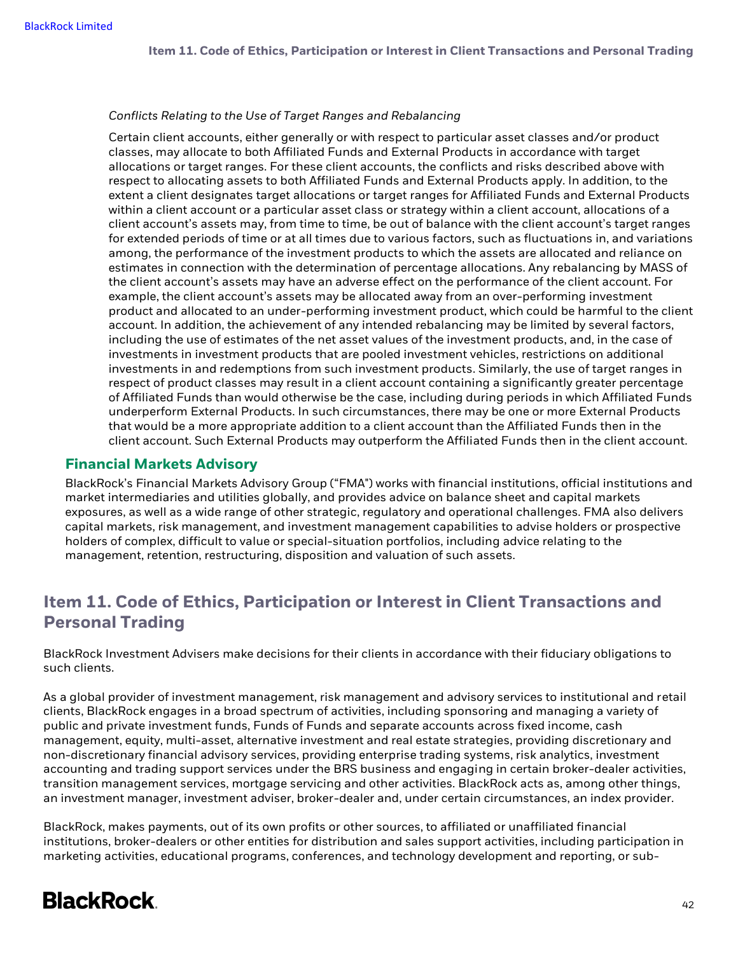#### *Conflicts Relating to the Use of Target Ranges and Rebalancing*

Certain client accounts, either generally or with respect to particular asset classes and/or product classes, may allocate to both Affiliated Funds and External Products in accordance with target allocations or target ranges. For these client accounts, the conflicts and risks described above with respect to allocating assets to both Affiliated Funds and External Products apply. In addition, to the extent a client designates target allocations or target ranges for Affiliated Funds and External Products within a client account or a particular asset class or strategy within a client account, allocations of a client account's assets may, from time to time, be out of balance with the client account's target ranges for extended periods of time or at all times due to various factors, such as fluctuations in, and variations among, the performance of the investment products to which the assets are allocated and reliance on estimates in connection with the determination of percentage allocations. Any rebalancing by MASS of the client account's assets may have an adverse effect on the performance of the client account. For example, the client account's assets may be allocated away from an over-performing investment product and allocated to an under-performing investment product, which could be harmful to the client account. In addition, the achievement of any intended rebalancing may be limited by several factors, including the use of estimates of the net asset values of the investment products, and, in the case of investments in investment products that are pooled investment vehicles, restrictions on additional investments in and redemptions from such investment products. Similarly, the use of target ranges in respect of product classes may result in a client account containing a significantly greater percentage of Affiliated Funds than would otherwise be the case, including during periods in which Affiliated Funds underperform External Products. In such circumstances, there may be one or more External Products that would be a more appropriate addition to a client account than the Affiliated Funds then in the client account. Such External Products may outperform the Affiliated Funds then in the client account.

### **Financial Markets Advisory**

BlackRock's Financial Markets Advisory Group ("FMA") works with financial institutions, official institutions and market intermediaries and utilities globally, and provides advice on balance sheet and capital markets exposures, as well as a wide range of other strategic, regulatory and operational challenges. FMA also delivers capital markets, risk management, and investment management capabilities to advise holders or prospective holders of complex, difficult to value or special-situation portfolios, including advice relating to the management, retention, restructuring, disposition and valuation of such assets.

## **Item 11. Code of Ethics, Participation or Interest in Client Transactions and Personal Trading**

BlackRock Investment Advisers make decisions for their clients in accordance with their fiduciary obligations to such clients.

As a global provider of investment management, risk management and advisory services to institutional and retail clients, BlackRock engages in a broad spectrum of activities, including sponsoring and managing a variety of public and private investment funds, Funds of Funds and separate accounts across fixed income, cash management, equity, multi-asset, alternative investment and real estate strategies, providing discretionary and non-discretionary financial advisory services, providing enterprise trading systems, risk analytics, investment accounting and trading support services under the BRS business and engaging in certain broker-dealer activities, transition management services, mortgage servicing and other activities. BlackRock acts as, among other things, an investment manager, investment adviser, broker-dealer and, under certain circumstances, an index provider.

BlackRock, makes payments, out of its own profits or other sources, to affiliated or unaffiliated financial institutions, broker-dealers or other entities for distribution and sales support activities, including participation in marketing activities, educational programs, conferences, and technology development and reporting, or sub-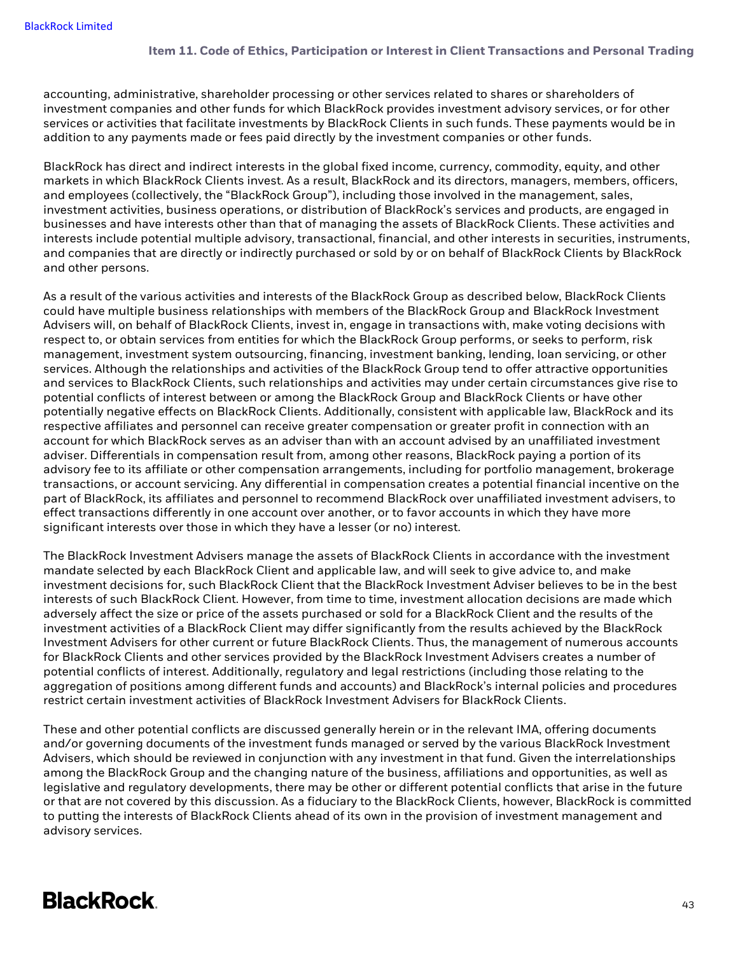#### **Item 11. Code of Ethics, Participation or Interest in Client Transactions and Personal Trading**

accounting, administrative, shareholder processing or other services related to shares or shareholders of investment companies and other funds for which BlackRock provides investment advisory services, or for other services or activities that facilitate investments by BlackRock Clients in such funds. These payments would be in addition to any payments made or fees paid directly by the investment companies or other funds.

BlackRock has direct and indirect interests in the global fixed income, currency, commodity, equity, and other markets in which BlackRock Clients invest. As a result, BlackRock and its directors, managers, members, officers, and employees (collectively, the "BlackRock Group"), including those involved in the management, sales, investment activities, business operations, or distribution of BlackRock's services and products, are engaged in businesses and have interests other than that of managing the assets of BlackRock Clients. These activities and interests include potential multiple advisory, transactional, financial, and other interests in securities, instruments, and companies that are directly or indirectly purchased or sold by or on behalf of BlackRock Clients by BlackRock and other persons.

As a result of the various activities and interests of the BlackRock Group as described below, BlackRock Clients could have multiple business relationships with members of the BlackRock Group and BlackRock Investment Advisers will, on behalf of BlackRock Clients, invest in, engage in transactions with, make voting decisions with respect to, or obtain services from entities for which the BlackRock Group performs, or seeks to perform, risk management, investment system outsourcing, financing, investment banking, lending, loan servicing, or other services. Although the relationships and activities of the BlackRock Group tend to offer attractive opportunities and services to BlackRock Clients, such relationships and activities may under certain circumstances give rise to potential conflicts of interest between or among the BlackRock Group and BlackRock Clients or have other potentially negative effects on BlackRock Clients. Additionally, consistent with applicable law, BlackRock and its respective affiliates and personnel can receive greater compensation or greater profit in connection with an account for which BlackRock serves as an adviser than with an account advised by an unaffiliated investment adviser. Differentials in compensation result from, among other reasons, BlackRock paying a portion of its advisory fee to its affiliate or other compensation arrangements, including for portfolio management, brokerage transactions, or account servicing. Any differential in compensation creates a potential financial incentive on the part of BlackRock, its affiliates and personnel to recommend BlackRock over unaffiliated investment advisers, to effect transactions differently in one account over another, or to favor accounts in which they have more significant interests over those in which they have a lesser (or no) interest.

The BlackRock Investment Advisers manage the assets of BlackRock Clients in accordance with the investment mandate selected by each BlackRock Client and applicable law, and will seek to give advice to, and make investment decisions for, such BlackRock Client that the BlackRock Investment Adviser believes to be in the best interests of such BlackRock Client. However, from time to time, investment allocation decisions are made which adversely affect the size or price of the assets purchased or sold for a BlackRock Client and the results of the investment activities of a BlackRock Client may differ significantly from the results achieved by the BlackRock Investment Advisers for other current or future BlackRock Clients. Thus, the management of numerous accounts for BlackRock Clients and other services provided by the BlackRock Investment Advisers creates a number of potential conflicts of interest. Additionally, regulatory and legal restrictions (including those relating to the aggregation of positions among different funds and accounts) and BlackRock's internal policies and procedures restrict certain investment activities of BlackRock Investment Advisers for BlackRock Clients.

These and other potential conflicts are discussed generally herein or in the relevant IMA, offering documents and/or governing documents of the investment funds managed or served by the various BlackRock Investment Advisers, which should be reviewed in conjunction with any investment in that fund. Given the interrelationships among the BlackRock Group and the changing nature of the business, affiliations and opportunities, as well as legislative and regulatory developments, there may be other or different potential conflicts that arise in the future or that are not covered by this discussion. As a fiduciary to the BlackRock Clients, however, BlackRock is committed to putting the interests of BlackRock Clients ahead of its own in the provision of investment management and advisory services.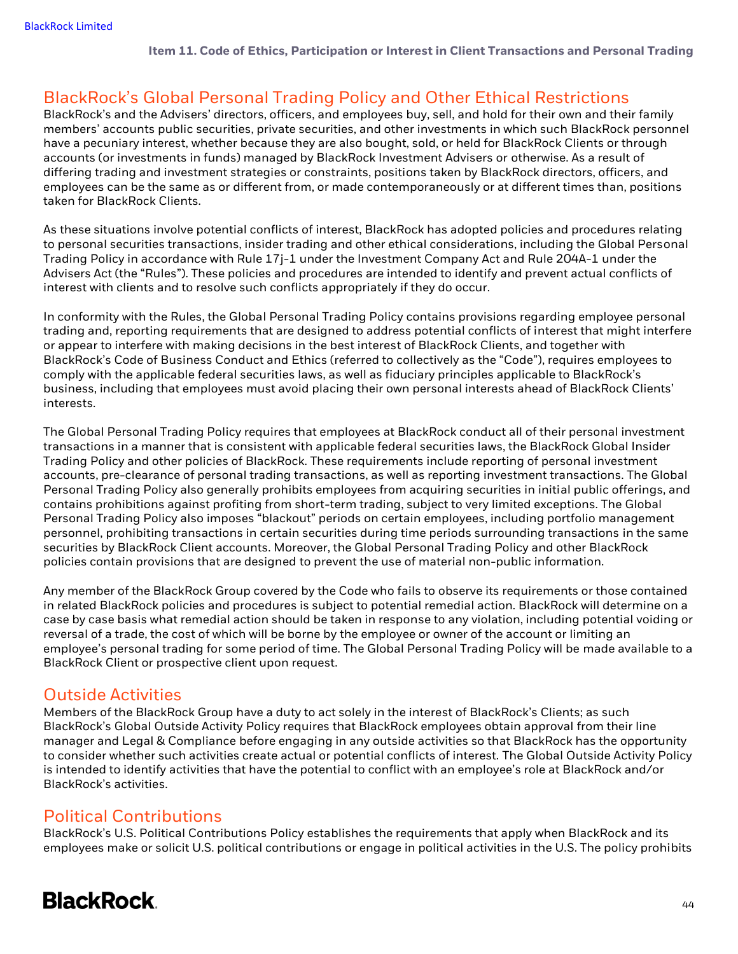## BlackRock's Global Personal Trading Policy and Other Ethical Restrictions

BlackRock's and the Advisers' directors, officers, and employees buy, sell, and hold for their own and their family members' accounts public securities, private securities, and other investments in which such BlackRock personnel have a pecuniary interest, whether because they are also bought, sold, or held for BlackRock Clients or through accounts (or investments in funds) managed by BlackRock Investment Advisers or otherwise. As a result of differing trading and investment strategies or constraints, positions taken by BlackRock directors, officers, and employees can be the same as or different from, or made contemporaneously or at different times than, positions taken for BlackRock Clients.

As these situations involve potential conflicts of interest, BlackRock has adopted policies and procedures relating to personal securities transactions, insider trading and other ethical considerations, including the Global Personal Trading Policy in accordance with Rule 17j-1 under the Investment Company Act and Rule 204A-1 under the Advisers Act (the "Rules"). These policies and procedures are intended to identify and prevent actual conflicts of interest with clients and to resolve such conflicts appropriately if they do occur.

In conformity with the Rules, the Global Personal Trading Policy contains provisions regarding employee personal trading and, reporting requirements that are designed to address potential conflicts of interest that might interfere or appear to interfere with making decisions in the best interest of BlackRock Clients, and together with BlackRock's Code of Business Conduct and Ethics (referred to collectively as the "Code"), requires employees to comply with the applicable federal securities laws, as well as fiduciary principles applicable to BlackRock's business, including that employees must avoid placing their own personal interests ahead of BlackRock Clients' interests.

The Global Personal Trading Policy requires that employees at BlackRock conduct all of their personal investment transactions in a manner that is consistent with applicable federal securities laws, the BlackRock Global Insider Trading Policy and other policies of BlackRock. These requirements include reporting of personal investment accounts, pre-clearance of personal trading transactions, as well as reporting investment transactions. The Global Personal Trading Policy also generally prohibits employees from acquiring securities in initial public offerings, and contains prohibitions against profiting from short-term trading, subject to very limited exceptions. The Global Personal Trading Policy also imposes "blackout" periods on certain employees, including portfolio management personnel, prohibiting transactions in certain securities during time periods surrounding transactions in the same securities by BlackRock Client accounts. Moreover, the Global Personal Trading Policy and other BlackRock policies contain provisions that are designed to prevent the use of material non-public information.

Any member of the BlackRock Group covered by the Code who fails to observe its requirements or those contained in related BlackRock policies and procedures is subject to potential remedial action. BlackRock will determine on a case by case basis what remedial action should be taken in response to any violation, including potential voiding or reversal of a trade, the cost of which will be borne by the employee or owner of the account or limiting an employee's personal trading for some period of time. The Global Personal Trading Policy will be made available to a BlackRock Client or prospective client upon request.

## Outside Activities

Members of the BlackRock Group have a duty to act solely in the interest of BlackRock's Clients; as such BlackRock's Global Outside Activity Policy requires that BlackRock employees obtain approval from their line manager and Legal & Compliance before engaging in any outside activities so that BlackRock has the opportunity to consider whether such activities create actual or potential conflicts of interest. The Global Outside Activity Policy is intended to identify activities that have the potential to conflict with an employee's role at BlackRock and/or BlackRock's activities.

### Political Contributions

BlackRock's U.S. Political Contributions Policy establishes the requirements that apply when BlackRock and its employees make or solicit U.S. political contributions or engage in political activities in the U.S. The policy prohibits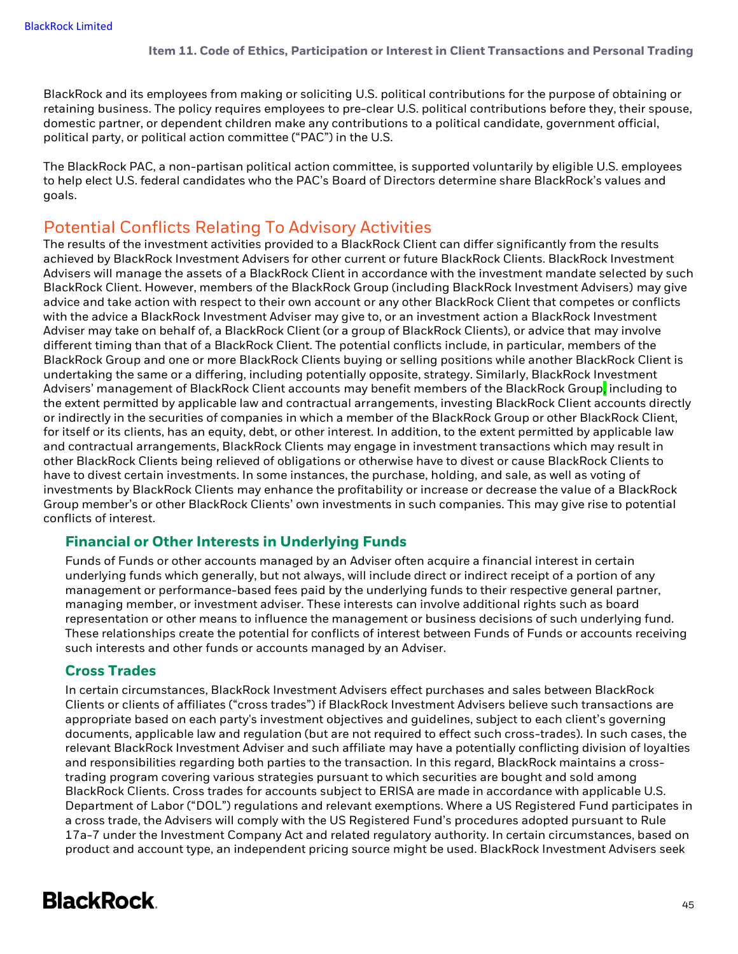BlackRock and its employees from making or soliciting U.S. political contributions for the purpose of obtaining or retaining business. The policy requires employees to pre-clear U.S. political contributions before they, their spouse, domestic partner, or dependent children make any contributions to a political candidate, government official, political party, or political action committee ("PAC") in the U.S.

The BlackRock PAC, a non-partisan political action committee, is supported voluntarily by eligible U.S. employees to help elect U.S. federal candidates who the PAC's Board of Directors determine share BlackRock's values and goals.

## Potential Conflicts Relating To Advisory Activities

The results of the investment activities provided to a BlackRock Client can differ significantly from the results achieved by BlackRock Investment Advisers for other current or future BlackRock Clients. BlackRock Investment Advisers will manage the assets of a BlackRock Client in accordance with the investment mandate selected by such BlackRock Client. However, members of the BlackRock Group (including BlackRock Investment Advisers) may give advice and take action with respect to their own account or any other BlackRock Client that competes or conflicts with the advice a BlackRock Investment Adviser may give to, or an investment action a BlackRock Investment Adviser may take on behalf of, a BlackRock Client (or a group of BlackRock Clients), or advice that may involve different timing than that of a BlackRock Client. The potential conflicts include, in particular, members of the BlackRock Group and one or more BlackRock Clients buying or selling positions while another BlackRock Client is undertaking the same or a differing, including potentially opposite, strategy. Similarly, BlackRock Investment Advisers' management of BlackRock Client accounts may benefit members of the BlackRock Group, including to the extent permitted by applicable law and contractual arrangements, investing BlackRock Client accounts directly or indirectly in the securities of companies in which a member of the BlackRock Group or other BlackRock Client, for itself or its clients, has an equity, debt, or other interest. In addition, to the extent permitted by applicable law and contractual arrangements, BlackRock Clients may engage in investment transactions which may result in other BlackRock Clients being relieved of obligations or otherwise have to divest or cause BlackRock Clients to have to divest certain investments. In some instances, the purchase, holding, and sale, as well as voting of investments by BlackRock Clients may enhance the profitability or increase or decrease the value of a BlackRock Group member's or other BlackRock Clients' own investments in such companies. This may give rise to potential conflicts of interest.

### **Financial or Other Interests in Underlying Funds**

Funds of Funds or other accounts managed by an Adviser often acquire a financial interest in certain underlying funds which generally, but not always, will include direct or indirect receipt of a portion of any management or performance-based fees paid by the underlying funds to their respective general partner, managing member, or investment adviser. These interests can involve additional rights such as board representation or other means to influence the management or business decisions of such underlying fund. These relationships create the potential for conflicts of interest between Funds of Funds or accounts receiving such interests and other funds or accounts managed by an Adviser.

### **Cross Trades**

In certain circumstances, BlackRock Investment Advisers effect purchases and sales between BlackRock Clients or clients of affiliates ("cross trades") if BlackRock Investment Advisers believe such transactions are appropriate based on each party's investment objectives and guidelines, subject to each client's governing documents, applicable law and regulation (but are not required to effect such cross-trades). In such cases, the relevant BlackRock Investment Adviser and such affiliate may have a potentially conflicting division of loyalties and responsibilities regarding both parties to the transaction. In this regard, BlackRock maintains a crosstrading program covering various strategies pursuant to which securities are bought and sold among BlackRock Clients. Cross trades for accounts subject to ERISA are made in accordance with applicable U.S. Department of Labor ("DOL") regulations and relevant exemptions. Where a US Registered Fund participates in a cross trade, the Advisers will comply with the US Registered Fund's procedures adopted pursuant to Rule 17a-7 under the Investment Company Act and related regulatory authority. In certain circumstances, based on product and account type, an independent pricing source might be used. BlackRock Investment Advisers seek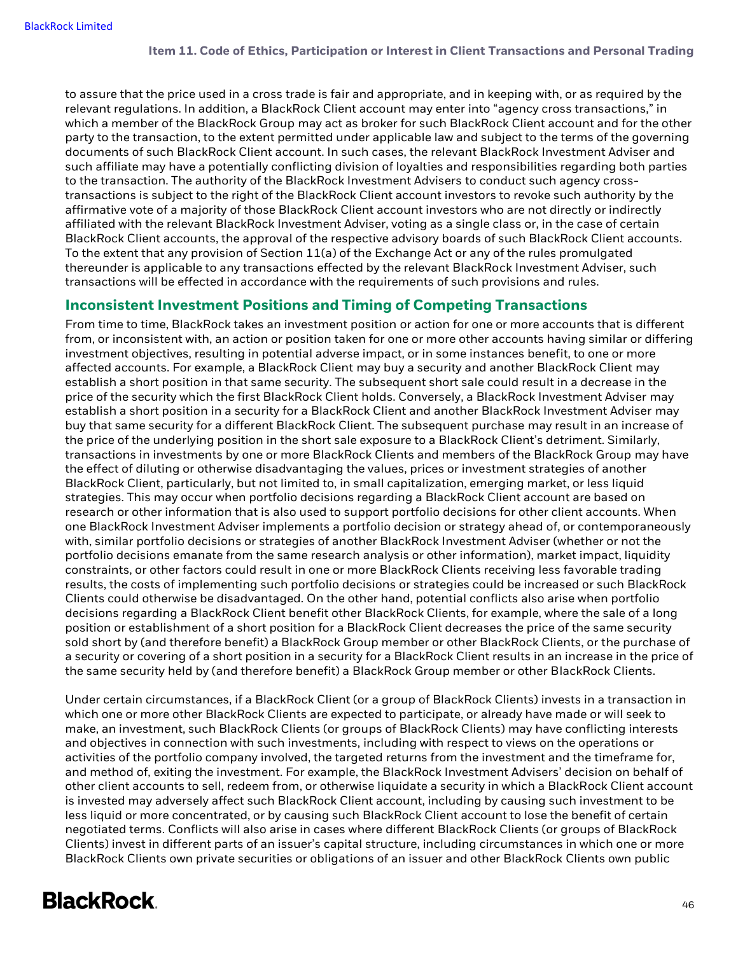#### **Item 11. Code of Ethics, Participation or Interest in Client Transactions and Personal Trading**

to assure that the price used in a cross trade is fair and appropriate, and in keeping with, or as required by the relevant regulations. In addition, a BlackRock Client account may enter into "agency cross transactions," in which a member of the BlackRock Group may act as broker for such BlackRock Client account and for the other party to the transaction, to the extent permitted under applicable law and subject to the terms of the governing documents of such BlackRock Client account. In such cases, the relevant BlackRock Investment Adviser and such affiliate may have a potentially conflicting division of loyalties and responsibilities regarding both parties to the transaction. The authority of the BlackRock Investment Advisers to conduct such agency crosstransactions is subject to the right of the BlackRock Client account investors to revoke such authority by the affirmative vote of a majority of those BlackRock Client account investors who are not directly or indirectly affiliated with the relevant BlackRock Investment Adviser, voting as a single class or, in the case of certain BlackRock Client accounts, the approval of the respective advisory boards of such BlackRock Client accounts. To the extent that any provision of Section 11(a) of the Exchange Act or any of the rules promulgated thereunder is applicable to any transactions effected by the relevant BlackRock Investment Adviser, such transactions will be effected in accordance with the requirements of such provisions and rules.

### **Inconsistent Investment Positions and Timing of Competing Transactions**

From time to time, BlackRock takes an investment position or action for one or more accounts that is different from, or inconsistent with, an action or position taken for one or more other accounts having similar or differing investment objectives, resulting in potential adverse impact, or in some instances benefit, to one or more affected accounts. For example, a BlackRock Client may buy a security and another BlackRock Client may establish a short position in that same security. The subsequent short sale could result in a decrease in the price of the security which the first BlackRock Client holds. Conversely, a BlackRock Investment Adviser may establish a short position in a security for a BlackRock Client and another BlackRock Investment Adviser may buy that same security for a different BlackRock Client. The subsequent purchase may result in an increase of the price of the underlying position in the short sale exposure to a BlackRock Client's detriment. Similarly, transactions in investments by one or more BlackRock Clients and members of the BlackRock Group may have the effect of diluting or otherwise disadvantaging the values, prices or investment strategies of another BlackRock Client, particularly, but not limited to, in small capitalization, emerging market, or less liquid strategies. This may occur when portfolio decisions regarding a BlackRock Client account are based on research or other information that is also used to support portfolio decisions for other client accounts. When one BlackRock Investment Adviser implements a portfolio decision or strategy ahead of, or contemporaneously with, similar portfolio decisions or strategies of another BlackRock Investment Adviser (whether or not the portfolio decisions emanate from the same research analysis or other information), market impact, liquidity constraints, or other factors could result in one or more BlackRock Clients receiving less favorable trading results, the costs of implementing such portfolio decisions or strategies could be increased or such BlackRock Clients could otherwise be disadvantaged. On the other hand, potential conflicts also arise when portfolio decisions regarding a BlackRock Client benefit other BlackRock Clients, for example, where the sale of a long position or establishment of a short position for a BlackRock Client decreases the price of the same security sold short by (and therefore benefit) a BlackRock Group member or other BlackRock Clients, or the purchase of a security or covering of a short position in a security for a BlackRock Client results in an increase in the price of the same security held by (and therefore benefit) a BlackRock Group member or other BlackRock Clients.

Under certain circumstances, if a BlackRock Client (or a group of BlackRock Clients) invests in a transaction in which one or more other BlackRock Clients are expected to participate, or already have made or will seek to make, an investment, such BlackRock Clients (or groups of BlackRock Clients) may have conflicting interests and objectives in connection with such investments, including with respect to views on the operations or activities of the portfolio company involved, the targeted returns from the investment and the timeframe for, and method of, exiting the investment. For example, the BlackRock Investment Advisers' decision on behalf of other client accounts to sell, redeem from, or otherwise liquidate a security in which a BlackRock Client account is invested may adversely affect such BlackRock Client account, including by causing such investment to be less liquid or more concentrated, or by causing such BlackRock Client account to lose the benefit of certain negotiated terms. Conflicts will also arise in cases where different BlackRock Clients (or groups of BlackRock Clients) invest in different parts of an issuer's capital structure, including circumstances in which one or more BlackRock Clients own private securities or obligations of an issuer and other BlackRock Clients own public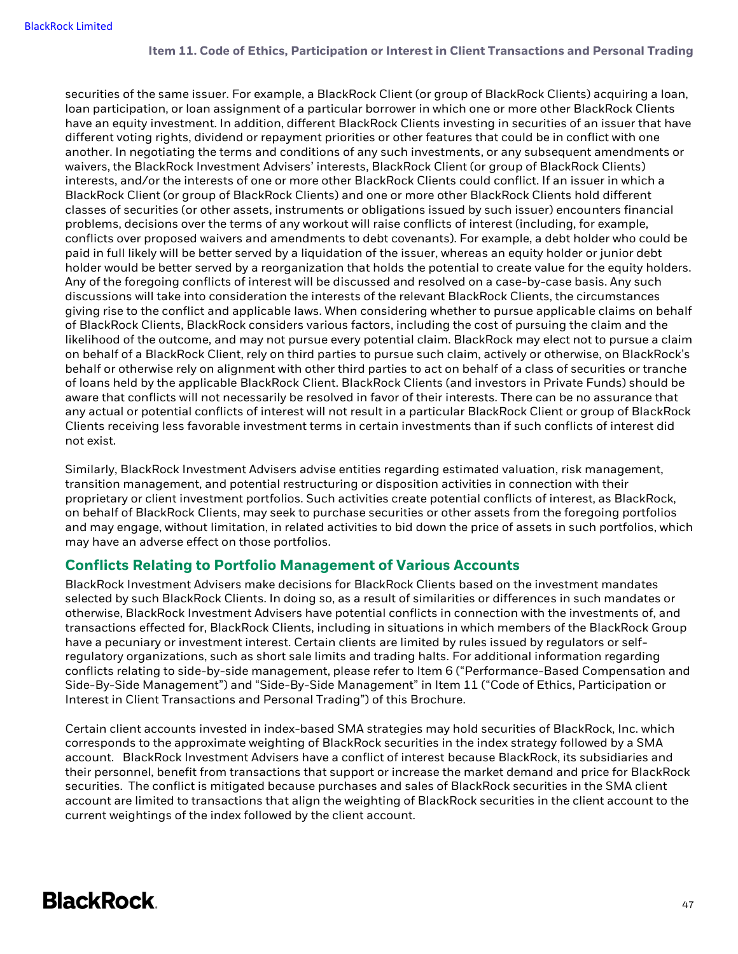#### **Item 11. Code of Ethics, Participation or Interest in Client Transactions and Personal Trading**

securities of the same issuer. For example, a BlackRock Client (or group of BlackRock Clients) acquiring a loan, loan participation, or loan assignment of a particular borrower in which one or more other BlackRock Clients have an equity investment. In addition, different BlackRock Clients investing in securities of an issuer that have different voting rights, dividend or repayment priorities or other features that could be in conflict with one another. In negotiating the terms and conditions of any such investments, or any subsequent amendments or waivers, the BlackRock Investment Advisers' interests, BlackRock Client (or group of BlackRock Clients) interests, and/or the interests of one or more other BlackRock Clients could conflict. If an issuer in which a BlackRock Client (or group of BlackRock Clients) and one or more other BlackRock Clients hold different classes of securities (or other assets, instruments or obligations issued by such issuer) encounters financial problems, decisions over the terms of any workout will raise conflicts of interest (including, for example, conflicts over proposed waivers and amendments to debt covenants). For example, a debt holder who could be paid in full likely will be better served by a liquidation of the issuer, whereas an equity holder or junior debt holder would be better served by a reorganization that holds the potential to create value for the equity holders. Any of the foregoing conflicts of interest will be discussed and resolved on a case-by-case basis. Any such discussions will take into consideration the interests of the relevant BlackRock Clients, the circumstances giving rise to the conflict and applicable laws. When considering whether to pursue applicable claims on behalf of BlackRock Clients, BlackRock considers various factors, including the cost of pursuing the claim and the likelihood of the outcome, and may not pursue every potential claim. BlackRock may elect not to pursue a claim on behalf of a BlackRock Client, rely on third parties to pursue such claim, actively or otherwise, on BlackRock's behalf or otherwise rely on alignment with other third parties to act on behalf of a class of securities or tranche of loans held by the applicable BlackRock Client. BlackRock Clients (and investors in Private Funds) should be aware that conflicts will not necessarily be resolved in favor of their interests. There can be no assurance that any actual or potential conflicts of interest will not result in a particular BlackRock Client or group of BlackRock Clients receiving less favorable investment terms in certain investments than if such conflicts of interest did not exist.

Similarly, BlackRock Investment Advisers advise entities regarding estimated valuation, risk management, transition management, and potential restructuring or disposition activities in connection with their proprietary or client investment portfolios. Such activities create potential conflicts of interest, as BlackRock, on behalf of BlackRock Clients, may seek to purchase securities or other assets from the foregoing portfolios and may engage, without limitation, in related activities to bid down the price of assets in such portfolios, which may have an adverse effect on those portfolios.

### **Conflicts Relating to Portfolio Management of Various Accounts**

BlackRock Investment Advisers make decisions for BlackRock Clients based on the investment mandates selected by such BlackRock Clients. In doing so, as a result of similarities or differences in such mandates or otherwise, BlackRock Investment Advisers have potential conflicts in connection with the investments of, and transactions effected for, BlackRock Clients, including in situations in which members of the BlackRock Group have a pecuniary or investment interest. Certain clients are limited by rules issued by regulators or selfregulatory organizations, such as short sale limits and trading halts. For additional information regarding conflicts relating to side-by-side management, please refer to Item 6 ("Performance-Based Compensation and Side-By-Side Management") and "Side-By-Side Management" in Item 11 ("Code of Ethics, Participation or Interest in Client Transactions and Personal Trading") of this Brochure.

Certain client accounts invested in index-based SMA strategies may hold securities of BlackRock, Inc. which corresponds to the approximate weighting of BlackRock securities in the index strategy followed by a SMA account. BlackRock Investment Advisers have a conflict of interest because BlackRock, its subsidiaries and their personnel, benefit from transactions that support or increase the market demand and price for BlackRock securities. The conflict is mitigated because purchases and sales of BlackRock securities in the SMA client account are limited to transactions that align the weighting of BlackRock securities in the client account to the current weightings of the index followed by the client account.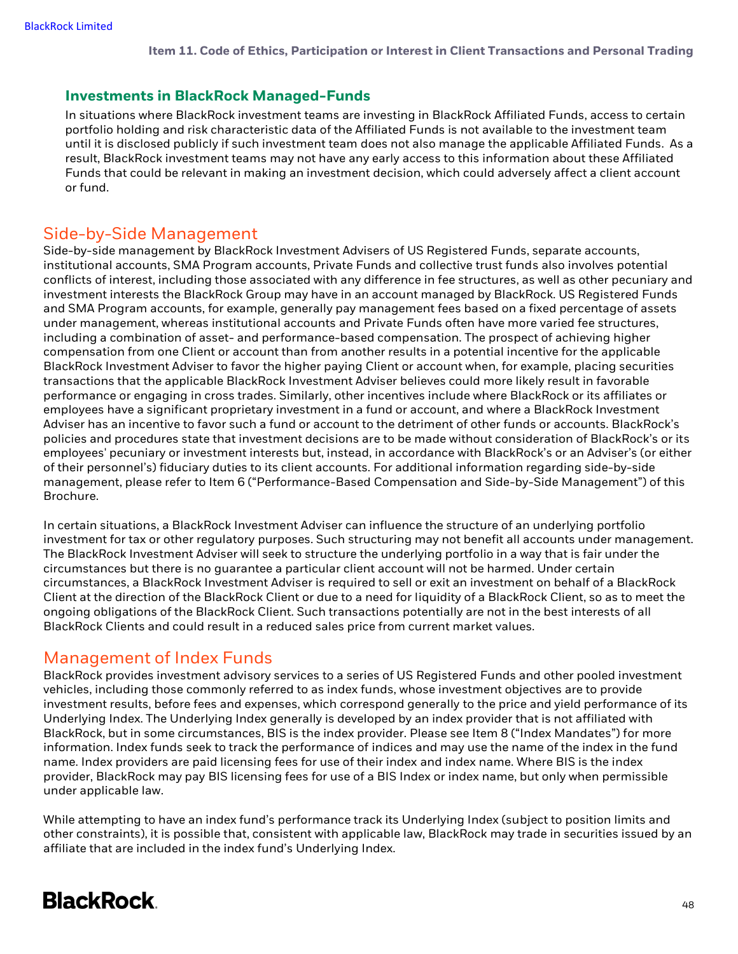### **Investments in BlackRock Managed-Funds**

In situations where BlackRock investment teams are investing in BlackRock Affiliated Funds, access to certain portfolio holding and risk characteristic data of the Affiliated Funds is not available to the investment team until it is disclosed publicly if such investment team does not also manage the applicable Affiliated Funds. As a result, BlackRock investment teams may not have any early access to this information about these Affiliated Funds that could be relevant in making an investment decision, which could adversely affect a client account or fund.

### Side-by-Side Management

Side-by-side management by BlackRock Investment Advisers of US Registered Funds, separate accounts, institutional accounts, SMA Program accounts, Private Funds and collective trust funds also involves potential conflicts of interest, including those associated with any difference in fee structures, as well as other pecuniary and investment interests the BlackRock Group may have in an account managed by BlackRock. US Registered Funds and SMA Program accounts, for example, generally pay management fees based on a fixed percentage of assets under management, whereas institutional accounts and Private Funds often have more varied fee structures, including a combination of asset- and performance-based compensation. The prospect of achieving higher compensation from one Client or account than from another results in a potential incentive for the applicable BlackRock Investment Adviser to favor the higher paying Client or account when, for example, placing securities transactions that the applicable BlackRock Investment Adviser believes could more likely result in favorable performance or engaging in cross trades. Similarly, other incentives include where BlackRock or its affiliates or employees have a significant proprietary investment in a fund or account, and where a BlackRock Investment Adviser has an incentive to favor such a fund or account to the detriment of other funds or accounts. BlackRock's policies and procedures state that investment decisions are to be made without consideration of BlackRock's or its employees' pecuniary or investment interests but, instead, in accordance with BlackRock's or an Adviser's (or either of their personnel's) fiduciary duties to its client accounts. For additional information regarding side-by-side management, please refer to Item 6 ("Performance-Based Compensation and Side-by-Side Management") of this Brochure.

In certain situations, a BlackRock Investment Adviser can influence the structure of an underlying portfolio investment for tax or other regulatory purposes. Such structuring may not benefit all accounts under management. The BlackRock Investment Adviser will seek to structure the underlying portfolio in a way that is fair under the circumstances but there is no guarantee a particular client account will not be harmed. Under certain circumstances, a BlackRock Investment Adviser is required to sell or exit an investment on behalf of a BlackRock Client at the direction of the BlackRock Client or due to a need for liquidity of a BlackRock Client, so as to meet the ongoing obligations of the BlackRock Client. Such transactions potentially are not in the best interests of all BlackRock Clients and could result in a reduced sales price from current market values.

### Management of Index Funds

BlackRock provides investment advisory services to a series of US Registered Funds and other pooled investment vehicles, including those commonly referred to as index funds, whose investment objectives are to provide investment results, before fees and expenses, which correspond generally to the price and yield performance of its Underlying Index. The Underlying Index generally is developed by an index provider that is not affiliated with BlackRock, but in some circumstances, BIS is the index provider. Please see Item 8 ("Index Mandates") for more information. Index funds seek to track the performance of indices and may use the name of the index in the fund name. Index providers are paid licensing fees for use of their index and index name. Where BIS is the index provider, BlackRock may pay BIS licensing fees for use of a BIS Index or index name, but only when permissible under applicable law.

While attempting to have an index fund's performance track its Underlying Index (subject to position limits and other constraints), it is possible that, consistent with applicable law, BlackRock may trade in securities issued by an affiliate that are included in the index fund's Underlying Index.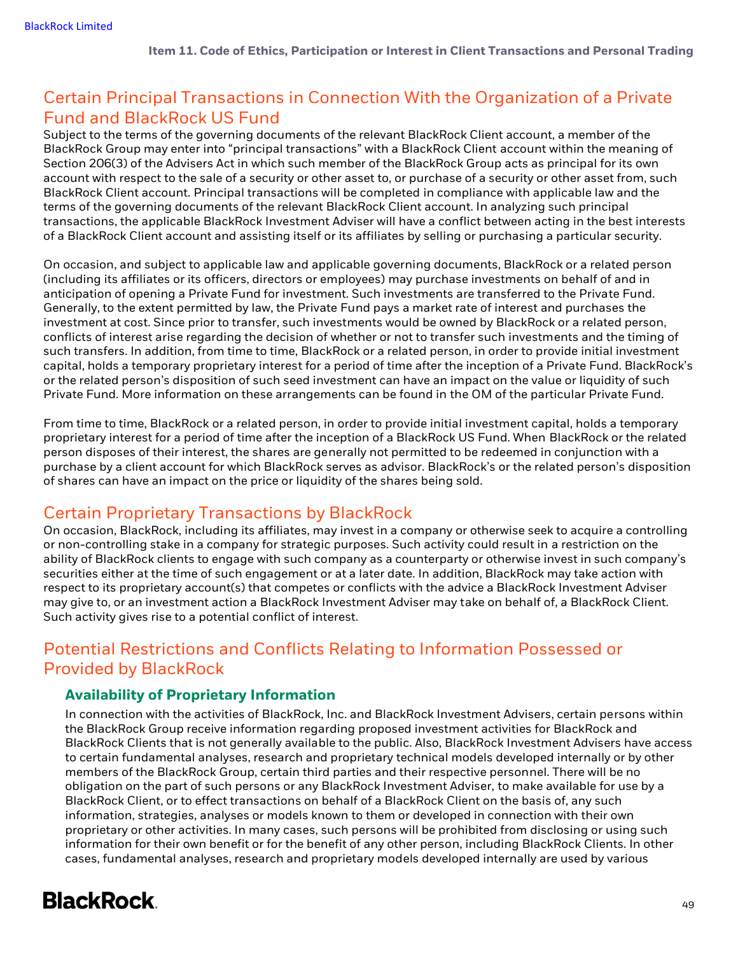## Certain Principal Transactions in Connection With the Organization of a Private Fund and BlackRock US Fund

Subject to the terms of the governing documents of the relevant BlackRock Client account, a member of the BlackRock Group may enter into "principal transactions" with a BlackRock Client account within the meaning of Section 206(3) of the Advisers Act in which such member of the BlackRock Group acts as principal for its own account with respect to the sale of a security or other asset to, or purchase of a security or other asset from, such BlackRock Client account. Principal transactions will be completed in compliance with applicable law and the terms of the governing documents of the relevant BlackRock Client account. In analyzing such principal transactions, the applicable BlackRock Investment Adviser will have a conflict between acting in the best interests of a BlackRock Client account and assisting itself or its affiliates by selling or purchasing a particular security.

On occasion, and subject to applicable law and applicable governing documents, BlackRock or a related person (including its affiliates or its officers, directors or employees) may purchase investments on behalf of and in anticipation of opening a Private Fund for investment. Such investments are transferred to the Private Fund. Generally, to the extent permitted by law, the Private Fund pays a market rate of interest and purchases the investment at cost. Since prior to transfer, such investments would be owned by BlackRock or a related person, conflicts of interest arise regarding the decision of whether or not to transfer such investments and the timing of such transfers. In addition, from time to time, BlackRock or a related person, in order to provide initial investment capital, holds a temporary proprietary interest for a period of time after the inception of a Private Fund. BlackRock's or the related person's disposition of such seed investment can have an impact on the value or liquidity of such Private Fund. More information on these arrangements can be found in the OM of the particular Private Fund.

From time to time, BlackRock or a related person, in order to provide initial investment capital, holds a temporary proprietary interest for a period of time after the inception of a BlackRock US Fund. When BlackRock or the related person disposes of their interest, the shares are generally not permitted to be redeemed in conjunction with a purchase by a client account for which BlackRock serves as advisor. BlackRock's or the related person's disposition of shares can have an impact on the price or liquidity of the shares being sold.

## Certain Proprietary Transactions by BlackRock

On occasion, BlackRock, including its affiliates, may invest in a company or otherwise seek to acquire a controlling or non-controlling stake in a company for strategic purposes. Such activity could result in a restriction on the ability of BlackRock clients to engage with such company as a counterparty or otherwise invest in such company's securities either at the time of such engagement or at a later date. In addition, BlackRock may take action with respect to its proprietary account(s) that competes or conflicts with the advice a BlackRock Investment Adviser may give to, or an investment action a BlackRock Investment Adviser may take on behalf of, a BlackRock Client. Such activity gives rise to a potential conflict of interest.

## Potential Restrictions and Conflicts Relating to Information Possessed or Provided by BlackRock

### **Availability of Proprietary Information**

In connection with the activities of BlackRock, Inc. and BlackRock Investment Advisers, certain persons within the BlackRock Group receive information regarding proposed investment activities for BlackRock and BlackRock Clients that is not generally available to the public. Also, BlackRock Investment Advisers have access to certain fundamental analyses, research and proprietary technical models developed internally or by other members of the BlackRock Group, certain third parties and their respective personnel. There will be no obligation on the part of such persons or any BlackRock Investment Adviser, to make available for use by a BlackRock Client, or to effect transactions on behalf of a BlackRock Client on the basis of, any such information, strategies, analyses or models known to them or developed in connection with their own proprietary or other activities. In many cases, such persons will be prohibited from disclosing or using such information for their own benefit or for the benefit of any other person, including BlackRock Clients. In other cases, fundamental analyses, research and proprietary models developed internally are used by various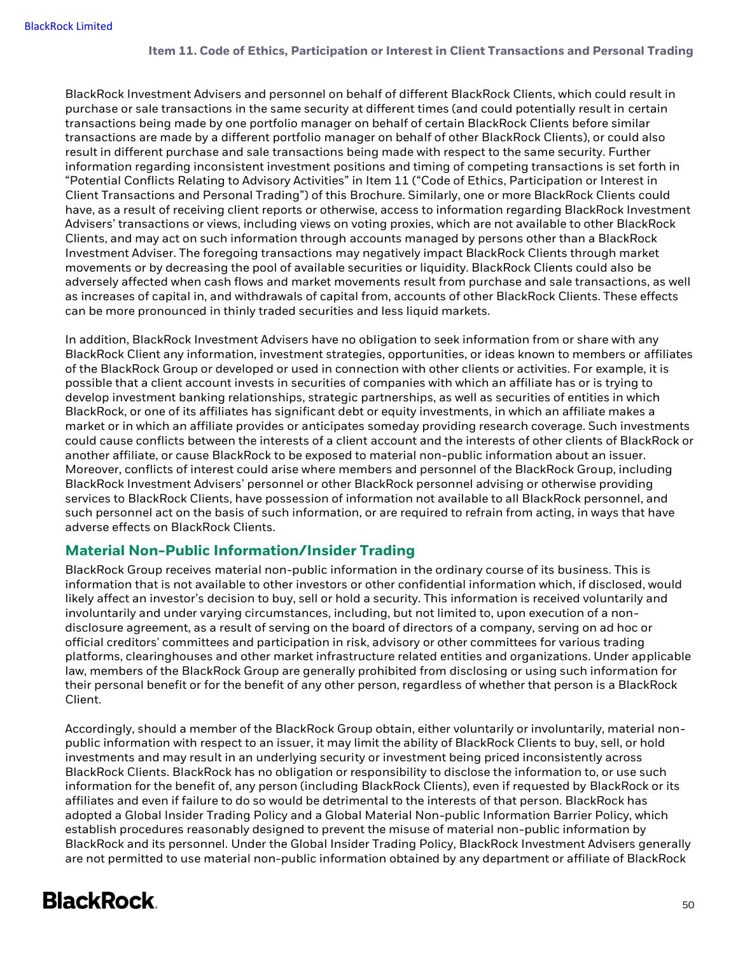#### **Item 11. Code of Ethics, Participation or Interest in Client Transactions and Personal Trading**

BlackRock Investment Advisers and personnel on behalf of different BlackRock Clients, which could result in purchase or sale transactions in the same security at different times (and could potentially result in certain transactions being made by one portfolio manager on behalf of certain BlackRock Clients before similar transactions are made by a different portfolio manager on behalf of other BlackRock Clients), or could also result in different purchase and sale transactions being made with respect to the same security. Further information regarding inconsistent investment positions and timing of competing transactions is set forth in "Potential Conflicts Relating to Advisory Activities" in Item 11 ("Code of Ethics, Participation or Interest in Client Transactions and Personal Trading") of this Brochure. Similarly, one or more BlackRock Clients could have, as a result of receiving client reports or otherwise, access to information regarding BlackRock Investment Advisers' transactions or views, including views on voting proxies, which are not available to other BlackRock Clients, and may act on such information through accounts managed by persons other than a BlackRock Investment Adviser. The foregoing transactions may negatively impact BlackRock Clients through market movements or by decreasing the pool of available securities or liquidity. BlackRock Clients could also be adversely affected when cash flows and market movements result from purchase and sale transactions, as well as increases of capital in, and withdrawals of capital from, accounts of other BlackRock Clients. These effects can be more pronounced in thinly traded securities and less liquid markets.

In addition, BlackRock Investment Advisers have no obligation to seek information from or share with any BlackRock Client any information, investment strategies, opportunities, or ideas known to members or affiliates of the BlackRock Group or developed or used in connection with other clients or activities. For example, it is possible that a client account invests in securities of companies with which an affiliate has or is trying to develop investment banking relationships, strategic partnerships, as well as securities of entities in which BlackRock, or one of its affiliates has significant debt or equity investments, in which an affiliate makes a market or in which an affiliate provides or anticipates someday providing research coverage. Such investments could cause conflicts between the interests of a client account and the interests of other clients of BlackRock or another affiliate, or cause BlackRock to be exposed to material non-public information about an issuer. Moreover, conflicts of interest could arise where members and personnel of the BlackRock Group, including BlackRock Investment Advisers' personnel or other BlackRock personnel advising or otherwise providing services to BlackRock Clients, have possession of information not available to all BlackRock personnel, and such personnel act on the basis of such information, or are required to refrain from acting, in ways that have adverse effects on BlackRock Clients.

### **Material Non-Public Information/Insider Trading**

BlackRock Group receives material non-public information in the ordinary course of its business. This is information that is not available to other investors or other confidential information which, if disclosed, would likely affect an investor's decision to buy, sell or hold a security. This information is received voluntarily and involuntarily and under varying circumstances, including, but not limited to, upon execution of a nondisclosure agreement, as a result of serving on the board of directors of a company, serving on ad hoc or official creditors' committees and participation in risk, advisory or other committees for various trading platforms, clearinghouses and other market infrastructure related entities and organizations. Under applicable law, members of the BlackRock Group are generally prohibited from disclosing or using such information for their personal benefit or for the benefit of any other person, regardless of whether that person is a BlackRock Client.

Accordingly, should a member of the BlackRock Group obtain, either voluntarily or involuntarily, material nonpublic information with respect to an issuer, it may limit the ability of BlackRock Clients to buy, sell, or hold investments and may result in an underlying security or investment being priced inconsistently across BlackRock Clients. BlackRock has no obligation or responsibility to disclose the information to, or use such information for the benefit of, any person (including BlackRock Clients), even if requested by BlackRock or its affiliates and even if failure to do so would be detrimental to the interests of that person. BlackRock has adopted a Global Insider Trading Policy and a Global Material Non-public Information Barrier Policy, which establish procedures reasonably designed to prevent the misuse of material non-public information by BlackRock and its personnel. Under the Global Insider Trading Policy, BlackRock Investment Advisers generally are not permitted to use material non-public information obtained by any department or affiliate of BlackRock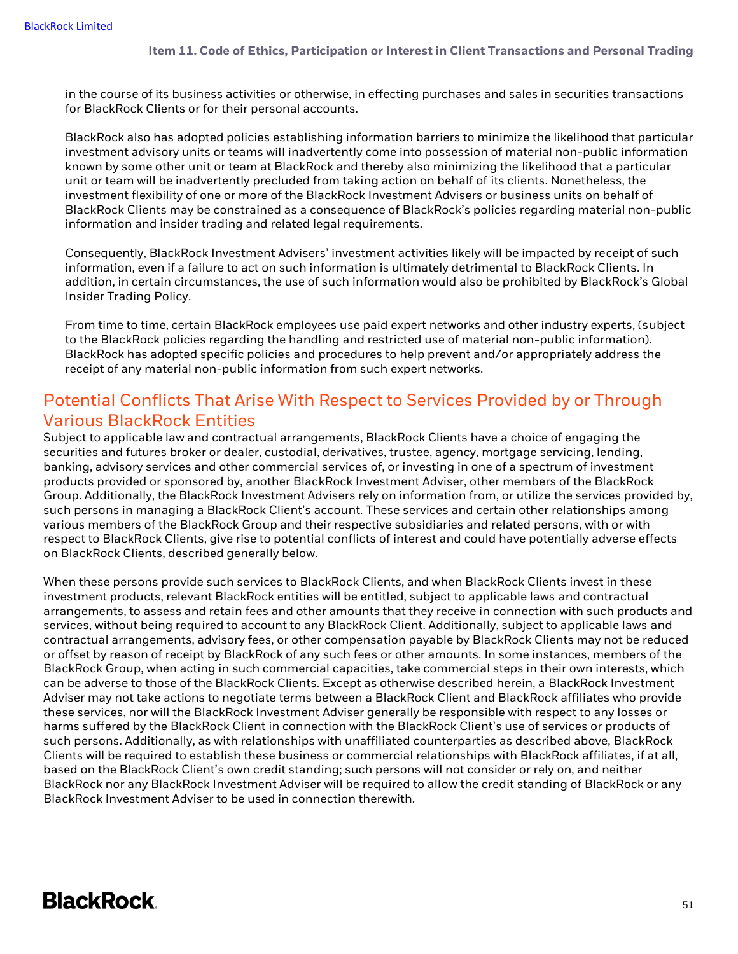in the course of its business activities or otherwise, in effecting purchases and sales in securities transactions for BlackRock Clients or for their personal accounts.

BlackRock also has adopted policies establishing information barriers to minimize the likelihood that particular investment advisory units or teams will inadvertently come into possession of material non-public information known by some other unit or team at BlackRock and thereby also minimizing the likelihood that a particular unit or team will be inadvertently precluded from taking action on behalf of its clients. Nonetheless, the investment flexibility of one or more of the BlackRock Investment Advisers or business units on behalf of BlackRock Clients may be constrained as a consequence of BlackRock's policies regarding material non-public information and insider trading and related legal requirements.

Consequently, BlackRock Investment Advisers' investment activities likely will be impacted by receipt of such information, even if a failure to act on such information is ultimately detrimental to BlackRock Clients. In addition, in certain circumstances, the use of such information would also be prohibited by BlackRock's Global Insider Trading Policy.

From time to time, certain BlackRock employees use paid expert networks and other industry experts, (subject to the BlackRock policies regarding the handling and restricted use of material non-public information). BlackRock has adopted specific policies and procedures to help prevent and/or appropriately address the receipt of any material non-public information from such expert networks.

## Potential Conflicts That Arise With Respect to Services Provided by or Through Various BlackRock Entities

Subject to applicable law and contractual arrangements, BlackRock Clients have a choice of engaging the securities and futures broker or dealer, custodial, derivatives, trustee, agency, mortgage servicing, lending, banking, advisory services and other commercial services of, or investing in one of a spectrum of investment products provided or sponsored by, another BlackRock Investment Adviser, other members of the BlackRock Group. Additionally, the BlackRock Investment Advisers rely on information from, or utilize the services provided by, such persons in managing a BlackRock Client's account. These services and certain other relationships among various members of the BlackRock Group and their respective subsidiaries and related persons, with or with respect to BlackRock Clients, give rise to potential conflicts of interest and could have potentially adverse effects on BlackRock Clients, described generally below.

When these persons provide such services to BlackRock Clients, and when BlackRock Clients invest in these investment products, relevant BlackRock entities will be entitled, subject to applicable laws and contractual arrangements, to assess and retain fees and other amounts that they receive in connection with such products and services, without being required to account to any BlackRock Client. Additionally, subject to applicable laws and contractual arrangements, advisory fees, or other compensation payable by BlackRock Clients may not be reduced or offset by reason of receipt by BlackRock of any such fees or other amounts. In some instances, members of the BlackRock Group, when acting in such commercial capacities, take commercial steps in their own interests, which can be adverse to those of the BlackRock Clients. Except as otherwise described herein, a BlackRock Investment Adviser may not take actions to negotiate terms between a BlackRock Client and BlackRock affiliates who provide these services, nor will the BlackRock Investment Adviser generally be responsible with respect to any losses or harms suffered by the BlackRock Client in connection with the BlackRock Client's use of services or products of such persons. Additionally, as with relationships with unaffiliated counterparties as described above, BlackRock Clients will be required to establish these business or commercial relationships with BlackRock affiliates, if at all, based on the BlackRock Client's own credit standing; such persons will not consider or rely on, and neither BlackRock nor any BlackRock Investment Adviser will be required to allow the credit standing of BlackRock or any BlackRock Investment Adviser to be used in connection therewith.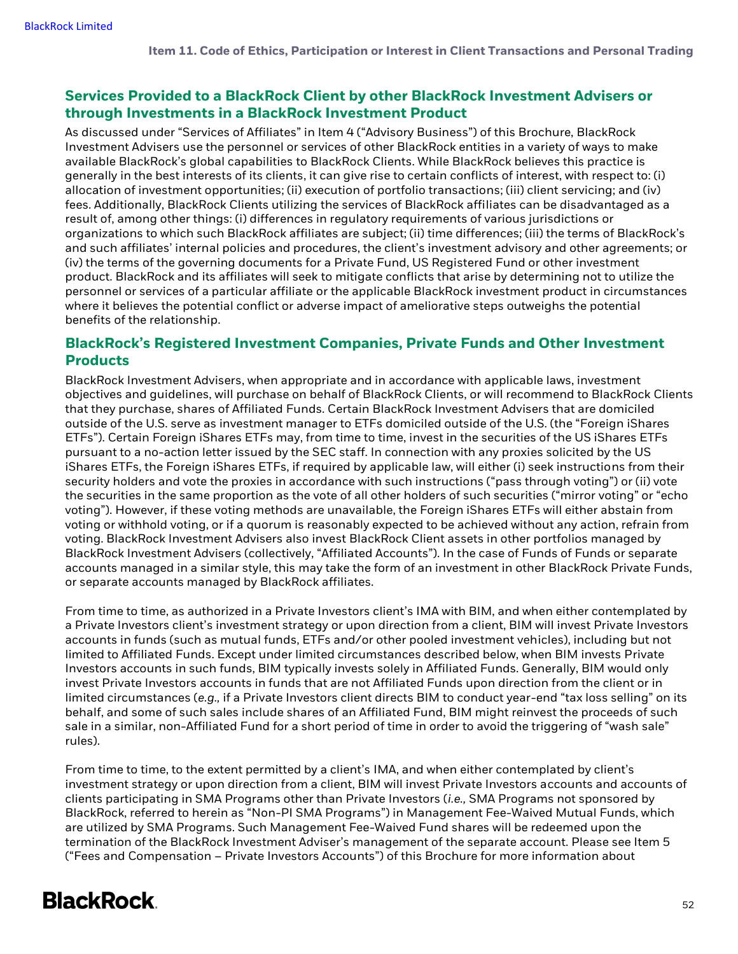### **Services Provided to a BlackRock Client by other BlackRock Investment Advisers or through Investments in a BlackRock Investment Product**

As discussed under "Services of Affiliates" in Item 4 ("Advisory Business") of this Brochure, BlackRock Investment Advisers use the personnel or services of other BlackRock entities in a variety of ways to make available BlackRock's global capabilities to BlackRock Clients. While BlackRock believes this practice is generally in the best interests of its clients, it can give rise to certain conflicts of interest, with respect to: (i) allocation of investment opportunities; (ii) execution of portfolio transactions; (iii) client servicing; and (iv) fees. Additionally, BlackRock Clients utilizing the services of BlackRock affiliates can be disadvantaged as a result of, among other things: (i) differences in regulatory requirements of various jurisdictions or organizations to which such BlackRock affiliates are subject; (ii) time differences; (iii) the terms of BlackRock's and such affiliates' internal policies and procedures, the client's investment advisory and other agreements; or (iv) the terms of the governing documents for a Private Fund, US Registered Fund or other investment product. BlackRock and its affiliates will seek to mitigate conflicts that arise by determining not to utilize the personnel or services of a particular affiliate or the applicable BlackRock investment product in circumstances where it believes the potential conflict or adverse impact of ameliorative steps outweighs the potential benefits of the relationship.

### **BlackRock's Registered Investment Companies, Private Funds and Other Investment Products**

BlackRock Investment Advisers, when appropriate and in accordance with applicable laws, investment objectives and guidelines, will purchase on behalf of BlackRock Clients, or will recommend to BlackRock Clients that they purchase, shares of Affiliated Funds. Certain BlackRock Investment Advisers that are domiciled outside of the U.S. serve as investment manager to ETFs domiciled outside of the U.S. (the "Foreign iShares ETFs"). Certain Foreign iShares ETFs may, from time to time, invest in the securities of the US iShares ETFs pursuant to a no-action letter issued by the SEC staff. In connection with any proxies solicited by the US iShares ETFs, the Foreign iShares ETFs, if required by applicable law, will either (i) seek instructions from their security holders and vote the proxies in accordance with such instructions ("pass through voting") or (ii) vote the securities in the same proportion as the vote of all other holders of such securities ("mirror voting" or "echo voting"). However, if these voting methods are unavailable, the Foreign iShares ETFs will either abstain from voting or withhold voting, or if a quorum is reasonably expected to be achieved without any action, refrain from voting. BlackRock Investment Advisers also invest BlackRock Client assets in other portfolios managed by BlackRock Investment Advisers (collectively, "Affiliated Accounts"). In the case of Funds of Funds or separate accounts managed in a similar style, this may take the form of an investment in other BlackRock Private Funds, or separate accounts managed by BlackRock affiliates.

From time to time, as authorized in a Private Investors client's IMA with BIM, and when either contemplated by a Private Investors client's investment strategy or upon direction from a client, BIM will invest Private Investors accounts in funds (such as mutual funds, ETFs and/or other pooled investment vehicles), including but not limited to Affiliated Funds. Except under limited circumstances described below, when BIM invests Private Investors accounts in such funds, BIM typically invests solely in Affiliated Funds. Generally, BIM would only invest Private Investors accounts in funds that are not Affiliated Funds upon direction from the client or in limited circumstances (*e.g.,* if a Private Investors client directs BIM to conduct year-end "tax loss selling" on its behalf, and some of such sales include shares of an Affiliated Fund, BIM might reinvest the proceeds of such sale in a similar, non-Affiliated Fund for a short period of time in order to avoid the triggering of "wash sale" rules).

From time to time, to the extent permitted by a client's IMA, and when either contemplated by client's investment strategy or upon direction from a client, BIM will invest Private Investors accounts and accounts of clients participating in SMA Programs other than Private Investors (*i.e.,* SMA Programs not sponsored by BlackRock, referred to herein as "Non-PI SMA Programs") in Management Fee-Waived Mutual Funds, which are utilized by SMA Programs. Such Management Fee-Waived Fund shares will be redeemed upon the termination of the BlackRock Investment Adviser's management of the separate account. Please see Item 5 ("Fees and Compensation – Private Investors Accounts") of this Brochure for more information about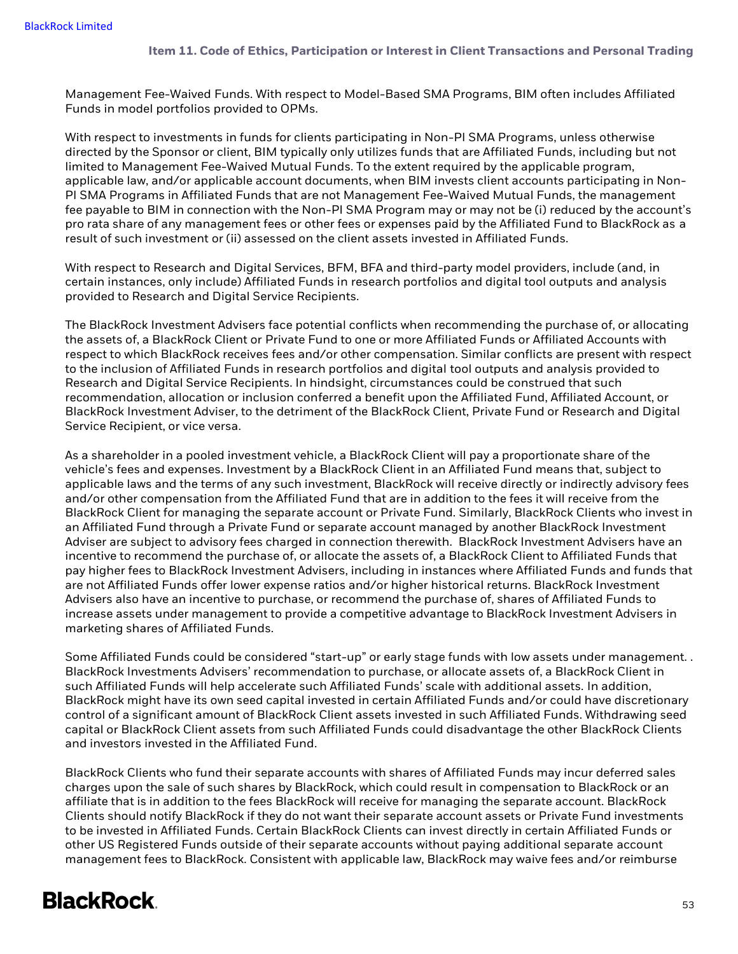Management Fee-Waived Funds. With respect to Model-Based SMA Programs, BIM often includes Affiliated Funds in model portfolios provided to OPMs.

With respect to investments in funds for clients participating in Non-PI SMA Programs, unless otherwise directed by the Sponsor or client, BIM typically only utilizes funds that are Affiliated Funds, including but not limited to Management Fee-Waived Mutual Funds. To the extent required by the applicable program, applicable law, and/or applicable account documents, when BIM invests client accounts participating in Non-PI SMA Programs in Affiliated Funds that are not Management Fee-Waived Mutual Funds, the management fee payable to BIM in connection with the Non-PI SMA Program may or may not be (i) reduced by the account's pro rata share of any management fees or other fees or expenses paid by the Affiliated Fund to BlackRock as a result of such investment or (ii) assessed on the client assets invested in Affiliated Funds.

With respect to Research and Digital Services, BFM, BFA and third-party model providers, include (and, in certain instances, only include) Affiliated Funds in research portfolios and digital tool outputs and analysis provided to Research and Digital Service Recipients.

The BlackRock Investment Advisers face potential conflicts when recommending the purchase of, or allocating the assets of, a BlackRock Client or Private Fund to one or more Affiliated Funds or Affiliated Accounts with respect to which BlackRock receives fees and/or other compensation. Similar conflicts are present with respect to the inclusion of Affiliated Funds in research portfolios and digital tool outputs and analysis provided to Research and Digital Service Recipients. In hindsight, circumstances could be construed that such recommendation, allocation or inclusion conferred a benefit upon the Affiliated Fund, Affiliated Account, or BlackRock Investment Adviser, to the detriment of the BlackRock Client, Private Fund or Research and Digital Service Recipient, or vice versa.

As a shareholder in a pooled investment vehicle, a BlackRock Client will pay a proportionate share of the vehicle's fees and expenses. Investment by a BlackRock Client in an Affiliated Fund means that, subject to applicable laws and the terms of any such investment, BlackRock will receive directly or indirectly advisory fees and/or other compensation from the Affiliated Fund that are in addition to the fees it will receive from the BlackRock Client for managing the separate account or Private Fund. Similarly, BlackRock Clients who invest in an Affiliated Fund through a Private Fund or separate account managed by another BlackRock Investment Adviser are subject to advisory fees charged in connection therewith. BlackRock Investment Advisers have an incentive to recommend the purchase of, or allocate the assets of, a BlackRock Client to Affiliated Funds that pay higher fees to BlackRock Investment Advisers, including in instances where Affiliated Funds and funds that are not Affiliated Funds offer lower expense ratios and/or higher historical returns. BlackRock Investment Advisers also have an incentive to purchase, or recommend the purchase of, shares of Affiliated Funds to increase assets under management to provide a competitive advantage to BlackRock Investment Advisers in marketing shares of Affiliated Funds.

Some Affiliated Funds could be considered "start-up" or early stage funds with low assets under management. . BlackRock Investments Advisers' recommendation to purchase, or allocate assets of, a BlackRock Client in such Affiliated Funds will help accelerate such Affiliated Funds' scale with additional assets. In addition, BlackRock might have its own seed capital invested in certain Affiliated Funds and/or could have discretionary control of a significant amount of BlackRock Client assets invested in such Affiliated Funds. Withdrawing seed capital or BlackRock Client assets from such Affiliated Funds could disadvantage the other BlackRock Clients and investors invested in the Affiliated Fund.

BlackRock Clients who fund their separate accounts with shares of Affiliated Funds may incur deferred sales charges upon the sale of such shares by BlackRock, which could result in compensation to BlackRock or an affiliate that is in addition to the fees BlackRock will receive for managing the separate account. BlackRock Clients should notify BlackRock if they do not want their separate account assets or Private Fund investments to be invested in Affiliated Funds. Certain BlackRock Clients can invest directly in certain Affiliated Funds or other US Registered Funds outside of their separate accounts without paying additional separate account management fees to BlackRock. Consistent with applicable law, BlackRock may waive fees and/or reimburse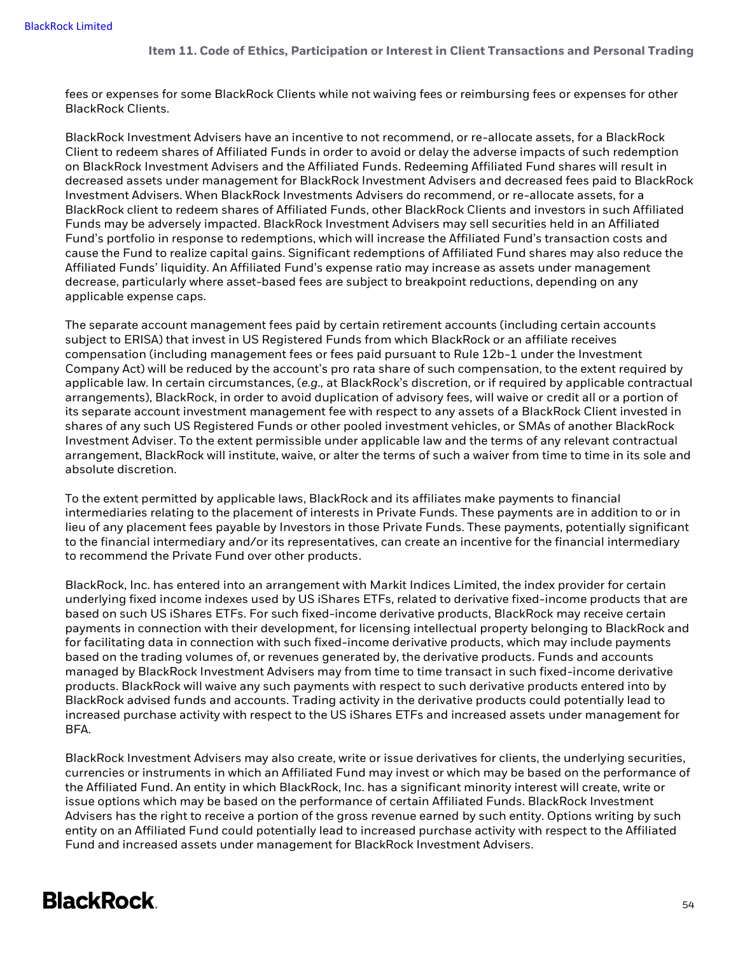fees or expenses for some BlackRock Clients while not waiving fees or reimbursing fees or expenses for other BlackRock Clients.

BlackRock Investment Advisers have an incentive to not recommend, or re-allocate assets, for a BlackRock Client to redeem shares of Affiliated Funds in order to avoid or delay the adverse impacts of such redemption on BlackRock Investment Advisers and the Affiliated Funds. Redeeming Affiliated Fund shares will result in decreased assets under management for BlackRock Investment Advisers and decreased fees paid to BlackRock Investment Advisers. When BlackRock Investments Advisers do recommend, or re-allocate assets, for a BlackRock client to redeem shares of Affiliated Funds, other BlackRock Clients and investors in such Affiliated Funds may be adversely impacted. BlackRock Investment Advisers may sell securities held in an Affiliated Fund's portfolio in response to redemptions, which will increase the Affiliated Fund's transaction costs and cause the Fund to realize capital gains. Significant redemptions of Affiliated Fund shares may also reduce the Affiliated Funds' liquidity. An Affiliated Fund's expense ratio may increase as assets under management decrease, particularly where asset-based fees are subject to breakpoint reductions, depending on any applicable expense caps.

The separate account management fees paid by certain retirement accounts (including certain accounts subject to ERISA) that invest in US Registered Funds from which BlackRock or an affiliate receives compensation (including management fees or fees paid pursuant to Rule 12b-1 under the Investment Company Act) will be reduced by the account's pro rata share of such compensation, to the extent required by applicable law. In certain circumstances, (*e.g.,* at BlackRock's discretion, or if required by applicable contractual arrangements), BlackRock, in order to avoid duplication of advisory fees, will waive or credit all or a portion of its separate account investment management fee with respect to any assets of a BlackRock Client invested in shares of any such US Registered Funds or other pooled investment vehicles, or SMAs of another BlackRock Investment Adviser. To the extent permissible under applicable law and the terms of any relevant contractual arrangement, BlackRock will institute, waive, or alter the terms of such a waiver from time to time in its sole and absolute discretion.

To the extent permitted by applicable laws, BlackRock and its affiliates make payments to financial intermediaries relating to the placement of interests in Private Funds. These payments are in addition to or in lieu of any placement fees payable by Investors in those Private Funds. These payments, potentially significant to the financial intermediary and/or its representatives, can create an incentive for the financial intermediary to recommend the Private Fund over other products.

BlackRock, Inc. has entered into an arrangement with Markit Indices Limited, the index provider for certain underlying fixed income indexes used by US iShares ETFs, related to derivative fixed-income products that are based on such US iShares ETFs. For such fixed-income derivative products, BlackRock may receive certain payments in connection with their development, for licensing intellectual property belonging to BlackRock and for facilitating data in connection with such fixed-income derivative products, which may include payments based on the trading volumes of, or revenues generated by, the derivative products. Funds and accounts managed by BlackRock Investment Advisers may from time to time transact in such fixed-income derivative products. BlackRock will waive any such payments with respect to such derivative products entered into by BlackRock advised funds and accounts. Trading activity in the derivative products could potentially lead to increased purchase activity with respect to the US iShares ETFs and increased assets under management for BFA.

BlackRock Investment Advisers may also create, write or issue derivatives for clients, the underlying securities, currencies or instruments in which an Affiliated Fund may invest or which may be based on the performance of the Affiliated Fund. An entity in which BlackRock, Inc. has a significant minority interest will create, write or issue options which may be based on the performance of certain Affiliated Funds. BlackRock Investment Advisers has the right to receive a portion of the gross revenue earned by such entity. Options writing by such entity on an Affiliated Fund could potentially lead to increased purchase activity with respect to the Affiliated Fund and increased assets under management for BlackRock Investment Advisers.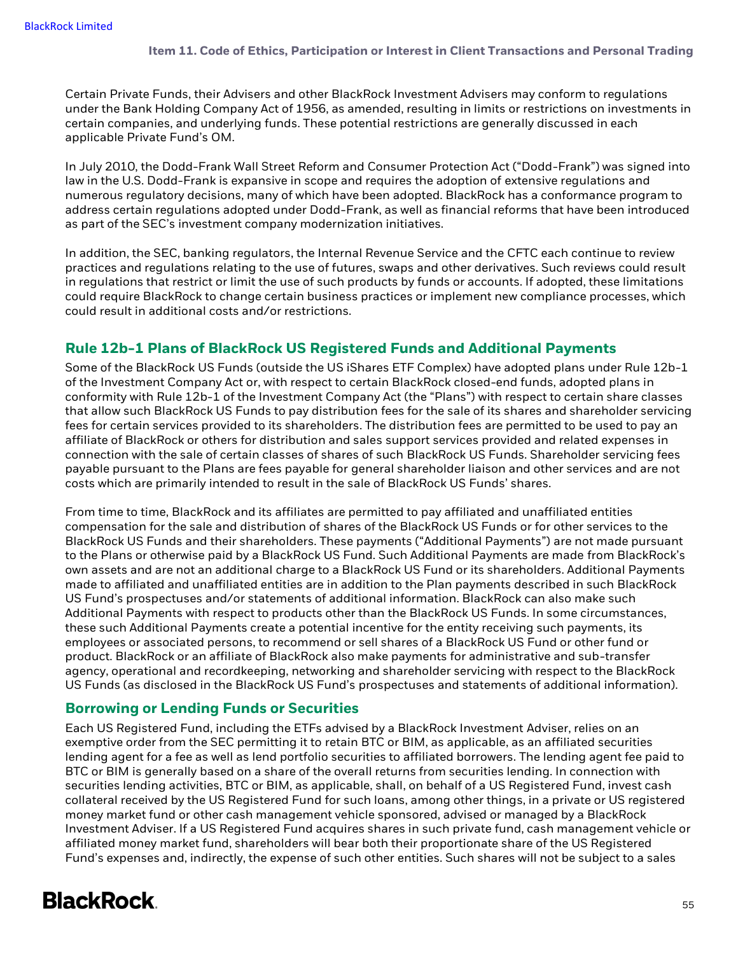#### **Item 11. Code of Ethics, Participation or Interest in Client Transactions and Personal Trading**

Certain Private Funds, their Advisers and other BlackRock Investment Advisers may conform to regulations under the Bank Holding Company Act of 1956, as amended, resulting in limits or restrictions on investments in certain companies, and underlying funds. These potential restrictions are generally discussed in each applicable Private Fund's OM.

In July 2010, the Dodd-Frank Wall Street Reform and Consumer Protection Act ("Dodd-Frank") was signed into law in the U.S. Dodd-Frank is expansive in scope and requires the adoption of extensive regulations and numerous regulatory decisions, many of which have been adopted. BlackRock has a conformance program to address certain regulations adopted under Dodd-Frank, as well as financial reforms that have been introduced as part of the SEC's investment company modernization initiatives.

In addition, the SEC, banking regulators, the Internal Revenue Service and the CFTC each continue to review practices and regulations relating to the use of futures, swaps and other derivatives. Such reviews could result in regulations that restrict or limit the use of such products by funds or accounts. If adopted, these limitations could require BlackRock to change certain business practices or implement new compliance processes, which could result in additional costs and/or restrictions.

### **Rule 12b-1 Plans of BlackRock US Registered Funds and Additional Payments**

Some of the BlackRock US Funds (outside the US iShares ETF Complex) have adopted plans under Rule 12b-1 of the Investment Company Act or, with respect to certain BlackRock closed-end funds, adopted plans in conformity with Rule 12b-1 of the Investment Company Act (the "Plans") with respect to certain share classes that allow such BlackRock US Funds to pay distribution fees for the sale of its shares and shareholder servicing fees for certain services provided to its shareholders. The distribution fees are permitted to be used to pay an affiliate of BlackRock or others for distribution and sales support services provided and related expenses in connection with the sale of certain classes of shares of such BlackRock US Funds. Shareholder servicing fees payable pursuant to the Plans are fees payable for general shareholder liaison and other services and are not costs which are primarily intended to result in the sale of BlackRock US Funds' shares.

From time to time, BlackRock and its affiliates are permitted to pay affiliated and unaffiliated entities compensation for the sale and distribution of shares of the BlackRock US Funds or for other services to the BlackRock US Funds and their shareholders. These payments ("Additional Payments") are not made pursuant to the Plans or otherwise paid by a BlackRock US Fund. Such Additional Payments are made from BlackRock's own assets and are not an additional charge to a BlackRock US Fund or its shareholders. Additional Payments made to affiliated and unaffiliated entities are in addition to the Plan payments described in such BlackRock US Fund's prospectuses and/or statements of additional information. BlackRock can also make such Additional Payments with respect to products other than the BlackRock US Funds. In some circumstances, these such Additional Payments create a potential incentive for the entity receiving such payments, its employees or associated persons, to recommend or sell shares of a BlackRock US Fund or other fund or product. BlackRock or an affiliate of BlackRock also make payments for administrative and sub-transfer agency, operational and recordkeeping, networking and shareholder servicing with respect to the BlackRock US Funds (as disclosed in the BlackRock US Fund's prospectuses and statements of additional information).

### **Borrowing or Lending Funds or Securities**

Each US Registered Fund, including the ETFs advised by a BlackRock Investment Adviser, relies on an exemptive order from the SEC permitting it to retain BTC or BIM, as applicable, as an affiliated securities lending agent for a fee as well as lend portfolio securities to affiliated borrowers. The lending agent fee paid to BTC or BIM is generally based on a share of the overall returns from securities lending. In connection with securities lending activities, BTC or BIM, as applicable, shall, on behalf of a US Registered Fund, invest cash collateral received by the US Registered Fund for such loans, among other things, in a private or US registered money market fund or other cash management vehicle sponsored, advised or managed by a BlackRock Investment Adviser. If a US Registered Fund acquires shares in such private fund, cash management vehicle or affiliated money market fund, shareholders will bear both their proportionate share of the US Registered Fund's expenses and, indirectly, the expense of such other entities. Such shares will not be subject to a sales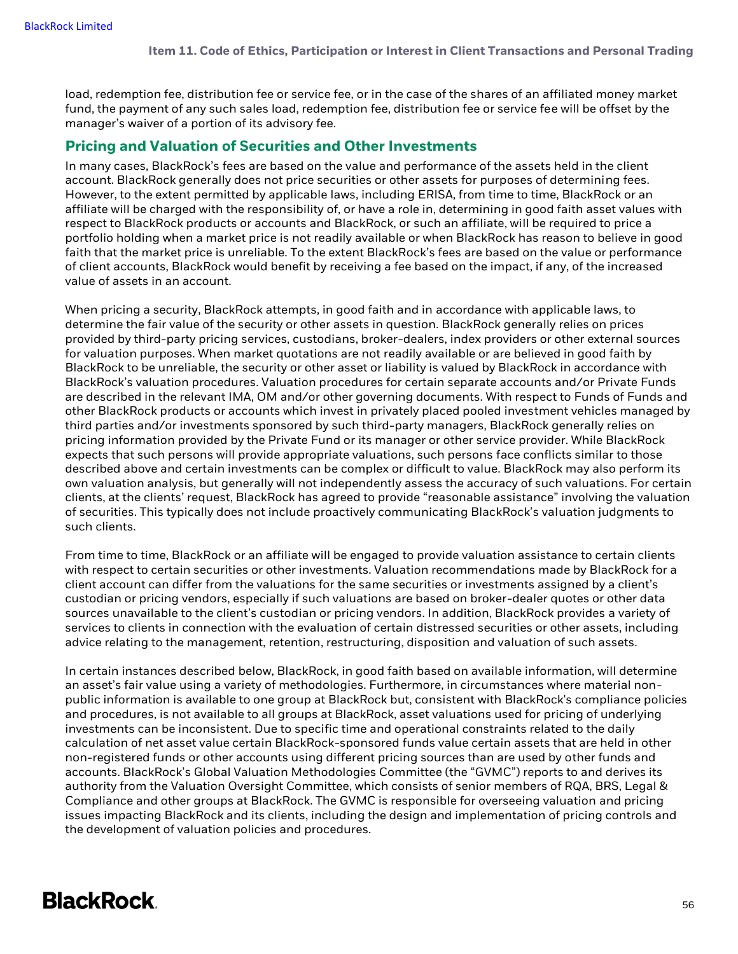load, redemption fee, distribution fee or service fee, or in the case of the shares of an affiliated money market fund, the payment of any such sales load, redemption fee, distribution fee or service fee will be offset by the manager's waiver of a portion of its advisory fee.

### **Pricing and Valuation of Securities and Other Investments**

In many cases, BlackRock's fees are based on the value and performance of the assets held in the client account. BlackRock generally does not price securities or other assets for purposes of determining fees. However, to the extent permitted by applicable laws, including ERISA, from time to time, BlackRock or an affiliate will be charged with the responsibility of, or have a role in, determining in good faith asset values with respect to BlackRock products or accounts and BlackRock, or such an affiliate, will be required to price a portfolio holding when a market price is not readily available or when BlackRock has reason to believe in good faith that the market price is unreliable. To the extent BlackRock's fees are based on the value or performance of client accounts, BlackRock would benefit by receiving a fee based on the impact, if any, of the increased value of assets in an account.

When pricing a security, BlackRock attempts, in good faith and in accordance with applicable laws, to determine the fair value of the security or other assets in question. BlackRock generally relies on prices provided by third-party pricing services, custodians, broker-dealers, index providers or other external sources for valuation purposes. When market quotations are not readily available or are believed in good faith by BlackRock to be unreliable, the security or other asset or liability is valued by BlackRock in accordance with BlackRock's valuation procedures. Valuation procedures for certain separate accounts and/or Private Funds are described in the relevant IMA, OM and/or other governing documents. With respect to Funds of Funds and other BlackRock products or accounts which invest in privately placed pooled investment vehicles managed by third parties and/or investments sponsored by such third-party managers, BlackRock generally relies on pricing information provided by the Private Fund or its manager or other service provider. While BlackRock expects that such persons will provide appropriate valuations, such persons face conflicts similar to those described above and certain investments can be complex or difficult to value. BlackRock may also perform its own valuation analysis, but generally will not independently assess the accuracy of such valuations. For certain clients, at the clients' request, BlackRock has agreed to provide "reasonable assistance" involving the valuation of securities. This typically does not include proactively communicating BlackRock's valuation judgments to such clients.

From time to time, BlackRock or an affiliate will be engaged to provide valuation assistance to certain clients with respect to certain securities or other investments. Valuation recommendations made by BlackRock for a client account can differ from the valuations for the same securities or investments assigned by a client's custodian or pricing vendors, especially if such valuations are based on broker-dealer quotes or other data sources unavailable to the client's custodian or pricing vendors. In addition, BlackRock provides a variety of services to clients in connection with the evaluation of certain distressed securities or other assets, including advice relating to the management, retention, restructuring, disposition and valuation of such assets.

In certain instances described below, BlackRock, in good faith based on available information, will determine an asset's fair value using a variety of methodologies. Furthermore, in circumstances where material nonpublic information is available to one group at BlackRock but, consistent with BlackRock's compliance policies and procedures, is not available to all groups at BlackRock, asset valuations used for pricing of underlying investments can be inconsistent. Due to specific time and operational constraints related to the daily calculation of net asset value certain BlackRock-sponsored funds value certain assets that are held in other non-registered funds or other accounts using different pricing sources than are used by other funds and accounts. BlackRock's Global Valuation Methodologies Committee (the "GVMC") reports to and derives its authority from the Valuation Oversight Committee, which consists of senior members of RQA, BRS, Legal & Compliance and other groups at BlackRock. The GVMC is responsible for overseeing valuation and pricing issues impacting BlackRock and its clients, including the design and implementation of pricing controls and the development of valuation policies and procedures.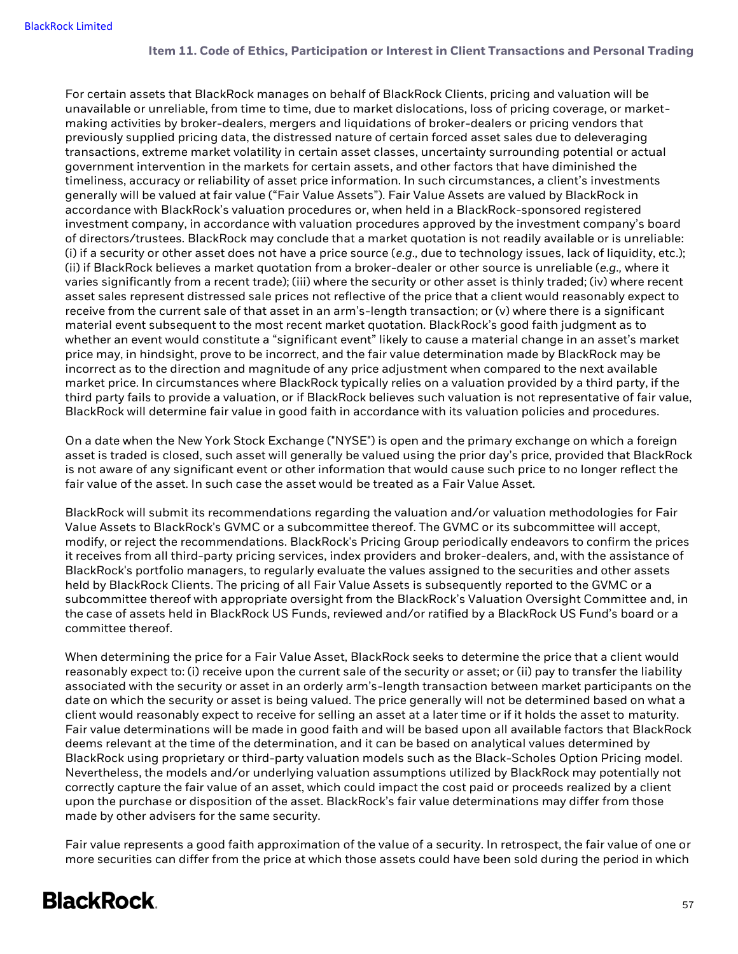#### **Item 11. Code of Ethics, Participation or Interest in Client Transactions and Personal Trading**

For certain assets that BlackRock manages on behalf of BlackRock Clients, pricing and valuation will be unavailable or unreliable, from time to time, due to market dislocations, loss of pricing coverage, or marketmaking activities by broker-dealers, mergers and liquidations of broker-dealers or pricing vendors that previously supplied pricing data, the distressed nature of certain forced asset sales due to deleveraging transactions, extreme market volatility in certain asset classes, uncertainty surrounding potential or actual government intervention in the markets for certain assets, and other factors that have diminished the timeliness, accuracy or reliability of asset price information. In such circumstances, a client's investments generally will be valued at fair value ("Fair Value Assets"). Fair Value Assets are valued by BlackRock in accordance with BlackRock's valuation procedures or, when held in a BlackRock-sponsored registered investment company, in accordance with valuation procedures approved by the investment company's board of directors/trustees. BlackRock may conclude that a market quotation is not readily available or is unreliable: (i) if a security or other asset does not have a price source (*e.g.,* due to technology issues, lack of liquidity, etc.); (ii) if BlackRock believes a market quotation from a broker-dealer or other source is unreliable (*e.g.,* where it varies significantly from a recent trade); (iii) where the security or other asset is thinly traded; (iv) where recent asset sales represent distressed sale prices not reflective of the price that a client would reasonably expect to receive from the current sale of that asset in an arm's-length transaction; or (v) where there is a significant material event subsequent to the most recent market quotation. BlackRock's good faith judgment as to whether an event would constitute a "significant event" likely to cause a material change in an asset's market price may, in hindsight, prove to be incorrect, and the fair value determination made by BlackRock may be incorrect as to the direction and magnitude of any price adjustment when compared to the next available market price. In circumstances where BlackRock typically relies on a valuation provided by a third party, if the third party fails to provide a valuation, or if BlackRock believes such valuation is not representative of fair value, BlackRock will determine fair value in good faith in accordance with its valuation policies and procedures.

On a date when the New York Stock Exchange ("NYSE") is open and the primary exchange on which a foreign asset is traded is closed, such asset will generally be valued using the prior day's price, provided that BlackRock is not aware of any significant event or other information that would cause such price to no longer reflect the fair value of the asset. In such case the asset would be treated as a Fair Value Asset.

BlackRock will submit its recommendations regarding the valuation and/or valuation methodologies for Fair Value Assets to BlackRock's GVMC or a subcommittee thereof. The GVMC or its subcommittee will accept, modify, or reject the recommendations. BlackRock's Pricing Group periodically endeavors to confirm the prices it receives from all third-party pricing services, index providers and broker-dealers, and, with the assistance of BlackRock's portfolio managers, to regularly evaluate the values assigned to the securities and other assets held by BlackRock Clients. The pricing of all Fair Value Assets is subsequently reported to the GVMC or a subcommittee thereof with appropriate oversight from the BlackRock's Valuation Oversight Committee and, in the case of assets held in BlackRock US Funds, reviewed and/or ratified by a BlackRock US Fund's board or a committee thereof.

When determining the price for a Fair Value Asset, BlackRock seeks to determine the price that a client would reasonably expect to: (i) receive upon the current sale of the security or asset; or (ii) pay to transfer the liability associated with the security or asset in an orderly arm's-length transaction between market participants on the date on which the security or asset is being valued. The price generally will not be determined based on what a client would reasonably expect to receive for selling an asset at a later time or if it holds the asset to maturity. Fair value determinations will be made in good faith and will be based upon all available factors that BlackRock deems relevant at the time of the determination, and it can be based on analytical values determined by BlackRock using proprietary or third-party valuation models such as the Black-Scholes Option Pricing model. Nevertheless, the models and/or underlying valuation assumptions utilized by BlackRock may potentially not correctly capture the fair value of an asset, which could impact the cost paid or proceeds realized by a client upon the purchase or disposition of the asset. BlackRock's fair value determinations may differ from those made by other advisers for the same security.

Fair value represents a good faith approximation of the value of a security. In retrospect, the fair value of one or more securities can differ from the price at which those assets could have been sold during the period in which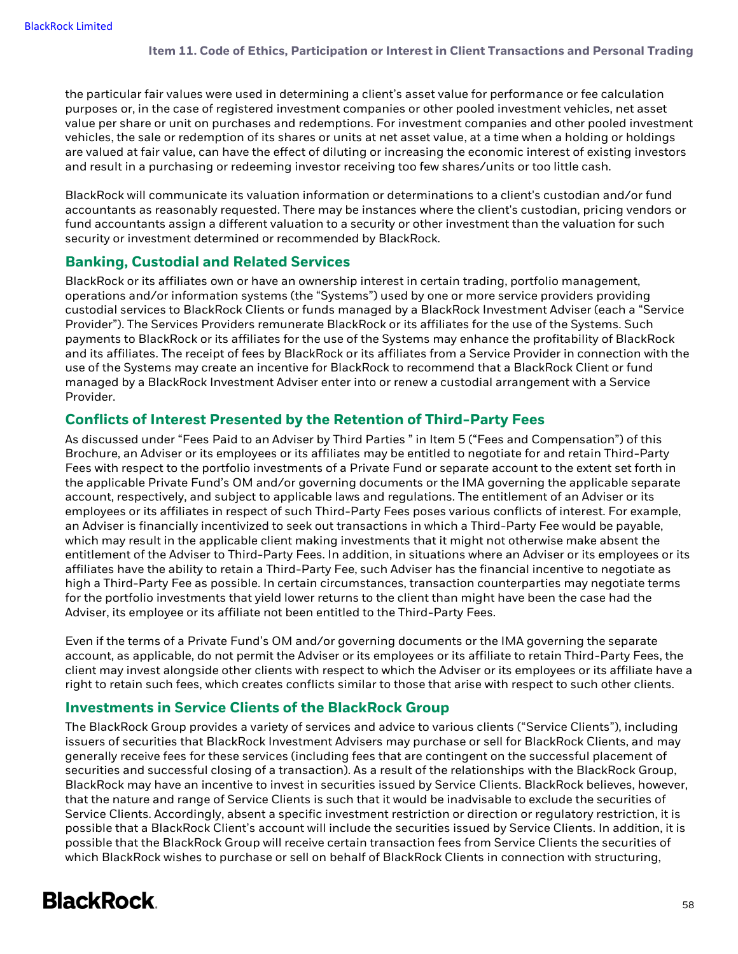the particular fair values were used in determining a client's asset value for performance or fee calculation purposes or, in the case of registered investment companies or other pooled investment vehicles, net asset value per share or unit on purchases and redemptions. For investment companies and other pooled investment vehicles, the sale or redemption of its shares or units at net asset value, at a time when a holding or holdings are valued at fair value, can have the effect of diluting or increasing the economic interest of existing investors and result in a purchasing or redeeming investor receiving too few shares/units or too little cash.

BlackRock will communicate its valuation information or determinations to a client's custodian and/or fund accountants as reasonably requested. There may be instances where the client's custodian, pricing vendors or fund accountants assign a different valuation to a security or other investment than the valuation for such security or investment determined or recommended by BlackRock.

### **Banking, Custodial and Related Services**

BlackRock or its affiliates own or have an ownership interest in certain trading, portfolio management, operations and/or information systems (the "Systems") used by one or more service providers providing custodial services to BlackRock Clients or funds managed by a BlackRock Investment Adviser (each a "Service Provider"). The Services Providers remunerate BlackRock or its affiliates for the use of the Systems. Such payments to BlackRock or its affiliates for the use of the Systems may enhance the profitability of BlackRock and its affiliates. The receipt of fees by BlackRock or its affiliates from a Service Provider in connection with the use of the Systems may create an incentive for BlackRock to recommend that a BlackRock Client or fund managed by a BlackRock Investment Adviser enter into or renew a custodial arrangement with a Service Provider.

#### **Conflicts of Interest Presented by the Retention of Third-Party Fees**

As discussed under "Fees Paid to an Adviser by Third Parties " in Item 5 ("Fees and Compensation") of this Brochure, an Adviser or its employees or its affiliates may be entitled to negotiate for and retain Third-Party Fees with respect to the portfolio investments of a Private Fund or separate account to the extent set forth in the applicable Private Fund's OM and/or governing documents or the IMA governing the applicable separate account, respectively, and subject to applicable laws and regulations. The entitlement of an Adviser or its employees or its affiliates in respect of such Third-Party Fees poses various conflicts of interest. For example, an Adviser is financially incentivized to seek out transactions in which a Third-Party Fee would be payable, which may result in the applicable client making investments that it might not otherwise make absent the entitlement of the Adviser to Third-Party Fees. In addition, in situations where an Adviser or its employees or its affiliates have the ability to retain a Third-Party Fee, such Adviser has the financial incentive to negotiate as high a Third-Party Fee as possible. In certain circumstances, transaction counterparties may negotiate terms for the portfolio investments that yield lower returns to the client than might have been the case had the Adviser, its employee or its affiliate not been entitled to the Third-Party Fees.

Even if the terms of a Private Fund's OM and/or governing documents or the IMA governing the separate account, as applicable, do not permit the Adviser or its employees or its affiliate to retain Third-Party Fees, the client may invest alongside other clients with respect to which the Adviser or its employees or its affiliate have a right to retain such fees, which creates conflicts similar to those that arise with respect to such other clients.

### **Investments in Service Clients of the BlackRock Group**

The BlackRock Group provides a variety of services and advice to various clients ("Service Clients"), including issuers of securities that BlackRock Investment Advisers may purchase or sell for BlackRock Clients, and may generally receive fees for these services (including fees that are contingent on the successful placement of securities and successful closing of a transaction). As a result of the relationships with the BlackRock Group, BlackRock may have an incentive to invest in securities issued by Service Clients. BlackRock believes, however, that the nature and range of Service Clients is such that it would be inadvisable to exclude the securities of Service Clients. Accordingly, absent a specific investment restriction or direction or regulatory restriction, it is possible that a BlackRock Client's account will include the securities issued by Service Clients. In addition, it is possible that the BlackRock Group will receive certain transaction fees from Service Clients the securities of which BlackRock wishes to purchase or sell on behalf of BlackRock Clients in connection with structuring,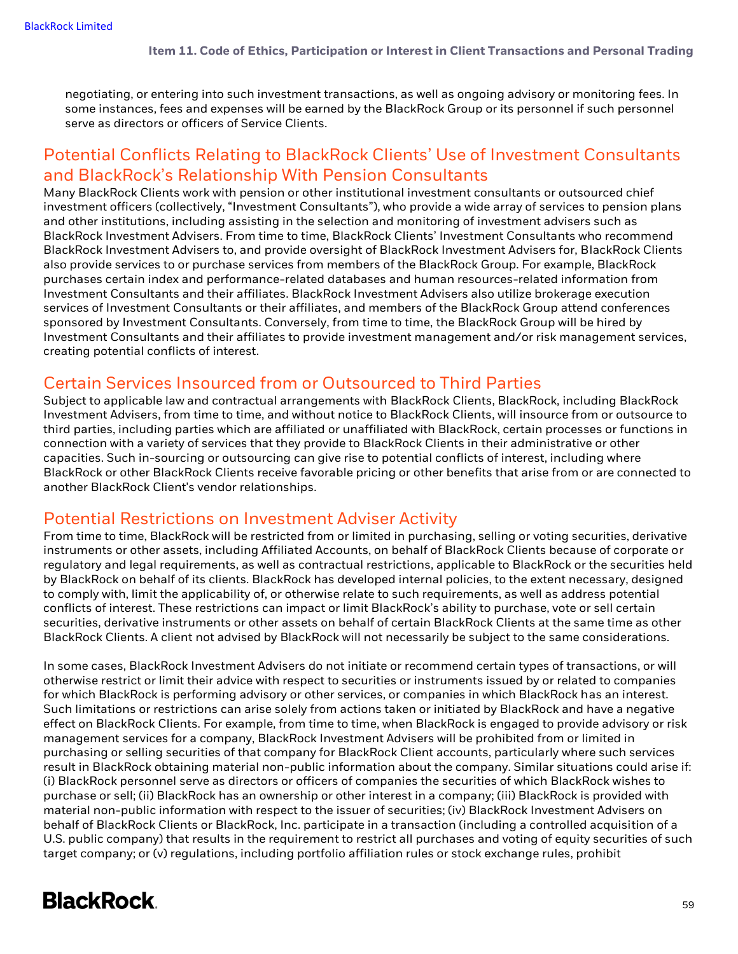negotiating, or entering into such investment transactions, as well as ongoing advisory or monitoring fees. In some instances, fees and expenses will be earned by the BlackRock Group or its personnel if such personnel serve as directors or officers of Service Clients.

## Potential Conflicts Relating to BlackRock Clients' Use of Investment Consultants and BlackRock's Relationship With Pension Consultants

Many BlackRock Clients work with pension or other institutional investment consultants or outsourced chief investment officers (collectively, "Investment Consultants"), who provide a wide array of services to pension plans and other institutions, including assisting in the selection and monitoring of investment advisers such as BlackRock Investment Advisers. From time to time, BlackRock Clients' Investment Consultants who recommend BlackRock Investment Advisers to, and provide oversight of BlackRock Investment Advisers for, BlackRock Clients also provide services to or purchase services from members of the BlackRock Group. For example, BlackRock purchases certain index and performance-related databases and human resources-related information from Investment Consultants and their affiliates. BlackRock Investment Advisers also utilize brokerage execution services of Investment Consultants or their affiliates, and members of the BlackRock Group attend conferences sponsored by Investment Consultants. Conversely, from time to time, the BlackRock Group will be hired by Investment Consultants and their affiliates to provide investment management and/or risk management services, creating potential conflicts of interest.

### Certain Services Insourced from or Outsourced to Third Parties

Subject to applicable law and contractual arrangements with BlackRock Clients, BlackRock, including BlackRock Investment Advisers, from time to time, and without notice to BlackRock Clients, will insource from or outsource to third parties, including parties which are affiliated or unaffiliated with BlackRock, certain processes or functions in connection with a variety of services that they provide to BlackRock Clients in their administrative or other capacities. Such in-sourcing or outsourcing can give rise to potential conflicts of interest, including where BlackRock or other BlackRock Clients receive favorable pricing or other benefits that arise from or are connected to another BlackRock Client's vendor relationships.

### Potential Restrictions on Investment Adviser Activity

From time to time, BlackRock will be restricted from or limited in purchasing, selling or voting securities, derivative instruments or other assets, including Affiliated Accounts, on behalf of BlackRock Clients because of corporate or regulatory and legal requirements, as well as contractual restrictions, applicable to BlackRock or the securities held by BlackRock on behalf of its clients. BlackRock has developed internal policies, to the extent necessary, designed to comply with, limit the applicability of, or otherwise relate to such requirements, as well as address potential conflicts of interest. These restrictions can impact or limit BlackRock's ability to purchase, vote or sell certain securities, derivative instruments or other assets on behalf of certain BlackRock Clients at the same time as other BlackRock Clients. A client not advised by BlackRock will not necessarily be subject to the same considerations.

In some cases, BlackRock Investment Advisers do not initiate or recommend certain types of transactions, or will otherwise restrict or limit their advice with respect to securities or instruments issued by or related to companies for which BlackRock is performing advisory or other services, or companies in which BlackRock has an interest. Such limitations or restrictions can arise solely from actions taken or initiated by BlackRock and have a negative effect on BlackRock Clients. For example, from time to time, when BlackRock is engaged to provide advisory or risk management services for a company, BlackRock Investment Advisers will be prohibited from or limited in purchasing or selling securities of that company for BlackRock Client accounts, particularly where such services result in BlackRock obtaining material non-public information about the company. Similar situations could arise if: (i) BlackRock personnel serve as directors or officers of companies the securities of which BlackRock wishes to purchase or sell; (ii) BlackRock has an ownership or other interest in a company; (iii) BlackRock is provided with material non-public information with respect to the issuer of securities; (iv) BlackRock Investment Advisers on behalf of BlackRock Clients or BlackRock, Inc. participate in a transaction (including a controlled acquisition of a U.S. public company) that results in the requirement to restrict all purchases and voting of equity securities of such target company; or (v) regulations, including portfolio affiliation rules or stock exchange rules, prohibit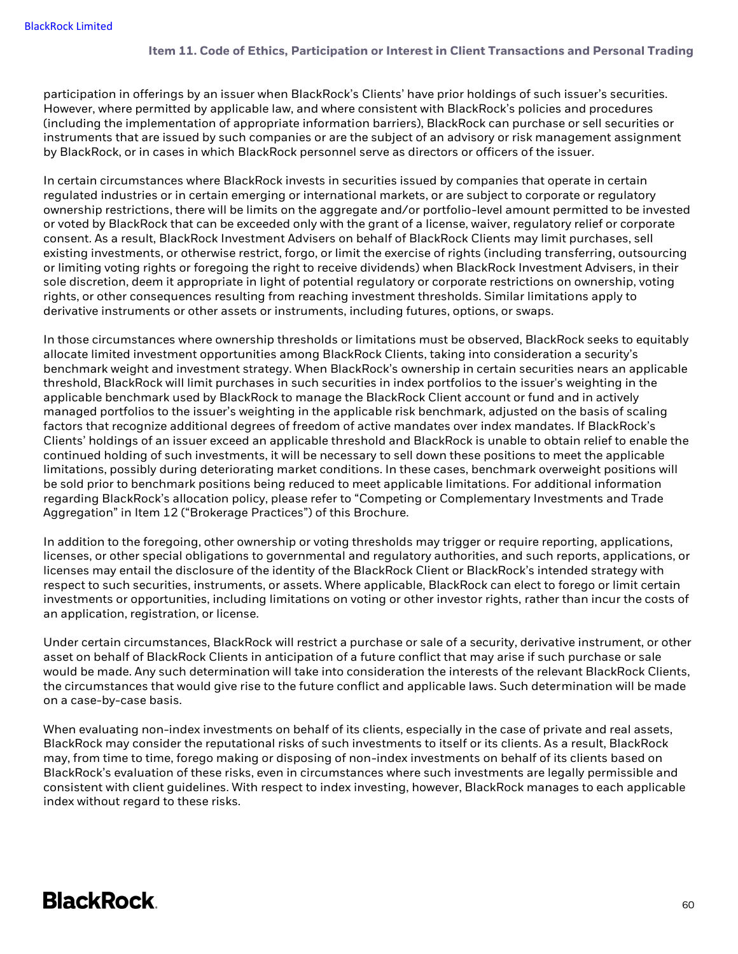#### **Item 11. Code of Ethics, Participation or Interest in Client Transactions and Personal Trading**

participation in offerings by an issuer when BlackRock's Clients' have prior holdings of such issuer's securities. However, where permitted by applicable law, and where consistent with BlackRock's policies and procedures (including the implementation of appropriate information barriers), BlackRock can purchase or sell securities or instruments that are issued by such companies or are the subject of an advisory or risk management assignment by BlackRock, or in cases in which BlackRock personnel serve as directors or officers of the issuer.

In certain circumstances where BlackRock invests in securities issued by companies that operate in certain regulated industries or in certain emerging or international markets, or are subject to corporate or regulatory ownership restrictions, there will be limits on the aggregate and/or portfolio-level amount permitted to be invested or voted by BlackRock that can be exceeded only with the grant of a license, waiver, regulatory relief or corporate consent. As a result, BlackRock Investment Advisers on behalf of BlackRock Clients may limit purchases, sell existing investments, or otherwise restrict, forgo, or limit the exercise of rights (including transferring, outsourcing or limiting voting rights or foregoing the right to receive dividends) when BlackRock Investment Advisers, in their sole discretion, deem it appropriate in light of potential regulatory or corporate restrictions on ownership, voting rights, or other consequences resulting from reaching investment thresholds. Similar limitations apply to derivative instruments or other assets or instruments, including futures, options, or swaps.

In those circumstances where ownership thresholds or limitations must be observed, BlackRock seeks to equitably allocate limited investment opportunities among BlackRock Clients, taking into consideration a security's benchmark weight and investment strategy. When BlackRock's ownership in certain securities nears an applicable threshold, BlackRock will limit purchases in such securities in index portfolios to the issuer's weighting in the applicable benchmark used by BlackRock to manage the BlackRock Client account or fund and in actively managed portfolios to the issuer's weighting in the applicable risk benchmark, adjusted on the basis of scaling factors that recognize additional degrees of freedom of active mandates over index mandates. If BlackRock's Clients' holdings of an issuer exceed an applicable threshold and BlackRock is unable to obtain relief to enable the continued holding of such investments, it will be necessary to sell down these positions to meet the applicable limitations, possibly during deteriorating market conditions. In these cases, benchmark overweight positions will be sold prior to benchmark positions being reduced to meet applicable limitations. For additional information regarding BlackRock's allocation policy, please refer to "Competing or Complementary Investments and Trade Aggregation" in Item 12 ("Brokerage Practices") of this Brochure.

In addition to the foregoing, other ownership or voting thresholds may trigger or require reporting, applications, licenses, or other special obligations to governmental and regulatory authorities, and such reports, applications, or licenses may entail the disclosure of the identity of the BlackRock Client or BlackRock's intended strategy with respect to such securities, instruments, or assets. Where applicable, BlackRock can elect to forego or limit certain investments or opportunities, including limitations on voting or other investor rights, rather than incur the costs of an application, registration, or license.

Under certain circumstances, BlackRock will restrict a purchase or sale of a security, derivative instrument, or other asset on behalf of BlackRock Clients in anticipation of a future conflict that may arise if such purchase or sale would be made. Any such determination will take into consideration the interests of the relevant BlackRock Clients, the circumstances that would give rise to the future conflict and applicable laws. Such determination will be made on a case-by-case basis.

When evaluating non-index investments on behalf of its clients, especially in the case of private and real assets, BlackRock may consider the reputational risks of such investments to itself or its clients. As a result, BlackRock may, from time to time, forego making or disposing of non-index investments on behalf of its clients based on BlackRock's evaluation of these risks, even in circumstances where such investments are legally permissible and consistent with client guidelines. With respect to index investing, however, BlackRock manages to each applicable index without regard to these risks.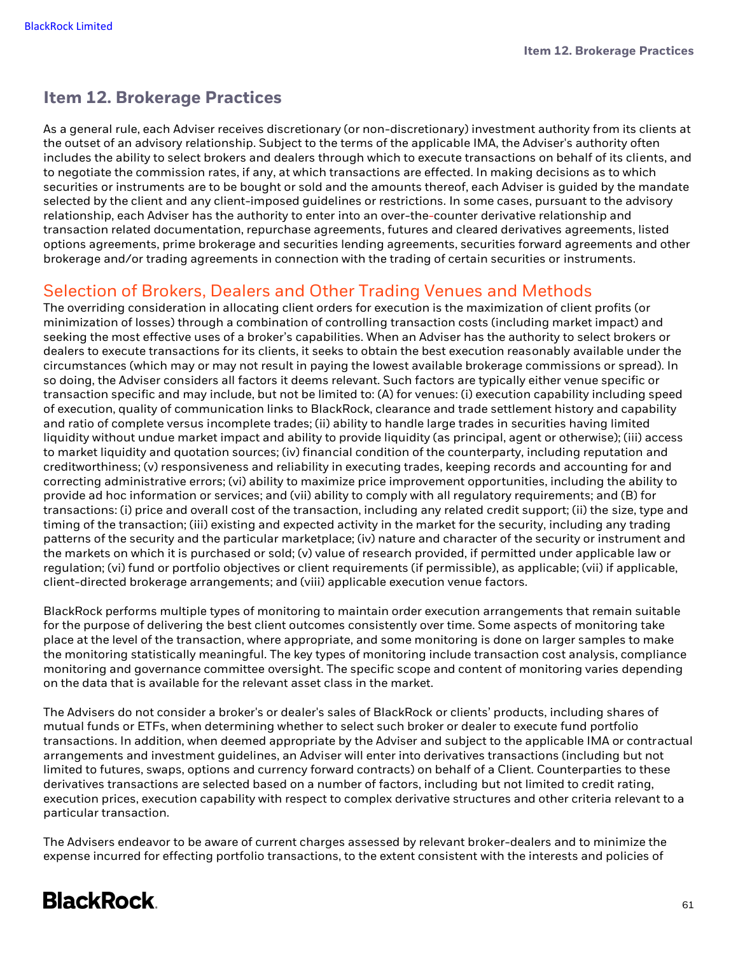## **Item 12. Brokerage Practices**

As a general rule, each Adviser receives discretionary (or non-discretionary) investment authority from its clients at the outset of an advisory relationship. Subject to the terms of the applicable IMA, the Adviser's authority often includes the ability to select brokers and dealers through which to execute transactions on behalf of its clients, and to negotiate the commission rates, if any, at which transactions are effected. In making decisions as to which securities or instruments are to be bought or sold and the amounts thereof, each Adviser is guided by the mandate selected by the client and any client-imposed guidelines or restrictions. In some cases, pursuant to the advisory relationship, each Adviser has the authority to enter into an over-the-counter derivative relationship and transaction related documentation, repurchase agreements, futures and cleared derivatives agreements, listed options agreements, prime brokerage and securities lending agreements, securities forward agreements and other brokerage and/or trading agreements in connection with the trading of certain securities or instruments.

## Selection of Brokers, Dealers and Other Trading Venues and Methods

The overriding consideration in allocating client orders for execution is the maximization of client profits (or minimization of losses) through a combination of controlling transaction costs (including market impact) and seeking the most effective uses of a broker's capabilities. When an Adviser has the authority to select brokers or dealers to execute transactions for its clients, it seeks to obtain the best execution reasonably available under the circumstances (which may or may not result in paying the lowest available brokerage commissions or spread). In so doing, the Adviser considers all factors it deems relevant. Such factors are typically either venue specific or transaction specific and may include, but not be limited to: (A) for venues: (i) execution capability including speed of execution, quality of communication links to BlackRock, clearance and trade settlement history and capability and ratio of complete versus incomplete trades; (ii) ability to handle large trades in securities having limited liquidity without undue market impact and ability to provide liquidity (as principal, agent or otherwise); (iii) access to market liquidity and quotation sources; (iv) financial condition of the counterparty, including reputation and creditworthiness; (v) responsiveness and reliability in executing trades, keeping records and accounting for and correcting administrative errors; (vi) ability to maximize price improvement opportunities, including the ability to provide ad hoc information or services; and (vii) ability to comply with all regulatory requirements; and (B) for transactions: (i) price and overall cost of the transaction, including any related credit support; (ii) the size, type and timing of the transaction; (iii) existing and expected activity in the market for the security, including any trading patterns of the security and the particular marketplace; (iv) nature and character of the security or instrument and the markets on which it is purchased or sold; (v) value of research provided, if permitted under applicable law or regulation; (vi) fund or portfolio objectives or client requirements (if permissible), as applicable; (vii) if applicable, client-directed brokerage arrangements; and (viii) applicable execution venue factors.

BlackRock performs multiple types of monitoring to maintain order execution arrangements that remain suitable for the purpose of delivering the best client outcomes consistently over time. Some aspects of monitoring take place at the level of the transaction, where appropriate, and some monitoring is done on larger samples to make the monitoring statistically meaningful. The key types of monitoring include transaction cost analysis, compliance monitoring and governance committee oversight. The specific scope and content of monitoring varies depending on the data that is available for the relevant asset class in the market.

The Advisers do not consider a broker's or dealer's sales of BlackRock or clients' products, including shares of mutual funds or ETFs, when determining whether to select such broker or dealer to execute fund portfolio transactions. In addition, when deemed appropriate by the Adviser and subject to the applicable IMA or contractual arrangements and investment guidelines, an Adviser will enter into derivatives transactions (including but not limited to futures, swaps, options and currency forward contracts) on behalf of a Client. Counterparties to these derivatives transactions are selected based on a number of factors, including but not limited to credit rating, execution prices, execution capability with respect to complex derivative structures and other criteria relevant to a particular transaction.

The Advisers endeavor to be aware of current charges assessed by relevant broker-dealers and to minimize the expense incurred for effecting portfolio transactions, to the extent consistent with the interests and policies of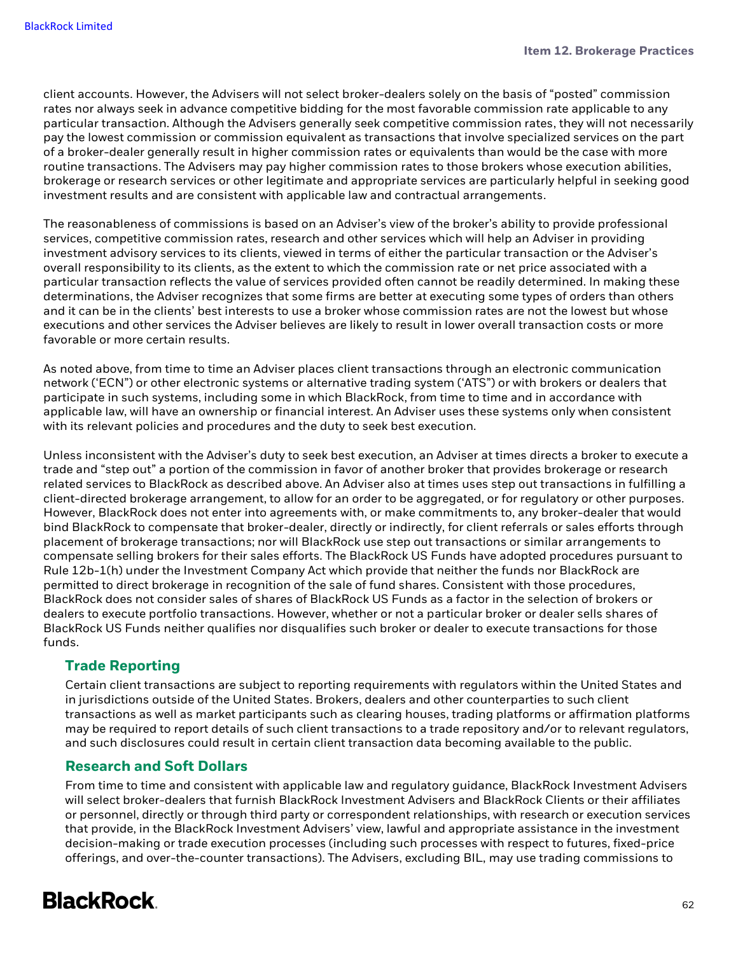client accounts. However, the Advisers will not select broker-dealers solely on the basis of "posted" commission rates nor always seek in advance competitive bidding for the most favorable commission rate applicable to any particular transaction. Although the Advisers generally seek competitive commission rates, they will not necessarily pay the lowest commission or commission equivalent as transactions that involve specialized services on the part of a broker-dealer generally result in higher commission rates or equivalents than would be the case with more routine transactions. The Advisers may pay higher commission rates to those brokers whose execution abilities, brokerage or research services or other legitimate and appropriate services are particularly helpful in seeking good investment results and are consistent with applicable law and contractual arrangements.

The reasonableness of commissions is based on an Adviser's view of the broker's ability to provide professional services, competitive commission rates, research and other services which will help an Adviser in providing investment advisory services to its clients, viewed in terms of either the particular transaction or the Adviser's overall responsibility to its clients, as the extent to which the commission rate or net price associated with a particular transaction reflects the value of services provided often cannot be readily determined. In making these determinations, the Adviser recognizes that some firms are better at executing some types of orders than others and it can be in the clients' best interests to use a broker whose commission rates are not the lowest but whose executions and other services the Adviser believes are likely to result in lower overall transaction costs or more favorable or more certain results.

As noted above, from time to time an Adviser places client transactions through an electronic communication network ('ECN") or other electronic systems or alternative trading system ('ATS") or with brokers or dealers that participate in such systems, including some in which BlackRock, from time to time and in accordance with applicable law, will have an ownership or financial interest. An Adviser uses these systems only when consistent with its relevant policies and procedures and the duty to seek best execution.

Unless inconsistent with the Adviser's duty to seek best execution, an Adviser at times directs a broker to execute a trade and "step out" a portion of the commission in favor of another broker that provides brokerage or research related services to BlackRock as described above. An Adviser also at times uses step out transactions in fulfilling a client-directed brokerage arrangement, to allow for an order to be aggregated, or for regulatory or other purposes. However, BlackRock does not enter into agreements with, or make commitments to, any broker-dealer that would bind BlackRock to compensate that broker-dealer, directly or indirectly, for client referrals or sales efforts through placement of brokerage transactions; nor will BlackRock use step out transactions or similar arrangements to compensate selling brokers for their sales efforts. The BlackRock US Funds have adopted procedures pursuant to Rule 12b-1(h) under the Investment Company Act which provide that neither the funds nor BlackRock are permitted to direct brokerage in recognition of the sale of fund shares. Consistent with those procedures, BlackRock does not consider sales of shares of BlackRock US Funds as a factor in the selection of brokers or dealers to execute portfolio transactions. However, whether or not a particular broker or dealer sells shares of BlackRock US Funds neither qualifies nor disqualifies such broker or dealer to execute transactions for those funds.

### **Trade Reporting**

Certain client transactions are subject to reporting requirements with regulators within the United States and in jurisdictions outside of the United States. Brokers, dealers and other counterparties to such client transactions as well as market participants such as clearing houses, trading platforms or affirmation platforms may be required to report details of such client transactions to a trade repository and/or to relevant regulators, and such disclosures could result in certain client transaction data becoming available to the public.

### **Research and Soft Dollars**

From time to time and consistent with applicable law and regulatory guidance, BlackRock Investment Advisers will select broker-dealers that furnish BlackRock Investment Advisers and BlackRock Clients or their affiliates or personnel, directly or through third party or correspondent relationships, with research or execution services that provide, in the BlackRock Investment Advisers' view, lawful and appropriate assistance in the investment decision-making or trade execution processes (including such processes with respect to futures, fixed-price offerings, and over-the-counter transactions). The Advisers, excluding BIL, may use trading commissions to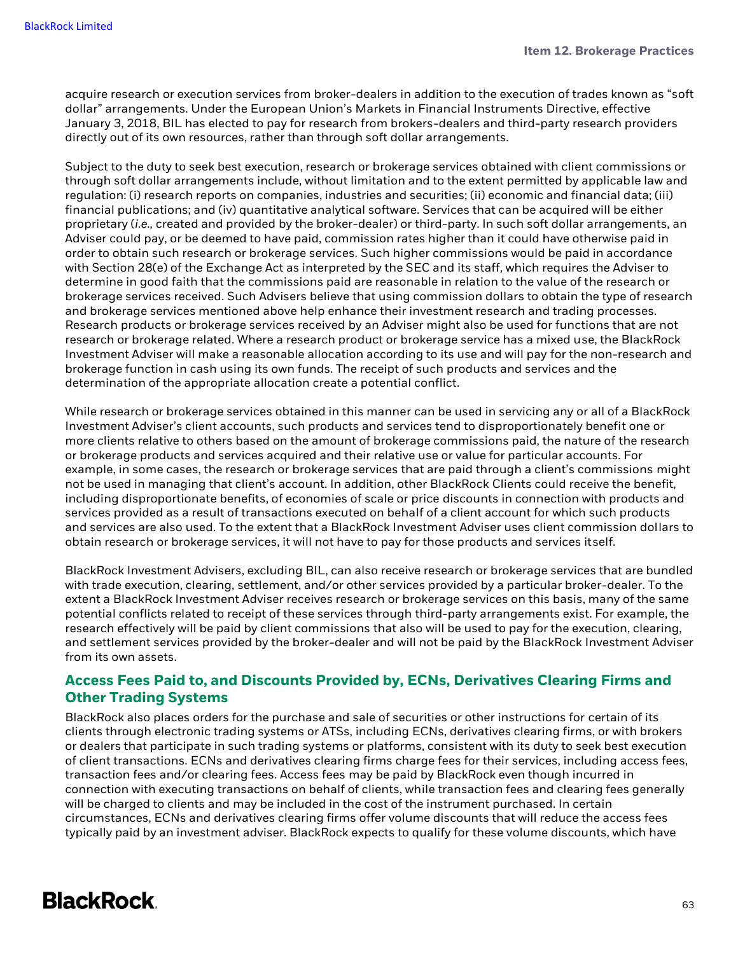acquire research or execution services from broker-dealers in addition to the execution of trades known as "soft dollar" arrangements. Under the European Union's Markets in Financial Instruments Directive, effective January 3, 2018, BIL has elected to pay for research from brokers-dealers and third-party research providers directly out of its own resources, rather than through soft dollar arrangements.

Subject to the duty to seek best execution, research or brokerage services obtained with client commissions or through soft dollar arrangements include, without limitation and to the extent permitted by applicable law and regulation: (i) research reports on companies, industries and securities; (ii) economic and financial data; (iii) financial publications; and (iv) quantitative analytical software. Services that can be acquired will be either proprietary (*i.e.,* created and provided by the broker-dealer) or third-party. In such soft dollar arrangements, an Adviser could pay, or be deemed to have paid, commission rates higher than it could have otherwise paid in order to obtain such research or brokerage services. Such higher commissions would be paid in accordance with Section 28(e) of the Exchange Act as interpreted by the SEC and its staff, which requires the Adviser to determine in good faith that the commissions paid are reasonable in relation to the value of the research or brokerage services received. Such Advisers believe that using commission dollars to obtain the type of research and brokerage services mentioned above help enhance their investment research and trading processes. Research products or brokerage services received by an Adviser might also be used for functions that are not research or brokerage related. Where a research product or brokerage service has a mixed use, the BlackRock Investment Adviser will make a reasonable allocation according to its use and will pay for the non-research and brokerage function in cash using its own funds. The receipt of such products and services and the determination of the appropriate allocation create a potential conflict.

While research or brokerage services obtained in this manner can be used in servicing any or all of a BlackRock Investment Adviser's client accounts, such products and services tend to disproportionately benefit one or more clients relative to others based on the amount of brokerage commissions paid, the nature of the research or brokerage products and services acquired and their relative use or value for particular accounts. For example, in some cases, the research or brokerage services that are paid through a client's commissions might not be used in managing that client's account. In addition, other BlackRock Clients could receive the benefit, including disproportionate benefits, of economies of scale or price discounts in connection with products and services provided as a result of transactions executed on behalf of a client account for which such products and services are also used. To the extent that a BlackRock Investment Adviser uses client commission dollars to obtain research or brokerage services, it will not have to pay for those products and services itself.

BlackRock Investment Advisers, excluding BIL, can also receive research or brokerage services that are bundled with trade execution, clearing, settlement, and/or other services provided by a particular broker-dealer. To the extent a BlackRock Investment Adviser receives research or brokerage services on this basis, many of the same potential conflicts related to receipt of these services through third-party arrangements exist. For example, the research effectively will be paid by client commissions that also will be used to pay for the execution, clearing, and settlement services provided by the broker-dealer and will not be paid by the BlackRock Investment Adviser from its own assets.

### **Access Fees Paid to, and Discounts Provided by, ECNs, Derivatives Clearing Firms and Other Trading Systems**

BlackRock also places orders for the purchase and sale of securities or other instructions for certain of its clients through electronic trading systems or ATSs, including ECNs, derivatives clearing firms, or with brokers or dealers that participate in such trading systems or platforms, consistent with its duty to seek best execution of client transactions. ECNs and derivatives clearing firms charge fees for their services, including access fees, transaction fees and/or clearing fees. Access fees may be paid by BlackRock even though incurred in connection with executing transactions on behalf of clients, while transaction fees and clearing fees generally will be charged to clients and may be included in the cost of the instrument purchased. In certain circumstances, ECNs and derivatives clearing firms offer volume discounts that will reduce the access fees typically paid by an investment adviser. BlackRock expects to qualify for these volume discounts, which have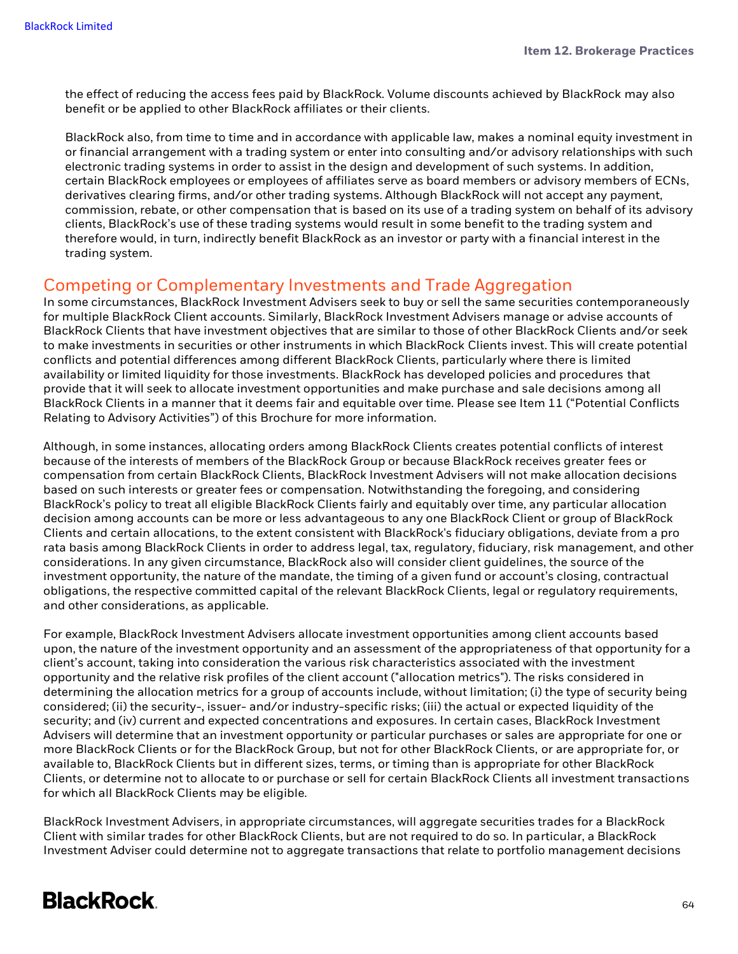the effect of reducing the access fees paid by BlackRock. Volume discounts achieved by BlackRock may also benefit or be applied to other BlackRock affiliates or their clients.

BlackRock also, from time to time and in accordance with applicable law, makes a nominal equity investment in or financial arrangement with a trading system or enter into consulting and/or advisory relationships with such electronic trading systems in order to assist in the design and development of such systems. In addition, certain BlackRock employees or employees of affiliates serve as board members or advisory members of ECNs, derivatives clearing firms, and/or other trading systems. Although BlackRock will not accept any payment, commission, rebate, or other compensation that is based on its use of a trading system on behalf of its advisory clients, BlackRock's use of these trading systems would result in some benefit to the trading system and therefore would, in turn, indirectly benefit BlackRock as an investor or party with a financial interest in the trading system.

### Competing or Complementary Investments and Trade Aggregation

In some circumstances, BlackRock Investment Advisers seek to buy or sell the same securities contemporaneously for multiple BlackRock Client accounts. Similarly, BlackRock Investment Advisers manage or advise accounts of BlackRock Clients that have investment objectives that are similar to those of other BlackRock Clients and/or seek to make investments in securities or other instruments in which BlackRock Clients invest. This will create potential conflicts and potential differences among different BlackRock Clients, particularly where there is limited availability or limited liquidity for those investments. BlackRock has developed policies and procedures that provide that it will seek to allocate investment opportunities and make purchase and sale decisions among all BlackRock Clients in a manner that it deems fair and equitable over time. Please see Item 11 ("Potential Conflicts Relating to Advisory Activities") of this Brochure for more information.

Although, in some instances, allocating orders among BlackRock Clients creates potential conflicts of interest because of the interests of members of the BlackRock Group or because BlackRock receives greater fees or compensation from certain BlackRock Clients, BlackRock Investment Advisers will not make allocation decisions based on such interests or greater fees or compensation. Notwithstanding the foregoing, and considering BlackRock's policy to treat all eligible BlackRock Clients fairly and equitably over time, any particular allocation decision among accounts can be more or less advantageous to any one BlackRock Client or group of BlackRock Clients and certain allocations, to the extent consistent with BlackRock's fiduciary obligations, deviate from a pro rata basis among BlackRock Clients in order to address legal, tax, regulatory, fiduciary, risk management, and other considerations. In any given circumstance, BlackRock also will consider client guidelines, the source of the investment opportunity, the nature of the mandate, the timing of a given fund or account's closing, contractual obligations, the respective committed capital of the relevant BlackRock Clients, legal or regulatory requirements, and other considerations, as applicable.

For example, BlackRock Investment Advisers allocate investment opportunities among client accounts based upon, the nature of the investment opportunity and an assessment of the appropriateness of that opportunity for a client's account, taking into consideration the various risk characteristics associated with the investment opportunity and the relative risk profiles of the client account ("allocation metrics"). The risks considered in determining the allocation metrics for a group of accounts include, without limitation; (i) the type of security being considered; (ii) the security-, issuer- and/or industry-specific risks; (iii) the actual or expected liquidity of the security; and (iv) current and expected concentrations and exposures. In certain cases, BlackRock Investment Advisers will determine that an investment opportunity or particular purchases or sales are appropriate for one or more BlackRock Clients or for the BlackRock Group, but not for other BlackRock Clients, or are appropriate for, or available to, BlackRock Clients but in different sizes, terms, or timing than is appropriate for other BlackRock Clients, or determine not to allocate to or purchase or sell for certain BlackRock Clients all investment transactions for which all BlackRock Clients may be eligible.

BlackRock Investment Advisers, in appropriate circumstances, will aggregate securities trades for a BlackRock Client with similar trades for other BlackRock Clients, but are not required to do so. In particular, a BlackRock Investment Adviser could determine not to aggregate transactions that relate to portfolio management decisions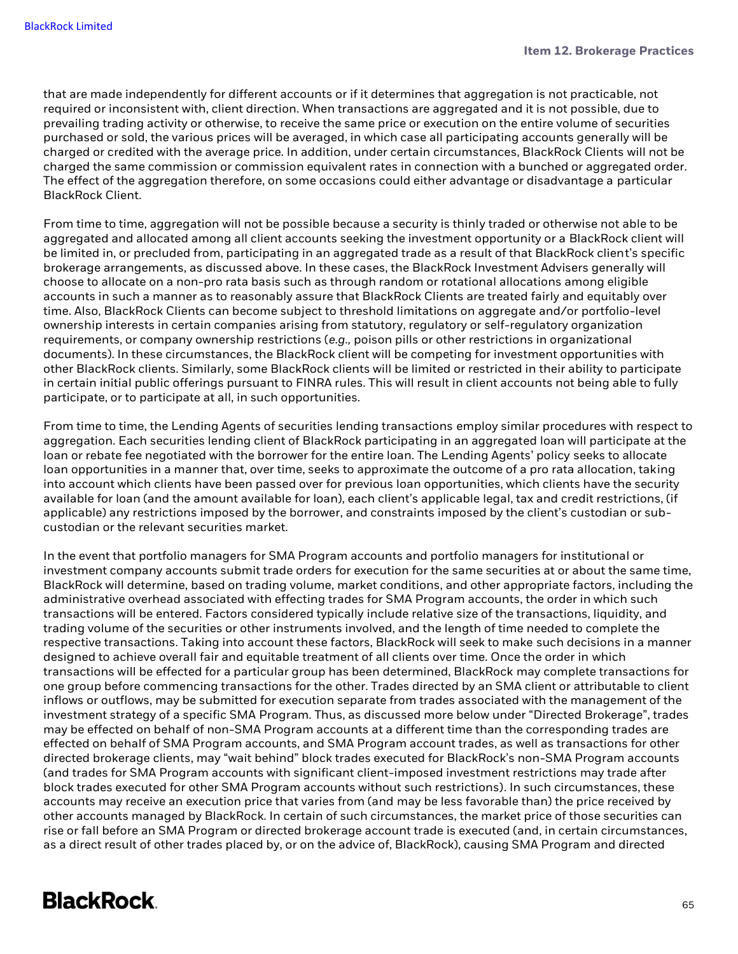that are made independently for different accounts or if it determines that aggregation is not practicable, not required or inconsistent with, client direction. When transactions are aggregated and it is not possible, due to prevailing trading activity or otherwise, to receive the same price or execution on the entire volume of securities purchased or sold, the various prices will be averaged, in which case all participating accounts generally will be charged or credited with the average price. In addition, under certain circumstances, BlackRock Clients will not be charged the same commission or commission equivalent rates in connection with a bunched or aggregated order. The effect of the aggregation therefore, on some occasions could either advantage or disadvantage a particular BlackRock Client.

From time to time, aggregation will not be possible because a security is thinly traded or otherwise not able to be aggregated and allocated among all client accounts seeking the investment opportunity or a BlackRock client will be limited in, or precluded from, participating in an aggregated trade as a result of that BlackRock client's specific brokerage arrangements, as discussed above. In these cases, the BlackRock Investment Advisers generally will choose to allocate on a non-pro rata basis such as through random or rotational allocations among eligible accounts in such a manner as to reasonably assure that BlackRock Clients are treated fairly and equitably over time. Also, BlackRock Clients can become subject to threshold limitations on aggregate and/or portfolio-level ownership interests in certain companies arising from statutory, regulatory or self-regulatory organization requirements, or company ownership restrictions (*e.g.,* poison pills or other restrictions in organizational documents). In these circumstances, the BlackRock client will be competing for investment opportunities with other BlackRock clients. Similarly, some BlackRock clients will be limited or restricted in their ability to participate in certain initial public offerings pursuant to FINRA rules. This will result in client accounts not being able to fully participate, or to participate at all, in such opportunities.

From time to time, the Lending Agents of securities lending transactions employ similar procedures with respect to aggregation. Each securities lending client of BlackRock participating in an aggregated loan will participate at the loan or rebate fee negotiated with the borrower for the entire loan. The Lending Agents' policy seeks to allocate loan opportunities in a manner that, over time, seeks to approximate the outcome of a pro rata allocation, taking into account which clients have been passed over for previous loan opportunities, which clients have the security available for loan (and the amount available for loan), each client's applicable legal, tax and credit restrictions, (if applicable) any restrictions imposed by the borrower, and constraints imposed by the client's custodian or subcustodian or the relevant securities market.

In the event that portfolio managers for SMA Program accounts and portfolio managers for institutional or investment company accounts submit trade orders for execution for the same securities at or about the same time, BlackRock will determine, based on trading volume, market conditions, and other appropriate factors, including the administrative overhead associated with effecting trades for SMA Program accounts, the order in which such transactions will be entered. Factors considered typically include relative size of the transactions, liquidity, and trading volume of the securities or other instruments involved, and the length of time needed to complete the respective transactions. Taking into account these factors, BlackRock will seek to make such decisions in a manner designed to achieve overall fair and equitable treatment of all clients over time. Once the order in which transactions will be effected for a particular group has been determined, BlackRock may complete transactions for one group before commencing transactions for the other. Trades directed by an SMA client or attributable to client inflows or outflows, may be submitted for execution separate from trades associated with the management of the investment strategy of a specific SMA Program. Thus, as discussed more below under "Directed Brokerage", trades may be effected on behalf of non-SMA Program accounts at a different time than the corresponding trades are effected on behalf of SMA Program accounts, and SMA Program account trades, as well as transactions for other directed brokerage clients, may "wait behind" block trades executed for BlackRock's non-SMA Program accounts (and trades for SMA Program accounts with significant client-imposed investment restrictions may trade after block trades executed for other SMA Program accounts without such restrictions). In such circumstances, these accounts may receive an execution price that varies from (and may be less favorable than) the price received by other accounts managed by BlackRock. In certain of such circumstances, the market price of those securities can rise or fall before an SMA Program or directed brokerage account trade is executed (and, in certain circumstances, as a direct result of other trades placed by, or on the advice of, BlackRock), causing SMA Program and directed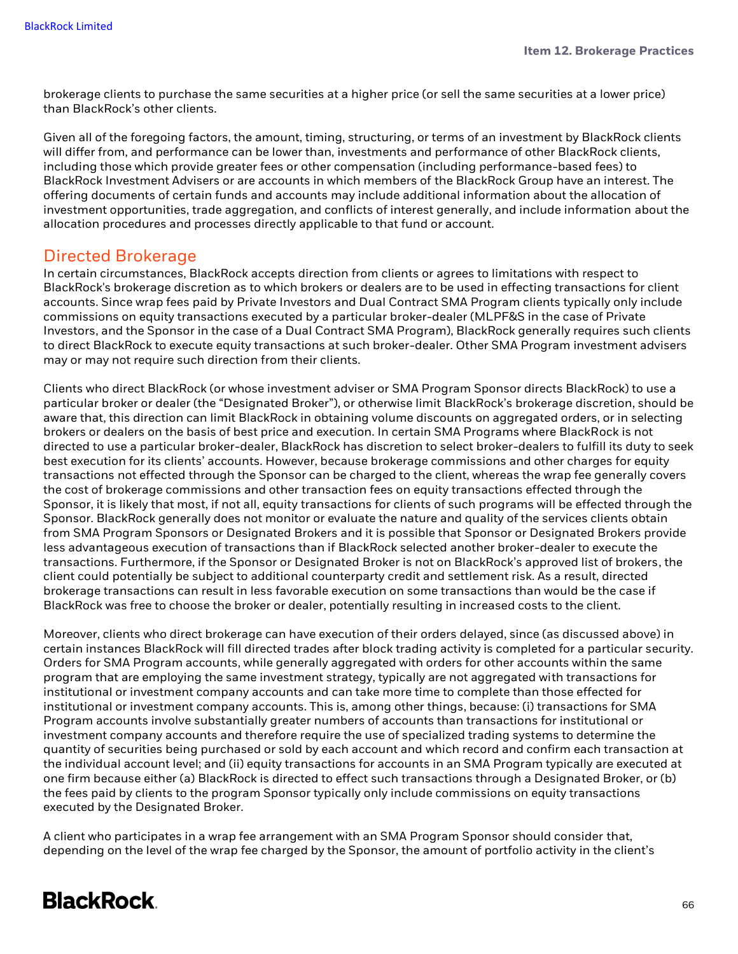brokerage clients to purchase the same securities at a higher price (or sell the same securities at a lower price) than BlackRock's other clients.

Given all of the foregoing factors, the amount, timing, structuring, or terms of an investment by BlackRock clients will differ from, and performance can be lower than, investments and performance of other BlackRock clients, including those which provide greater fees or other compensation (including performance-based fees) to BlackRock Investment Advisers or are accounts in which members of the BlackRock Group have an interest. The offering documents of certain funds and accounts may include additional information about the allocation of investment opportunities, trade aggregation, and conflicts of interest generally, and include information about the allocation procedures and processes directly applicable to that fund or account.

### Directed Brokerage

In certain circumstances, BlackRock accepts direction from clients or agrees to limitations with respect to BlackRock's brokerage discretion as to which brokers or dealers are to be used in effecting transactions for client accounts. Since wrap fees paid by Private Investors and Dual Contract SMA Program clients typically only include commissions on equity transactions executed by a particular broker-dealer (MLPF&S in the case of Private Investors, and the Sponsor in the case of a Dual Contract SMA Program), BlackRock generally requires such clients to direct BlackRock to execute equity transactions at such broker-dealer. Other SMA Program investment advisers may or may not require such direction from their clients.

Clients who direct BlackRock (or whose investment adviser or SMA Program Sponsor directs BlackRock) to use a particular broker or dealer (the "Designated Broker"), or otherwise limit BlackRock's brokerage discretion, should be aware that, this direction can limit BlackRock in obtaining volume discounts on aggregated orders, or in selecting brokers or dealers on the basis of best price and execution. In certain SMA Programs where BlackRock is not directed to use a particular broker-dealer, BlackRock has discretion to select broker-dealers to fulfill its duty to seek best execution for its clients' accounts. However, because brokerage commissions and other charges for equity transactions not effected through the Sponsor can be charged to the client, whereas the wrap fee generally covers the cost of brokerage commissions and other transaction fees on equity transactions effected through the Sponsor, it is likely that most, if not all, equity transactions for clients of such programs will be effected through the Sponsor. BlackRock generally does not monitor or evaluate the nature and quality of the services clients obtain from SMA Program Sponsors or Designated Brokers and it is possible that Sponsor or Designated Brokers provide less advantageous execution of transactions than if BlackRock selected another broker-dealer to execute the transactions. Furthermore, if the Sponsor or Designated Broker is not on BlackRock's approved list of brokers, the client could potentially be subject to additional counterparty credit and settlement risk. As a result, directed brokerage transactions can result in less favorable execution on some transactions than would be the case if BlackRock was free to choose the broker or dealer, potentially resulting in increased costs to the client.

Moreover, clients who direct brokerage can have execution of their orders delayed, since (as discussed above) in certain instances BlackRock will fill directed trades after block trading activity is completed for a particular security. Orders for SMA Program accounts, while generally aggregated with orders for other accounts within the same program that are employing the same investment strategy, typically are not aggregated with transactions for institutional or investment company accounts and can take more time to complete than those effected for institutional or investment company accounts. This is, among other things, because: (i) transactions for SMA Program accounts involve substantially greater numbers of accounts than transactions for institutional or investment company accounts and therefore require the use of specialized trading systems to determine the quantity of securities being purchased or sold by each account and which record and confirm each transaction at the individual account level; and (ii) equity transactions for accounts in an SMA Program typically are executed at one firm because either (a) BlackRock is directed to effect such transactions through a Designated Broker, or (b) the fees paid by clients to the program Sponsor typically only include commissions on equity transactions executed by the Designated Broker.

A client who participates in a wrap fee arrangement with an SMA Program Sponsor should consider that, depending on the level of the wrap fee charged by the Sponsor, the amount of portfolio activity in the client's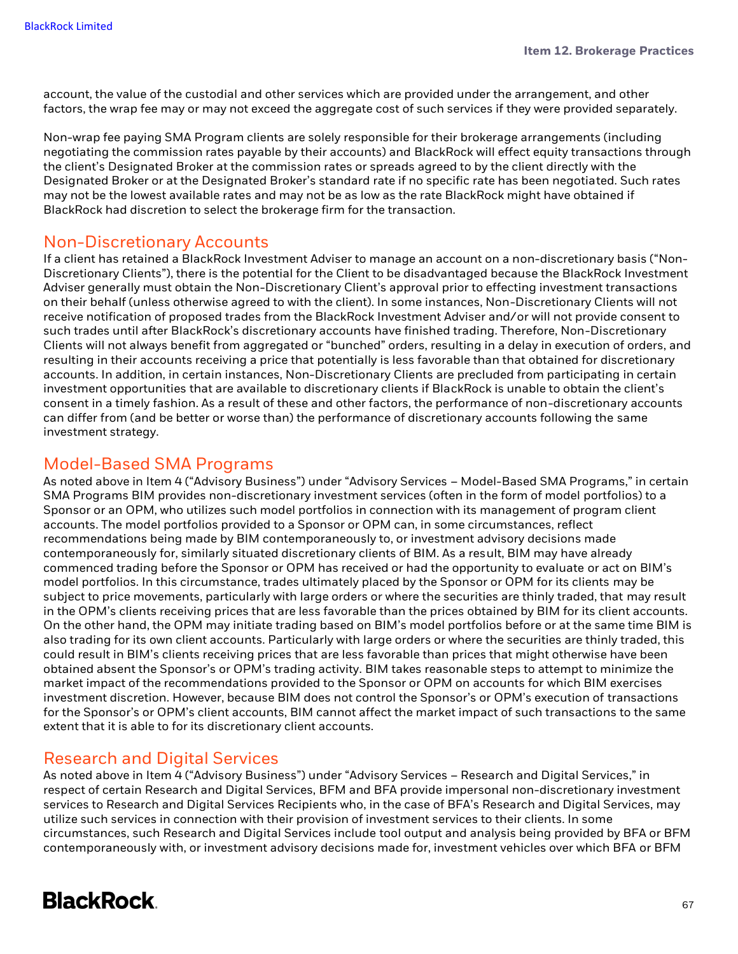account, the value of the custodial and other services which are provided under the arrangement, and other factors, the wrap fee may or may not exceed the aggregate cost of such services if they were provided separately.

Non-wrap fee paying SMA Program clients are solely responsible for their brokerage arrangements (including negotiating the commission rates payable by their accounts) and BlackRock will effect equity transactions through the client's Designated Broker at the commission rates or spreads agreed to by the client directly with the Designated Broker or at the Designated Broker's standard rate if no specific rate has been negotiated. Such rates may not be the lowest available rates and may not be as low as the rate BlackRock might have obtained if BlackRock had discretion to select the brokerage firm for the transaction.

### Non-Discretionary Accounts

If a client has retained a BlackRock Investment Adviser to manage an account on a non-discretionary basis ("Non-Discretionary Clients"), there is the potential for the Client to be disadvantaged because the BlackRock Investment Adviser generally must obtain the Non-Discretionary Client's approval prior to effecting investment transactions on their behalf (unless otherwise agreed to with the client). In some instances, Non-Discretionary Clients will not receive notification of proposed trades from the BlackRock Investment Adviser and/or will not provide consent to such trades until after BlackRock's discretionary accounts have finished trading. Therefore, Non-Discretionary Clients will not always benefit from aggregated or "bunched" orders, resulting in a delay in execution of orders, and resulting in their accounts receiving a price that potentially is less favorable than that obtained for discretionary accounts. In addition, in certain instances, Non-Discretionary Clients are precluded from participating in certain investment opportunities that are available to discretionary clients if BlackRock is unable to obtain the client's consent in a timely fashion. As a result of these and other factors, the performance of non-discretionary accounts can differ from (and be better or worse than) the performance of discretionary accounts following the same investment strategy.

### Model-Based SMA Programs

As noted above in Item 4 ("Advisory Business") under "Advisory Services – Model-Based SMA Programs," in certain SMA Programs BIM provides non-discretionary investment services (often in the form of model portfolios) to a Sponsor or an OPM, who utilizes such model portfolios in connection with its management of program client accounts. The model portfolios provided to a Sponsor or OPM can, in some circumstances, reflect recommendations being made by BIM contemporaneously to, or investment advisory decisions made contemporaneously for, similarly situated discretionary clients of BIM. As a result, BIM may have already commenced trading before the Sponsor or OPM has received or had the opportunity to evaluate or act on BIM's model portfolios. In this circumstance, trades ultimately placed by the Sponsor or OPM for its clients may be subject to price movements, particularly with large orders or where the securities are thinly traded, that may result in the OPM's clients receiving prices that are less favorable than the prices obtained by BIM for its client accounts. On the other hand, the OPM may initiate trading based on BIM's model portfolios before or at the same time BIM is also trading for its own client accounts. Particularly with large orders or where the securities are thinly traded, this could result in BIM's clients receiving prices that are less favorable than prices that might otherwise have been obtained absent the Sponsor's or OPM's trading activity. BIM takes reasonable steps to attempt to minimize the market impact of the recommendations provided to the Sponsor or OPM on accounts for which BIM exercises investment discretion. However, because BIM does not control the Sponsor's or OPM's execution of transactions for the Sponsor's or OPM's client accounts, BIM cannot affect the market impact of such transactions to the same extent that it is able to for its discretionary client accounts.

### Research and Digital Services

As noted above in Item 4 ("Advisory Business") under "Advisory Services - Research and Digital Services," in respect of certain Research and Digital Services, BFM and BFA provide impersonal non-discretionary investment services to Research and Digital Services Recipients who, in the case of BFA's Research and Digital Services, may utilize such services in connection with their provision of investment services to their clients. In some circumstances, such Research and Digital Services include tool output and analysis being provided by BFA or BFM contemporaneously with, or investment advisory decisions made for, investment vehicles over which BFA or BFM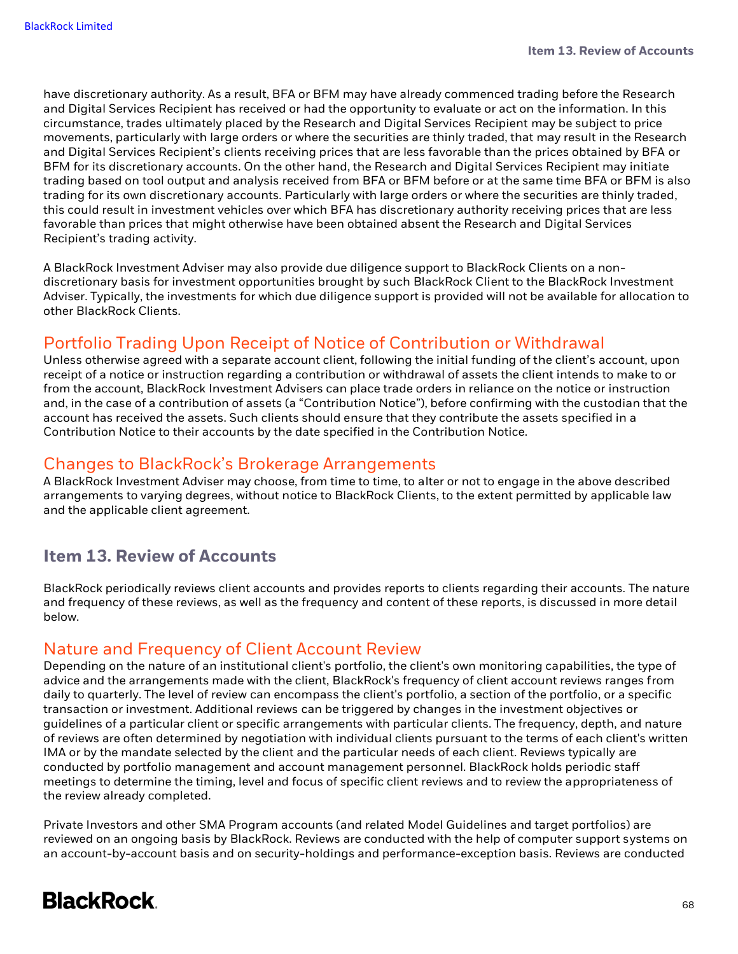have discretionary authority. As a result, BFA or BFM may have already commenced trading before the Research and Digital Services Recipient has received or had the opportunity to evaluate or act on the information. In this circumstance, trades ultimately placed by the Research and Digital Services Recipient may be subject to price movements, particularly with large orders or where the securities are thinly traded, that may result in the Research and Digital Services Recipient's clients receiving prices that are less favorable than the prices obtained by BFA or BFM for its discretionary accounts. On the other hand, the Research and Digital Services Recipient may initiate trading based on tool output and analysis received from BFA or BFM before or at the same time BFA or BFM is also trading for its own discretionary accounts. Particularly with large orders or where the securities are thinly traded, this could result in investment vehicles over which BFA has discretionary authority receiving prices that are less favorable than prices that might otherwise have been obtained absent the Research and Digital Services Recipient's trading activity.

A BlackRock Investment Adviser may also provide due diligence support to BlackRock Clients on a nondiscretionary basis for investment opportunities brought by such BlackRock Client to the BlackRock Investment Adviser. Typically, the investments for which due diligence support is provided will not be available for allocation to other BlackRock Clients.

### Portfolio Trading Upon Receipt of Notice of Contribution or Withdrawal

Unless otherwise agreed with a separate account client, following the initial funding of the client's account, upon receipt of a notice or instruction regarding a contribution or withdrawal of assets the client intends to make to or from the account, BlackRock Investment Advisers can place trade orders in reliance on the notice or instruction and, in the case of a contribution of assets (a "Contribution Notice"), before confirming with the custodian that the account has received the assets. Such clients should ensure that they contribute the assets specified in a Contribution Notice to their accounts by the date specified in the Contribution Notice.

### Changes to BlackRock's Brokerage Arrangements

A BlackRock Investment Adviser may choose, from time to time, to alter or not to engage in the above described arrangements to varying degrees, without notice to BlackRock Clients, to the extent permitted by applicable law and the applicable client agreement.

## **Item 13. Review of Accounts**

BlackRock periodically reviews client accounts and provides reports to clients regarding their accounts. The nature and frequency of these reviews, as well as the frequency and content of these reports, is discussed in more detail below.

### Nature and Frequency of Client Account Review

Depending on the nature of an institutional client's portfolio, the client's own monitoring capabilities, the type of advice and the arrangements made with the client, BlackRock's frequency of client account reviews ranges from daily to quarterly. The level of review can encompass the client's portfolio, a section of the portfolio, or a specific transaction or investment. Additional reviews can be triggered by changes in the investment objectives or guidelines of a particular client or specific arrangements with particular clients. The frequency, depth, and nature of reviews are often determined by negotiation with individual clients pursuant to the terms of each client's written IMA or by the mandate selected by the client and the particular needs of each client. Reviews typically are conducted by portfolio management and account management personnel. BlackRock holds periodic staff meetings to determine the timing, level and focus of specific client reviews and to review the appropriateness of the review already completed.

Private Investors and other SMA Program accounts (and related Model Guidelines and target portfolios) are reviewed on an ongoing basis by BlackRock. Reviews are conducted with the help of computer support systems on an account-by-account basis and on security-holdings and performance-exception basis. Reviews are conducted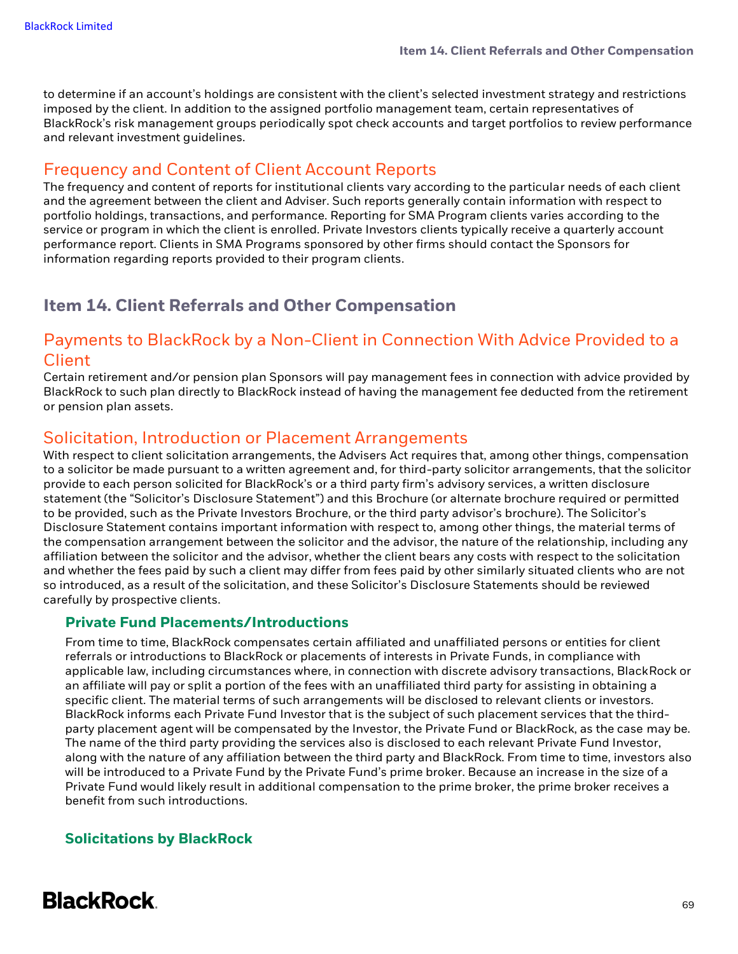to determine if an account's holdings are consistent with the client's selected investment strategy and restrictions imposed by the client. In addition to the assigned portfolio management team, certain representatives of BlackRock's risk management groups periodically spot check accounts and target portfolios to review performance and relevant investment guidelines.

### Frequency and Content of Client Account Reports

The frequency and content of reports for institutional clients vary according to the particular needs of each client and the agreement between the client and Adviser. Such reports generally contain information with respect to portfolio holdings, transactions, and performance. Reporting for SMA Program clients varies according to the service or program in which the client is enrolled. Private Investors clients typically receive a quarterly account performance report. Clients in SMA Programs sponsored by other firms should contact the Sponsors for information regarding reports provided to their program clients.

### **Item 14. Client Referrals and Other Compensation**

### Payments to BlackRock by a Non-Client in Connection With Advice Provided to a Client

Certain retirement and/or pension plan Sponsors will pay management fees in connection with advice provided by BlackRock to such plan directly to BlackRock instead of having the management fee deducted from the retirement or pension plan assets.

### Solicitation, Introduction or Placement Arrangements

With respect to client solicitation arrangements, the Advisers Act requires that, among other things, compensation to a solicitor be made pursuant to a written agreement and, for third-party solicitor arrangements, that the solicitor provide to each person solicited for BlackRock's or a third party firm's advisory services, a written disclosure statement (the "Solicitor's Disclosure Statement") and this Brochure (or alternate brochure required or permitted to be provided, such as the Private Investors Brochure, or the third party advisor's brochure). The Solicitor's Disclosure Statement contains important information with respect to, among other things, the material terms of the compensation arrangement between the solicitor and the advisor, the nature of the relationship, including any affiliation between the solicitor and the advisor, whether the client bears any costs with respect to the solicitation and whether the fees paid by such a client may differ from fees paid by other similarly situated clients who are not so introduced, as a result of the solicitation, and these Solicitor's Disclosure Statements should be reviewed carefully by prospective clients.

### **Private Fund Placements/Introductions**

From time to time, BlackRock compensates certain affiliated and unaffiliated persons or entities for client referrals or introductions to BlackRock or placements of interests in Private Funds, in compliance with applicable law, including circumstances where, in connection with discrete advisory transactions, BlackRock or an affiliate will pay or split a portion of the fees with an unaffiliated third party for assisting in obtaining a specific client. The material terms of such arrangements will be disclosed to relevant clients or investors. BlackRock informs each Private Fund Investor that is the subject of such placement services that the thirdparty placement agent will be compensated by the Investor, the Private Fund or BlackRock, as the case may be. The name of the third party providing the services also is disclosed to each relevant Private Fund Investor, along with the nature of any affiliation between the third party and BlackRock. From time to time, investors also will be introduced to a Private Fund by the Private Fund's prime broker. Because an increase in the size of a Private Fund would likely result in additional compensation to the prime broker, the prime broker receives a benefit from such introductions.

### **Solicitations by BlackRock**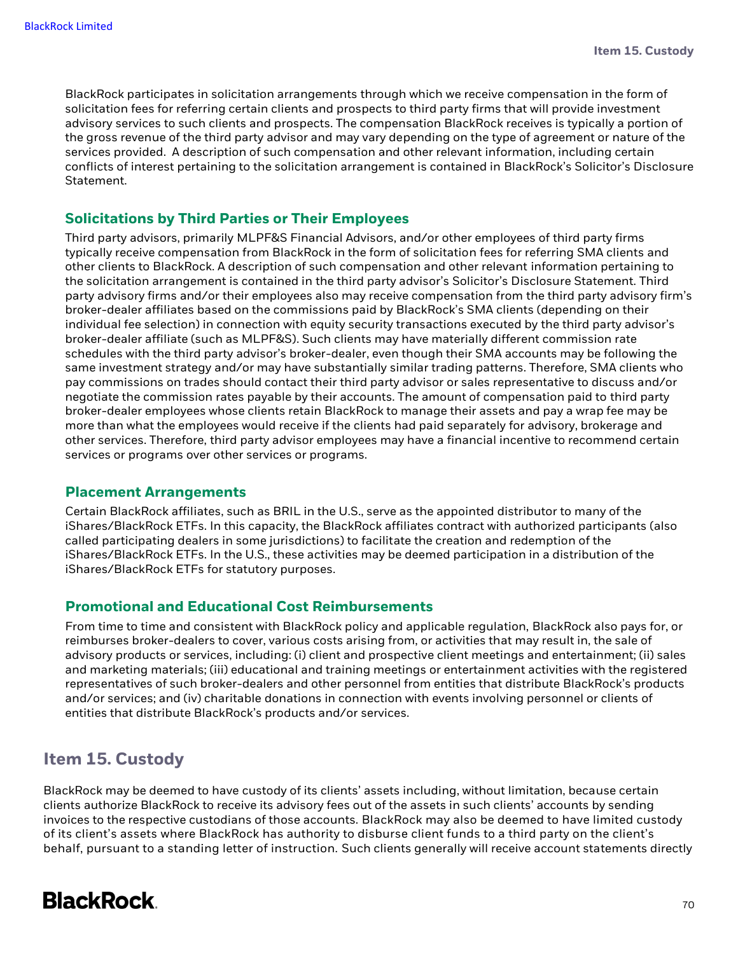BlackRock participates in solicitation arrangements through which we receive compensation in the form of solicitation fees for referring certain clients and prospects to third party firms that will provide investment advisory services to such clients and prospects. The compensation BlackRock receives is typically a portion of the gross revenue of the third party advisor and may vary depending on the type of agreement or nature of the services provided. A description of such compensation and other relevant information, including certain conflicts of interest pertaining to the solicitation arrangement is contained in BlackRock's Solicitor's Disclosure Statement.

#### **Solicitations by Third Parties or Their Employees**

Third party advisors, primarily MLPF&S Financial Advisors, and/or other employees of third party firms typically receive compensation from BlackRock in the form of solicitation fees for referring SMA clients and other clients to BlackRock. A description of such compensation and other relevant information pertaining to the solicitation arrangement is contained in the third party advisor's Solicitor's Disclosure Statement. Third party advisory firms and/or their employees also may receive compensation from the third party advisory firm's broker-dealer affiliates based on the commissions paid by BlackRock's SMA clients (depending on their individual fee selection) in connection with equity security transactions executed by the third party advisor's broker-dealer affiliate (such as MLPF&S). Such clients may have materially different commission rate schedules with the third party advisor's broker-dealer, even though their SMA accounts may be following the same investment strategy and/or may have substantially similar trading patterns. Therefore, SMA clients who pay commissions on trades should contact their third party advisor or sales representative to discuss and/or negotiate the commission rates payable by their accounts. The amount of compensation paid to third party broker-dealer employees whose clients retain BlackRock to manage their assets and pay a wrap fee may be more than what the employees would receive if the clients had paid separately for advisory, brokerage and other services. Therefore, third party advisor employees may have a financial incentive to recommend certain services or programs over other services or programs.

#### **Placement Arrangements**

Certain BlackRock affiliates, such as BRIL in the U.S., serve as the appointed distributor to many of the iShares/BlackRock ETFs. In this capacity, the BlackRock affiliates contract with authorized participants (also called participating dealers in some jurisdictions) to facilitate the creation and redemption of the iShares/BlackRock ETFs. In the U.S., these activities may be deemed participation in a distribution of the iShares/BlackRock ETFs for statutory purposes.

#### **Promotional and Educational Cost Reimbursements**

From time to time and consistent with BlackRock policy and applicable regulation, BlackRock also pays for, or reimburses broker-dealers to cover, various costs arising from, or activities that may result in, the sale of advisory products or services, including: (i) client and prospective client meetings and entertainment; (ii) sales and marketing materials; (iii) educational and training meetings or entertainment activities with the registered representatives of such broker-dealers and other personnel from entities that distribute BlackRock's products and/or services; and (iv) charitable donations in connection with events involving personnel or clients of entities that distribute BlackRock's products and/or services.

### **Item 15. Custody**

BlackRock may be deemed to have custody of its clients' assets including, without limitation, because certain clients authorize BlackRock to receive its advisory fees out of the assets in such clients' accounts by sending invoices to the respective custodians of those accounts. BlackRock may also be deemed to have limited custody of its client's assets where BlackRock has authority to disburse client funds to a third party on the client's behalf, pursuant to a standing letter of instruction. Such clients generally will receive account statements directly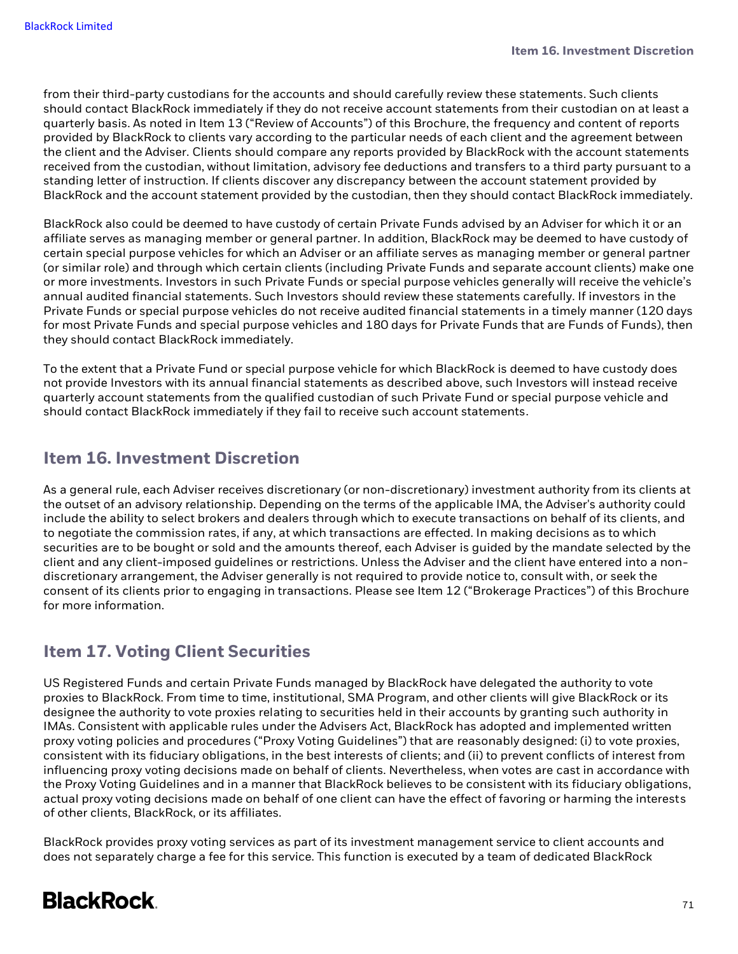from their third-party custodians for the accounts and should carefully review these statements. Such clients should contact BlackRock immediately if they do not receive account statements from their custodian on at least a quarterly basis. As noted in Item 13 ("Review of Accounts") of this Brochure, the frequency and content of reports provided by BlackRock to clients vary according to the particular needs of each client and the agreement between the client and the Adviser. Clients should compare any reports provided by BlackRock with the account statements received from the custodian, without limitation, advisory fee deductions and transfers to a third party pursuant to a standing letter of instruction. If clients discover any discrepancy between the account statement provided by BlackRock and the account statement provided by the custodian, then they should contact BlackRock immediately.

BlackRock also could be deemed to have custody of certain Private Funds advised by an Adviser for which it or an affiliate serves as managing member or general partner. In addition, BlackRock may be deemed to have custody of certain special purpose vehicles for which an Adviser or an affiliate serves as managing member or general partner (or similar role) and through which certain clients (including Private Funds and separate account clients) make one or more investments. Investors in such Private Funds or special purpose vehicles generally will receive the vehicle's annual audited financial statements. Such Investors should review these statements carefully. If investors in the Private Funds or special purpose vehicles do not receive audited financial statements in a timely manner (120 days for most Private Funds and special purpose vehicles and 180 days for Private Funds that are Funds of Funds), then they should contact BlackRock immediately.

To the extent that a Private Fund or special purpose vehicle for which BlackRock is deemed to have custody does not provide Investors with its annual financial statements as described above, such Investors will instead receive quarterly account statements from the qualified custodian of such Private Fund or special purpose vehicle and should contact BlackRock immediately if they fail to receive such account statements.

### **Item 16. Investment Discretion**

As a general rule, each Adviser receives discretionary (or non-discretionary) investment authority from its clients at the outset of an advisory relationship. Depending on the terms of the applicable IMA, the Adviser's authority could include the ability to select brokers and dealers through which to execute transactions on behalf of its clients, and to negotiate the commission rates, if any, at which transactions are effected. In making decisions as to which securities are to be bought or sold and the amounts thereof, each Adviser is guided by the mandate selected by the client and any client-imposed guidelines or restrictions. Unless the Adviser and the client have entered into a nondiscretionary arrangement, the Adviser generally is not required to provide notice to, consult with, or seek the consent of its clients prior to engaging in transactions. Please see Item 12 ("Brokerage Practices") of this Brochure for more information.

## **Item 17. Voting Client Securities**

US Registered Funds and certain Private Funds managed by BlackRock have delegated the authority to vote proxies to BlackRock. From time to time, institutional, SMA Program, and other clients will give BlackRock or its designee the authority to vote proxies relating to securities held in their accounts by granting such authority in IMAs. Consistent with applicable rules under the Advisers Act, BlackRock has adopted and implemented written proxy voting policies and procedures ("Proxy Voting Guidelines") that are reasonably designed: (i) to vote proxies, consistent with its fiduciary obligations, in the best interests of clients; and (ii) to prevent conflicts of interest from influencing proxy voting decisions made on behalf of clients. Nevertheless, when votes are cast in accordance with the Proxy Voting Guidelines and in a manner that BlackRock believes to be consistent with its fiduciary obligations, actual proxy voting decisions made on behalf of one client can have the effect of favoring or harming the interests of other clients, BlackRock, or its affiliates.

BlackRock provides proxy voting services as part of its investment management service to client accounts and does not separately charge a fee for this service. This function is executed by a team of dedicated BlackRock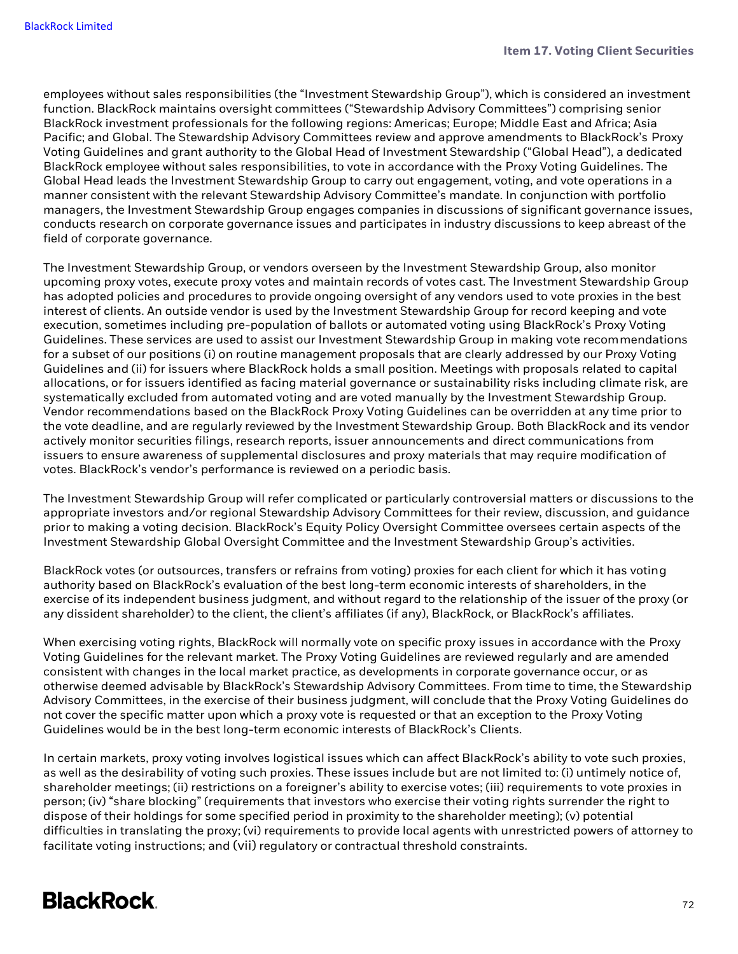employees without sales responsibilities (the "Investment Stewardship Group"), which is considered an investment function. BlackRock maintains oversight committees ("Stewardship Advisory Committees") comprising senior BlackRock investment professionals for the following regions: Americas; Europe; Middle East and Africa; Asia Pacific; and Global. The Stewardship Advisory Committees review and approve amendments to BlackRock's Proxy Voting Guidelines and grant authority to the Global Head of Investment Stewardship ("Global Head"), a dedicated BlackRock employee without sales responsibilities, to vote in accordance with the Proxy Voting Guidelines. The Global Head leads the Investment Stewardship Group to carry out engagement, voting, and vote operations in a manner consistent with the relevant Stewardship Advisory Committee's mandate. In conjunction with portfolio managers, the Investment Stewardship Group engages companies in discussions of significant governance issues, conducts research on corporate governance issues and participates in industry discussions to keep abreast of the field of corporate governance.

The Investment Stewardship Group, or vendors overseen by the Investment Stewardship Group, also monitor upcoming proxy votes, execute proxy votes and maintain records of votes cast. The Investment Stewardship Group has adopted policies and procedures to provide ongoing oversight of any vendors used to vote proxies in the best interest of clients. An outside vendor is used by the Investment Stewardship Group for record keeping and vote execution, sometimes including pre-population of ballots or automated voting using BlackRock's Proxy Voting Guidelines. These services are used to assist our Investment Stewardship Group in making vote recommendations for a subset of our positions (i) on routine management proposals that are clearly addressed by our Proxy Voting Guidelines and (ii) for issuers where BlackRock holds a small position. Meetings with proposals related to capital allocations, or for issuers identified as facing material governance or sustainability risks including climate risk, are systematically excluded from automated voting and are voted manually by the Investment Stewardship Group. Vendor recommendations based on the BlackRock Proxy Voting Guidelines can be overridden at any time prior to the vote deadline, and are regularly reviewed by the Investment Stewardship Group. Both BlackRock and its vendor actively monitor securities filings, research reports, issuer announcements and direct communications from issuers to ensure awareness of supplemental disclosures and proxy materials that may require modification of votes. BlackRock's vendor's performance is reviewed on a periodic basis.

The Investment Stewardship Group will refer complicated or particularly controversial matters or discussions to the appropriate investors and/or regional Stewardship Advisory Committees for their review, discussion, and guidance prior to making a voting decision. BlackRock's Equity Policy Oversight Committee oversees certain aspects of the Investment Stewardship Global Oversight Committee and the Investment Stewardship Group's activities.

BlackRock votes (or outsources, transfers or refrains from voting) proxies for each client for which it has voting authority based on BlackRock's evaluation of the best long-term economic interests of shareholders, in the exercise of its independent business judgment, and without regard to the relationship of the issuer of the proxy (or any dissident shareholder) to the client, the client's affiliates (if any), BlackRock, or BlackRock's affiliates.

When exercising voting rights, BlackRock will normally vote on specific proxy issues in accordance with the Proxy Voting Guidelines for the relevant market. The Proxy Voting Guidelines are reviewed regularly and are amended consistent with changes in the local market practice, as developments in corporate governance occur, or as otherwise deemed advisable by BlackRock's Stewardship Advisory Committees. From time to time, the Stewardship Advisory Committees, in the exercise of their business judgment, will conclude that the Proxy Voting Guidelines do not cover the specific matter upon which a proxy vote is requested or that an exception to the Proxy Voting Guidelines would be in the best long-term economic interests of BlackRock's Clients.

In certain markets, proxy voting involves logistical issues which can affect BlackRock's ability to vote such proxies, as well as the desirability of voting such proxies. These issues include but are not limited to: (i) untimely notice of, shareholder meetings; (ii) restrictions on a foreigner's ability to exercise votes; (iii) requirements to vote proxies in person; (iv) "share blocking" (requirements that investors who exercise their voting rights surrender the right to dispose of their holdings for some specified period in proximity to the shareholder meeting); (v) potential difficulties in translating the proxy; (vi) requirements to provide local agents with unrestricted powers of attorney to facilitate voting instructions; and (vii) regulatory or contractual threshold constraints.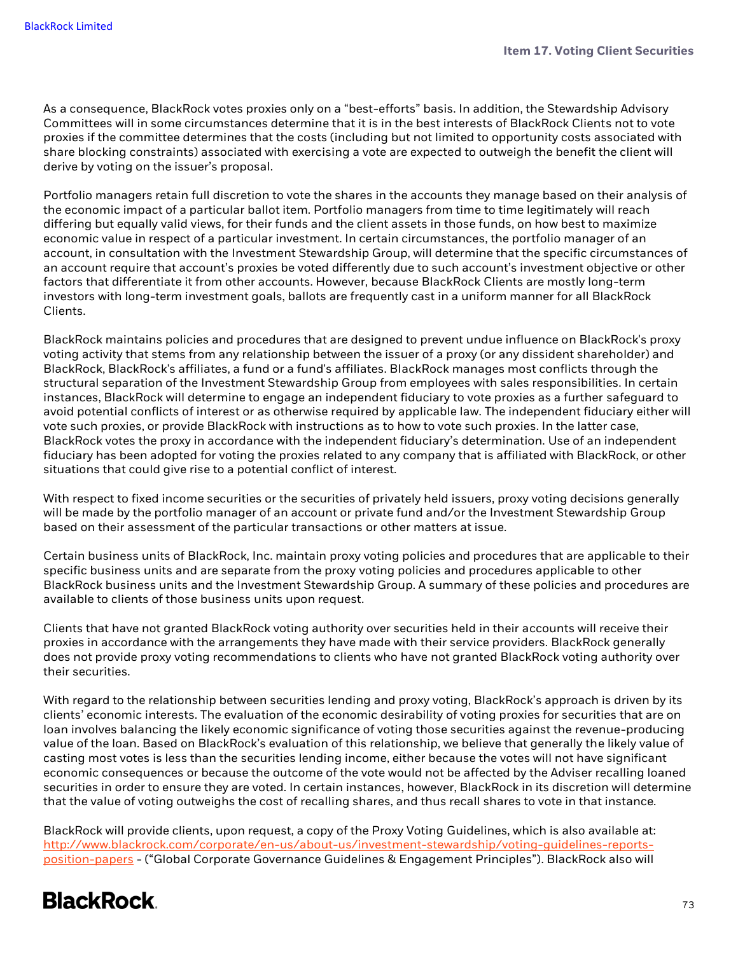As a consequence, BlackRock votes proxies only on a "best-efforts" basis. In addition, the Stewardship Advisory Committees will in some circumstances determine that it is in the best interests of BlackRock Clients not to vote proxies if the committee determines that the costs (including but not limited to opportunity costs associated with share blocking constraints) associated with exercising a vote are expected to outweigh the benefit the client will derive by voting on the issuer's proposal.

Portfolio managers retain full discretion to vote the shares in the accounts they manage based on their analysis of the economic impact of a particular ballot item. Portfolio managers from time to time legitimately will reach differing but equally valid views, for their funds and the client assets in those funds, on how best to maximize economic value in respect of a particular investment. In certain circumstances, the portfolio manager of an account, in consultation with the Investment Stewardship Group, will determine that the specific circumstances of an account require that account's proxies be voted differently due to such account's investment objective or other factors that differentiate it from other accounts. However, because BlackRock Clients are mostly long-term investors with long-term investment goals, ballots are frequently cast in a uniform manner for all BlackRock Clients.

BlackRock maintains policies and procedures that are designed to prevent undue influence on BlackRock's proxy voting activity that stems from any relationship between the issuer of a proxy (or any dissident shareholder) and BlackRock, BlackRock's affiliates, a fund or a fund's affiliates. BlackRock manages most conflicts through the structural separation of the Investment Stewardship Group from employees with sales responsibilities. In certain instances, BlackRock will determine to engage an independent fiduciary to vote proxies as a further safeguard to avoid potential conflicts of interest or as otherwise required by applicable law. The independent fiduciary either will vote such proxies, or provide BlackRock with instructions as to how to vote such proxies. In the latter case, BlackRock votes the proxy in accordance with the independent fiduciary's determination. Use of an independent fiduciary has been adopted for voting the proxies related to any company that is affiliated with BlackRock, or other situations that could give rise to a potential conflict of interest.

With respect to fixed income securities or the securities of privately held issuers, proxy voting decisions generally will be made by the portfolio manager of an account or private fund and/or the Investment Stewardship Group based on their assessment of the particular transactions or other matters at issue.

Certain business units of BlackRock, Inc. maintain proxy voting policies and procedures that are applicable to their specific business units and are separate from the proxy voting policies and procedures applicable to other BlackRock business units and the Investment Stewardship Group. A summary of these policies and procedures are available to clients of those business units upon request.

Clients that have not granted BlackRock voting authority over securities held in their accounts will receive their proxies in accordance with the arrangements they have made with their service providers. BlackRock generally does not provide proxy voting recommendations to clients who have not granted BlackRock voting authority over their securities.

With regard to the relationship between securities lending and proxy voting, BlackRock's approach is driven by its clients' economic interests. The evaluation of the economic desirability of voting proxies for securities that are on loan involves balancing the likely economic significance of voting those securities against the revenue-producing value of the loan. Based on BlackRock's evaluation of this relationship, we believe that generally the likely value of casting most votes is less than the securities lending income, either because the votes will not have significant economic consequences or because the outcome of the vote would not be affected by the Adviser recalling loaned securities in order to ensure they are voted. In certain instances, however, BlackRock in its discretion will determine that the value of voting outweighs the cost of recalling shares, and thus recall shares to vote in that instance.

BlackRock will provide clients, upon request, a copy of the Proxy Voting Guidelines, which is also available at: [http://www.blackrock.com/corporate/en-us/about-us/investment-stewardship/voting-guidelines-reports](http://www.blackrock.com/corporate/en-us/about-us/investment-stewardship/voting-guidelines-reports-position-papers)[position-papers](http://www.blackrock.com/corporate/en-us/about-us/investment-stewardship/voting-guidelines-reports-position-papers) - ("Global Corporate Governance Guidelines & Engagement Principles"). BlackRock also will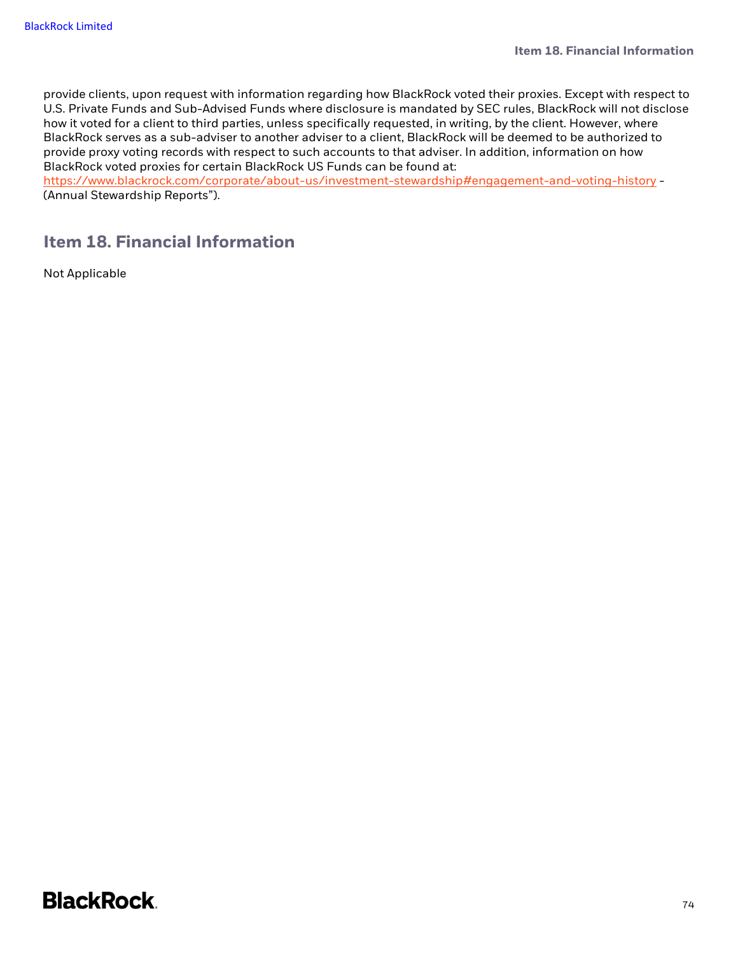provide clients, upon request with information regarding how BlackRock voted their proxies. Except with respect to U.S. Private Funds and Sub-Advised Funds where disclosure is mandated by SEC rules, BlackRock will not disclose how it voted for a client to third parties, unless specifically requested, in writing, by the client. However, where BlackRock serves as a sub-adviser to another adviser to a client, BlackRock will be deemed to be authorized to provide proxy voting records with respect to such accounts to that adviser. In addition, information on how BlackRock voted proxies for certain BlackRock US Funds can be found at:

<https://www.blackrock.com/corporate/about-us/investment-stewardship#engagement-and-voting-history> - (Annual Stewardship Reports").

### **Item 18. Financial Information**

Not Applicable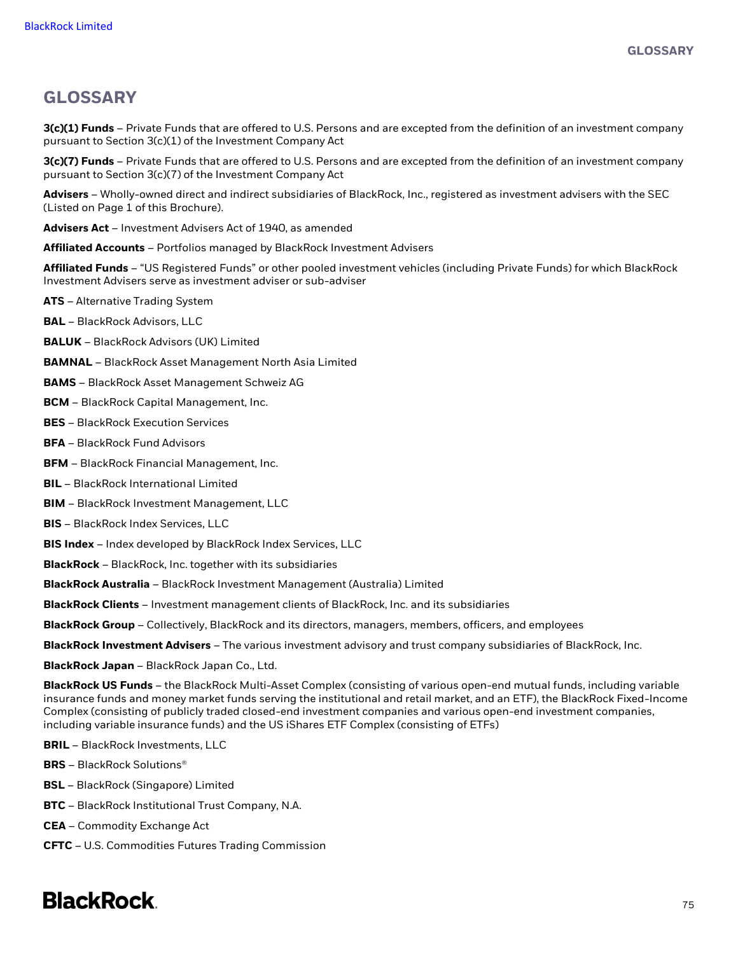### **GLOSSARY**

**3(c)(1) Funds** – Private Funds that are offered to U.S. Persons and are excepted from the definition of an investment company pursuant to Section 3(c)(1) of the Investment Company Act

**3(c)(7) Funds** – Private Funds that are offered to U.S. Persons and are excepted from the definition of an investment company pursuant to Section 3(c)(7) of the Investment Company Act

**Advisers** – Wholly-owned direct and indirect subsidiaries of BlackRock, Inc., registered as investment advisers with the SEC (Listed on Page 1 of this Brochure).

**Advisers Act** – Investment Advisers Act of 1940, as amended

**Affiliated Accounts** – Portfolios managed by BlackRock Investment Advisers

**Affiliated Funds** – "US Registered Funds" or other pooled investment vehicles (including Private Funds) for which BlackRock Investment Advisers serve as investment adviser or sub-adviser

- **ATS** Alternative Trading System
- **BAL** BlackRock Advisors, LLC
- **BALUK** BlackRock Advisors (UK) Limited
- **BAMNAL** BlackRock Asset Management North Asia Limited
- **BAMS** BlackRock Asset Management Schweiz AG
- **BCM** BlackRock Capital Management, Inc.
- **BES** BlackRock Execution Services
- **BFA** BlackRock Fund Advisors
- **BFM** BlackRock Financial Management, Inc.
- **BIL** BlackRock International Limited
- **BIM** BlackRock Investment Management, LLC
- **BIS** BlackRock Index Services, LLC
- **BIS Index** Index developed by BlackRock Index Services, LLC
- **BlackRock**  BlackRock, Inc. together with its subsidiaries
- **BlackRock Australia** BlackRock Investment Management (Australia) Limited
- **BlackRock Clients** Investment management clients of BlackRock, Inc. and its subsidiaries
- **BlackRock Group** Collectively, BlackRock and its directors, managers, members, officers, and employees
- **BlackRock Investment Advisers** The various investment advisory and trust company subsidiaries of BlackRock, Inc.
- **BlackRock Japan** BlackRock Japan Co., Ltd.

**BlackRock US Funds** – the BlackRock Multi-Asset Complex (consisting of various open-end mutual funds, including variable insurance funds and money market funds serving the institutional and retail market, and an ETF), the BlackRock Fixed-Income Complex (consisting of publicly traded closed-end investment companies and various open-end investment companies, including variable insurance funds) and the US iShares ETF Complex (consisting of ETFs)

- **BRIL** BlackRock Investments, LLC
- **BRS** BlackRock Solutions®
- **BSL** BlackRock (Singapore) Limited
- **BTC** BlackRock Institutional Trust Company, N.A.
- **CEA** Commodity Exchange Act
- **CFTC** U.S. Commodities Futures Trading Commission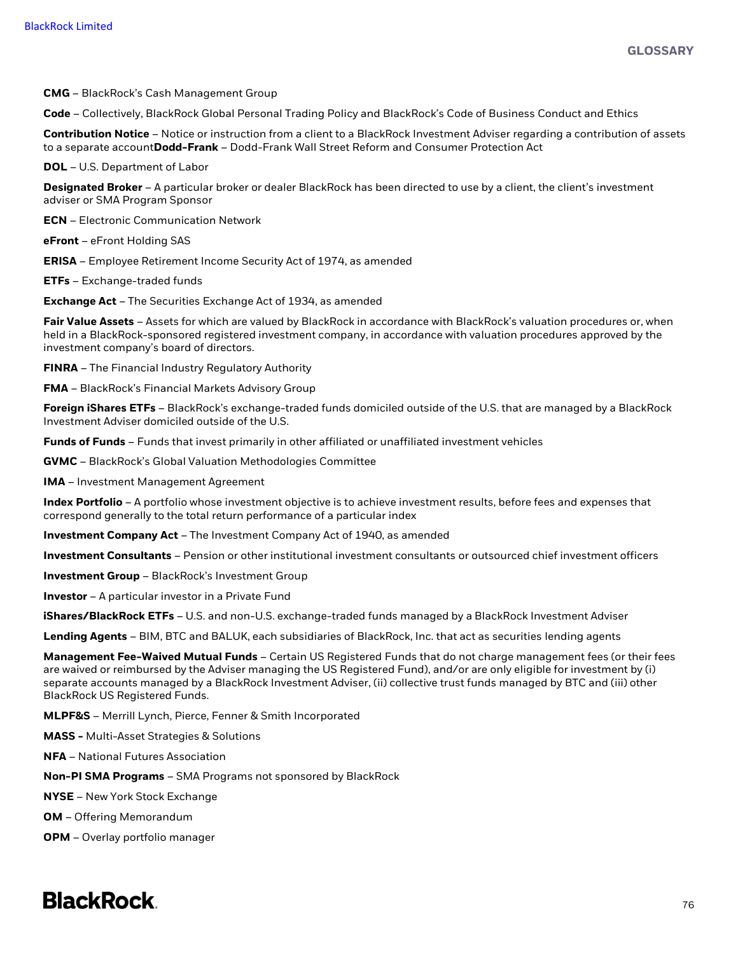**CMG** – BlackRock's Cash Management Group

**Code** – Collectively, BlackRock Global Personal Trading Policy and BlackRock's Code of Business Conduct and Ethics

**Contribution Notice** – Notice or instruction from a client to a BlackRock Investment Adviser regarding a contribution of assets to a separate account**Dodd-Frank** – Dodd-Frank Wall Street Reform and Consumer Protection Act

**DOL** – U.S. Department of Labor

**Designated Broker** – A particular broker or dealer BlackRock has been directed to use by a client, the client's investment adviser or SMA Program Sponsor

**ECN** – Electronic Communication Network

**eFront** – eFront Holding SAS

**ERISA** – Employee Retirement Income Security Act of 1974, as amended

**ETFs** – Exchange-traded funds

**Exchange Act** – The Securities Exchange Act of 1934, as amended

**Fair Value Assets** – Assets for which are valued by BlackRock in accordance with BlackRock's valuation procedures or, when held in a BlackRock-sponsored registered investment company, in accordance with valuation procedures approved by the investment company's board of directors.

**FINRA** – The Financial Industry Regulatory Authority

**FMA** – BlackRock's Financial Markets Advisory Group

**Foreign iShares ETFs** – BlackRock's exchange-traded funds domiciled outside of the U.S. that are managed by a BlackRock Investment Adviser domiciled outside of the U.S.

**Funds of Funds** – Funds that invest primarily in other affiliated or unaffiliated investment vehicles

**GVMC** – BlackRock's Global Valuation Methodologies Committee

**IMA** – Investment Management Agreement

**Index Portfolio** – A portfolio whose investment objective is to achieve investment results, before fees and expenses that correspond generally to the total return performance of a particular index

**Investment Company Act** – The Investment Company Act of 1940, as amended

**Investment Consultants** – Pension or other institutional investment consultants or outsourced chief investment officers

**Investment Group** – BlackRock's Investment Group

**Investor** – A particular investor in a Private Fund

**iShares/BlackRock ETFs** – U.S. and non-U.S. exchange-traded funds managed by a BlackRock Investment Adviser

**Lending Agents** – BIM, BTC and BALUK, each subsidiaries of BlackRock, Inc. that act as securities lending agents

**Management Fee-Waived Mutual Funds** – Certain US Registered Funds that do not charge management fees (or their fees are waived or reimbursed by the Adviser managing the US Registered Fund), and/or are only eligible for investment by (i) separate accounts managed by a BlackRock Investment Adviser, (ii) collective trust funds managed by BTC and (iii) other BlackRock US Registered Funds.

**MLPF&S** – Merrill Lynch, Pierce, Fenner & Smith Incorporated

**MASS -** Multi-Asset Strategies & Solutions

**NFA** – National Futures Association

**Non-PI SMA Programs** – SMA Programs not sponsored by BlackRock

**NYSE** – New York Stock Exchange

**OM** – Offering Memorandum

**OPM** – Overlay portfolio manager

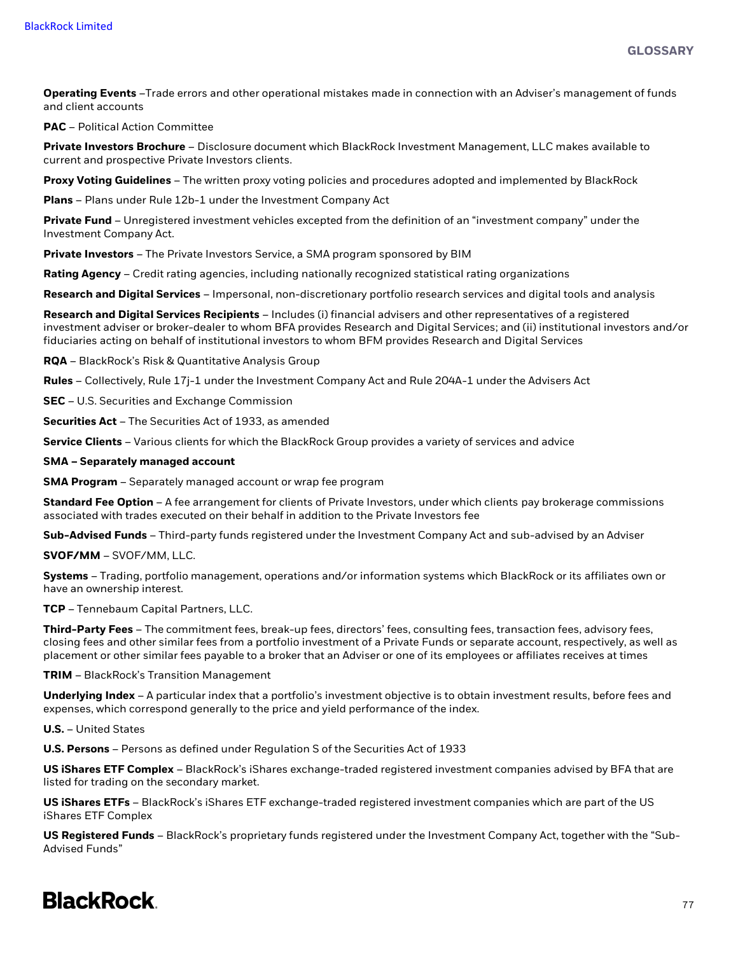**Operating Events** –Trade errors and other operational mistakes made in connection with an Adviser's management of funds and client accounts

**PAC** – Political Action Committee

**Private Investors Brochure** – Disclosure document which BlackRock Investment Management, LLC makes available to current and prospective Private Investors clients.

**Proxy Voting Guidelines** – The written proxy voting policies and procedures adopted and implemented by BlackRock

**Plans** – Plans under Rule 12b-1 under the Investment Company Act

**Private Fund** – Unregistered investment vehicles excepted from the definition of an "investment company" under the Investment Company Act.

**Private Investors** – The Private Investors Service, a SMA program sponsored by BIM

**Rating Agency** – Credit rating agencies, including nationally recognized statistical rating organizations

**Research and Digital Services** – Impersonal, non-discretionary portfolio research services and digital tools and analysis

**Research and Digital Services Recipients** – Includes (i) financial advisers and other representatives of a registered investment adviser or broker-dealer to whom BFA provides Research and Digital Services; and (ii) institutional investors and/or fiduciaries acting on behalf of institutional investors to whom BFM provides Research and Digital Services

**RQA** – BlackRock's Risk & Quantitative Analysis Group

**Rules** – Collectively, Rule 17j-1 under the Investment Company Act and Rule 204A-1 under the Advisers Act

**SEC** – U.S. Securities and Exchange Commission

**Securities Act** – The Securities Act of 1933, as amended

**Service Clients** – Various clients for which the BlackRock Group provides a variety of services and advice

#### **SMA – Separately managed account**

**SMA Program** – Separately managed account or wrap fee program

**Standard Fee Option** – A fee arrangement for clients of Private Investors, under which clients pay brokerage commissions associated with trades executed on their behalf in addition to the Private Investors fee

**Sub-Advised Funds** – Third-party funds registered under the Investment Company Act and sub-advised by an Adviser

**SVOF/MM** – SVOF/MM, LLC.

**Systems** – Trading, portfolio management, operations and/or information systems which BlackRock or its affiliates own or have an ownership interest.

**TCP** – Tennebaum Capital Partners, LLC.

**Third-Party Fees** – The commitment fees, break-up fees, directors' fees, consulting fees, transaction fees, advisory fees, closing fees and other similar fees from a portfolio investment of a Private Funds or separate account, respectively, as well as placement or other similar fees payable to a broker that an Adviser or one of its employees or affiliates receives at times

**TRIM** – BlackRock's Transition Management

**Underlying Index** – A particular index that a portfolio's investment objective is to obtain investment results, before fees and expenses, which correspond generally to the price and yield performance of the index.

**U.S.** – United States

**U.S. Persons** – Persons as defined under Regulation S of the Securities Act of 1933

**US iShares ETF Complex** – BlackRock's iShares exchange-traded registered investment companies advised by BFA that are listed for trading on the secondary market.

**US iShares ETFs** – BlackRock's iShares ETF exchange-traded registered investment companies which are part of the US iShares ETF Complex

**US Registered Funds** – BlackRock's proprietary funds registered under the Investment Company Act, together with the "Sub-Advised Funds"